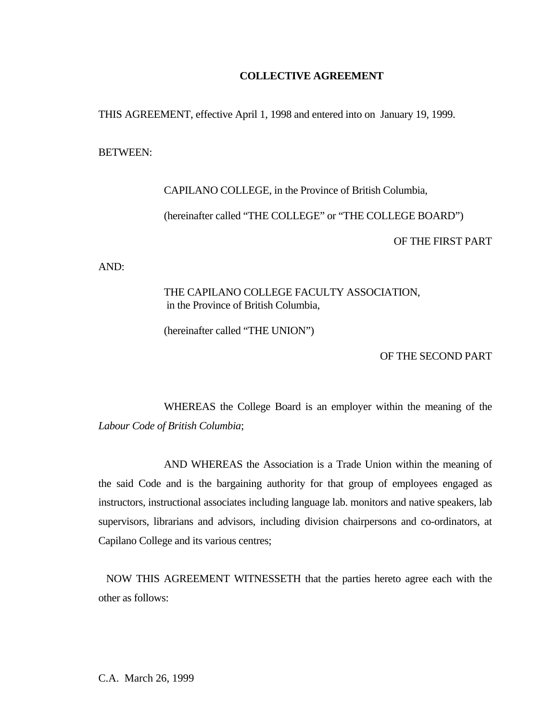#### **COLLECTIVE AGREEMENT**

THIS AGREEMENT, effective April 1, 1998 and entered into on January 19, 1999.

BETWEEN:

 CAPILANO COLLEGE, in the Province of British Columbia, (hereinafter called "THE COLLEGE" or "THE COLLEGE BOARD") OF THE FIRST PART

AND:

 THE CAPILANO COLLEGE FACULTY ASSOCIATION, in the Province of British Columbia,

(hereinafter called "THE UNION")

OF THE SECOND PART

 WHEREAS the College Board is an employer within the meaning of the *Labour Code of British Columbia*;

 AND WHEREAS the Association is a Trade Union within the meaning of the said Code and is the bargaining authority for that group of employees engaged as instructors, instructional associates including language lab. monitors and native speakers, lab supervisors, librarians and advisors, including division chairpersons and co-ordinators, at Capilano College and its various centres;

 NOW THIS AGREEMENT WITNESSETH that the parties hereto agree each with the other as follows:

C.A. March 26, 1999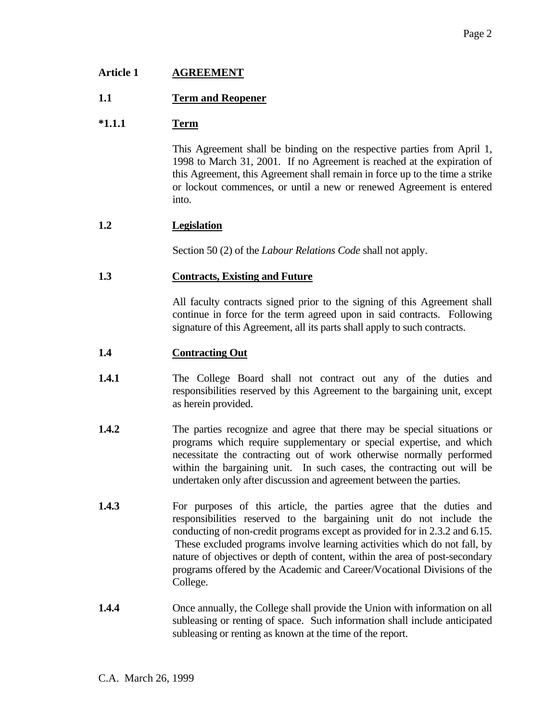# **Article 1 AGREEMENT**

# **1.1 Term and Reopener**

# **\*1.1.1 Term**

 This Agreement shall be binding on the respective parties from April 1, 1998 to March 31, 2001. If no Agreement is reached at the expiration of this Agreement, this Agreement shall remain in force up to the time a strike or lockout commences, or until a new or renewed Agreement is entered into.

## **1.2 Legislation**

Section 50 (2) of the *Labour Relations Code* shall not apply.

## **1.3 Contracts, Existing and Future**

 All faculty contracts signed prior to the signing of this Agreement shall continue in force for the term agreed upon in said contracts. Following signature of this Agreement, all its parts shall apply to such contracts.

## **1.4 Contracting Out**

- **1.4.1** The College Board shall not contract out any of the duties and responsibilities reserved by this Agreement to the bargaining unit, except as herein provided.
- **1.4.2** The parties recognize and agree that there may be special situations or programs which require supplementary or special expertise, and which necessitate the contracting out of work otherwise normally performed within the bargaining unit. In such cases, the contracting out will be undertaken only after discussion and agreement between the parties.
- **1.4.3** For purposes of this article, the parties agree that the duties and responsibilities reserved to the bargaining unit do not include the conducting of non-credit programs except as provided for in 2.3.2 and 6.15. These excluded programs involve learning activities which do not fall, by nature of objectives or depth of content, within the area of post-secondary programs offered by the Academic and Career/Vocational Divisions of the College.
- **1.4.4** Once annually, the College shall provide the Union with information on all subleasing or renting of space. Such information shall include anticipated subleasing or renting as known at the time of the report.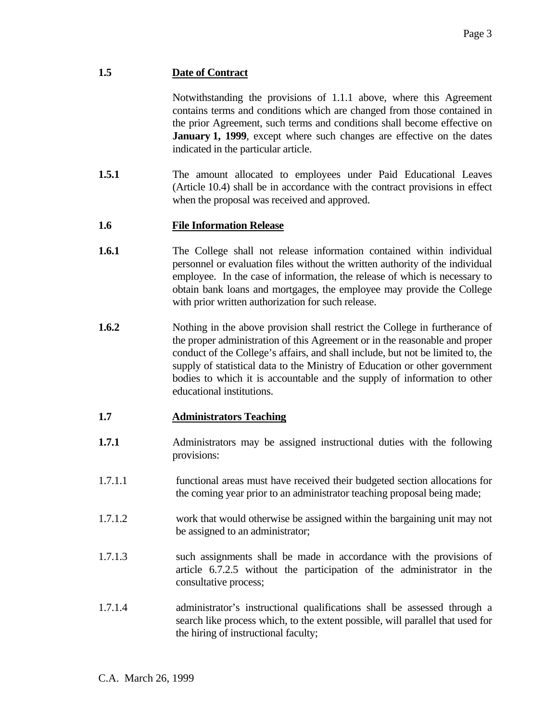# **1.5 Date of Contract**

 Notwithstanding the provisions of 1.1.1 above, where this Agreement contains terms and conditions which are changed from those contained in the prior Agreement, such terms and conditions shall become effective on **January 1, 1999**, except where such changes are effective on the dates indicated in the particular article.

**1.5.1 The amount allocated to employees under Paid Educational Leaves** (Article 10.4) shall be in accordance with the contract provisions in effect when the proposal was received and approved.

# **1.6 File Information Release**

- **1.6.1** The College shall not release information contained within individual personnel or evaluation files without the written authority of the individual employee. In the case of information, the release of which is necessary to obtain bank loans and mortgages, the employee may provide the College with prior written authorization for such release.
- **1.6.2** Nothing in the above provision shall restrict the College in furtherance of the proper administration of this Agreement or in the reasonable and proper conduct of the College's affairs, and shall include, but not be limited to, the supply of statistical data to the Ministry of Education or other government bodies to which it is accountable and the supply of information to other educational institutions.

# **1.7 Administrators Teaching**

- **1.7.1** Administrators may be assigned instructional duties with the following provisions:
- 1.7.1.1 functional areas must have received their budgeted section allocations for the coming year prior to an administrator teaching proposal being made;
- 1.7.1.2 work that would otherwise be assigned within the bargaining unit may not be assigned to an administrator;
- 1.7.1.3 such assignments shall be made in accordance with the provisions of article 6.7.2.5 without the participation of the administrator in the consultative process;
- 1.7.1.4 administrator's instructional qualifications shall be assessed through a search like process which, to the extent possible, will parallel that used for the hiring of instructional faculty;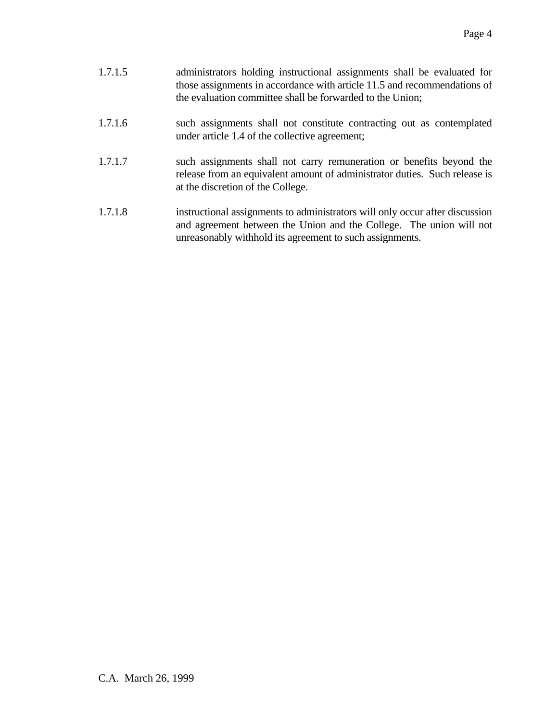| 1.7.1.5 | administrators holding instructional assignments shall be evaluated for  |
|---------|--------------------------------------------------------------------------|
|         | those assignments in accordance with article 11.5 and recommendations of |
|         | the evaluation committee shall be forwarded to the Union;                |

## 1.7.1.6 such assignments shall not constitute contracting out as contemplated under article 1.4 of the collective agreement;

- 1.7.1.7 such assignments shall not carry remuneration or benefits beyond the release from an equivalent amount of administrator duties. Such release is at the discretion of the College.
- 1.7.1.8 instructional assignments to administrators will only occur after discussion and agreement between the Union and the College. The union will not unreasonably withhold its agreement to such assignments.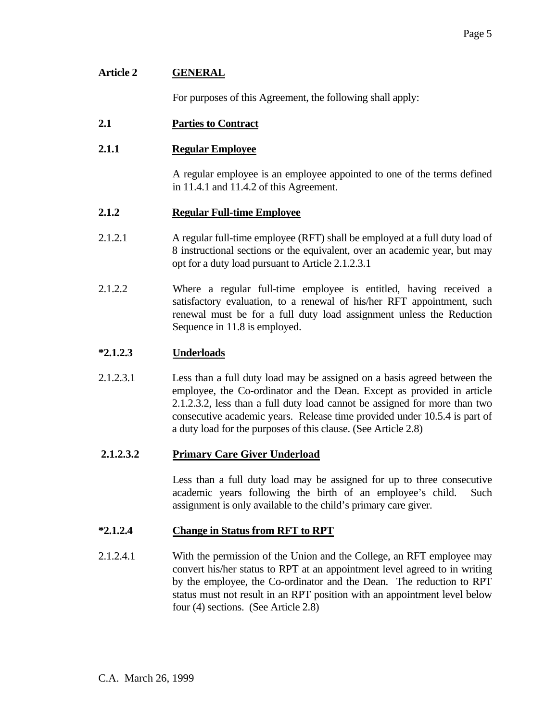| <b>Article 2</b> | <b>GENERAL</b>                                                                                                         |  |
|------------------|------------------------------------------------------------------------------------------------------------------------|--|
|                  | For purposes of this Agreement, the following shall apply:                                                             |  |
| 2.1              | <b>Parties to Contract</b>                                                                                             |  |
| 2.1.1            | <b>Regular Employee</b>                                                                                                |  |
|                  | A regular employee is an employee appointed to one of the terms defined<br>in $11.4.1$ and $11.4.2$ of this Agreement. |  |

## **2.1.2 Regular Full-time Employee**

- 2.1.2.1 A regular full-time employee (RFT) shall be employed at a full duty load of 8 instructional sections or the equivalent, over an academic year, but may opt for a duty load pursuant to Article 2.1.2.3.1
- 2.1.2.2 Where a regular full-time employee is entitled, having received a satisfactory evaluation, to a renewal of his/her RFT appointment, such renewal must be for a full duty load assignment unless the Reduction Sequence in 11.8 is employed.

# **\*2.1.2.3 Underloads**

2.1.2.3.1 Less than a full duty load may be assigned on a basis agreed between the employee, the Co-ordinator and the Dean. Except as provided in article 2.1.2.3.2, less than a full duty load cannot be assigned for more than two consecutive academic years. Release time provided under 10.5.4 is part of a duty load for the purposes of this clause. (See Article 2.8)

# **2.1.2.3.2 Primary Care Giver Underload**

 Less than a full duty load may be assigned for up to three consecutive academic years following the birth of an employee's child. Such assignment is only available to the child's primary care giver.

## **\*2.1.2.4 Change in Status from RFT to RPT**

2.1.2.4.1 With the permission of the Union and the College, an RFT employee may convert his/her status to RPT at an appointment level agreed to in writing by the employee, the Co-ordinator and the Dean. The reduction to RPT status must not result in an RPT position with an appointment level below four (4) sections. (See Article 2.8)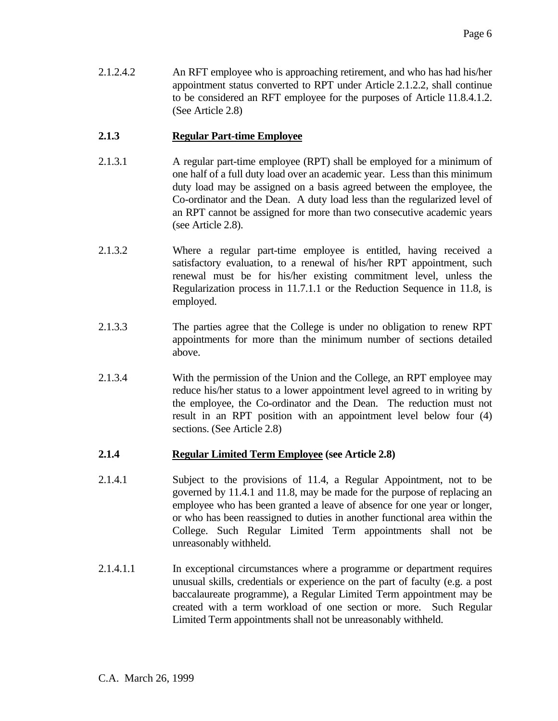2.1.2.4.2 An RFT employee who is approaching retirement, and who has had his/her appointment status converted to RPT under Article 2.1.2.2, shall continue to be considered an RFT employee for the purposes of Article 11.8.4.1.2. (See Article 2.8)

# **2.1.3 Regular Part-time Employee**

- 2.1.3.1 A regular part-time employee (RPT) shall be employed for a minimum of one half of a full duty load over an academic year. Less than this minimum duty load may be assigned on a basis agreed between the employee, the Co-ordinator and the Dean. A duty load less than the regularized level of an RPT cannot be assigned for more than two consecutive academic years (see Article 2.8).
- 2.1.3.2 Where a regular part-time employee is entitled, having received a satisfactory evaluation, to a renewal of his/her RPT appointment, such renewal must be for his/her existing commitment level, unless the Regularization process in 11.7.1.1 or the Reduction Sequence in 11.8, is employed.
- 2.1.3.3 The parties agree that the College is under no obligation to renew RPT appointments for more than the minimum number of sections detailed above.
- 2.1.3.4 With the permission of the Union and the College, an RPT employee may reduce his/her status to a lower appointment level agreed to in writing by the employee, the Co-ordinator and the Dean. The reduction must not result in an RPT position with an appointment level below four (4) sections. (See Article 2.8)

## **2.1.4 Regular Limited Term Employee (see Article 2.8)**

- 2.1.4.1 Subject to the provisions of 11.4, a Regular Appointment, not to be governed by 11.4.1 and 11.8, may be made for the purpose of replacing an employee who has been granted a leave of absence for one year or longer, or who has been reassigned to duties in another functional area within the College. Such Regular Limited Term appointments shall not be unreasonably withheld.
- 2.1.4.1.1 In exceptional circumstances where a programme or department requires unusual skills, credentials or experience on the part of faculty (e.g. a post baccalaureate programme), a Regular Limited Term appointment may be created with a term workload of one section or more. Such Regular Limited Term appointments shall not be unreasonably withheld.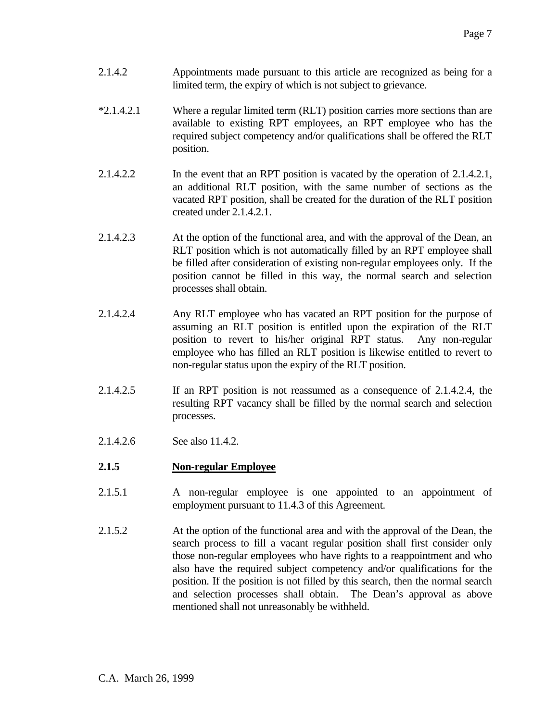- 2.1.4.2 Appointments made pursuant to this article are recognized as being for a limited term, the expiry of which is not subject to grievance.
- \*2.1.4.2.1 Where a regular limited term (RLT) position carries more sections than are available to existing RPT employees, an RPT employee who has the required subject competency and/or qualifications shall be offered the RLT position.
- 2.1.4.2.2 In the event that an RPT position is vacated by the operation of 2.1.4.2.1, an additional RLT position, with the same number of sections as the vacated RPT position, shall be created for the duration of the RLT position created under 2.1.4.2.1.
- 2.1.4.2.3 At the option of the functional area, and with the approval of the Dean, an RLT position which is not automatically filled by an RPT employee shall be filled after consideration of existing non-regular employees only. If the position cannot be filled in this way, the normal search and selection processes shall obtain.
- 2.1.4.2.4 Any RLT employee who has vacated an RPT position for the purpose of assuming an RLT position is entitled upon the expiration of the RLT position to revert to his/her original RPT status. Any non-regular employee who has filled an RLT position is likewise entitled to revert to non-regular status upon the expiry of the RLT position.
- 2.1.4.2.5 If an RPT position is not reassumed as a consequence of 2.1.4.2.4, the resulting RPT vacancy shall be filled by the normal search and selection processes.
- 2.1.4.2.6 See also 11.4.2.
- **2.1.5 Non-regular Employee**
- 2.1.5.1 A non-regular employee is one appointed to an appointment of employment pursuant to 11.4.3 of this Agreement.
- 2.1.5.2 At the option of the functional area and with the approval of the Dean, the search process to fill a vacant regular position shall first consider only those non-regular employees who have rights to a reappointment and who also have the required subject competency and/or qualifications for the position. If the position is not filled by this search, then the normal search and selection processes shall obtain. The Dean's approval as above mentioned shall not unreasonably be withheld.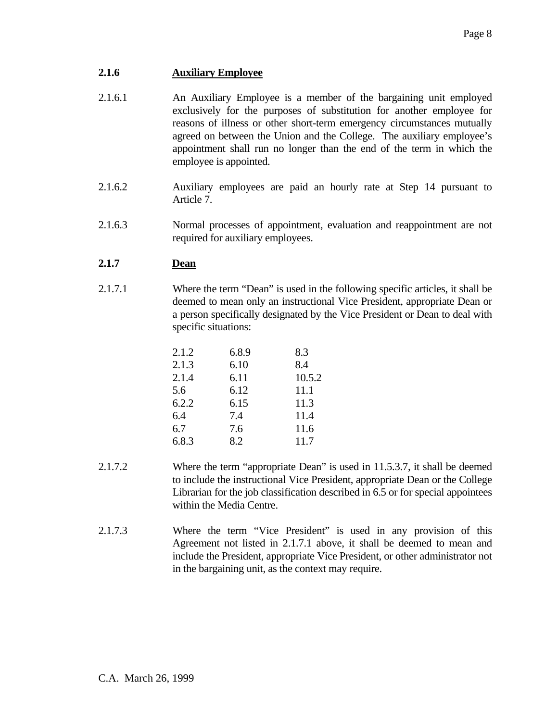# **2.1.6 Auxiliary Employee**

- 2.1.6.1 An Auxiliary Employee is a member of the bargaining unit employed exclusively for the purposes of substitution for another employee for reasons of illness or other short-term emergency circumstances mutually agreed on between the Union and the College. The auxiliary employee's appointment shall run no longer than the end of the term in which the employee is appointed.
- 2.1.6.2 Auxiliary employees are paid an hourly rate at Step 14 pursuant to Article 7.
- 2.1.6.3 Normal processes of appointment, evaluation and reappointment are not required for auxiliary employees.

# **2.1.7 Dean**

2.1.7.1 Where the term "Dean" is used in the following specific articles, it shall be deemed to mean only an instructional Vice President, appropriate Dean or a person specifically designated by the Vice President or Dean to deal with specific situations:

| 2.1.2 | 6.8.9 | 8.3    |
|-------|-------|--------|
| 2.1.3 | 6.10  | 8.4    |
| 2.1.4 | 6.11  | 10.5.2 |
| 5.6   | 6.12  | 11.1   |
| 6.2.2 | 6.15  | 11.3   |
| 6.4   | 7.4   | 11.4   |
| 6.7   | 7.6   | 11.6   |
| 6.8.3 | 8.2   | 11.7   |

- 2.1.7.2 Where the term "appropriate Dean" is used in 11.5.3.7, it shall be deemed to include the instructional Vice President, appropriate Dean or the College Librarian for the job classification described in 6.5 or for special appointees within the Media Centre.
- 2.1.7.3 Where the term "Vice President" is used in any provision of this Agreement not listed in 2.1.7.1 above, it shall be deemed to mean and include the President, appropriate Vice President, or other administrator not in the bargaining unit, as the context may require.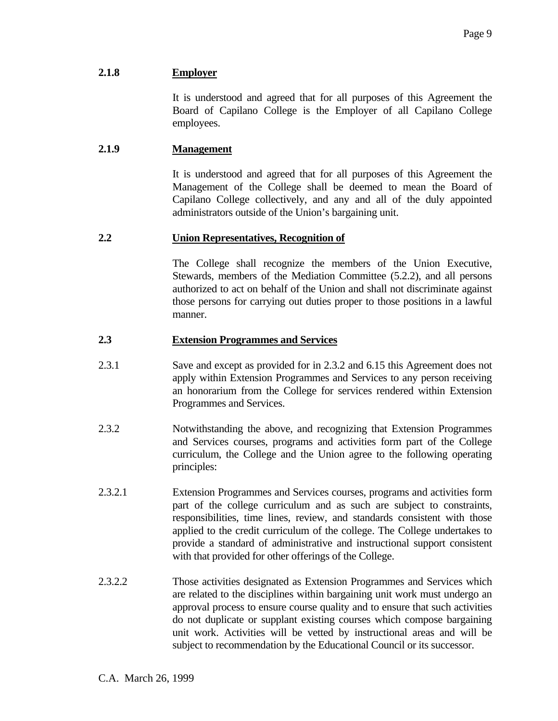## **2.1.8 Employer**

 It is understood and agreed that for all purposes of this Agreement the Board of Capilano College is the Employer of all Capilano College employees.

## **2.1.9 Management**

 It is understood and agreed that for all purposes of this Agreement the Management of the College shall be deemed to mean the Board of Capilano College collectively, and any and all of the duly appointed administrators outside of the Union's bargaining unit.

### **2.2 Union Representatives, Recognition of**

 The College shall recognize the members of the Union Executive, Stewards, members of the Mediation Committee (5.2.2), and all persons authorized to act on behalf of the Union and shall not discriminate against those persons for carrying out duties proper to those positions in a lawful manner.

### **2.3 Extension Programmes and Services**

- 2.3.1 Save and except as provided for in 2.3.2 and 6.15 this Agreement does not apply within Extension Programmes and Services to any person receiving an honorarium from the College for services rendered within Extension Programmes and Services.
- 2.3.2 Notwithstanding the above, and recognizing that Extension Programmes and Services courses, programs and activities form part of the College curriculum, the College and the Union agree to the following operating principles:
- 2.3.2.1 Extension Programmes and Services courses, programs and activities form part of the college curriculum and as such are subject to constraints, responsibilities, time lines, review, and standards consistent with those applied to the credit curriculum of the college. The College undertakes to provide a standard of administrative and instructional support consistent with that provided for other offerings of the College.
- 2.3.2.2 Those activities designated as Extension Programmes and Services which are related to the disciplines within bargaining unit work must undergo an approval process to ensure course quality and to ensure that such activities do not duplicate or supplant existing courses which compose bargaining unit work. Activities will be vetted by instructional areas and will be subject to recommendation by the Educational Council or its successor.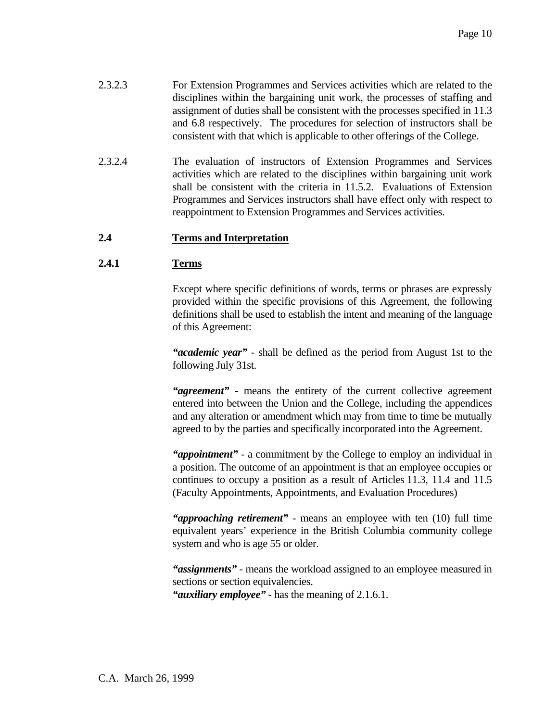- 2.3.2.3 For Extension Programmes and Services activities which are related to the disciplines within the bargaining unit work, the processes of staffing and assignment of duties shall be consistent with the processes specified in 11.3 and 6.8 respectively. The procedures for selection of instructors shall be consistent with that which is applicable to other offerings of the College.
- 2.3.2.4 The evaluation of instructors of Extension Programmes and Services activities which are related to the disciplines within bargaining unit work shall be consistent with the criteria in 11.5.2. Evaluations of Extension Programmes and Services instructors shall have effect only with respect to reappointment to Extension Programmes and Services activities.

# **2.4 Terms and Interpretation**

## **2.4.1 Terms**

 Except where specific definitions of words, terms or phrases are expressly provided within the specific provisions of this Agreement, the following definitions shall be used to establish the intent and meaning of the language of this Agreement:

 *"academic year"* - shall be defined as the period from August 1st to the following July 31st.

 *"agreement"* - means the entirety of the current collective agreement entered into between the Union and the College, including the appendices and any alteration or amendment which may from time to time be mutually agreed to by the parties and specifically incorporated into the Agreement.

 *"appointment"* - a commitment by the College to employ an individual in a position. The outcome of an appointment is that an employee occupies or continues to occupy a position as a result of Articles 11.3, 11.4 and 11.5 (Faculty Appointments, Appointments, and Evaluation Procedures)

 *"approaching retirement"* - means an employee with ten (10) full time equivalent years' experience in the British Columbia community college system and who is age 55 or older.

 *"assignments"* - means the workload assigned to an employee measured in sections or section equivalencies.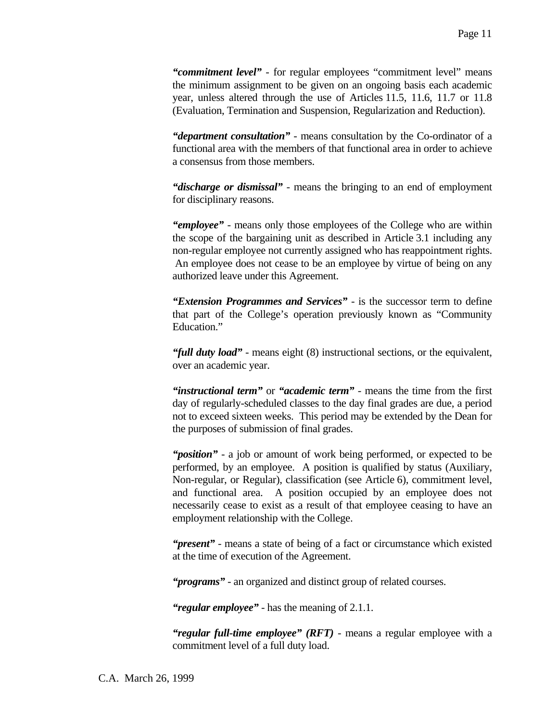*"commitment level"* - for regular employees "commitment level" means the minimum assignment to be given on an ongoing basis each academic year, unless altered through the use of Articles 11.5, 11.6, 11.7 or 11.8 (Evaluation, Termination and Suspension, Regularization and Reduction).

 *"department consultation"* - means consultation by the Co-ordinator of a functional area with the members of that functional area in order to achieve a consensus from those members.

 *"discharge or dismissal"* - means the bringing to an end of employment for disciplinary reasons.

 *"employee"* - means only those employees of the College who are within the scope of the bargaining unit as described in Article 3.1 including any non-regular employee not currently assigned who has reappointment rights. An employee does not cease to be an employee by virtue of being on any authorized leave under this Agreement.

 *"Extension Programmes and Services"* - is the successor term to define that part of the College's operation previously known as "Community Education."

 *"full duty load"* - means eight (8) instructional sections, or the equivalent, over an academic year.

 *"instructional term"* or *"academic term"* - means the time from the first day of regularly-scheduled classes to the day final grades are due, a period not to exceed sixteen weeks. This period may be extended by the Dean for the purposes of submission of final grades.

 *"position"* - a job or amount of work being performed, or expected to be performed, by an employee. A position is qualified by status (Auxiliary, Non-regular, or Regular), classification (see Article 6), commitment level, and functional area. A position occupied by an employee does not necessarily cease to exist as a result of that employee ceasing to have an employment relationship with the College.

 *"present"* - means a state of being of a fact or circumstance which existed at the time of execution of the Agreement.

 *"programs"* - an organized and distinct group of related courses.

 *"regular employee"* - has the meaning of 2.1.1.

 *"regular full-time employee" (RFT)* - means a regular employee with a commitment level of a full duty load.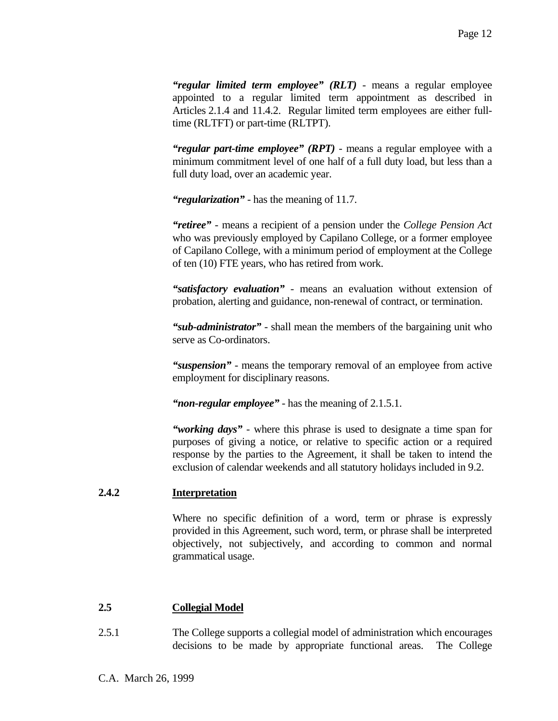*"regular limited term employee" (RLT)* - means a regular employee appointed to a regular limited term appointment as described in Articles 2.1.4 and 11.4.2. Regular limited term employees are either fulltime (RLTFT) or part-time (RLTPT).

 *"regular part-time employee" (RPT)* - means a regular employee with a minimum commitment level of one half of a full duty load, but less than a full duty load, over an academic year.

 *"regularization"* - has the meaning of 11.7.

 *"retiree"* - means a recipient of a pension under the *College Pension Act* who was previously employed by Capilano College, or a former employee of Capilano College, with a minimum period of employment at the College of ten (10) FTE years, who has retired from work.

 *"satisfactory evaluation"* - means an evaluation without extension of probation, alerting and guidance, non-renewal of contract, or termination.

 *"sub-administrator"* - shall mean the members of the bargaining unit who serve as Co-ordinators.

 *"suspension"* - means the temporary removal of an employee from active employment for disciplinary reasons.

 *"non-regular employee"* - has the meaning of 2.1.5.1.

 *"working days"* - where this phrase is used to designate a time span for purposes of giving a notice, or relative to specific action or a required response by the parties to the Agreement, it shall be taken to intend the exclusion of calendar weekends and all statutory holidays included in 9.2.

### **2.4.2 Interpretation**

 Where no specific definition of a word, term or phrase is expressly provided in this Agreement, such word, term, or phrase shall be interpreted objectively, not subjectively, and according to common and normal grammatical usage.

### **2.5 Collegial Model**

2.5.1 The College supports a collegial model of administration which encourages decisions to be made by appropriate functional areas. The College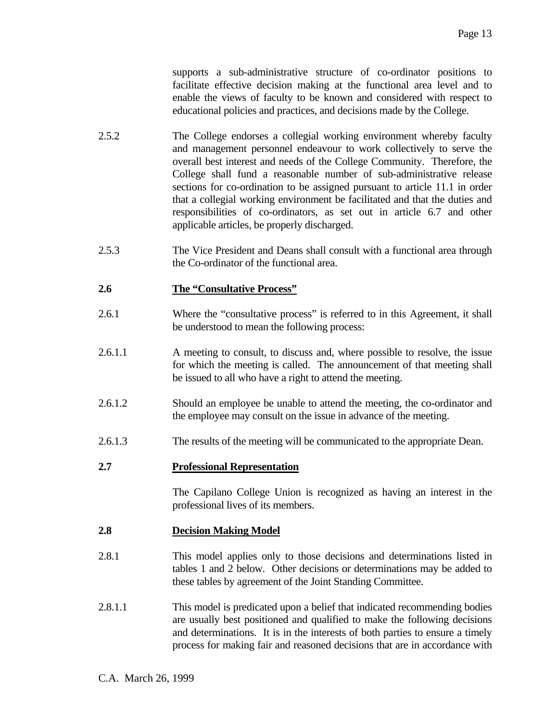supports a sub-administrative structure of co-ordinator positions to facilitate effective decision making at the functional area level and to enable the views of faculty to be known and considered with respect to educational policies and practices, and decisions made by the College.

- 2.5.2 The College endorses a collegial working environment whereby faculty and management personnel endeavour to work collectively to serve the overall best interest and needs of the College Community. Therefore, the College shall fund a reasonable number of sub-administrative release sections for co-ordination to be assigned pursuant to article 11.1 in order that a collegial working environment be facilitated and that the duties and responsibilities of co-ordinators, as set out in article 6.7 and other applicable articles, be properly discharged.
- 2.5.3 The Vice President and Deans shall consult with a functional area through the Co-ordinator of the functional area.

### **2.6 The "Consultative Process"**

- 2.6.1 Where the "consultative process" is referred to in this Agreement, it shall be understood to mean the following process:
- 2.6.1.1 A meeting to consult, to discuss and, where possible to resolve, the issue for which the meeting is called. The announcement of that meeting shall be issued to all who have a right to attend the meeting.
- 2.6.1.2 Should an employee be unable to attend the meeting, the co-ordinator and the employee may consult on the issue in advance of the meeting.
- 2.6.1.3 The results of the meeting will be communicated to the appropriate Dean.

### **2.7 Professional Representation**

 The Capilano College Union is recognized as having an interest in the professional lives of its members.

### **2.8 Decision Making Model**

- 2.8.1 This model applies only to those decisions and determinations listed in tables 1 and 2 below. Other decisions or determinations may be added to these tables by agreement of the Joint Standing Committee.
- 2.8.1.1 This model is predicated upon a belief that indicated recommending bodies are usually best positioned and qualified to make the following decisions and determinations. It is in the interests of both parties to ensure a timely process for making fair and reasoned decisions that are in accordance with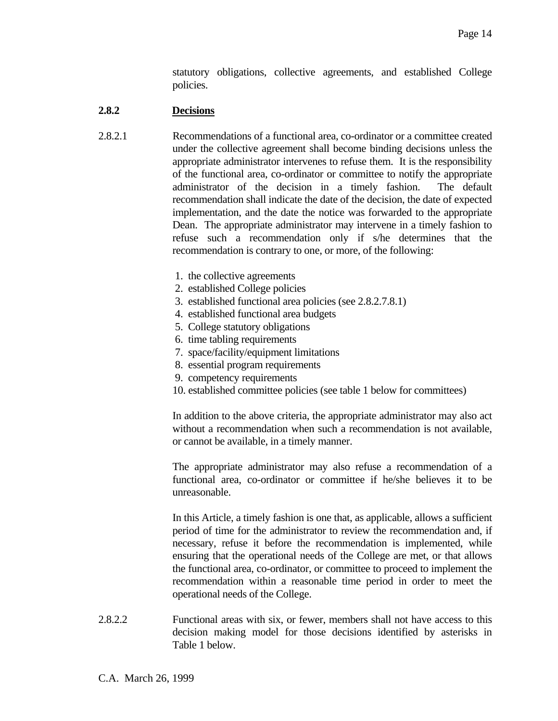statutory obligations, collective agreements, and established College policies.

### **2.8.2 Decisions**

- 2.8.2.1 Recommendations of a functional area, co-ordinator or a committee created under the collective agreement shall become binding decisions unless the appropriate administrator intervenes to refuse them. It is the responsibility of the functional area, co-ordinator or committee to notify the appropriate administrator of the decision in a timely fashion. The default recommendation shall indicate the date of the decision, the date of expected implementation, and the date the notice was forwarded to the appropriate Dean. The appropriate administrator may intervene in a timely fashion to refuse such a recommendation only if s/he determines that the recommendation is contrary to one, or more, of the following:
	- 1. the collective agreements
	- 2. established College policies
	- 3. established functional area policies (see 2.8.2.7.8.1)
	- 4. established functional area budgets
	- 5. College statutory obligations
	- 6. time tabling requirements
	- 7. space/facility/equipment limitations
	- 8. essential program requirements
	- 9. competency requirements
	- 10. established committee policies (see table 1 below for committees)

 In addition to the above criteria, the appropriate administrator may also act without a recommendation when such a recommendation is not available, or cannot be available, in a timely manner.

 The appropriate administrator may also refuse a recommendation of a functional area, co-ordinator or committee if he/she believes it to be unreasonable.

 In this Article, a timely fashion is one that, as applicable, allows a sufficient period of time for the administrator to review the recommendation and, if necessary, refuse it before the recommendation is implemented, while ensuring that the operational needs of the College are met, or that allows the functional area, co-ordinator, or committee to proceed to implement the recommendation within a reasonable time period in order to meet the operational needs of the College.

2.8.2.2 Functional areas with six, or fewer, members shall not have access to this decision making model for those decisions identified by asterisks in Table 1 below.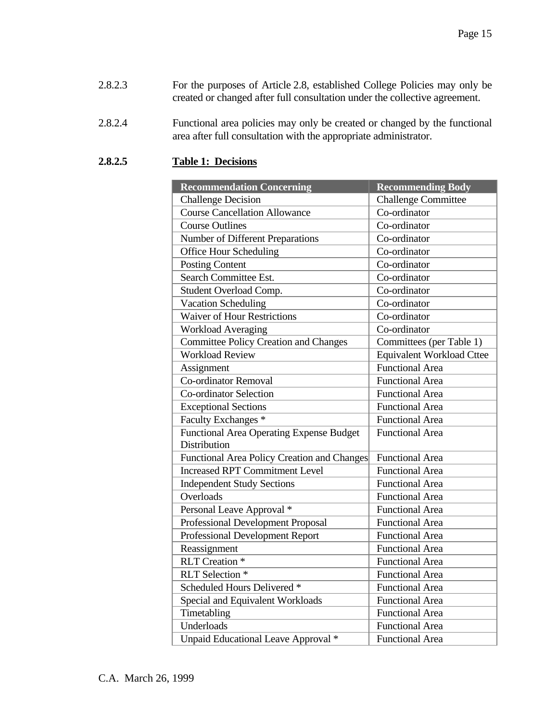- 2.8.2.3 For the purposes of Article 2.8, established College Policies may only be created or changed after full consultation under the collective agreement.
- 2.8.2.4 Functional area policies may only be created or changed by the functional area after full consultation with the appropriate administrator.

# **2.8.2.5 Table 1: Decisions**

| <b>Recommendation Concerning</b>                                | <b>Recommending Body</b>         |
|-----------------------------------------------------------------|----------------------------------|
| <b>Challenge Decision</b>                                       | <b>Challenge Committee</b>       |
| <b>Course Cancellation Allowance</b>                            | Co-ordinator                     |
| <b>Course Outlines</b>                                          | Co-ordinator                     |
| Number of Different Preparations                                | Co-ordinator                     |
| <b>Office Hour Scheduling</b>                                   | Co-ordinator                     |
| <b>Posting Content</b>                                          | Co-ordinator                     |
| Search Committee Est.                                           | Co-ordinator                     |
| Student Overload Comp.                                          | Co-ordinator                     |
| <b>Vacation Scheduling</b>                                      | Co-ordinator                     |
| <b>Waiver of Hour Restrictions</b>                              | Co-ordinator                     |
| <b>Workload Averaging</b>                                       | Co-ordinator                     |
| <b>Committee Policy Creation and Changes</b>                    | Committees (per Table 1)         |
| <b>Workload Review</b>                                          | <b>Equivalent Workload Cttee</b> |
| Assignment                                                      | <b>Functional Area</b>           |
| <b>Co-ordinator Removal</b>                                     | <b>Functional Area</b>           |
| <b>Co-ordinator Selection</b>                                   | <b>Functional Area</b>           |
| <b>Exceptional Sections</b>                                     | <b>Functional Area</b>           |
| Faculty Exchanges *                                             | <b>Functional Area</b>           |
| <b>Functional Area Operating Expense Budget</b><br>Distribution | <b>Functional Area</b>           |
| Functional Area Policy Creation and Changes                     | <b>Functional Area</b>           |
| <b>Increased RPT Commitment Level</b>                           | <b>Functional Area</b>           |
| <b>Independent Study Sections</b>                               | <b>Functional Area</b>           |
| Overloads                                                       | <b>Functional Area</b>           |
| Personal Leave Approval *                                       | <b>Functional Area</b>           |
| Professional Development Proposal                               | <b>Functional Area</b>           |
| <b>Professional Development Report</b>                          | <b>Functional Area</b>           |
| Reassignment                                                    | <b>Functional Area</b>           |
| <b>RLT</b> Creation <sup>*</sup>                                | <b>Functional Area</b>           |
| RLT Selection *                                                 | <b>Functional Area</b>           |
| Scheduled Hours Delivered *                                     | <b>Functional Area</b>           |
| Special and Equivalent Workloads                                | <b>Functional Area</b>           |
| Timetabling                                                     | <b>Functional Area</b>           |
| Underloads                                                      | <b>Functional Area</b>           |
| Unpaid Educational Leave Approval *                             | <b>Functional Area</b>           |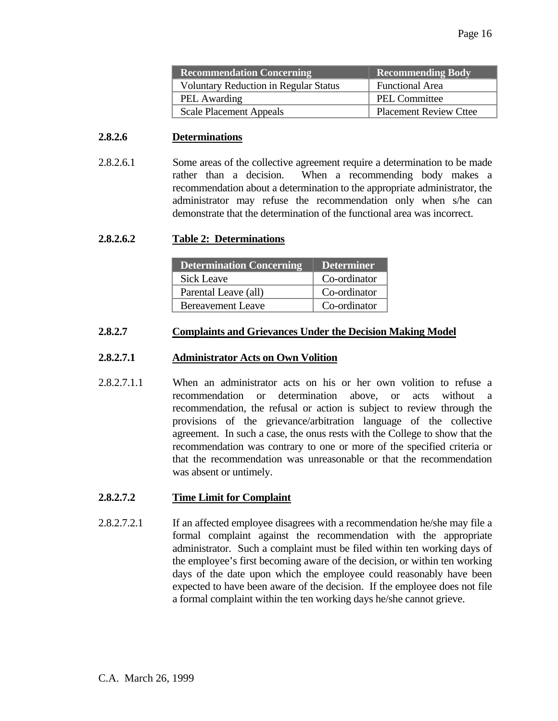| <b>Recommendation Concerning</b>             | <b>Recommending Body</b>      |
|----------------------------------------------|-------------------------------|
| <b>Voluntary Reduction in Regular Status</b> | <b>Functional Area</b>        |
| <b>PEL Awarding</b>                          | PEL Committee                 |
| <b>Scale Placement Appeals</b>               | <b>Placement Review Cttee</b> |

#### **2.8.2.6 Determinations**

2.8.2.6.1 Some areas of the collective agreement require a determination to be made rather than a decision. When a recommending body makes a recommendation about a determination to the appropriate administrator, the administrator may refuse the recommendation only when s/he can demonstrate that the determination of the functional area was incorrect.

### **2.8.2.6.2 Table 2: Determinations**

| <b>Determination Concerning</b> | <b>Determiner</b> |
|---------------------------------|-------------------|
| <b>Sick Leave</b>               | Co-ordinator      |
| Parental Leave (all)            | Co-ordinator      |
| <b>Bereavement Leave</b>        | Co-ordinator      |

#### **2.8.2.7 Complaints and Grievances Under the Decision Making Model**

#### **2.8.2.7.1 Administrator Acts on Own Volition**

2.8.2.7.1.1 When an administrator acts on his or her own volition to refuse a recommendation or determination above, or acts without a recommendation, the refusal or action is subject to review through the provisions of the grievance/arbitration language of the collective agreement. In such a case, the onus rests with the College to show that the recommendation was contrary to one or more of the specified criteria or that the recommendation was unreasonable or that the recommendation was absent or untimely.

### **2.8.2.7.2 Time Limit for Complaint**

2.8.2.7.2.1 If an affected employee disagrees with a recommendation he/she may file a formal complaint against the recommendation with the appropriate administrator. Such a complaint must be filed within ten working days of the employee's first becoming aware of the decision, or within ten working days of the date upon which the employee could reasonably have been expected to have been aware of the decision. If the employee does not file a formal complaint within the ten working days he/she cannot grieve.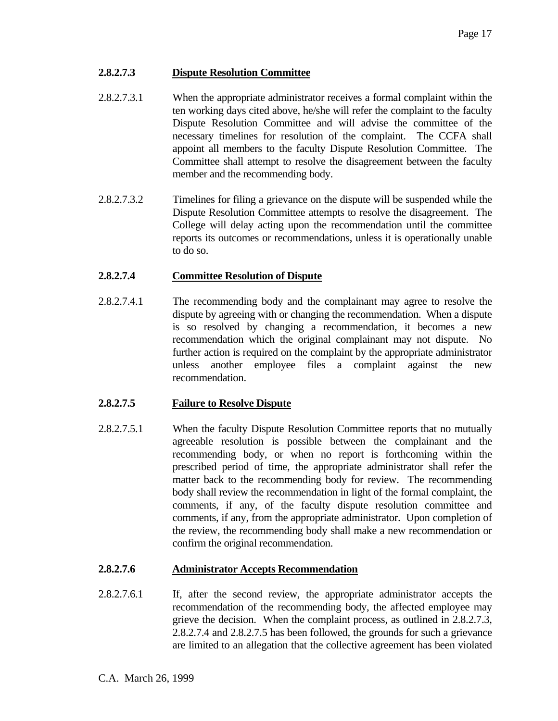## **2.8.2.7.3 Dispute Resolution Committee**

- 2.8.2.7.3.1 When the appropriate administrator receives a formal complaint within the ten working days cited above, he/she will refer the complaint to the faculty Dispute Resolution Committee and will advise the committee of the necessary timelines for resolution of the complaint. The CCFA shall appoint all members to the faculty Dispute Resolution Committee. The Committee shall attempt to resolve the disagreement between the faculty member and the recommending body.
- 2.8.2.7.3.2 Timelines for filing a grievance on the dispute will be suspended while the Dispute Resolution Committee attempts to resolve the disagreement. The College will delay acting upon the recommendation until the committee reports its outcomes or recommendations, unless it is operationally unable to do so.

## **2.8.2.7.4 Committee Resolution of Dispute**

2.8.2.7.4.1 The recommending body and the complainant may agree to resolve the dispute by agreeing with or changing the recommendation. When a dispute is so resolved by changing a recommendation, it becomes a new recommendation which the original complainant may not dispute. No further action is required on the complaint by the appropriate administrator unless another employee files a complaint against the new recommendation.

## **2.8.2.7.5 Failure to Resolve Dispute**

2.8.2.7.5.1 When the faculty Dispute Resolution Committee reports that no mutually agreeable resolution is possible between the complainant and the recommending body, or when no report is forthcoming within the prescribed period of time, the appropriate administrator shall refer the matter back to the recommending body for review. The recommending body shall review the recommendation in light of the formal complaint, the comments, if any, of the faculty dispute resolution committee and comments, if any, from the appropriate administrator. Upon completion of the review, the recommending body shall make a new recommendation or confirm the original recommendation.

## **2.8.2.7.6 Administrator Accepts Recommendation**

2.8.2.7.6.1 If, after the second review, the appropriate administrator accepts the recommendation of the recommending body, the affected employee may grieve the decision. When the complaint process, as outlined in 2.8.2.7.3, 2.8.2.7.4 and 2.8.2.7.5 has been followed, the grounds for such a grievance are limited to an allegation that the collective agreement has been violated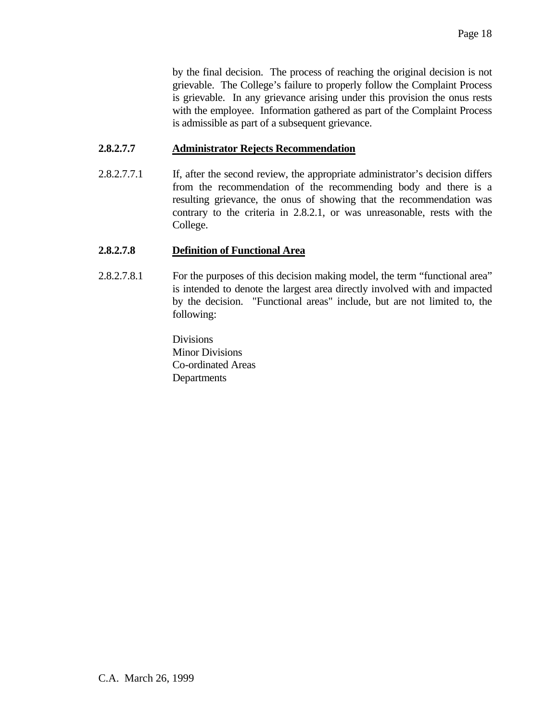by the final decision. The process of reaching the original decision is not grievable. The College's failure to properly follow the Complaint Process is grievable. In any grievance arising under this provision the onus rests with the employee. Information gathered as part of the Complaint Process is admissible as part of a subsequent grievance.

### **2.8.2.7.7 Administrator Rejects Recommendation**

2.8.2.7.7.1 If, after the second review, the appropriate administrator's decision differs from the recommendation of the recommending body and there is a resulting grievance, the onus of showing that the recommendation was contrary to the criteria in 2.8.2.1, or was unreasonable, rests with the College.

### **2.8.2.7.8 Definition of Functional Area**

2.8.2.7.8.1 For the purposes of this decision making model, the term "functional area" is intended to denote the largest area directly involved with and impacted by the decision. "Functional areas" include, but are not limited to, the following:

> Divisions Minor Divisions Co-ordinated Areas Departments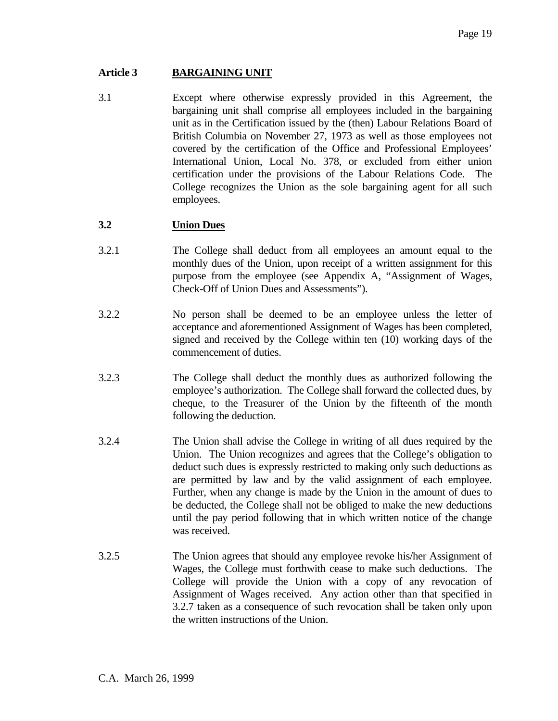## **Article 3 BARGAINING UNIT**

3.1 Except where otherwise expressly provided in this Agreement, the bargaining unit shall comprise all employees included in the bargaining unit as in the Certification issued by the (then) Labour Relations Board of British Columbia on November 27, 1973 as well as those employees not covered by the certification of the Office and Professional Employees' International Union, Local No. 378, or excluded from either union certification under the provisions of the Labour Relations Code. The College recognizes the Union as the sole bargaining agent for all such employees.

### **3.2 Union Dues**

- 3.2.1 The College shall deduct from all employees an amount equal to the monthly dues of the Union, upon receipt of a written assignment for this purpose from the employee (see Appendix A, "Assignment of Wages, Check-Off of Union Dues and Assessments").
- 3.2.2 No person shall be deemed to be an employee unless the letter of acceptance and aforementioned Assignment of Wages has been completed, signed and received by the College within ten (10) working days of the commencement of duties.
- 3.2.3 The College shall deduct the monthly dues as authorized following the employee's authorization. The College shall forward the collected dues, by cheque, to the Treasurer of the Union by the fifteenth of the month following the deduction.
- 3.2.4 The Union shall advise the College in writing of all dues required by the Union. The Union recognizes and agrees that the College's obligation to deduct such dues is expressly restricted to making only such deductions as are permitted by law and by the valid assignment of each employee. Further, when any change is made by the Union in the amount of dues to be deducted, the College shall not be obliged to make the new deductions until the pay period following that in which written notice of the change was received.
- 3.2.5 The Union agrees that should any employee revoke his/her Assignment of Wages, the College must forthwith cease to make such deductions. The College will provide the Union with a copy of any revocation of Assignment of Wages received. Any action other than that specified in 3.2.7 taken as a consequence of such revocation shall be taken only upon the written instructions of the Union.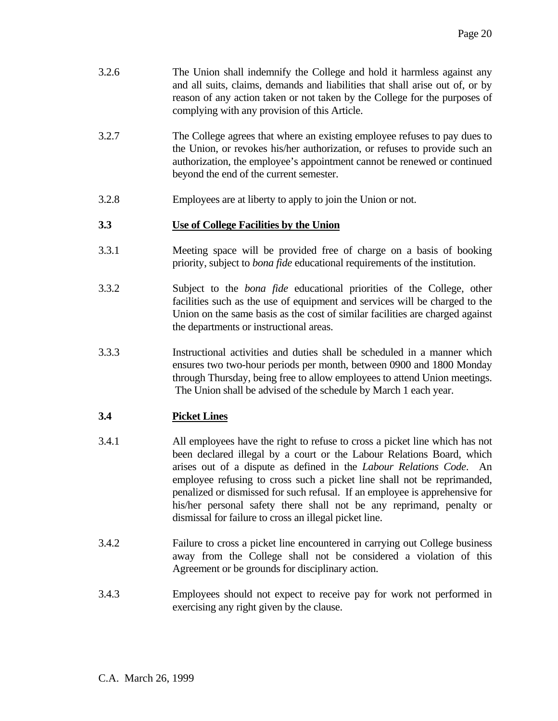| 3.2.6 | The Union shall indemnify the College and hold it harmless against any<br>and all suits, claims, demands and liabilities that shall arise out of, or by |
|-------|---------------------------------------------------------------------------------------------------------------------------------------------------------|
|       | reason of any action taken or not taken by the College for the purposes of<br>complying with any provision of this Article.                             |

- 3.2.7 The College agrees that where an existing employee refuses to pay dues to the Union, or revokes his/her authorization, or refuses to provide such an authorization, the employee's appointment cannot be renewed or continued beyond the end of the current semester.
- 3.2.8 Employees are at liberty to apply to join the Union or not.

# **3.3 Use of College Facilities by the Union**

- 3.3.1 Meeting space will be provided free of charge on a basis of booking priority, subject to *bona fide* educational requirements of the institution.
- 3.3.2 Subject to the *bona fide* educational priorities of the College, other facilities such as the use of equipment and services will be charged to the Union on the same basis as the cost of similar facilities are charged against the departments or instructional areas.
- 3.3.3 Instructional activities and duties shall be scheduled in a manner which ensures two two-hour periods per month, between 0900 and 1800 Monday through Thursday, being free to allow employees to attend Union meetings. The Union shall be advised of the schedule by March 1 each year.

# **3.4 Picket Lines**

- 3.4.1 All employees have the right to refuse to cross a picket line which has not been declared illegal by a court or the Labour Relations Board, which arises out of a dispute as defined in the *Labour Relations Code*. An employee refusing to cross such a picket line shall not be reprimanded, penalized or dismissed for such refusal. If an employee is apprehensive for his/her personal safety there shall not be any reprimand, penalty or dismissal for failure to cross an illegal picket line.
- 3.4.2 Failure to cross a picket line encountered in carrying out College business away from the College shall not be considered a violation of this Agreement or be grounds for disciplinary action.
- 3.4.3 Employees should not expect to receive pay for work not performed in exercising any right given by the clause.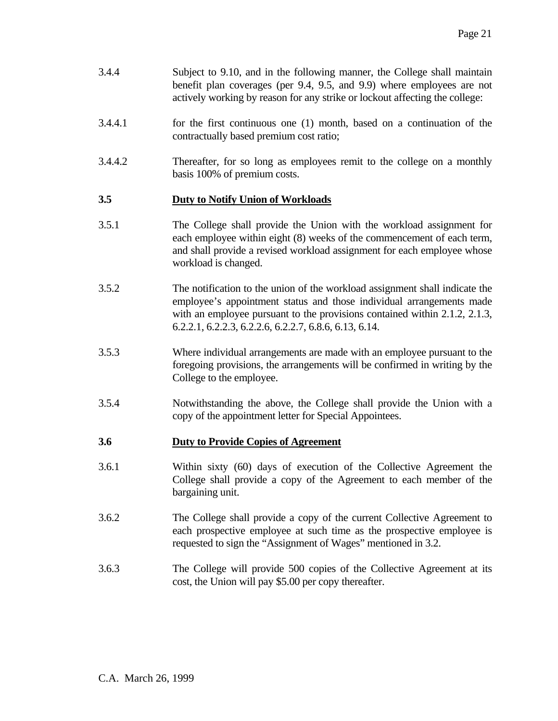- 3.4.4 Subject to 9.10, and in the following manner, the College shall maintain benefit plan coverages (per 9.4, 9.5, and 9.9) where employees are not actively working by reason for any strike or lockout affecting the college:
- 3.4.4.1 for the first continuous one (1) month, based on a continuation of the contractually based premium cost ratio;
- 3.4.4.2 Thereafter, for so long as employees remit to the college on a monthly basis 100% of premium costs.

## **3.5 Duty to Notify Union of Workloads**

- 3.5.1 The College shall provide the Union with the workload assignment for each employee within eight (8) weeks of the commencement of each term, and shall provide a revised workload assignment for each employee whose workload is changed.
- 3.5.2 The notification to the union of the workload assignment shall indicate the employee's appointment status and those individual arrangements made with an employee pursuant to the provisions contained within 2.1.2, 2.1.3, 6.2.2.1, 6.2.2.3, 6.2.2.6, 6.2.2.7, 6.8.6, 6.13, 6.14.
- 3.5.3 Where individual arrangements are made with an employee pursuant to the foregoing provisions, the arrangements will be confirmed in writing by the College to the employee.
- 3.5.4 Notwithstanding the above, the College shall provide the Union with a copy of the appointment letter for Special Appointees.

## **3.6 Duty to Provide Copies of Agreement**

- 3.6.1 Within sixty (60) days of execution of the Collective Agreement the College shall provide a copy of the Agreement to each member of the bargaining unit.
- 3.6.2 The College shall provide a copy of the current Collective Agreement to each prospective employee at such time as the prospective employee is requested to sign the "Assignment of Wages" mentioned in 3.2.
- 3.6.3 The College will provide 500 copies of the Collective Agreement at its cost, the Union will pay \$5.00 per copy thereafter.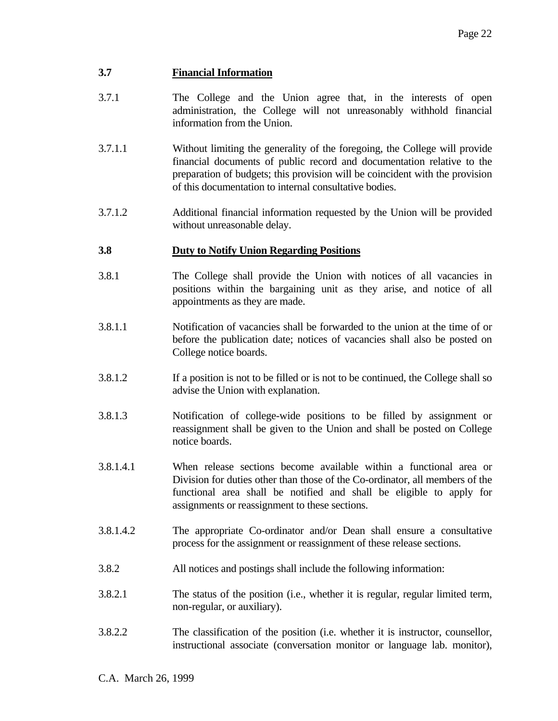## **3.7 Financial Information**

- 3.7.1 The College and the Union agree that, in the interests of open administration, the College will not unreasonably withhold financial information from the Union.
- 3.7.1.1 Without limiting the generality of the foregoing, the College will provide financial documents of public record and documentation relative to the preparation of budgets; this provision will be coincident with the provision of this documentation to internal consultative bodies.
- 3.7.1.2 Additional financial information requested by the Union will be provided without unreasonable delay.

### **3.8 Duty to Notify Union Regarding Positions**

- 3.8.1 The College shall provide the Union with notices of all vacancies in positions within the bargaining unit as they arise, and notice of all appointments as they are made.
- 3.8.1.1 Notification of vacancies shall be forwarded to the union at the time of or before the publication date; notices of vacancies shall also be posted on College notice boards.
- 3.8.1.2 If a position is not to be filled or is not to be continued, the College shall so advise the Union with explanation.
- 3.8.1.3 Notification of college-wide positions to be filled by assignment or reassignment shall be given to the Union and shall be posted on College notice boards.
- 3.8.1.4.1 When release sections become available within a functional area or Division for duties other than those of the Co-ordinator, all members of the functional area shall be notified and shall be eligible to apply for assignments or reassignment to these sections.
- 3.8.1.4.2 The appropriate Co-ordinator and/or Dean shall ensure a consultative process for the assignment or reassignment of these release sections.
- 3.8.2 All notices and postings shall include the following information:
- 3.8.2.1 The status of the position (i.e., whether it is regular, regular limited term, non-regular, or auxiliary).
- 3.8.2.2 The classification of the position (i.e. whether it is instructor, counsellor, instructional associate (conversation monitor or language lab. monitor),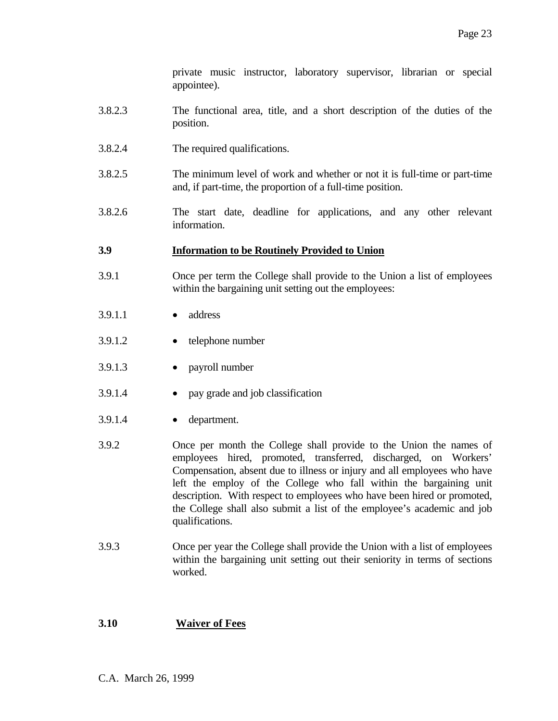private music instructor, laboratory supervisor, librarian or special appointee).

- 3.8.2.3 The functional area, title, and a short description of the duties of the position.
- 3.8.2.4 The required qualifications.
- 3.8.2.5 The minimum level of work and whether or not it is full-time or part-time and, if part-time, the proportion of a full-time position.
- 3.8.2.6 The start date, deadline for applications, and any other relevant information.

### **3.9 Information to be Routinely Provided to Union**

- 3.9.1 Once per term the College shall provide to the Union a list of employees within the bargaining unit setting out the employees:
- 3.9.1.1 address
- 3.9.1.2 telephone number
- 3.9.1.3 payroll number
- 3.9.1.4 pay grade and job classification
- 3.9.1.4 department.
- 3.9.2 Once per month the College shall provide to the Union the names of employees hired, promoted, transferred, discharged, on Workers' Compensation, absent due to illness or injury and all employees who have left the employ of the College who fall within the bargaining unit description. With respect to employees who have been hired or promoted, the College shall also submit a list of the employee's academic and job qualifications.
- 3.9.3 Once per year the College shall provide the Union with a list of employees within the bargaining unit setting out their seniority in terms of sections worked.

## **3.10 Waiver of Fees**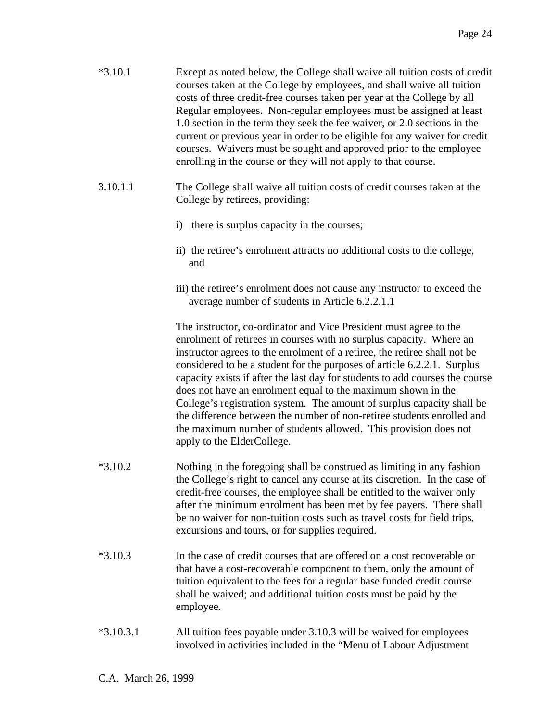| $*3.10.1$   | Except as noted below, the College shall waive all tuition costs of credit<br>courses taken at the College by employees, and shall waive all tuition<br>costs of three credit-free courses taken per year at the College by all<br>Regular employees. Non-regular employees must be assigned at least<br>1.0 section in the term they seek the fee waiver, or 2.0 sections in the<br>current or previous year in order to be eligible for any waiver for credit<br>courses. Waivers must be sought and approved prior to the employee<br>enrolling in the course or they will not apply to that course.                                                                                               |  |
|-------------|-------------------------------------------------------------------------------------------------------------------------------------------------------------------------------------------------------------------------------------------------------------------------------------------------------------------------------------------------------------------------------------------------------------------------------------------------------------------------------------------------------------------------------------------------------------------------------------------------------------------------------------------------------------------------------------------------------|--|
| 3.10.1.1    | The College shall waive all tuition costs of credit courses taken at the<br>College by retirees, providing:                                                                                                                                                                                                                                                                                                                                                                                                                                                                                                                                                                                           |  |
|             | i) there is surplus capacity in the courses;                                                                                                                                                                                                                                                                                                                                                                                                                                                                                                                                                                                                                                                          |  |
|             | ii) the retiree's enrolment attracts no additional costs to the college,<br>and                                                                                                                                                                                                                                                                                                                                                                                                                                                                                                                                                                                                                       |  |
|             | iii) the retiree's enrolment does not cause any instructor to exceed the<br>average number of students in Article 6.2.2.1.1                                                                                                                                                                                                                                                                                                                                                                                                                                                                                                                                                                           |  |
|             | The instructor, co-ordinator and Vice President must agree to the<br>enrolment of retirees in courses with no surplus capacity. Where an<br>instructor agrees to the enrolment of a retiree, the retiree shall not be<br>considered to be a student for the purposes of article 6.2.2.1. Surplus<br>capacity exists if after the last day for students to add courses the course<br>does not have an enrolment equal to the maximum shown in the<br>College's registration system. The amount of surplus capacity shall be<br>the difference between the number of non-retiree students enrolled and<br>the maximum number of students allowed. This provision does not<br>apply to the ElderCollege. |  |
| $*3.10.2$   | Nothing in the foregoing shall be construed as limiting in any fashion<br>the College's right to cancel any course at its discretion. In the case of<br>credit-free courses, the employee shall be entitled to the waiver only<br>after the minimum enrolment has been met by fee payers. There shall<br>be no waiver for non-tuition costs such as travel costs for field trips,<br>excursions and tours, or for supplies required.                                                                                                                                                                                                                                                                  |  |
| $*3.10.3$   | In the case of credit courses that are offered on a cost recoverable or<br>that have a cost-recoverable component to them, only the amount of<br>tuition equivalent to the fees for a regular base funded credit course<br>shall be waived; and additional tuition costs must be paid by the<br>employee.                                                                                                                                                                                                                                                                                                                                                                                             |  |
| $*3.10.3.1$ | All tuition fees payable under 3.10.3 will be waived for employees<br>involved in activities included in the "Menu of Labour Adjustment                                                                                                                                                                                                                                                                                                                                                                                                                                                                                                                                                               |  |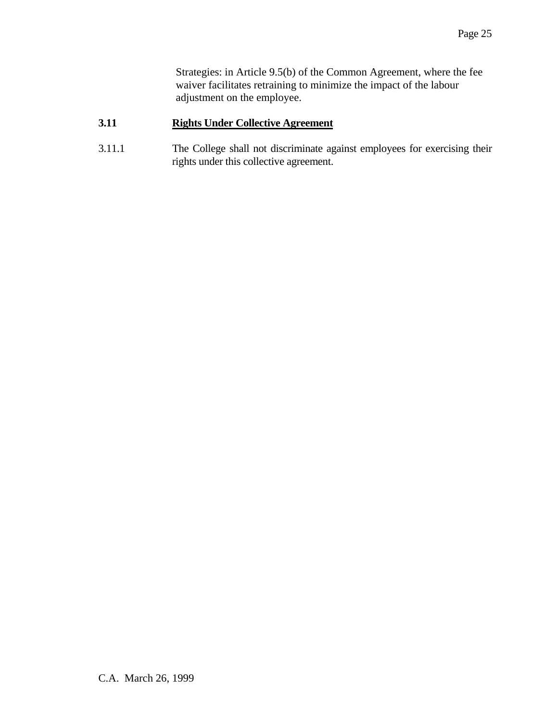Strategies: in Article 9.5(b) of the Common Agreement, where the fee waiver facilitates retraining to minimize the impact of the labour adjustment on the employee.

## **3.11 Rights Under Collective Agreement**

3.11.1 The College shall not discriminate against employees for exercising their rights under this collective agreement.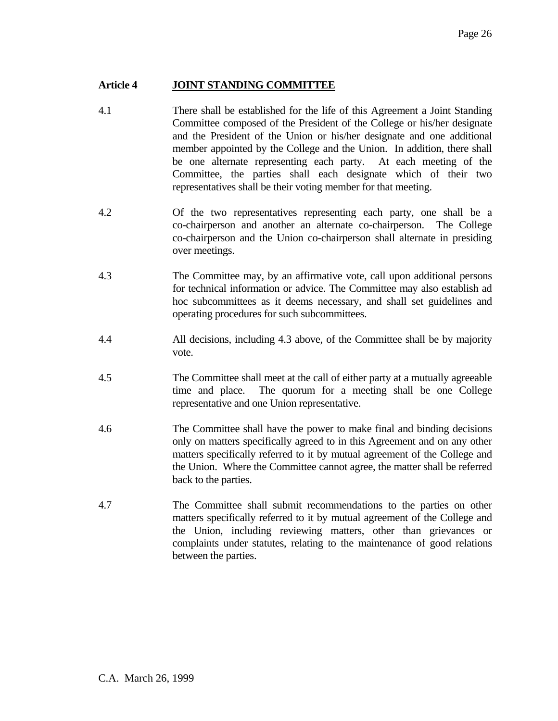### **Article 4 JOINT STANDING COMMITTEE**

- 4.1 There shall be established for the life of this Agreement a Joint Standing Committee composed of the President of the College or his/her designate and the President of the Union or his/her designate and one additional member appointed by the College and the Union. In addition, there shall be one alternate representing each party. At each meeting of the Committee, the parties shall each designate which of their two representatives shall be their voting member for that meeting.
- 4.2 Of the two representatives representing each party, one shall be a co-chairperson and another an alternate co-chairperson. The College co-chairperson and the Union co-chairperson shall alternate in presiding over meetings.
- 4.3 The Committee may, by an affirmative vote, call upon additional persons for technical information or advice. The Committee may also establish ad hoc subcommittees as it deems necessary, and shall set guidelines and operating procedures for such subcommittees.
- 4.4 All decisions, including 4.3 above, of the Committee shall be by majority vote.
- 4.5 The Committee shall meet at the call of either party at a mutually agreeable time and place. The quorum for a meeting shall be one College representative and one Union representative.
- 4.6 The Committee shall have the power to make final and binding decisions only on matters specifically agreed to in this Agreement and on any other matters specifically referred to it by mutual agreement of the College and the Union. Where the Committee cannot agree, the matter shall be referred back to the parties.
- 4.7 The Committee shall submit recommendations to the parties on other matters specifically referred to it by mutual agreement of the College and the Union, including reviewing matters, other than grievances or complaints under statutes, relating to the maintenance of good relations between the parties.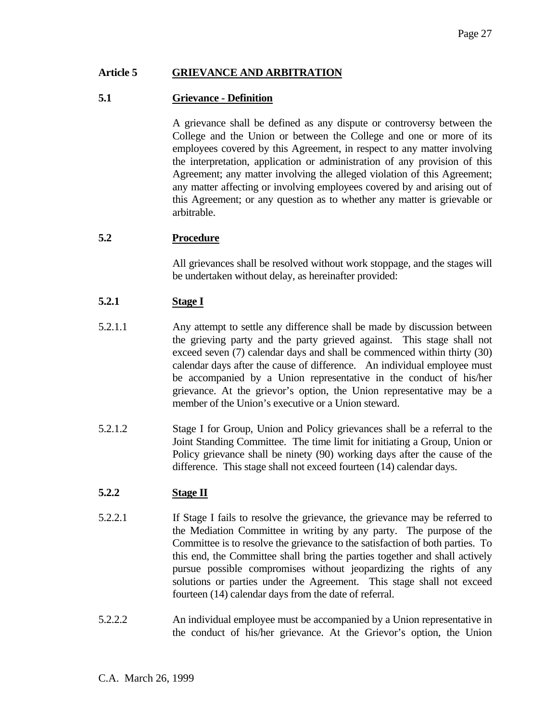### **Article 5 GRIEVANCE AND ARBITRATION**

### **5.1 Grievance - Definition**

 A grievance shall be defined as any dispute or controversy between the College and the Union or between the College and one or more of its employees covered by this Agreement, in respect to any matter involving the interpretation, application or administration of any provision of this Agreement; any matter involving the alleged violation of this Agreement; any matter affecting or involving employees covered by and arising out of this Agreement; or any question as to whether any matter is grievable or arbitrable.

## **5.2 Procedure**

 All grievances shall be resolved without work stoppage, and the stages will be undertaken without delay, as hereinafter provided:

### **5.2.1 Stage I**

- 5.2.1.1 Any attempt to settle any difference shall be made by discussion between the grieving party and the party grieved against. This stage shall not exceed seven (7) calendar days and shall be commenced within thirty (30) calendar days after the cause of difference. An individual employee must be accompanied by a Union representative in the conduct of his/her grievance. At the grievor's option, the Union representative may be a member of the Union's executive or a Union steward.
- 5.2.1.2 Stage I for Group, Union and Policy grievances shall be a referral to the Joint Standing Committee. The time limit for initiating a Group, Union or Policy grievance shall be ninety (90) working days after the cause of the difference. This stage shall not exceed fourteen (14) calendar days.

## **5.2.2 Stage II**

- 5.2.2.1 If Stage I fails to resolve the grievance, the grievance may be referred to the Mediation Committee in writing by any party. The purpose of the Committee is to resolve the grievance to the satisfaction of both parties. To this end, the Committee shall bring the parties together and shall actively pursue possible compromises without jeopardizing the rights of any solutions or parties under the Agreement. This stage shall not exceed fourteen (14) calendar days from the date of referral.
- 5.2.2.2 An individual employee must be accompanied by a Union representative in the conduct of his/her grievance. At the Grievor's option, the Union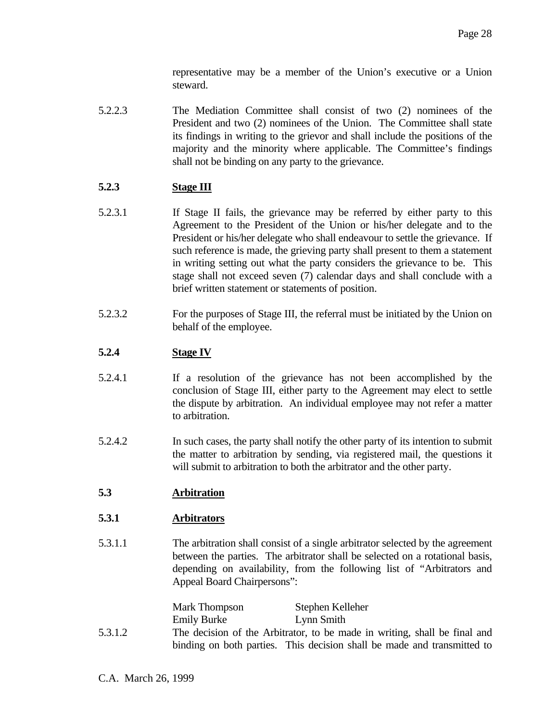representative may be a member of the Union's executive or a Union steward.

5.2.2.3 The Mediation Committee shall consist of two (2) nominees of the President and two (2) nominees of the Union. The Committee shall state its findings in writing to the grievor and shall include the positions of the majority and the minority where applicable. The Committee's findings shall not be binding on any party to the grievance.

## **5.2.3 Stage III**

- 5.2.3.1 If Stage II fails, the grievance may be referred by either party to this Agreement to the President of the Union or his/her delegate and to the President or his/her delegate who shall endeavour to settle the grievance. If such reference is made, the grieving party shall present to them a statement in writing setting out what the party considers the grievance to be. This stage shall not exceed seven (7) calendar days and shall conclude with a brief written statement or statements of position.
- 5.2.3.2 For the purposes of Stage III, the referral must be initiated by the Union on behalf of the employee.

# **5.2.4 Stage IV**

- 5.2.4.1 If a resolution of the grievance has not been accomplished by the conclusion of Stage III, either party to the Agreement may elect to settle the dispute by arbitration. An individual employee may not refer a matter to arbitration.
- 5.2.4.2 In such cases, the party shall notify the other party of its intention to submit the matter to arbitration by sending, via registered mail, the questions it will submit to arbitration to both the arbitrator and the other party.

# **5.3 Arbitration**

## **5.3.1 Arbitrators**

5.3.1.1 The arbitration shall consist of a single arbitrator selected by the agreement between the parties. The arbitrator shall be selected on a rotational basis, depending on availability, from the following list of "Arbitrators and Appeal Board Chairpersons":

|         | Mark Thompson      | Stephen Kelleher                                                          |
|---------|--------------------|---------------------------------------------------------------------------|
|         | <b>Emily Burke</b> | Lynn Smith                                                                |
| 5.3.1.2 |                    | The decision of the Arbitrator, to be made in writing, shall be final and |
|         |                    | binding on both parties. This decision shall be made and transmitted to   |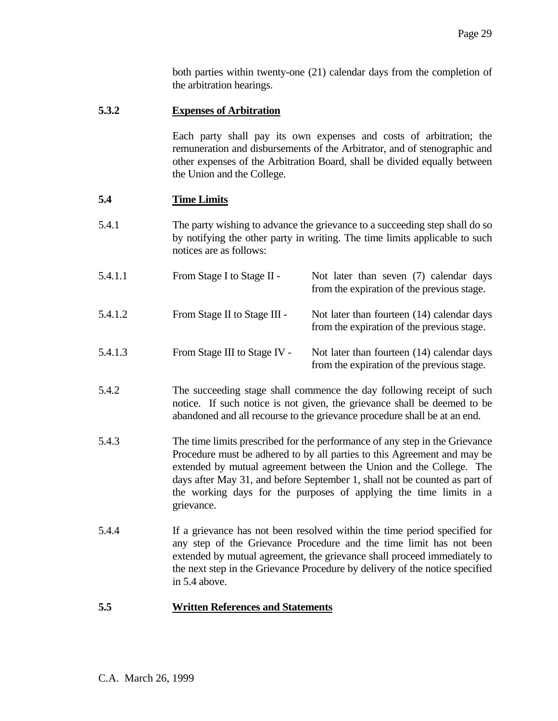both parties within twenty-one (21) calendar days from the completion of the arbitration hearings.

## **5.3.2 Expenses of Arbitration**

 Each party shall pay its own expenses and costs of arbitration; the remuneration and disbursements of the Arbitrator, and of stenographic and other expenses of the Arbitration Board, shall be divided equally between the Union and the College.

from the expiration of the previous stage.

### **5.4 Time Limits**

- 5.4.1 The party wishing to advance the grievance to a succeeding step shall do so by notifying the other party in writing. The time limits applicable to such notices are as follows:
- 5.4.1.1 From Stage I to Stage II Not later than seven (7) calendar days
- 5.4.1.2 From Stage II to Stage III Not later than fourteen (14) calendar days from the expiration of the previous stage.
- 5.4.1.3 From Stage III to Stage IV Not later than fourteen (14) calendar days from the expiration of the previous stage.
- 5.4.2 The succeeding stage shall commence the day following receipt of such notice. If such notice is not given, the grievance shall be deemed to be abandoned and all recourse to the grievance procedure shall be at an end.
- 5.4.3 The time limits prescribed for the performance of any step in the Grievance Procedure must be adhered to by all parties to this Agreement and may be extended by mutual agreement between the Union and the College. The days after May 31, and before September 1, shall not be counted as part of the working days for the purposes of applying the time limits in a grievance.
- 5.4.4 If a grievance has not been resolved within the time period specified for any step of the Grievance Procedure and the time limit has not been extended by mutual agreement, the grievance shall proceed immediately to the next step in the Grievance Procedure by delivery of the notice specified in 5.4 above.

### **5.5 Written References and Statements**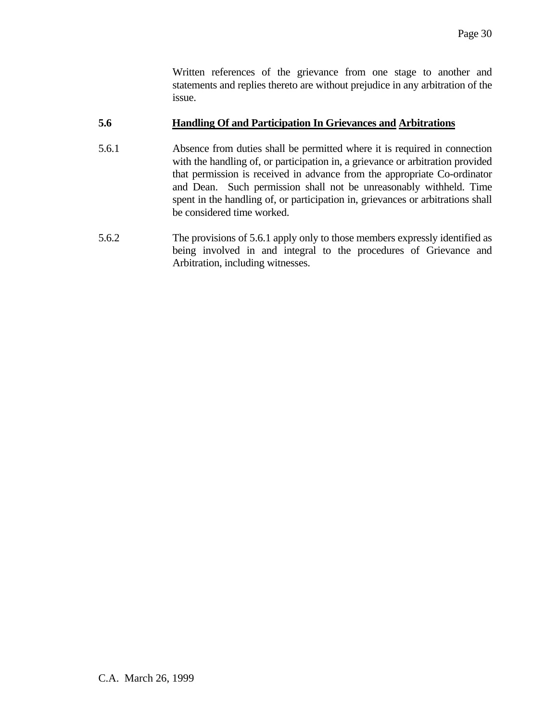Written references of the grievance from one stage to another and statements and replies thereto are without prejudice in any arbitration of the issue.

## **5.6 Handling Of and Participation In Grievances and Arbitrations**

- 5.6.1 Absence from duties shall be permitted where it is required in connection with the handling of, or participation in, a grievance or arbitration provided that permission is received in advance from the appropriate Co-ordinator and Dean. Such permission shall not be unreasonably withheld. Time spent in the handling of, or participation in, grievances or arbitrations shall be considered time worked.
- 5.6.2 The provisions of 5.6.1 apply only to those members expressly identified as being involved in and integral to the procedures of Grievance and Arbitration, including witnesses.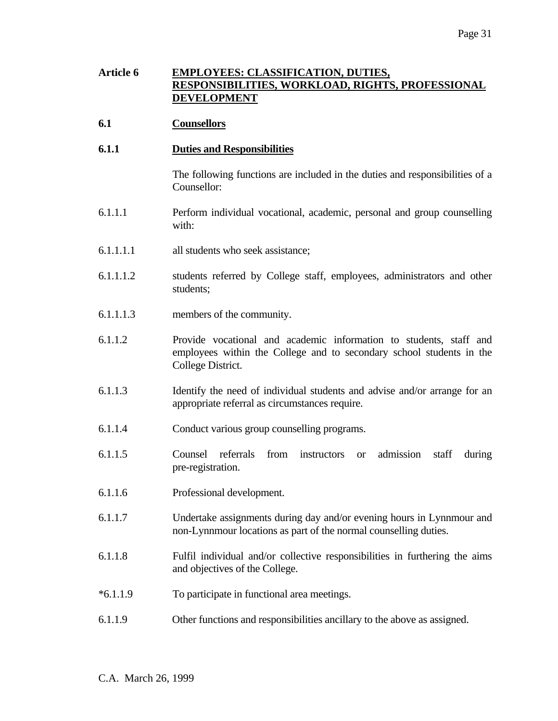# **Article 6 EMPLOYEES: CLASSIFICATION, DUTIES, RESPONSIBILITIES, WORKLOAD, RIGHTS, PROFESSIONAL DEVELOPMENT**

- **6.1 Counsellors**
- **6.1.1 Duties and Responsibilities**

 The following functions are included in the duties and responsibilities of a Counsellor:

- 6.1.1.1 Perform individual vocational, academic, personal and group counselling with:
- 6.1.1.1.1 all students who seek assistance;
- 6.1.1.1.2 students referred by College staff, employees, administrators and other students;
- 6.1.1.1.3 members of the community.
- 6.1.1.2 Provide vocational and academic information to students, staff and employees within the College and to secondary school students in the College District.
- 6.1.1.3 Identify the need of individual students and advise and/or arrange for an appropriate referral as circumstances require.
- 6.1.1.4 Conduct various group counselling programs.
- 6.1.1.5 Counsel referrals from instructors or admission staff during pre-registration.
- 6.1.1.6 Professional development.
- 6.1.1.7 Undertake assignments during day and/or evening hours in Lynnmour and non-Lynnmour locations as part of the normal counselling duties.
- 6.1.1.8 Fulfil individual and/or collective responsibilities in furthering the aims and objectives of the College.
- \*6.1.1.9 To participate in functional area meetings.
- 6.1.1.9 Other functions and responsibilities ancillary to the above as assigned.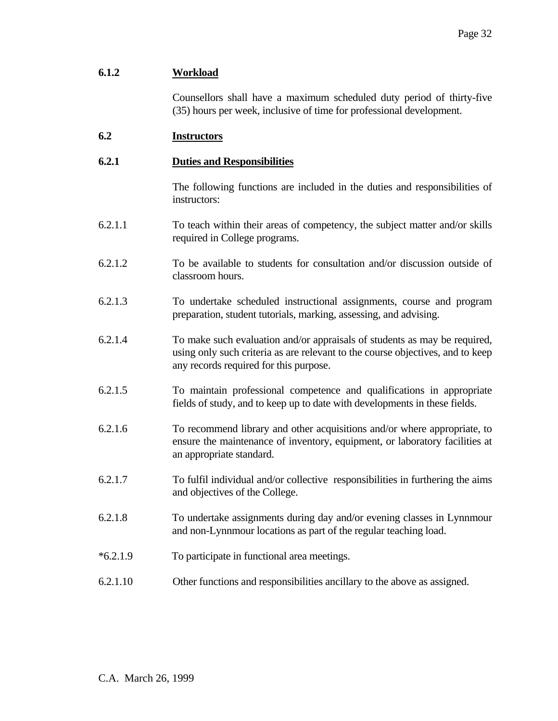## **6.1.2 Workload**

 Counsellors shall have a maximum scheduled duty period of thirty-five (35) hours per week, inclusive of time for professional development.

### **6.2 Instructors**

### **6.2.1 Duties and Responsibilities**

 The following functions are included in the duties and responsibilities of instructors:

- 6.2.1.1 To teach within their areas of competency, the subject matter and/or skills required in College programs.
- 6.2.1.2 To be available to students for consultation and/or discussion outside of classroom hours.
- 6.2.1.3 To undertake scheduled instructional assignments, course and program preparation, student tutorials, marking, assessing, and advising.
- 6.2.1.4 To make such evaluation and/or appraisals of students as may be required, using only such criteria as are relevant to the course objectives, and to keep any records required for this purpose.
- 6.2.1.5 To maintain professional competence and qualifications in appropriate fields of study, and to keep up to date with developments in these fields.
- 6.2.1.6 To recommend library and other acquisitions and/or where appropriate, to ensure the maintenance of inventory, equipment, or laboratory facilities at an appropriate standard.
- 6.2.1.7 To fulfil individual and/or collective responsibilities in furthering the aims and objectives of the College.
- 6.2.1.8 To undertake assignments during day and/or evening classes in Lynnmour and non-Lynnmour locations as part of the regular teaching load.
- \*6.2.1.9 To participate in functional area meetings.
- 6.2.1.10 Other functions and responsibilities ancillary to the above as assigned.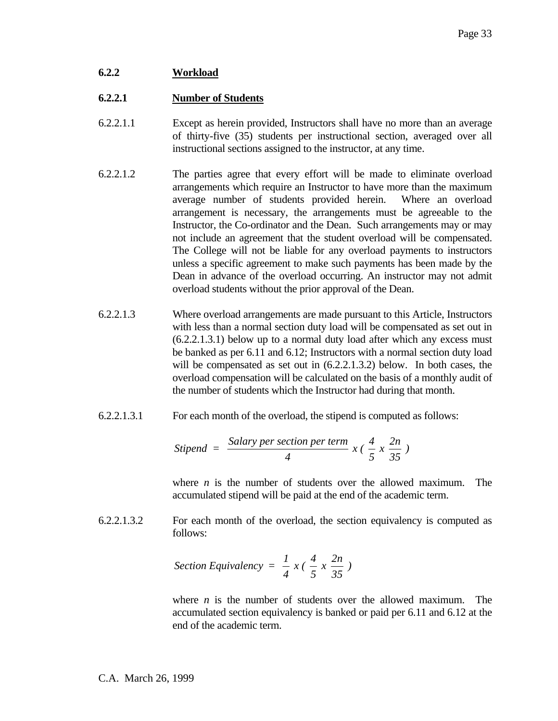## **6.2.2 Workload**

## **6.2.2.1 Number of Students**

- 6.2.2.1.1 Except as herein provided, Instructors shall have no more than an average of thirty-five (35) students per instructional section, averaged over all instructional sections assigned to the instructor, at any time.
- 6.2.2.1.2 The parties agree that every effort will be made to eliminate overload arrangements which require an Instructor to have more than the maximum average number of students provided herein. Where an overload arrangement is necessary, the arrangements must be agreeable to the Instructor, the Co-ordinator and the Dean. Such arrangements may or may not include an agreement that the student overload will be compensated. The College will not be liable for any overload payments to instructors unless a specific agreement to make such payments has been made by the Dean in advance of the overload occurring. An instructor may not admit overload students without the prior approval of the Dean.
- 6.2.2.1.3 Where overload arrangements are made pursuant to this Article, Instructors with less than a normal section duty load will be compensated as set out in (6.2.2.1.3.1) below up to a normal duty load after which any excess must be banked as per 6.11 and 6.12; Instructors with a normal section duty load will be compensated as set out in (6.2.2.1.3.2) below. In both cases, the overload compensation will be calculated on the basis of a monthly audit of the number of students which the Instructor had during that month.
- 6.2.2.1.3.1 For each month of the overload, the stipend is computed as follows:

$$
Stipend = \frac{Salary \,per \,section \,per \,term}{4} \,x \left(\frac{4}{5} \,x \,\frac{2n}{35}\right)
$$

where  $n$  is the number of students over the allowed maximum. The accumulated stipend will be paid at the end of the academic term.

6.2.2.1.3.2 For each month of the overload, the section equivalency is computed as follows:

Section Equivalency = 
$$
\frac{1}{4}x(\frac{4}{5}x\frac{2n}{35})
$$

 where *n* is the number of students over the allowed maximum. The accumulated section equivalency is banked or paid per 6.11 and 6.12 at the end of the academic term.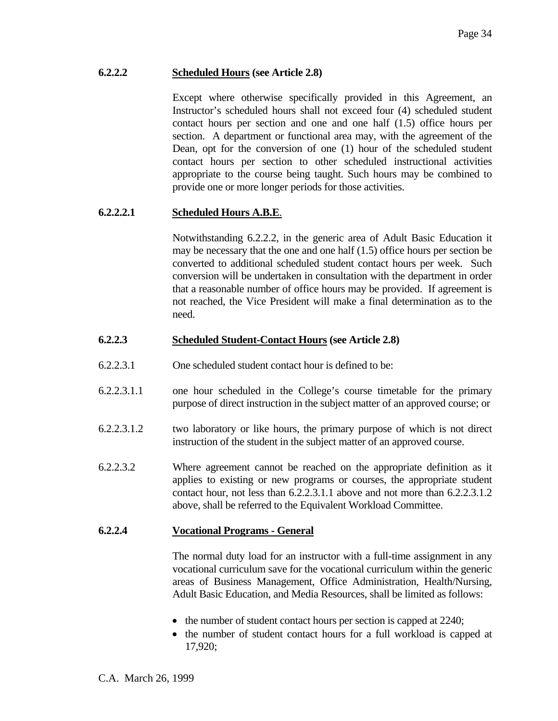## **6.2.2.2 Scheduled Hours (see Article 2.8)**

 Except where otherwise specifically provided in this Agreement, an Instructor's scheduled hours shall not exceed four (4) scheduled student contact hours per section and one and one half (1.5) office hours per section. A department or functional area may, with the agreement of the Dean, opt for the conversion of one (1) hour of the scheduled student contact hours per section to other scheduled instructional activities appropriate to the course being taught. Such hours may be combined to provide one or more longer periods for those activities.

## **6.2.2.2.1 Scheduled Hours A.B.E**.

 Notwithstanding 6.2.2.2, in the generic area of Adult Basic Education it may be necessary that the one and one half (1.5) office hours per section be converted to additional scheduled student contact hours per week. Such conversion will be undertaken in consultation with the department in order that a reasonable number of office hours may be provided. If agreement is not reached, the Vice President will make a final determination as to the need.

### **6.2.2.3 Scheduled Student-Contact Hours (see Article 2.8)**

- 6.2.2.3.1 One scheduled student contact hour is defined to be:
- 6.2.2.3.1.1 one hour scheduled in the College's course timetable for the primary purpose of direct instruction in the subject matter of an approved course; or
- 6.2.2.3.1.2 two laboratory or like hours, the primary purpose of which is not direct instruction of the student in the subject matter of an approved course.
- 6.2.2.3.2 Where agreement cannot be reached on the appropriate definition as it applies to existing or new programs or courses, the appropriate student contact hour, not less than 6.2.2.3.1.1 above and not more than 6.2.2.3.1.2 above, shall be referred to the Equivalent Workload Committee.

### **6.2.2.4 Vocational Programs - General**

 The normal duty load for an instructor with a full-time assignment in any vocational curriculum save for the vocational curriculum within the generic areas of Business Management, Office Administration, Health/Nursing, Adult Basic Education, and Media Resources, shall be limited as follows:

- the number of student contact hours per section is capped at 2240;
- the number of student contact hours for a full workload is capped at 17,920;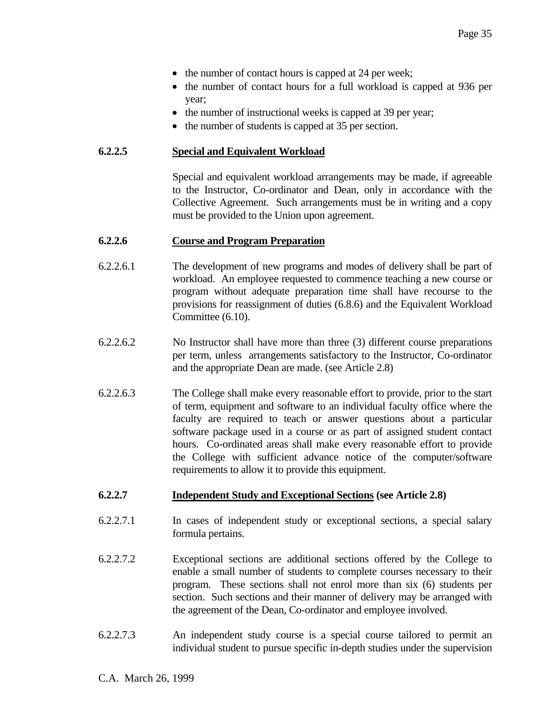- the number of contact hours is capped at 24 per week;
- the number of contact hours for a full workload is capped at 936 per year;
- the number of instructional weeks is capped at 39 per year;
- the number of students is capped at 35 per section.

#### **6.2.2.5 Special and Equivalent Workload**

 Special and equivalent workload arrangements may be made, if agreeable to the Instructor, Co-ordinator and Dean, only in accordance with the Collective Agreement. Such arrangements must be in writing and a copy must be provided to the Union upon agreement.

#### **6.2.2.6 Course and Program Preparation**

- 6.2.2.6.1 The development of new programs and modes of delivery shall be part of workload. An employee requested to commence teaching a new course or program without adequate preparation time shall have recourse to the provisions for reassignment of duties (6.8.6) and the Equivalent Workload Committee (6.10).
- 6.2.2.6.2 No Instructor shall have more than three (3) different course preparations per term, unless arrangements satisfactory to the Instructor, Co-ordinator and the appropriate Dean are made. (see Article 2.8)
- 6.2.2.6.3 The College shall make every reasonable effort to provide, prior to the start of term, equipment and software to an individual faculty office where the faculty are required to teach or answer questions about a particular software package used in a course or as part of assigned student contact hours. Co-ordinated areas shall make every reasonable effort to provide the College with sufficient advance notice of the computer/software requirements to allow it to provide this equipment.

### **6.2.2.7 Independent Study and Exceptional Sections (see Article 2.8)**

- 6.2.2.7.1 In cases of independent study or exceptional sections, a special salary formula pertains.
- 6.2.2.7.2 Exceptional sections are additional sections offered by the College to enable a small number of students to complete courses necessary to their program. These sections shall not enrol more than six (6) students per section. Such sections and their manner of delivery may be arranged with the agreement of the Dean, Co-ordinator and employee involved.
- 6.2.2.7.3 An independent study course is a special course tailored to permit an individual student to pursue specific in-depth studies under the supervision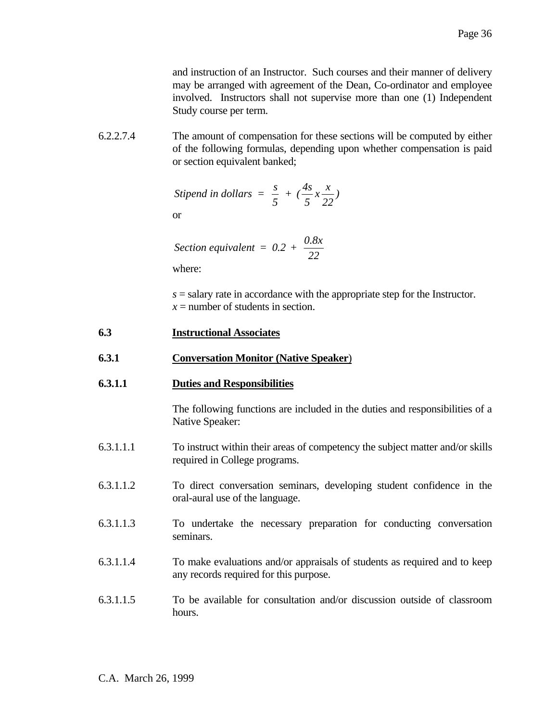and instruction of an Instructor. Such courses and their manner of delivery may be arranged with agreement of the Dean, Co-ordinator and employee involved. Instructors shall not supervise more than one (1) Independent Study course per term.

6.2.2.7.4 The amount of compensation for these sections will be computed by either of the following formulas, depending upon whether compensation is paid or section equivalent banked;

$$
Stipend in dollars = \frac{s}{5} + (\frac{4s}{5}x\frac{x}{22})
$$

or

Section equivalent = 
$$
0.2 + \frac{0.8x}{22}
$$

where:

 *s* = salary rate in accordance with the appropriate step for the Instructor.  $x =$  number of students in section.

## **6.3 Instructional Associates**

## **6.3.1 Conversation Monitor (Native Speaker**)

## **6.3.1.1 Duties and Responsibilities**

 The following functions are included in the duties and responsibilities of a Native Speaker:

- 6.3.1.1.1 To instruct within their areas of competency the subject matter and/or skills required in College programs.
- 6.3.1.1.2 To direct conversation seminars, developing student confidence in the oral-aural use of the language.
- 6.3.1.1.3 To undertake the necessary preparation for conducting conversation seminars.
- 6.3.1.1.4 To make evaluations and/or appraisals of students as required and to keep any records required for this purpose.
- 6.3.1.1.5 To be available for consultation and/or discussion outside of classroom hours.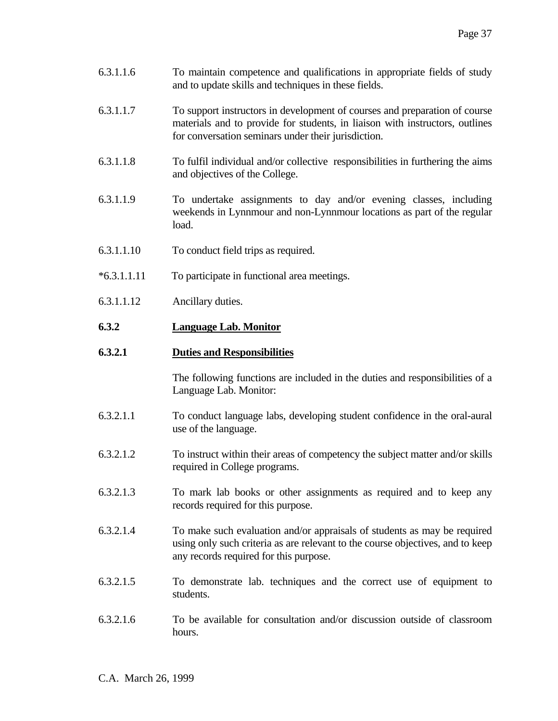- 6.3.1.1.6 To maintain competence and qualifications in appropriate fields of study and to update skills and techniques in these fields.
- 6.3.1.1.7 To support instructors in development of courses and preparation of course materials and to provide for students, in liaison with instructors, outlines for conversation seminars under their jurisdiction.
- 6.3.1.1.8 To fulfil individual and/or collective responsibilities in furthering the aims and objectives of the College.
- 6.3.1.1.9 To undertake assignments to day and/or evening classes, including weekends in Lynnmour and non-Lynnmour locations as part of the regular load.
- 6.3.1.1.10 To conduct field trips as required.
- \*6.3.1.1.11 To participate in functional area meetings.
- 6.3.1.1.12 Ancillary duties.

### **6.3.2 Language Lab. Monitor**

### **6.3.2.1 Duties and Responsibilities**

 The following functions are included in the duties and responsibilities of a Language Lab. Monitor:

- 6.3.2.1.1 To conduct language labs, developing student confidence in the oral-aural use of the language.
- 6.3.2.1.2 To instruct within their areas of competency the subject matter and/or skills required in College programs.
- 6.3.2.1.3 To mark lab books or other assignments as required and to keep any records required for this purpose.
- 6.3.2.1.4 To make such evaluation and/or appraisals of students as may be required using only such criteria as are relevant to the course objectives, and to keep any records required for this purpose.
- 6.3.2.1.5 To demonstrate lab. techniques and the correct use of equipment to students.
- 6.3.2.1.6 To be available for consultation and/or discussion outside of classroom hours.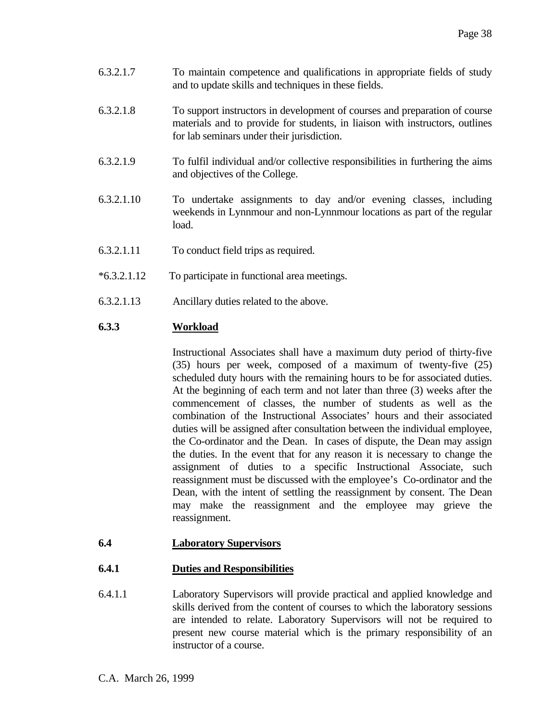- 6.3.2.1.7 To maintain competence and qualifications in appropriate fields of study and to update skills and techniques in these fields.
- 6.3.2.1.8 To support instructors in development of courses and preparation of course materials and to provide for students, in liaison with instructors, outlines for lab seminars under their jurisdiction.
- 6.3.2.1.9 To fulfil individual and/or collective responsibilities in furthering the aims and objectives of the College.
- 6.3.2.1.10 To undertake assignments to day and/or evening classes, including weekends in Lynnmour and non-Lynnmour locations as part of the regular load.
- 6.3.2.1.11 To conduct field trips as required.
- \*6.3.2.1.12 To participate in functional area meetings.
- 6.3.2.1.13 Ancillary duties related to the above.

### **6.3.3 Workload**

 Instructional Associates shall have a maximum duty period of thirty-five (35) hours per week, composed of a maximum of twenty-five (25) scheduled duty hours with the remaining hours to be for associated duties. At the beginning of each term and not later than three (3) weeks after the commencement of classes, the number of students as well as the combination of the Instructional Associates' hours and their associated duties will be assigned after consultation between the individual employee, the Co-ordinator and the Dean. In cases of dispute, the Dean may assign the duties. In the event that for any reason it is necessary to change the assignment of duties to a specific Instructional Associate, such reassignment must be discussed with the employee's Co-ordinator and the Dean, with the intent of settling the reassignment by consent. The Dean may make the reassignment and the employee may grieve the reassignment.

### **6.4 Laboratory Supervisors**

# **6.4.1 Duties and Responsibilities**

6.4.1.1 Laboratory Supervisors will provide practical and applied knowledge and skills derived from the content of courses to which the laboratory sessions are intended to relate. Laboratory Supervisors will not be required to present new course material which is the primary responsibility of an instructor of a course.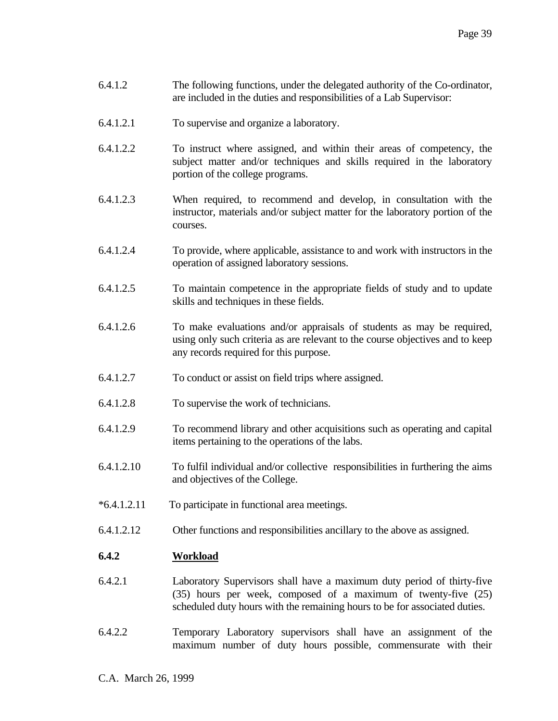- 6.4.1.2 The following functions, under the delegated authority of the Co-ordinator, are included in the duties and responsibilities of a Lab Supervisor:
- 6.4.1.2.1 To supervise and organize a laboratory.
- 6.4.1.2.2 To instruct where assigned, and within their areas of competency, the subject matter and/or techniques and skills required in the laboratory portion of the college programs.
- 6.4.1.2.3 When required, to recommend and develop, in consultation with the instructor, materials and/or subject matter for the laboratory portion of the courses.
- 6.4.1.2.4 To provide, where applicable, assistance to and work with instructors in the operation of assigned laboratory sessions.
- 6.4.1.2.5 To maintain competence in the appropriate fields of study and to update skills and techniques in these fields.
- 6.4.1.2.6 To make evaluations and/or appraisals of students as may be required, using only such criteria as are relevant to the course objectives and to keep any records required for this purpose.
- 6.4.1.2.7 To conduct or assist on field trips where assigned.
- 6.4.1.2.8 To supervise the work of technicians.
- 6.4.1.2.9 To recommend library and other acquisitions such as operating and capital items pertaining to the operations of the labs.
- 6.4.1.2.10 To fulfil individual and/or collective responsibilities in furthering the aims and objectives of the College.
- \*6.4.1.2.11 To participate in functional area meetings.
- 6.4.1.2.12 Other functions and responsibilities ancillary to the above as assigned.

#### **6.4.2 Workload**

- 6.4.2.1 Laboratory Supervisors shall have a maximum duty period of thirty-five (35) hours per week, composed of a maximum of twenty-five (25) scheduled duty hours with the remaining hours to be for associated duties.
- 6.4.2.2 Temporary Laboratory supervisors shall have an assignment of the maximum number of duty hours possible, commensurate with their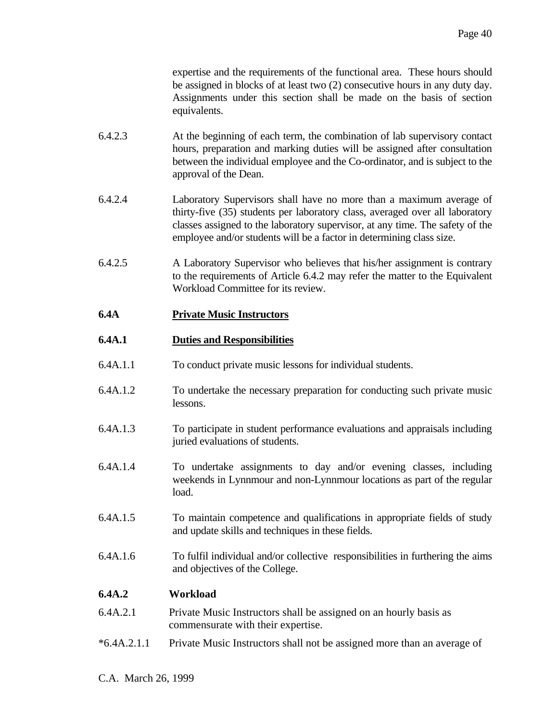expertise and the requirements of the functional area. These hours should be assigned in blocks of at least two (2) consecutive hours in any duty day. Assignments under this section shall be made on the basis of section equivalents.

- 6.4.2.3 At the beginning of each term, the combination of lab supervisory contact hours, preparation and marking duties will be assigned after consultation between the individual employee and the Co-ordinator, and is subject to the approval of the Dean.
- 6.4.2.4 Laboratory Supervisors shall have no more than a maximum average of thirty-five (35) students per laboratory class, averaged over all laboratory classes assigned to the laboratory supervisor, at any time. The safety of the employee and/or students will be a factor in determining class size.
- 6.4.2.5 A Laboratory Supervisor who believes that his/her assignment is contrary to the requirements of Article 6.4.2 may refer the matter to the Equivalent Workload Committee for its review.

# **6.4A Private Music Instructors**

# **6.4A.1 Duties and Responsibilities**

- 6.4A.1.1 To conduct private music lessons for individual students.
- 6.4A.1.2 To undertake the necessary preparation for conducting such private music lessons.
- 6.4A.1.3 To participate in student performance evaluations and appraisals including juried evaluations of students.
- 6.4A.1.4 To undertake assignments to day and/or evening classes, including weekends in Lynnmour and non-Lynnmour locations as part of the regular load.
- 6.4A.1.5 To maintain competence and qualifications in appropriate fields of study and update skills and techniques in these fields.
- 6.4A.1.6 To fulfil individual and/or collective responsibilities in furthering the aims and objectives of the College.

# **6.4A.2 Workload**

- 6.4A.2.1 Private Music Instructors shall be assigned on an hourly basis as commensurate with their expertise.
- \*6.4A.2.1.1 Private Music Instructors shall not be assigned more than an average of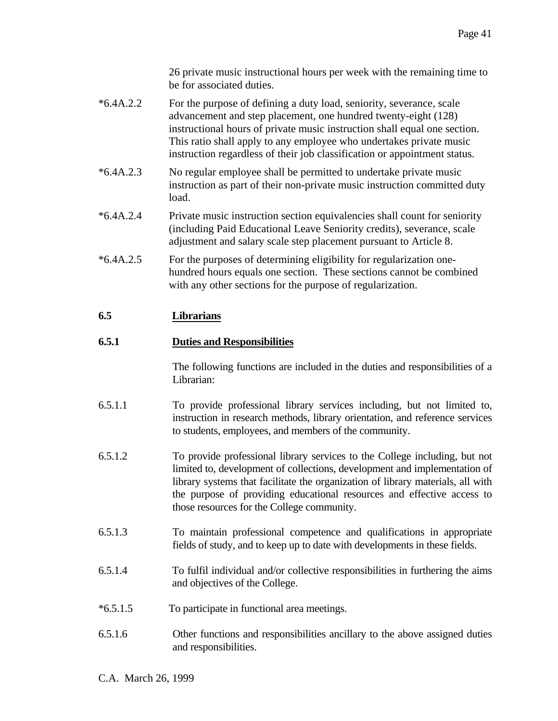26 private music instructional hours per week with the remaining time to be for associated duties.

- \*6.4A.2.2 For the purpose of defining a duty load, seniority, severance, scale advancement and step placement, one hundred twenty-eight (128) instructional hours of private music instruction shall equal one section. This ratio shall apply to any employee who undertakes private music instruction regardless of their job classification or appointment status.
- \*6.4A.2.3 No regular employee shall be permitted to undertake private music instruction as part of their non-private music instruction committed duty load.
- \*6.4A.2.4 Private music instruction section equivalencies shall count for seniority (including Paid Educational Leave Seniority credits), severance, scale adjustment and salary scale step placement pursuant to Article 8.
- \*6.4A.2.5 For the purposes of determining eligibility for regularization onehundred hours equals one section. These sections cannot be combined with any other sections for the purpose of regularization.

# **6.5 Librarians**

# **6.5.1 Duties and Responsibilities**

 The following functions are included in the duties and responsibilities of a Librarian:

- 6.5.1.1 To provide professional library services including, but not limited to, instruction in research methods, library orientation, and reference services to students, employees, and members of the community.
- 6.5.1.2 To provide professional library services to the College including, but not limited to, development of collections, development and implementation of library systems that facilitate the organization of library materials, all with the purpose of providing educational resources and effective access to those resources for the College community.
- 6.5.1.3 To maintain professional competence and qualifications in appropriate fields of study, and to keep up to date with developments in these fields.
- 6.5.1.4 To fulfil individual and/or collective responsibilities in furthering the aims and objectives of the College.
- \*6.5.1.5 To participate in functional area meetings.
- 6.5.1.6 Other functions and responsibilities ancillary to the above assigned duties and responsibilities.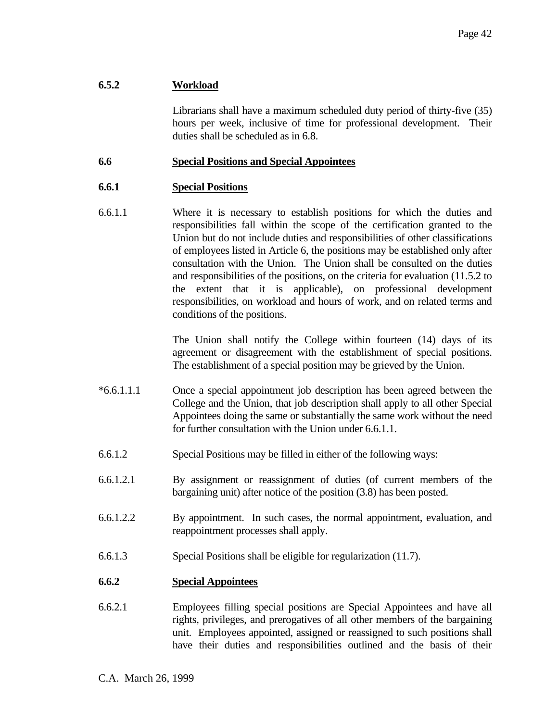# **6.5.2 Workload**

 Librarians shall have a maximum scheduled duty period of thirty-five (35) hours per week, inclusive of time for professional development. Their duties shall be scheduled as in 6.8.

### **6.6 Special Positions and Special Appointees**

# **6.6.1 Special Positions**

6.6.1.1 Where it is necessary to establish positions for which the duties and responsibilities fall within the scope of the certification granted to the Union but do not include duties and responsibilities of other classifications of employees listed in Article 6, the positions may be established only after consultation with the Union. The Union shall be consulted on the duties and responsibilities of the positions, on the criteria for evaluation (11.5.2 to the extent that it is applicable), on professional development responsibilities, on workload and hours of work, and on related terms and conditions of the positions.

> The Union shall notify the College within fourteen (14) days of its agreement or disagreement with the establishment of special positions. The establishment of a special position may be grieved by the Union.

- \*6.6.1.1.1 Once a special appointment job description has been agreed between the College and the Union, that job description shall apply to all other Special Appointees doing the same or substantially the same work without the need for further consultation with the Union under 6.6.1.1.
- 6.6.1.2 Special Positions may be filled in either of the following ways:
- 6.6.1.2.1 By assignment or reassignment of duties (of current members of the bargaining unit) after notice of the position (3.8) has been posted.
- 6.6.1.2.2 By appointment. In such cases, the normal appointment, evaluation, and reappointment processes shall apply.
- 6.6.1.3 Special Positions shall be eligible for regularization (11.7).

# **6.6.2 Special Appointees**

6.6.2.1 Employees filling special positions are Special Appointees and have all rights, privileges, and prerogatives of all other members of the bargaining unit. Employees appointed, assigned or reassigned to such positions shall have their duties and responsibilities outlined and the basis of their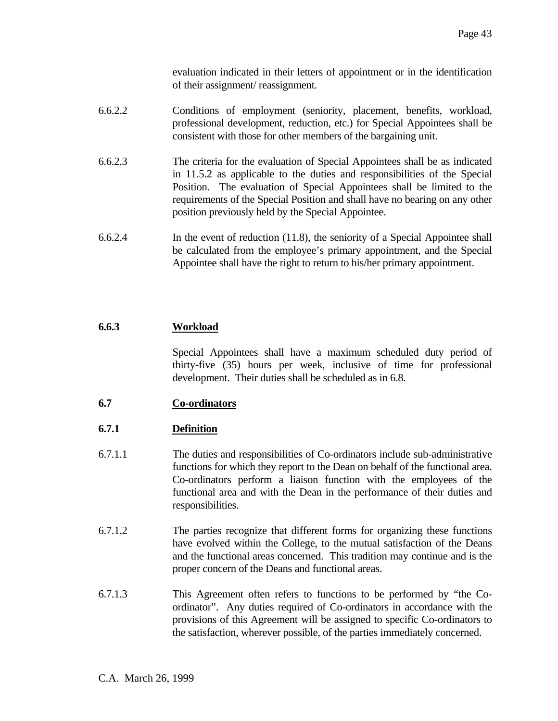evaluation indicated in their letters of appointment or in the identification of their assignment/ reassignment.

- 6.6.2.2 Conditions of employment (seniority, placement, benefits, workload, professional development, reduction, etc.) for Special Appointees shall be consistent with those for other members of the bargaining unit.
- 6.6.2.3 The criteria for the evaluation of Special Appointees shall be as indicated in 11.5.2 as applicable to the duties and responsibilities of the Special Position. The evaluation of Special Appointees shall be limited to the requirements of the Special Position and shall have no bearing on any other position previously held by the Special Appointee.
- 6.6.2.4 In the event of reduction (11.8), the seniority of a Special Appointee shall be calculated from the employee's primary appointment, and the Special Appointee shall have the right to return to his/her primary appointment.

# **6.6.3 Workload**

 Special Appointees shall have a maximum scheduled duty period of thirty-five (35) hours per week, inclusive of time for professional development. Their duties shall be scheduled as in 6.8.

**6.7 Co-ordinators**

# **6.7.1 Definition**

- 6.7.1.1 The duties and responsibilities of Co-ordinators include sub-administrative functions for which they report to the Dean on behalf of the functional area. Co-ordinators perform a liaison function with the employees of the functional area and with the Dean in the performance of their duties and responsibilities.
- 6.7.1.2 The parties recognize that different forms for organizing these functions have evolved within the College, to the mutual satisfaction of the Deans and the functional areas concerned. This tradition may continue and is the proper concern of the Deans and functional areas.
- 6.7.1.3 This Agreement often refers to functions to be performed by "the Coordinator". Any duties required of Co-ordinators in accordance with the provisions of this Agreement will be assigned to specific Co-ordinators to the satisfaction, wherever possible, of the parties immediately concerned.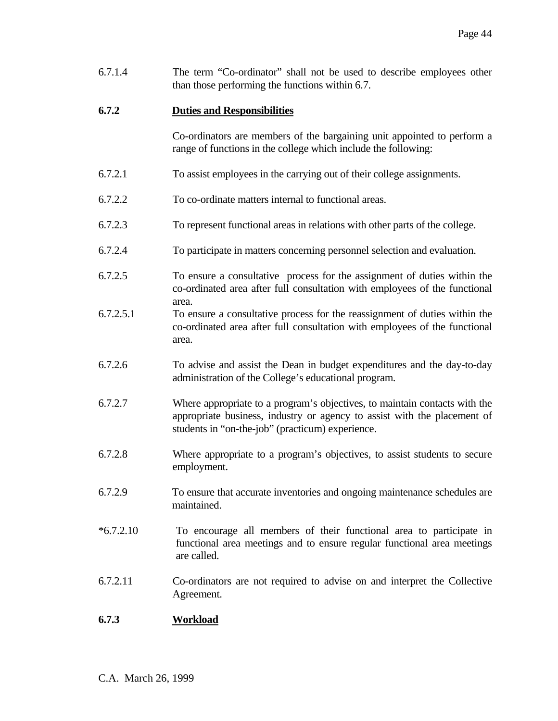6.7.1.4 The term "Co-ordinator" shall not be used to describe employees other than those performing the functions within 6.7.

### **6.7.2 Duties and Responsibilities**

 Co-ordinators are members of the bargaining unit appointed to perform a range of functions in the college which include the following:

- 6.7.2.1 To assist employees in the carrying out of their college assignments.
- 6.7.2.2 To co-ordinate matters internal to functional areas.
- 6.7.2.3 To represent functional areas in relations with other parts of the college.
- 6.7.2.4 To participate in matters concerning personnel selection and evaluation.
- 6.7.2.5 To ensure a consultative process for the assignment of duties within the co-ordinated area after full consultation with employees of the functional area.
- 6.7.2.5.1 To ensure a consultative process for the reassignment of duties within the co-ordinated area after full consultation with employees of the functional area.
- 6.7.2.6 To advise and assist the Dean in budget expenditures and the day-to-day administration of the College's educational program.
- 6.7.2.7 Where appropriate to a program's objectives, to maintain contacts with the appropriate business, industry or agency to assist with the placement of students in "on-the-job" (practicum) experience.
- 6.7.2.8 Where appropriate to a program's objectives, to assist students to secure employment.
- 6.7.2.9 To ensure that accurate inventories and ongoing maintenance schedules are maintained.
- \*6.7.2.10 To encourage all members of their functional area to participate in functional area meetings and to ensure regular functional area meetings are called.
- 6.7.2.11 Co-ordinators are not required to advise on and interpret the Collective Agreement.

### **6.7.3 Workload**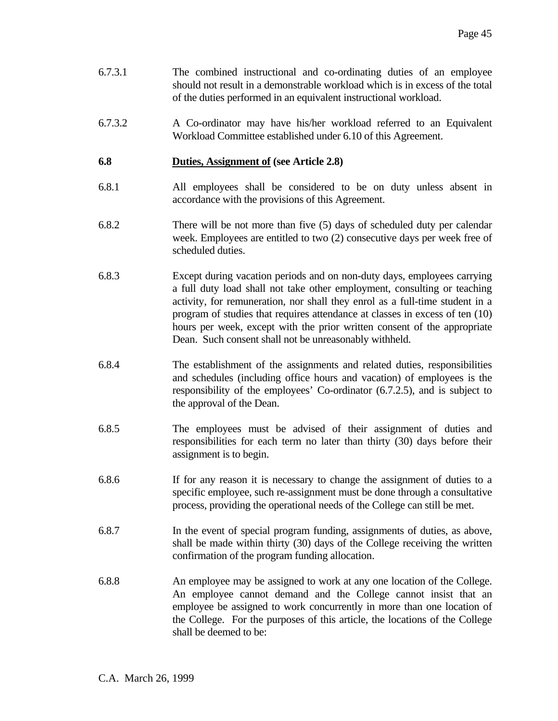- 6.7.3.1 The combined instructional and co-ordinating duties of an employee should not result in a demonstrable workload which is in excess of the total of the duties performed in an equivalent instructional workload.
- 6.7.3.2 A Co-ordinator may have his/her workload referred to an Equivalent Workload Committee established under 6.10 of this Agreement.

### **6.8 Duties, Assignment of (see Article 2.8)**

- 6.8.1 All employees shall be considered to be on duty unless absent in accordance with the provisions of this Agreement.
- 6.8.2 There will be not more than five (5) days of scheduled duty per calendar week. Employees are entitled to two (2) consecutive days per week free of scheduled duties.
- 6.8.3 Except during vacation periods and on non-duty days, employees carrying a full duty load shall not take other employment, consulting or teaching activity, for remuneration, nor shall they enrol as a full-time student in a program of studies that requires attendance at classes in excess of ten (10) hours per week, except with the prior written consent of the appropriate Dean. Such consent shall not be unreasonably withheld.
- 6.8.4 The establishment of the assignments and related duties, responsibilities and schedules (including office hours and vacation) of employees is the responsibility of the employees' Co-ordinator (6.7.2.5), and is subject to the approval of the Dean.
- 6.8.5 The employees must be advised of their assignment of duties and responsibilities for each term no later than thirty (30) days before their assignment is to begin.
- 6.8.6 If for any reason it is necessary to change the assignment of duties to a specific employee, such re-assignment must be done through a consultative process, providing the operational needs of the College can still be met.
- 6.8.7 In the event of special program funding, assignments of duties, as above, shall be made within thirty (30) days of the College receiving the written confirmation of the program funding allocation.
- 6.8.8 An employee may be assigned to work at any one location of the College. An employee cannot demand and the College cannot insist that an employee be assigned to work concurrently in more than one location of the College. For the purposes of this article, the locations of the College shall be deemed to be: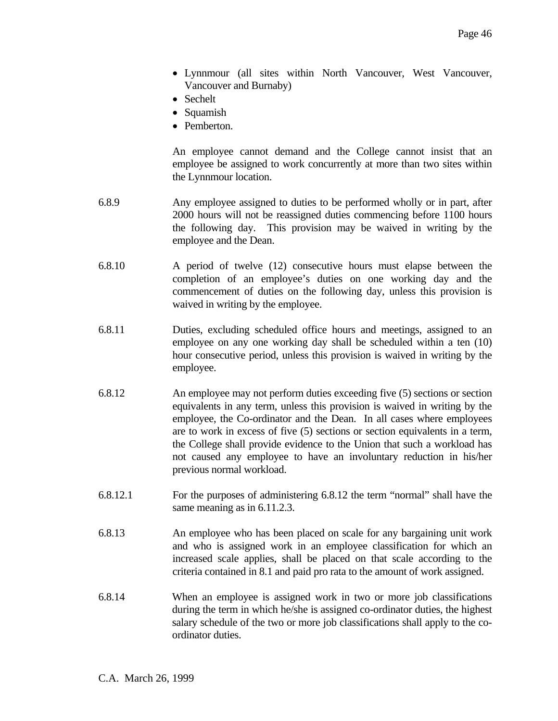- Lynnmour (all sites within North Vancouver, West Vancouver, Vancouver and Burnaby)
- Sechelt
- Squamish
- Pemberton.

 An employee cannot demand and the College cannot insist that an employee be assigned to work concurrently at more than two sites within the Lynnmour location.

- 6.8.9 Any employee assigned to duties to be performed wholly or in part, after 2000 hours will not be reassigned duties commencing before 1100 hours the following day. This provision may be waived in writing by the employee and the Dean.
- 6.8.10 A period of twelve (12) consecutive hours must elapse between the completion of an employee's duties on one working day and the commencement of duties on the following day, unless this provision is waived in writing by the employee.
- 6.8.11 Duties, excluding scheduled office hours and meetings, assigned to an employee on any one working day shall be scheduled within a ten (10) hour consecutive period, unless this provision is waived in writing by the employee.
- 6.8.12 An employee may not perform duties exceeding five (5) sections or section equivalents in any term, unless this provision is waived in writing by the employee, the Co-ordinator and the Dean. In all cases where employees are to work in excess of five (5) sections or section equivalents in a term, the College shall provide evidence to the Union that such a workload has not caused any employee to have an involuntary reduction in his/her previous normal workload.
- 6.8.12.1 For the purposes of administering 6.8.12 the term "normal" shall have the same meaning as in 6.11.2.3.
- 6.8.13 An employee who has been placed on scale for any bargaining unit work and who is assigned work in an employee classification for which an increased scale applies, shall be placed on that scale according to the criteria contained in 8.1 and paid pro rata to the amount of work assigned.
- 6.8.14 When an employee is assigned work in two or more job classifications during the term in which he/she is assigned co-ordinator duties, the highest salary schedule of the two or more job classifications shall apply to the coordinator duties.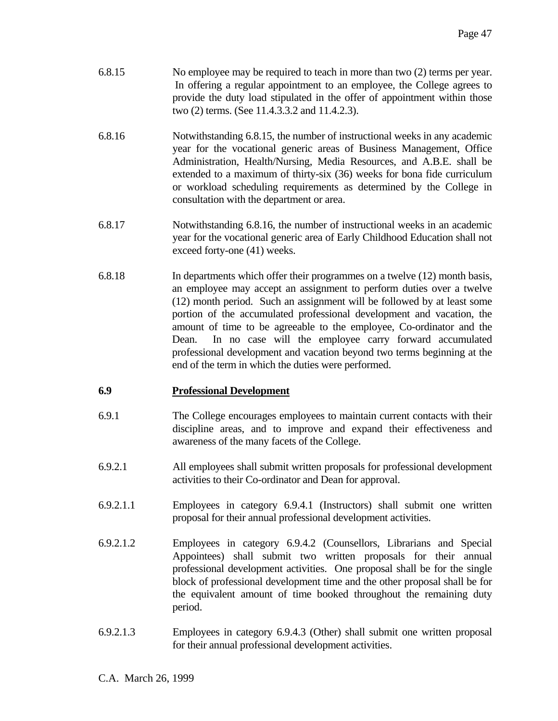| 6.8.15 | No employee may be required to teach in more than two (2) terms per year. |
|--------|---------------------------------------------------------------------------|
|        | In offering a regular appointment to an employee, the College agrees to   |
|        | provide the duty load stipulated in the offer of appointment within those |
|        | two (2) terms. (See 11.4.3.3.2 and 11.4.2.3).                             |

- 6.8.16 Notwithstanding 6.8.15, the number of instructional weeks in any academic year for the vocational generic areas of Business Management, Office Administration, Health/Nursing, Media Resources, and A.B.E. shall be extended to a maximum of thirty-six (36) weeks for bona fide curriculum or workload scheduling requirements as determined by the College in consultation with the department or area.
- 6.8.17 Notwithstanding 6.8.16, the number of instructional weeks in an academic year for the vocational generic area of Early Childhood Education shall not exceed forty-one (41) weeks.
- 6.8.18 In departments which offer their programmes on a twelve (12) month basis, an employee may accept an assignment to perform duties over a twelve (12) month period. Such an assignment will be followed by at least some portion of the accumulated professional development and vacation, the amount of time to be agreeable to the employee, Co-ordinator and the Dean. In no case will the employee carry forward accumulated professional development and vacation beyond two terms beginning at the end of the term in which the duties were performed.

# **6.9 Professional Development**

- 6.9.1 The College encourages employees to maintain current contacts with their discipline areas, and to improve and expand their effectiveness and awareness of the many facets of the College.
- 6.9.2.1 All employees shall submit written proposals for professional development activities to their Co-ordinator and Dean for approval.
- 6.9.2.1.1 Employees in category 6.9.4.1 (Instructors) shall submit one written proposal for their annual professional development activities.
- 6.9.2.1.2 Employees in category 6.9.4.2 (Counsellors, Librarians and Special Appointees) shall submit two written proposals for their annual professional development activities. One proposal shall be for the single block of professional development time and the other proposal shall be for the equivalent amount of time booked throughout the remaining duty period.
- 6.9.2.1.3 Employees in category 6.9.4.3 (Other) shall submit one written proposal for their annual professional development activities.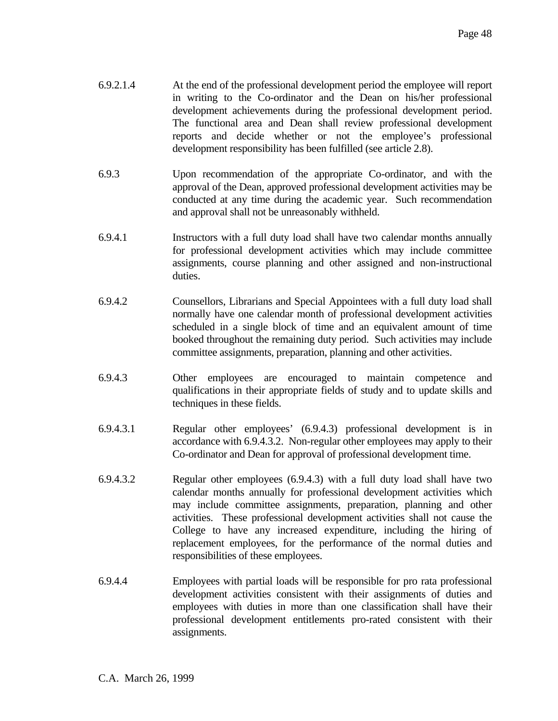- 6.9.2.1.4 At the end of the professional development period the employee will report in writing to the Co-ordinator and the Dean on his/her professional development achievements during the professional development period. The functional area and Dean shall review professional development reports and decide whether or not the employee's professional development responsibility has been fulfilled (see article 2.8).
- 6.9.3 Upon recommendation of the appropriate Co-ordinator, and with the approval of the Dean, approved professional development activities may be conducted at any time during the academic year. Such recommendation and approval shall not be unreasonably withheld.
- 6.9.4.1 Instructors with a full duty load shall have two calendar months annually for professional development activities which may include committee assignments, course planning and other assigned and non-instructional duties.
- 6.9.4.2 Counsellors, Librarians and Special Appointees with a full duty load shall normally have one calendar month of professional development activities scheduled in a single block of time and an equivalent amount of time booked throughout the remaining duty period. Such activities may include committee assignments, preparation, planning and other activities.
- 6.9.4.3 Other employees are encouraged to maintain competence and qualifications in their appropriate fields of study and to update skills and techniques in these fields.
- 6.9.4.3.1 Regular other employees' (6.9.4.3) professional development is in accordance with 6.9.4.3.2. Non-regular other employees may apply to their Co-ordinator and Dean for approval of professional development time.
- 6.9.4.3.2 Regular other employees (6.9.4.3) with a full duty load shall have two calendar months annually for professional development activities which may include committee assignments, preparation, planning and other activities. These professional development activities shall not cause the College to have any increased expenditure, including the hiring of replacement employees, for the performance of the normal duties and responsibilities of these employees.
- 6.9.4.4 Employees with partial loads will be responsible for pro rata professional development activities consistent with their assignments of duties and employees with duties in more than one classification shall have their professional development entitlements pro-rated consistent with their assignments.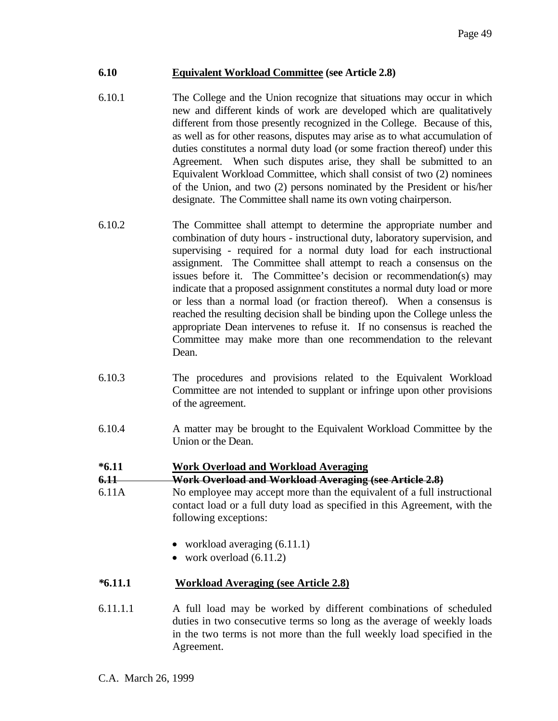# **6.10 Equivalent Workload Committee (see Article 2.8)**

- 6.10.1 The College and the Union recognize that situations may occur in which new and different kinds of work are developed which are qualitatively different from those presently recognized in the College. Because of this, as well as for other reasons, disputes may arise as to what accumulation of duties constitutes a normal duty load (or some fraction thereof) under this Agreement. When such disputes arise, they shall be submitted to an Equivalent Workload Committee, which shall consist of two (2) nominees of the Union, and two (2) persons nominated by the President or his/her designate. The Committee shall name its own voting chairperson.
- 6.10.2 The Committee shall attempt to determine the appropriate number and combination of duty hours - instructional duty, laboratory supervision, and supervising - required for a normal duty load for each instructional assignment. The Committee shall attempt to reach a consensus on the issues before it. The Committee's decision or recommendation(s) may indicate that a proposed assignment constitutes a normal duty load or more or less than a normal load (or fraction thereof). When a consensus is reached the resulting decision shall be binding upon the College unless the appropriate Dean intervenes to refuse it. If no consensus is reached the Committee may make more than one recommendation to the relevant Dean.
- 6.10.3 The procedures and provisions related to the Equivalent Workload Committee are not intended to supplant or infringe upon other provisions of the agreement.
- 6.10.4 A matter may be brought to the Equivalent Workload Committee by the Union or the Dean.

### **\*6.11 Work Overload and Workload Averaging**

**6.11 Work Overload and Workload Averaging (see Article 2.8)**

- 6.11A No employee may accept more than the equivalent of a full instructional contact load or a full duty load as specified in this Agreement, with the following exceptions:
	- workload averaging  $(6.11.1)$
	- work overload  $(6.11.2)$

### *\****6.11.1****Workload Averaging (see Article 2.8)**

6.11.1.1 A full load may be worked by different combinations of scheduled duties in two consecutive terms so long as the average of weekly loads in the two terms is not more than the full weekly load specified in the Agreement.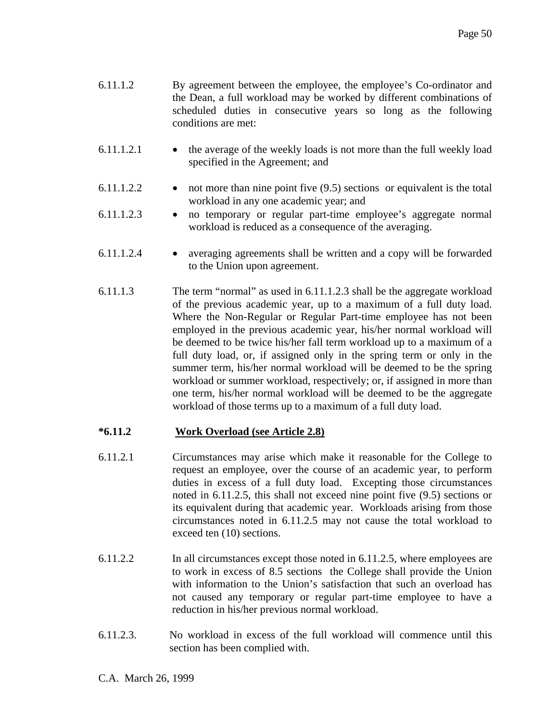- 6.11.1.2 By agreement between the employee, the employee's Co-ordinator and the Dean, a full workload may be worked by different combinations of scheduled duties in consecutive years so long as the following conditions are met:
- 6.11.1.2.1 the average of the weekly loads is not more than the full weekly load specified in the Agreement; and
- $6.11.1.2.2$  not more than nine point five  $(9.5)$  sections or equivalent is the total workload in any one academic year; and
- 6.11.1.2.3 no temporary or regular part-time employee's aggregate normal workload is reduced as a consequence of the averaging.
- 6.11.1.2.4 averaging agreements shall be written and a copy will be forwarded to the Union upon agreement.
- 6.11.1.3 The term "normal" as used in 6.11.1.2.3 shall be the aggregate workload of the previous academic year, up to a maximum of a full duty load. Where the Non-Regular or Regular Part-time employee has not been employed in the previous academic year, his/her normal workload will be deemed to be twice his/her fall term workload up to a maximum of a full duty load, or, if assigned only in the spring term or only in the summer term, his/her normal workload will be deemed to be the spring workload or summer workload, respectively; or, if assigned in more than one term, his/her normal workload will be deemed to be the aggregate workload of those terms up to a maximum of a full duty load.

# **\*6.11.2 Work Overload (see Article 2.8)**

- 6.11.2*.*1 Circumstances may arise which make it reasonable for the College to request an employee, over the course of an academic year, to perform duties in excess of a full duty load. Excepting those circumstances noted in 6.11.2.5, this shall not exceed nine point five (9.5) sections or its equivalent during that academic year. Workloads arising from those circumstances noted in 6.11.2.5 may not cause the total workload to exceed ten (10) sections.
- 6.11.2.2 In all circumstances except those noted in 6.11.2.5, where employees are to work in excess of 8.5 sections the College shall provide the Union with information to the Union's satisfaction that such an overload has not caused any temporary or regular part-time employee to have a reduction in his/her previous normal workload.
- 6.11.2.3. No workload in excess of the full workload will commence until this section has been complied with.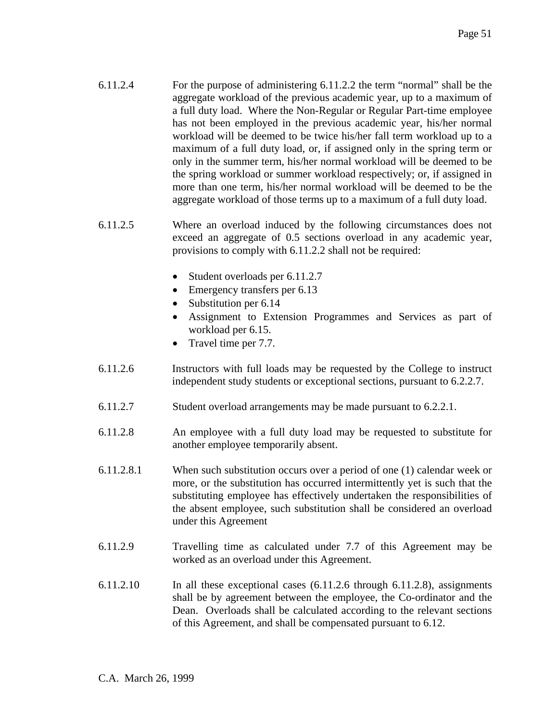- 6.11.2.4 For the purpose of administering 6.11.2.2 the term "normal" shall be the aggregate workload of the previous academic year, up to a maximum of a full duty load. Where the Non-Regular or Regular Part-time employee has not been employed in the previous academic year, his/her normal workload will be deemed to be twice his/her fall term workload up to a maximum of a full duty load, or, if assigned only in the spring term or only in the summer term, his/her normal workload will be deemed to be the spring workload or summer workload respectively; or, if assigned in more than one term, his/her normal workload will be deemed to be the aggregate workload of those terms up to a maximum of a full duty load.
- 6.11.2.5 Where an overload induced by the following circumstances does not exceed an aggregate of 0.5 sections overload in any academic year, provisions to comply with 6.11.2.2 shall not be required:
	- Student overloads per 6.11.2.7
	- Emergency transfers per 6.13
	- Substitution per 6.14
	- Assignment to Extension Programmes and Services as part of workload per 6.15.
	- Travel time per 7.7.
- 6.11.2.6 Instructors with full loads may be requested by the College to instruct independent study students or exceptional sections, pursuant to 6.2.2.7.
- 6.11.2.7 Student overload arrangements may be made pursuant to 6.2.2.1.
- 6.11.2.8 An employee with a full duty load may be requested to substitute for another employee temporarily absent.
- 6.11.2.8.1 When such substitution occurs over a period of one (1) calendar week or more, or the substitution has occurred intermittently yet is such that the substituting employee has effectively undertaken the responsibilities of the absent employee, such substitution shall be considered an overload under this Agreement
- 6.11.2.9 Travelling time as calculated under 7.7 of this Agreement may be worked as an overload under this Agreement.
- 6.11.2.10 In all these exceptional cases (6.11.2.6 through 6.11.2.8), assignments shall be by agreement between the employee, the Co-ordinator and the Dean. Overloads shall be calculated according to the relevant sections of this Agreement, and shall be compensated pursuant to 6.12.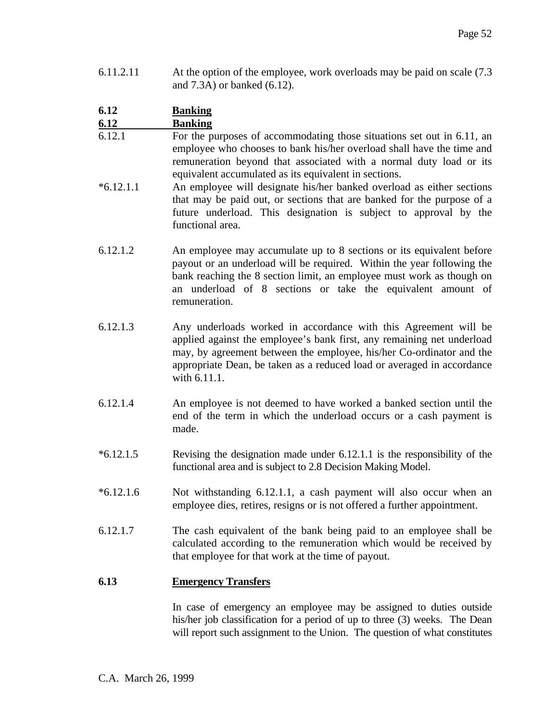6.11.2.11 At the option of the employee, work overloads may be paid on scale (7.3 and 7.3A) or banked (6.12).

#### **6.12 Banking 6.12 Banking**

- 6.12.1 For the purposes of accommodating those situations set out in 6.11, an employee who chooses to bank his/her overload shall have the time and remuneration beyond that associated with a normal duty load or its equivalent accumulated as its equivalent in sections.
- \*6.12.1.1 An employee will designate his/her banked overload as either sections that may be paid out, or sections that are banked for the purpose of a future underload. This designation is subject to approval by the functional area.
- 6.12.1.2 An employee may accumulate up to 8 sections or its equivalent before payout or an underload will be required. Within the year following the bank reaching the 8 section limit, an employee must work as though on an underload of 8 sections or take the equivalent amount of remuneration.
- 6.12.1.3 Any underloads worked in accordance with this Agreement will be applied against the employee's bank first, any remaining net underload may, by agreement between the employee, his/her Co-ordinator and the appropriate Dean, be taken as a reduced load or averaged in accordance with 6.11.1.
- 6.12.1.4 An employee is not deemed to have worked a banked section until the end of the term in which the underload occurs or a cash payment is made.
- \*6.12.1.5 Revising the designation made under 6.12.1.1 is the responsibility of the functional area and is subject to 2.8 Decision Making Model.
- \*6.12.1.6 Not withstanding 6.12.1.1, a cash payment will also occur when an employee dies, retires, resigns or is not offered a further appointment.
- 6.12.1.7 The cash equivalent of the bank being paid to an employee shall be calculated according to the remuneration which would be received by that employee for that work at the time of payout.

# **6.13 Emergency Transfers**

 In case of emergency an employee may be assigned to duties outside his/her job classification for a period of up to three (3) weeks. The Dean will report such assignment to the Union. The question of what constitutes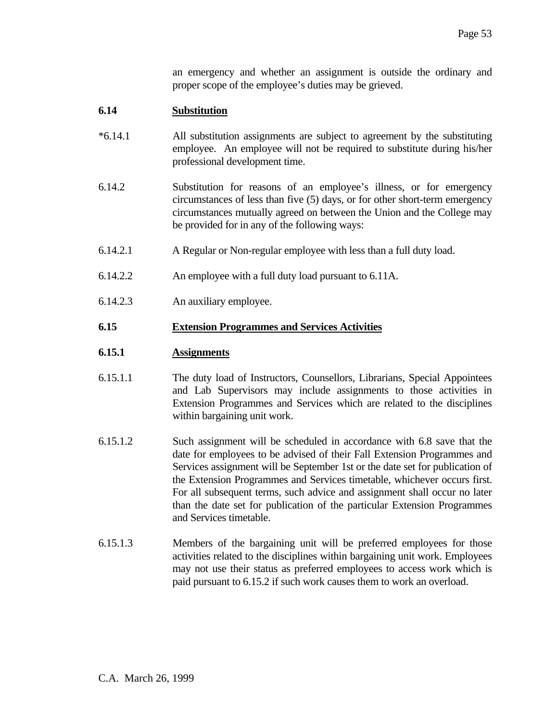an emergency and whether an assignment is outside the ordinary and proper scope of the employee's duties may be grieved.

### **6.14 Substitution**

- \*6.14.1 All substitution assignments are subject to agreement by the substituting employee. An employee will not be required to substitute during his/her professional development time.
- 6.14.2 Substitution for reasons of an employee's illness, or for emergency circumstances of less than five (5) days, or for other short-term emergency circumstances mutually agreed on between the Union and the College may be provided for in any of the following ways:
- 6.14.2.1 A Regular or Non-regular employee with less than a full duty load.
- 6.14.2.2 An employee with a full duty load pursuant to 6.11A.
- 6.14.2.3 An auxiliary employee.

### **6.15 Extension Programmes and Services Activities**

### **6.15.1 Assignments**

- 6.15.1.1 The duty load of Instructors, Counsellors, Librarians, Special Appointees and Lab Supervisors may include assignments to those activities in Extension Programmes and Services which are related to the disciplines within bargaining unit work.
- 6.15.1.2 Such assignment will be scheduled in accordance with 6.8 save that the date for employees to be advised of their Fall Extension Programmes and Services assignment will be September 1st or the date set for publication of the Extension Programmes and Services timetable, whichever occurs first. For all subsequent terms, such advice and assignment shall occur no later than the date set for publication of the particular Extension Programmes and Services timetable.
- 6.15.1.3 Members of the bargaining unit will be preferred employees for those activities related to the disciplines within bargaining unit work. Employees may not use their status as preferred employees to access work which is paid pursuant to 6.15.2 if such work causes them to work an overload.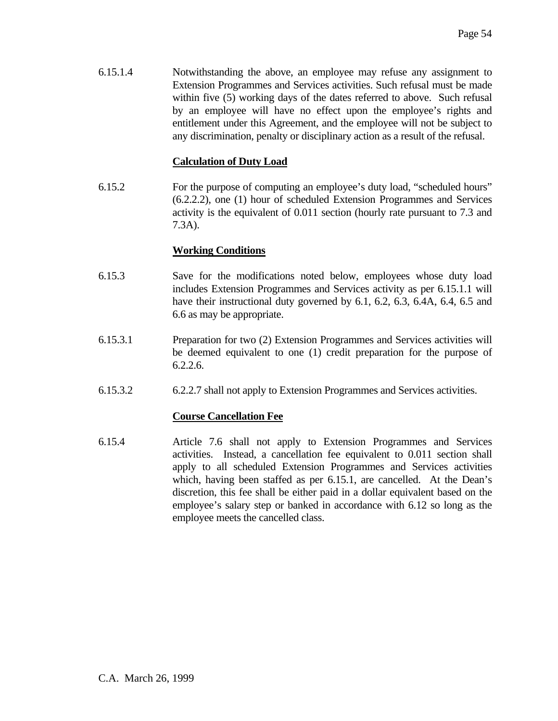6.15.1.4 Notwithstanding the above, an employee may refuse any assignment to Extension Programmes and Services activities. Such refusal must be made within five (5) working days of the dates referred to above. Such refusal by an employee will have no effect upon the employee's rights and entitlement under this Agreement, and the employee will not be subject to any discrimination, penalty or disciplinary action as a result of the refusal.

# **Calculation of Duty Load**

6.15.2 For the purpose of computing an employee's duty load, "scheduled hours" (6.2.2.2), one (1) hour of scheduled Extension Programmes and Services activity is the equivalent of 0.011 section (hourly rate pursuant to 7.3 and 7.3A).

# **Working Conditions**

- 6.15.3 Save for the modifications noted below, employees whose duty load includes Extension Programmes and Services activity as per 6.15.1.1 will have their instructional duty governed by 6.1, 6.2, 6.3, 6.4A, 6.4, 6.5 and 6.6 as may be appropriate.
- 6.15.3.1 Preparation for two (2) Extension Programmes and Services activities will be deemed equivalent to one (1) credit preparation for the purpose of 6.2.2.6.
- 6.15.3.2 6.2.2.7 shall not apply to Extension Programmes and Services activities.

# **Course Cancellation Fee**

6.15.4 Article 7.6 shall not apply to Extension Programmes and Services activities. Instead, a cancellation fee equivalent to 0.011 section shall apply to all scheduled Extension Programmes and Services activities which, having been staffed as per 6.15.1, are cancelled. At the Dean's discretion, this fee shall be either paid in a dollar equivalent based on the employee's salary step or banked in accordance with 6.12 so long as the employee meets the cancelled class.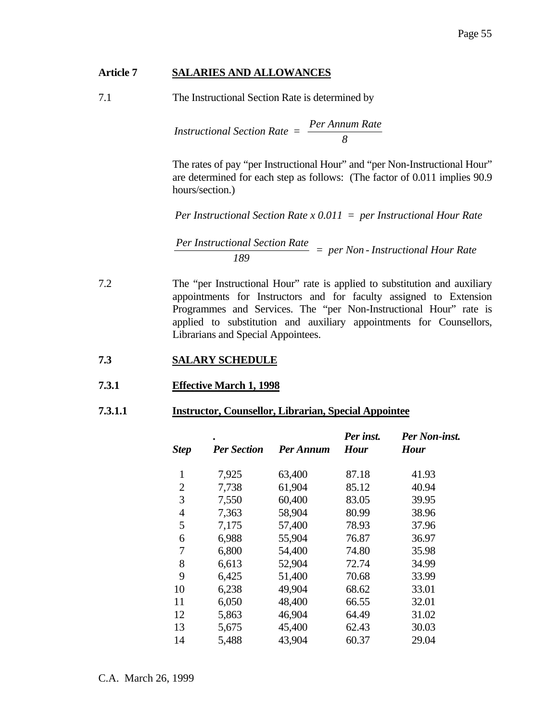### **Article 7 SALARIES AND ALLOWANCES**

7.1 The Instructional Section Rate is determined by

$$
Instructional Section Rate = \frac{Per Annum Rate}{8}
$$

The rates of pay "per Instructional Hour" and "per Non-Instructional Hour" are determined for each step as follows: (The factor of 0.011 implies 90.9 hours/section.)

*Per Instructional Section Rate x 0.011 = per Instructional Hour Rate*

$$
\frac{Per\text{ Instructional Section Rate}}{189} = \text{per Non-Instructional Hour Rate}
$$

7.2 The "per Instructional Hour" rate is applied to substitution and auxiliary appointments for Instructors and for faculty assigned to Extension Programmes and Services. The "per Non-Instructional Hour" rate is applied to substitution and auxiliary appointments for Counsellors, Librarians and Special Appointees.

# **7.3 SALARY SCHEDULE**

### **7.3.1 Effective March 1, 1998**

### **7.3.1.1 Instructor, Counsellor, Librarian, Special Appointee**

| <b>Step</b>    | <b>Per Section</b> | Per Annum | Per inst.<br><b>Hour</b> | <b>Per Non-inst.</b><br><b>Hour</b> |
|----------------|--------------------|-----------|--------------------------|-------------------------------------|
| $\mathbf{1}$   | 7,925              | 63,400    | 87.18                    | 41.93                               |
| $\overline{2}$ | 7,738              | 61,904    | 85.12                    | 40.94                               |
| 3              | 7,550              | 60,400    | 83.05                    | 39.95                               |
| $\overline{4}$ | 7,363              | 58,904    | 80.99                    | 38.96                               |
| 5              | 7,175              | 57,400    | 78.93                    | 37.96                               |
| 6              | 6,988              | 55,904    | 76.87                    | 36.97                               |
| 7              | 6,800              | 54,400    | 74.80                    | 35.98                               |
| 8              | 6,613              | 52,904    | 72.74                    | 34.99                               |
| 9              | 6,425              | 51,400    | 70.68                    | 33.99                               |
| 10             | 6,238              | 49,904    | 68.62                    | 33.01                               |
| 11             | 6,050              | 48,400    | 66.55                    | 32.01                               |
| 12             | 5,863              | 46,904    | 64.49                    | 31.02                               |
| 13             | 5,675              | 45,400    | 62.43                    | 30.03                               |
| 14             | 5,488              | 43,904    | 60.37                    | 29.04                               |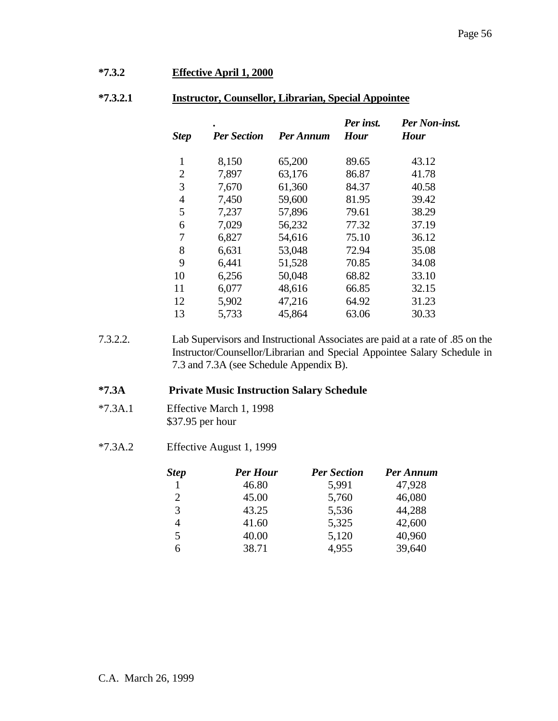#### Page 56

# **\*7.3.2 Effective April 1, 2000**

### **\*7.3.2.1 Instructor, Counsellor, Librarian, Special Appointee**

| <b>Step</b>    | <b>Per Section</b> | Per Annum | Per inst.<br><b>Hour</b> | Per Non-inst.<br><b>Hour</b> |
|----------------|--------------------|-----------|--------------------------|------------------------------|
| $\mathbf{1}$   | 8,150              | 65,200    | 89.65                    | 43.12                        |
| $\overline{2}$ | 7,897              | 63,176    | 86.87                    | 41.78                        |
| 3              | 7,670              | 61,360    | 84.37                    | 40.58                        |
| $\overline{4}$ | 7,450              | 59,600    | 81.95                    | 39.42                        |
| 5              | 7,237              | 57,896    | 79.61                    | 38.29                        |
| 6              | 7,029              | 56,232    | 77.32                    | 37.19                        |
| 7              | 6,827              | 54,616    | 75.10                    | 36.12                        |
| 8              | 6,631              | 53,048    | 72.94                    | 35.08                        |
| 9              | 6,441              | 51,528    | 70.85                    | 34.08                        |
| 10             | 6,256              | 50,048    | 68.82                    | 33.10                        |
| 11             | 6,077              | 48,616    | 66.85                    | 32.15                        |
| 12             | 5,902              | 47,216    | 64.92                    | 31.23                        |
| 13             | 5,733              | 45,864    | 63.06                    | 30.33                        |

<sup>7.3.2.2.</sup> Lab Supervisors and Instructional Associates are paid at a rate of .85 on the Instructor/Counsellor/Librarian and Special Appointee Salary Schedule in 7.3 and 7.3A (see Schedule Appendix B).

#### **\*7.3A Private Music Instruction Salary Schedule**

- \*7.3A.1 Effective March 1, 1998 \$37.95 per hour
- \*7.3A.2 Effective August 1, 1999

| <b>Step</b> | <b>Per Hour</b> | <b>Per Section</b> | Per Annum |
|-------------|-----------------|--------------------|-----------|
|             | 46.80           | 5,991              | 47,928    |
|             | 45.00           | 5,760              | 46,080    |
| 3           | 43.25           | 5,536              | 44,288    |
| 4           | 41.60           | 5,325              | 42,600    |
|             | 40.00           | 5,120              | 40,960    |
| 6           | 38.71           | 4,955              | 39,640    |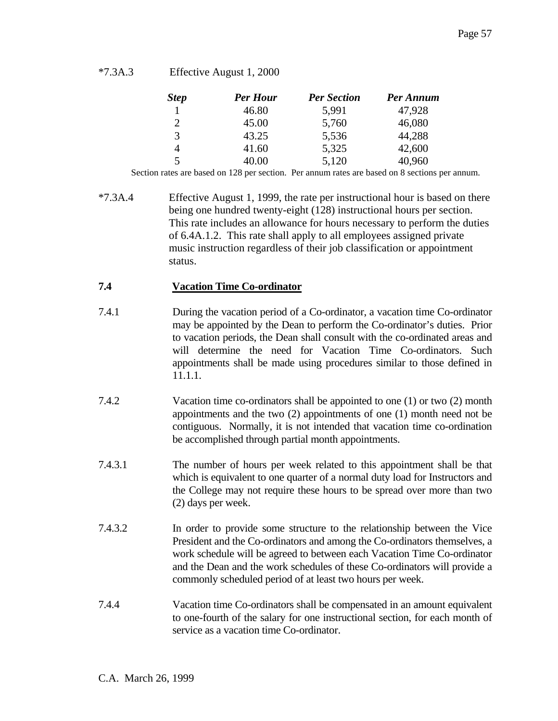<sup>\*7.3</sup>A.3 Effective August 1, 2000

| <b>Step</b> | <b>Per Hour</b> | <b>Per Section</b> | Per Annum |
|-------------|-----------------|--------------------|-----------|
|             | 46.80           | 5,991              | 47,928    |
| 2           | 45.00           | 5,760              | 46,080    |
| 3           | 43.25           | 5,536              | 44,288    |
| 4           | 41.60           | 5,325              | 42,600    |
| 5           | 40.00           | 5,120              | 40,960    |

Section rates are based on 128 per section. Per annum rates are based on 8 sections per annum.

\*7.3A.4 Effective August 1, 1999, the rate per instructional hour is based on there being one hundred twenty-eight (128) instructional hours per section. This rate includes an allowance for hours necessary to perform the duties of 6.4A.1.2. This rate shall apply to all employees assigned private music instruction regardless of their job classification or appointment status.

### **7.4 Vacation Time Co-ordinator**

- 7.4.1 During the vacation period of a Co-ordinator, a vacation time Co-ordinator may be appointed by the Dean to perform the Co-ordinator's duties. Prior to vacation periods, the Dean shall consult with the co-ordinated areas and will determine the need for Vacation Time Co-ordinators. Such appointments shall be made using procedures similar to those defined in 11.1.1.
- 7.4.2 Vacation time co-ordinators shall be appointed to one (1) or two (2) month appointments and the two (2) appointments of one (1) month need not be contiguous. Normally, it is not intended that vacation time co-ordination be accomplished through partial month appointments.
- 7.4.3.1 The number of hours per week related to this appointment shall be that which is equivalent to one quarter of a normal duty load for Instructors and the College may not require these hours to be spread over more than two (2) days per week.
- 7.4.3.2 In order to provide some structure to the relationship between the Vice President and the Co-ordinators and among the Co-ordinators themselves, a work schedule will be agreed to between each Vacation Time Co-ordinator and the Dean and the work schedules of these Co-ordinators will provide a commonly scheduled period of at least two hours per week.
- 7.4.4 Vacation time Co-ordinators shall be compensated in an amount equivalent to one-fourth of the salary for one instructional section, for each month of service as a vacation time Co-ordinator.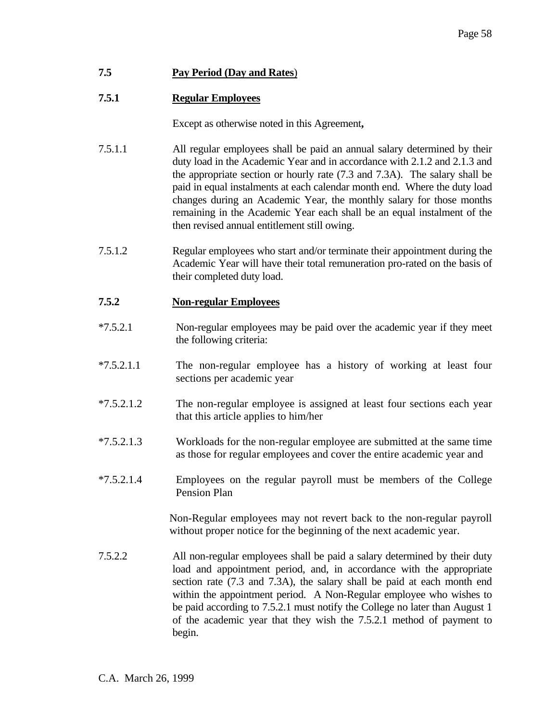# **7.5 Pay Period (Day and Rates**)

# **7.5.1 Regular Employees**

Except as otherwise noted in this Agreement**,**

- 7.5.1.1 All regular employees shall be paid an annual salary determined by their duty load in the Academic Year and in accordance with 2.1.2 and 2.1.3 and the appropriate section or hourly rate (7.3 and 7.3A). The salary shall be paid in equal instalments at each calendar month end. Where the duty load changes during an Academic Year, the monthly salary for those months remaining in the Academic Year each shall be an equal instalment of the then revised annual entitlement still owing.
- 7.5.1.2 Regular employees who start and/or terminate their appointment during the Academic Year will have their total remuneration pro-rated on the basis of their completed duty load.

# **7.5.2 Non-regular Employees**

- \*7.5.2.1 Non-regular employees may be paid over the academic year if they meet the following criteria:
- \*7.5.2.1.1 The non-regular employee has a history of working at least four sections per academic year
- \*7.5.2.1.2 The non-regular employee is assigned at least four sections each year that this article applies to him/her
- \*7.5.2.1.3 Workloads for the non-regular employee are submitted at the same time as those for regular employees and cover the entire academic year and
- \*7.5.2.1.4 Employees on the regular payroll must be members of the College Pension Plan

Non-Regular employees may not revert back to the non-regular payroll without proper notice for the beginning of the next academic year.

7.5.2.2 All non-regular employees shall be paid a salary determined by their duty load and appointment period, and, in accordance with the appropriate section rate (7.3 and 7.3A), the salary shall be paid at each month end within the appointment period. A Non-Regular employee who wishes to be paid according to 7.5.2.1 must notify the College no later than August 1 of the academic year that they wish the 7.5.2.1 method of payment to begin.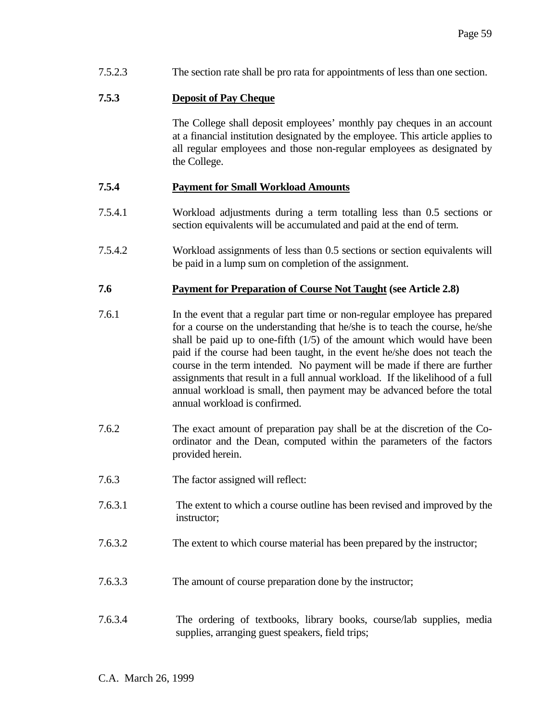7.5.2.3 The section rate shall be pro rata for appointments of less than one section.

### **7.5.3 Deposit of Pay Cheque**

 The College shall deposit employees' monthly pay cheques in an account at a financial institution designated by the employee. This article applies to all regular employees and those non-regular employees as designated by the College.

### **7.5.4 Payment for Small Workload Amounts**

- 7.5.4.1 Workload adjustments during a term totalling less than 0.5 sections or section equivalents will be accumulated and paid at the end of term.
- 7.5.4.2 Workload assignments of less than 0.5 sections or section equivalents will be paid in a lump sum on completion of the assignment.

### **7.6 Payment for Preparation of Course Not Taught (see Article 2.8)**

- 7.6.1 In the event that a regular part time or non-regular employee has prepared for a course on the understanding that he/she is to teach the course, he/she shall be paid up to one-fifth  $(1/5)$  of the amount which would have been paid if the course had been taught, in the event he/she does not teach the course in the term intended. No payment will be made if there are further assignments that result in a full annual workload. If the likelihood of a full annual workload is small, then payment may be advanced before the total annual workload is confirmed.
- 7.6.2 The exact amount of preparation pay shall be at the discretion of the Coordinator and the Dean, computed within the parameters of the factors provided herein.
- 7.6.3 The factor assigned will reflect:
- 7.6.3.1 The extent to which a course outline has been revised and improved by the instructor;
- 7.6.3.2 The extent to which course material has been prepared by the instructor;
- 7.6.3.3 The amount of course preparation done by the instructor;
- 7.6.3.4 The ordering of textbooks, library books, course/lab supplies, media supplies, arranging guest speakers, field trips;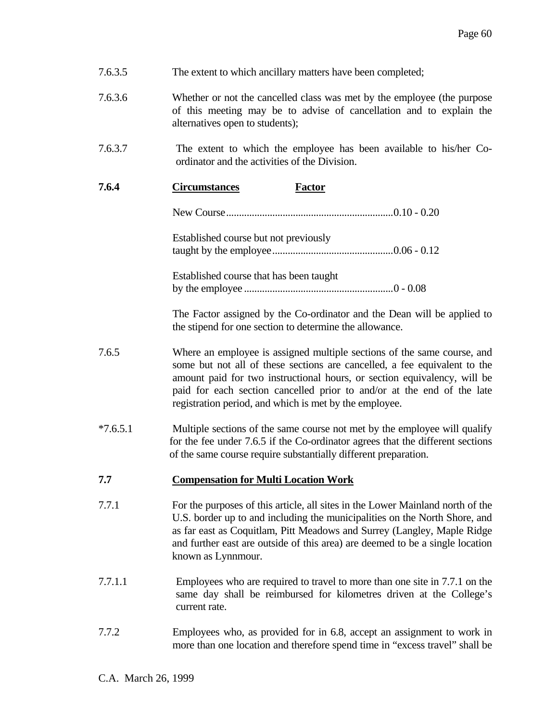| 7.6.3.5    | The extent to which ancillary matters have been completed;                                                                                                                                                                                                                                                                                                           |
|------------|----------------------------------------------------------------------------------------------------------------------------------------------------------------------------------------------------------------------------------------------------------------------------------------------------------------------------------------------------------------------|
| 7.6.3.6    | Whether or not the cancelled class was met by the employee (the purpose<br>of this meeting may be to advise of cancellation and to explain the<br>alternatives open to students);                                                                                                                                                                                    |
| 7.6.3.7    | The extent to which the employee has been available to his/her Co-<br>ordinator and the activities of the Division.                                                                                                                                                                                                                                                  |
| 7.6.4      | <b>Circumstances</b><br><b>Factor</b>                                                                                                                                                                                                                                                                                                                                |
|            |                                                                                                                                                                                                                                                                                                                                                                      |
|            | Established course but not previously                                                                                                                                                                                                                                                                                                                                |
|            | Established course that has been taught                                                                                                                                                                                                                                                                                                                              |
|            | The Factor assigned by the Co-ordinator and the Dean will be applied to<br>the stipend for one section to determine the allowance.                                                                                                                                                                                                                                   |
| 7.6.5      | Where an employee is assigned multiple sections of the same course, and<br>some but not all of these sections are cancelled, a fee equivalent to the<br>amount paid for two instructional hours, or section equivalency, will be<br>paid for each section cancelled prior to and/or at the end of the late<br>registration period, and which is met by the employee. |
| $*7.6.5.1$ | Multiple sections of the same course not met by the employee will qualify<br>for the fee under 7.6.5 if the Co-ordinator agrees that the different sections<br>of the same course require substantially different preparation.                                                                                                                                       |
| 7.7        | <b>Compensation for Multi Location Work</b>                                                                                                                                                                                                                                                                                                                          |
| 7.7.1      | For the purposes of this article, all sites in the Lower Mainland north of the<br>U.S. border up to and including the municipalities on the North Shore, and<br>as far east as Coquitlam, Pitt Meadows and Surrey (Langley, Maple Ridge<br>and further east are outside of this area) are deemed to be a single location<br>known as Lynnmour.                       |
| 7.7.1.1    | Employees who are required to travel to more than one site in 7.7.1 on the<br>same day shall be reimbursed for kilometres driven at the College's<br>current rate.                                                                                                                                                                                                   |
| 7.7.2      | Employees who, as provided for in 6.8, accept an assignment to work in<br>more than one location and therefore spend time in "excess travel" shall be                                                                                                                                                                                                                |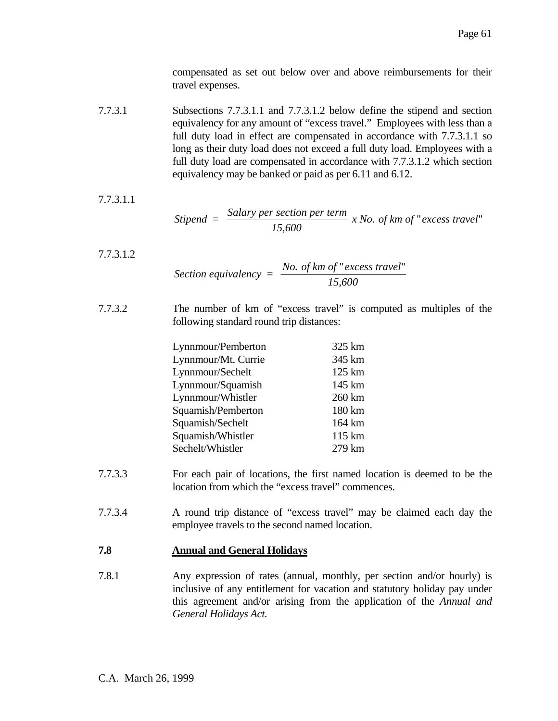compensated as set out below over and above reimbursements for their travel expenses.

7.7.3.1 Subsections 7.7.3.1.1 and 7.7.3.1.2 below define the stipend and section equivalency for any amount of "excess travel." Employees with less than a full duty load in effect are compensated in accordance with 7.7.3.1.1 so long as their duty load does not exceed a full duty load. Employees with a full duty load are compensated in accordance with 7.7.3.1.2 which section equivalency may be banked or paid as per 6.11 and 6.12.

7.7.3.1.1

$$
Stipend = \frac{Salary \, per \, section \, per \, term}{15,600} \, x \, No. \, of \, km \, of \, "excess \, travel"
$$

- 7.7.3.1.2 *Section equivalency =*  $\frac{No. \text{ of } km \text{ of } "excess \text{ travel}}{15.688}$ *15,600* " excess travel"
- 7.7.3.2 The number of km of "excess travel" is computed as multiples of the following standard round trip distances:

| Lynnmour/Pemberton  | 325 km |
|---------------------|--------|
| Lynnmour/Mt. Currie | 345 km |
| Lynnmour/Sechelt    | 125 km |
| Lynnmour/Squamish   | 145 km |
| Lynnmour/Whistler   | 260 km |
| Squamish/Pemberton  | 180 km |
| Squamish/Sechelt    | 164 km |
| Squamish/Whistler   | 115 km |
| Sechelt/Whistler    | 279 km |

- 7.7.3.3 For each pair of locations, the first named location is deemed to be the location from which the "excess travel" commences.
- 7.7.3.4 A round trip distance of "excess travel" may be claimed each day the employee travels to the second named location.

# **7.8 Annual and General Holidays**

7.8.1 Any expression of rates (annual, monthly, per section and/or hourly) is inclusive of any entitlement for vacation and statutory holiday pay under this agreement and/or arising from the application of the *Annual and General Holidays Act.*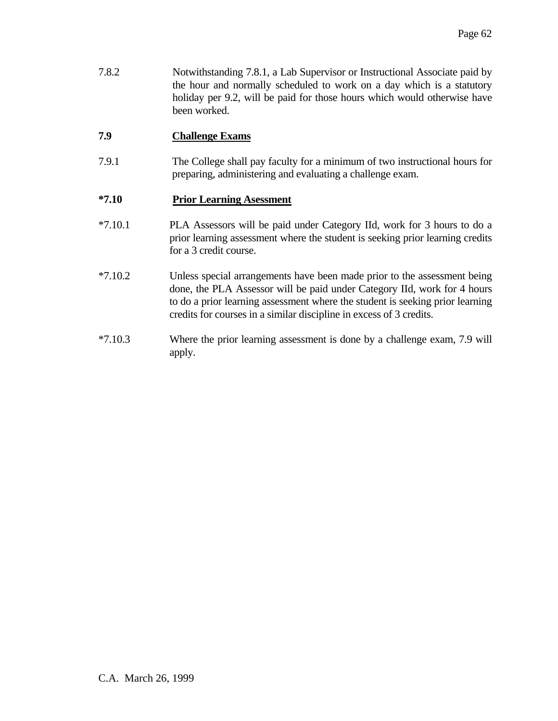7.8.2 Notwithstanding 7.8.1, a Lab Supervisor or Instructional Associate paid by the hour and normally scheduled to work on a day which is a statutory holiday per 9.2, will be paid for those hours which would otherwise have been worked.

# **7.9 Challenge Exams**

7.9.1 The College shall pay faculty for a minimum of two instructional hours for preparing, administering and evaluating a challenge exam.

# **\*7.10 Prior Learning Asessment**

- \*7.10.1 PLA Assessors will be paid under Category IId, work for 3 hours to do a prior learning assessment where the student is seeking prior learning credits for a 3 credit course.
- \*7.10.2 Unless special arrangements have been made prior to the assessment being done, the PLA Assessor will be paid under Category IId, work for 4 hours to do a prior learning assessment where the student is seeking prior learning credits for courses in a similar discipline in excess of 3 credits.
- \*7.10.3 Where the prior learning assessment is done by a challenge exam, 7.9 will apply.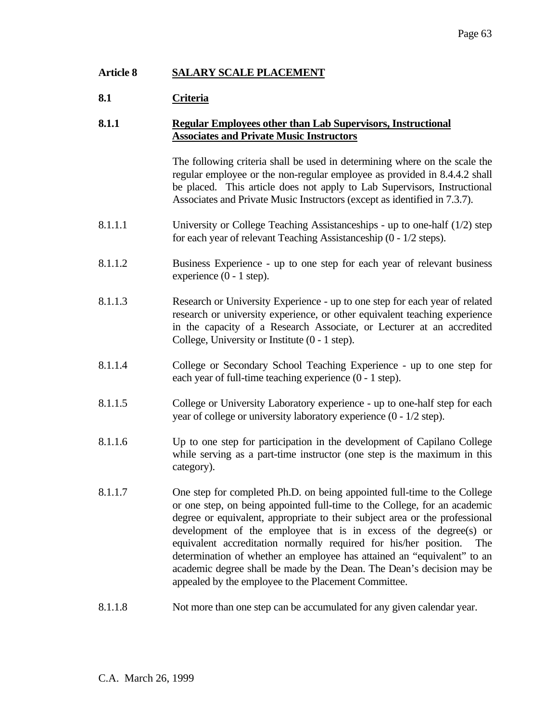# **Article 8 SALARY SCALE PLACEMENT**

# **8.1 Criteria**

### **8.1.1 Regular Employees other than Lab Supervisors, Instructional Associates and Private Music Instructors**

 The following criteria shall be used in determining where on the scale the regular employee or the non-regular employee as provided in 8.4.4.2 shall be placed. This article does not apply to Lab Supervisors, Instructional Associates and Private Music Instructors (except as identified in 7.3.7).

- 8.1.1.1 University or College Teaching Assistanceships up to one-half (1/2) step for each year of relevant Teaching Assistanceship (0 - 1/2 steps).
- 8.1.1.2 Business Experience up to one step for each year of relevant business experience (0 - 1 step).
- 8.1.1.3 Research or University Experience up to one step for each year of related research or university experience, or other equivalent teaching experience in the capacity of a Research Associate, or Lecturer at an accredited College, University or Institute (0 - 1 step).
- 8.1.1.4 College or Secondary School Teaching Experience up to one step for each year of full-time teaching experience (0 - 1 step).
- 8.1.1.5 College or University Laboratory experience up to one-half step for each year of college or university laboratory experience (0 - 1/2 step).
- 8.1.1.6 Up to one step for participation in the development of Capilano College while serving as a part-time instructor (one step is the maximum in this category).
- 8.1.1.7 One step for completed Ph.D. on being appointed full-time to the College or one step, on being appointed full-time to the College, for an academic degree or equivalent, appropriate to their subject area or the professional development of the employee that is in excess of the degree(s) or equivalent accreditation normally required for his/her position. The determination of whether an employee has attained an "equivalent" to an academic degree shall be made by the Dean. The Dean's decision may be appealed by the employee to the Placement Committee.
- 8.1.1.8 Not more than one step can be accumulated for any given calendar year.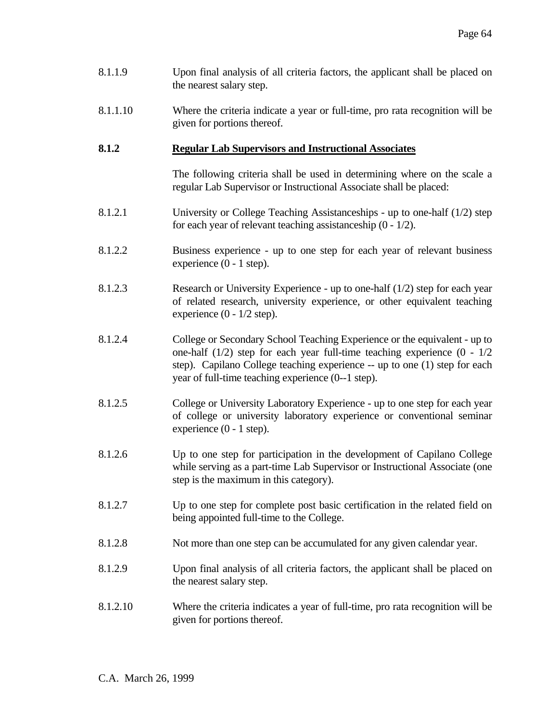- 8.1.1.9 Upon final analysis of all criteria factors, the applicant shall be placed on the nearest salary step.
- 8.1.1.10 Where the criteria indicate a year or full-time, pro rata recognition will be given for portions thereof.

### **8.1.2 Regular Lab Supervisors and Instructional Associates**

 The following criteria shall be used in determining where on the scale a regular Lab Supervisor or Instructional Associate shall be placed:

- 8.1.2.1 University or College Teaching Assistanceships up to one-half (1/2) step for each year of relevant teaching assistanceship (0 - 1/2).
- 8.1.2.2 Business experience up to one step for each year of relevant business experience (0 - 1 step).
- 8.1.2.3 Research or University Experience up to one-half (1/2) step for each year of related research, university experience, or other equivalent teaching experience  $(0 - 1/2 \text{ step})$ .
- 8.1.2.4 College or Secondary School Teaching Experience or the equivalent up to one-half  $(1/2)$  step for each year full-time teaching experience  $(0 - 1/2)$ step). Capilano College teaching experience -- up to one (1) step for each year of full-time teaching experience (0--1 step).
- 8.1.2.5 College or University Laboratory Experience up to one step for each year of college or university laboratory experience or conventional seminar experience (0 - 1 step).
- 8.1.2.6 Up to one step for participation in the development of Capilano College while serving as a part-time Lab Supervisor or Instructional Associate (one step is the maximum in this category).
- 8.1.2.7 Up to one step for complete post basic certification in the related field on being appointed full-time to the College.
- 8.1.2.8 Not more than one step can be accumulated for any given calendar year.
- 8.1.2.9 Upon final analysis of all criteria factors, the applicant shall be placed on the nearest salary step.
- 8.1.2.10 Where the criteria indicates a year of full-time, pro rata recognition will be given for portions thereof.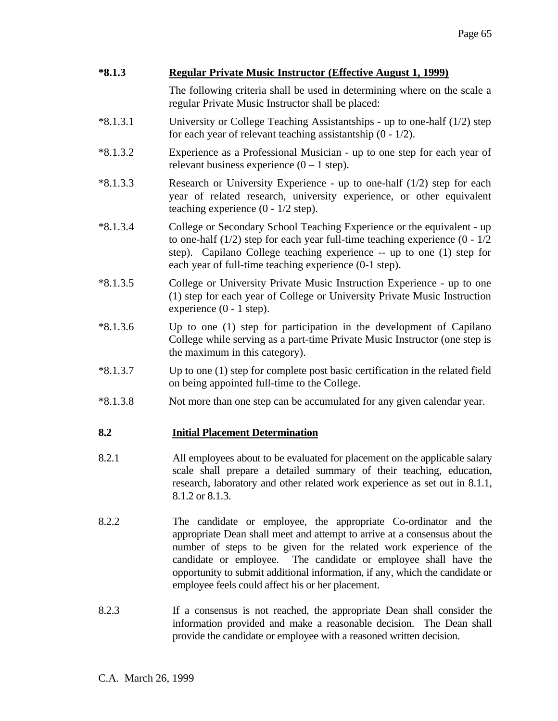| $*8.1.3$   | <b>Regular Private Music Instructor (Effective August 1, 1999)</b>                                                                                                                                                                                                                                                                                                                                                             |  |  |
|------------|--------------------------------------------------------------------------------------------------------------------------------------------------------------------------------------------------------------------------------------------------------------------------------------------------------------------------------------------------------------------------------------------------------------------------------|--|--|
|            | The following criteria shall be used in determining where on the scale a<br>regular Private Music Instructor shall be placed:                                                                                                                                                                                                                                                                                                  |  |  |
| $*8.1.3.1$ | University or College Teaching Assistantships - up to one-half (1/2) step<br>for each year of relevant teaching assistantship $(0 - 1/2)$ .                                                                                                                                                                                                                                                                                    |  |  |
| $*8.1.3.2$ | Experience as a Professional Musician - up to one step for each year of<br>relevant business experience $(0 - 1 \text{ step})$ .                                                                                                                                                                                                                                                                                               |  |  |
| $*8.1.3.3$ | Research or University Experience - up to one-half $(1/2)$ step for each<br>year of related research, university experience, or other equivalent<br>teaching experience $(0 - 1/2 \text{ step})$ .                                                                                                                                                                                                                             |  |  |
| $*8.1.3.4$ | College or Secondary School Teaching Experience or the equivalent - up<br>to one-half $(1/2)$ step for each year full-time teaching experience $(0 - 1/2)$<br>step). Capilano College teaching experience -- up to one (1) step for<br>each year of full-time teaching experience (0-1 step).                                                                                                                                  |  |  |
| $*8.1.3.5$ | College or University Private Music Instruction Experience - up to one<br>(1) step for each year of College or University Private Music Instruction<br>experience $(0 - 1$ step).                                                                                                                                                                                                                                              |  |  |
| $*8.1.3.6$ | Up to one (1) step for participation in the development of Capilano<br>College while serving as a part-time Private Music Instructor (one step is<br>the maximum in this category).                                                                                                                                                                                                                                            |  |  |
| $*8.1.3.7$ | Up to one $(1)$ step for complete post basic certification in the related field<br>on being appointed full-time to the College.                                                                                                                                                                                                                                                                                                |  |  |
| $*8.1.3.8$ | Not more than one step can be accumulated for any given calendar year.                                                                                                                                                                                                                                                                                                                                                         |  |  |
| 8.2        | <b>Initial Placement Determination</b>                                                                                                                                                                                                                                                                                                                                                                                         |  |  |
| 8.2.1      | All employees about to be evaluated for placement on the applicable salary<br>scale shall prepare a detailed summary of their teaching, education,<br>research, laboratory and other related work experience as set out in 8.1.1,<br>8.1.2 or 8.1.3.                                                                                                                                                                           |  |  |
| 8.2.2      | The candidate or employee, the appropriate Co-ordinator and the<br>appropriate Dean shall meet and attempt to arrive at a consensus about the<br>number of steps to be given for the related work experience of the<br>The candidate or employee shall have the<br>candidate or employee.<br>opportunity to submit additional information, if any, which the candidate or<br>employee feels could affect his or her placement. |  |  |
| 8.2.3      | If a consensus is not reached, the appropriate Dean shall consider the<br>information provided and make a reasonable decision. The Dean shall<br>provide the candidate or employee with a reasoned written decision.                                                                                                                                                                                                           |  |  |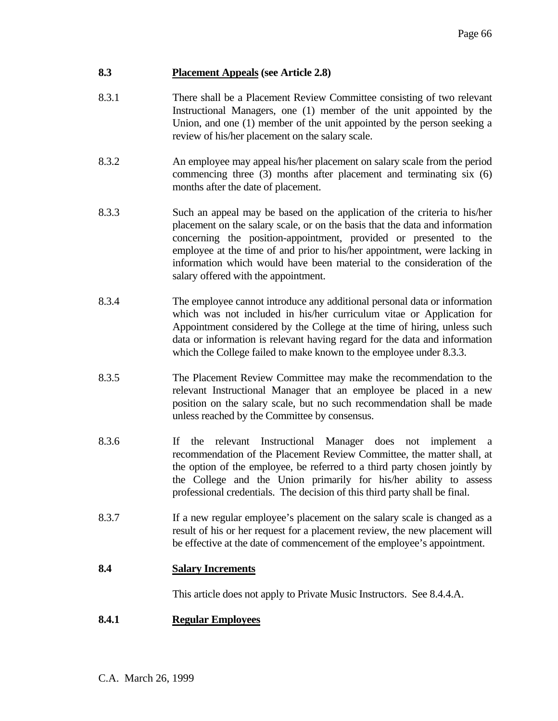# **8.3 Placement Appeals (see Article 2.8)**

- 8.3.1 There shall be a Placement Review Committee consisting of two relevant Instructional Managers, one (1) member of the unit appointed by the Union, and one (1) member of the unit appointed by the person seeking a review of his/her placement on the salary scale.
- 8.3.2 An employee may appeal his/her placement on salary scale from the period commencing three (3) months after placement and terminating six (6) months after the date of placement.
- 8.3.3 Such an appeal may be based on the application of the criteria to his/her placement on the salary scale, or on the basis that the data and information concerning the position-appointment, provided or presented to the employee at the time of and prior to his/her appointment, were lacking in information which would have been material to the consideration of the salary offered with the appointment.
- 8.3.4 The employee cannot introduce any additional personal data or information which was not included in his/her curriculum vitae or Application for Appointment considered by the College at the time of hiring, unless such data or information is relevant having regard for the data and information which the College failed to make known to the employee under 8.3.3.
- 8.3.5 The Placement Review Committee may make the recommendation to the relevant Instructional Manager that an employee be placed in a new position on the salary scale, but no such recommendation shall be made unless reached by the Committee by consensus.
- 8.3.6 If the relevant Instructional Manager does not implement a recommendation of the Placement Review Committee, the matter shall, at the option of the employee, be referred to a third party chosen jointly by the College and the Union primarily for his/her ability to assess professional credentials. The decision of this third party shall be final.
- 8.3.7 If a new regular employee's placement on the salary scale is changed as a result of his or her request for a placement review, the new placement will be effective at the date of commencement of the employee's appointment.

# **8.4 Salary Increments**

This article does not apply to Private Music Instructors. See 8.4.4.A.

# **8.4.1 Regular Employees**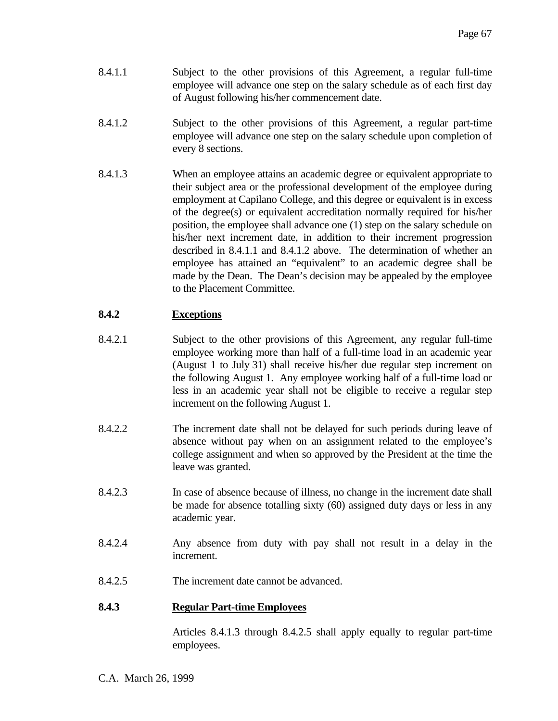- 8.4.1.1 Subject to the other provisions of this Agreement, a regular full-time employee will advance one step on the salary schedule as of each first day of August following his/her commencement date.
- 8.4.1.2 Subject to the other provisions of this Agreement, a regular part-time employee will advance one step on the salary schedule upon completion of every 8 sections.
- 8.4.1.3 When an employee attains an academic degree or equivalent appropriate to their subject area or the professional development of the employee during employment at Capilano College, and this degree or equivalent is in excess of the degree(s) or equivalent accreditation normally required for his/her position, the employee shall advance one (1) step on the salary schedule on his/her next increment date, in addition to their increment progression described in 8.4.1.1 and 8.4.1.2 above. The determination of whether an employee has attained an "equivalent" to an academic degree shall be made by the Dean. The Dean's decision may be appealed by the employee to the Placement Committee.

# **8.4.2 Exceptions**

- 8.4.2.1 Subject to the other provisions of this Agreement, any regular full-time employee working more than half of a full-time load in an academic year (August 1 to July 31) shall receive his/her due regular step increment on the following August 1. Any employee working half of a full-time load or less in an academic year shall not be eligible to receive a regular step increment on the following August 1.
- 8.4.2.2 The increment date shall not be delayed for such periods during leave of absence without pay when on an assignment related to the employee's college assignment and when so approved by the President at the time the leave was granted.
- 8.4.2.3 In case of absence because of illness, no change in the increment date shall be made for absence totalling sixty (60) assigned duty days or less in any academic year.
- 8.4.2.4 Any absence from duty with pay shall not result in a delay in the increment.
- 8.4.2.5 The increment date cannot be advanced.

# **8.4.3 Regular Part-time Employees**

 Articles 8.4.1.3 through 8.4.2.5 shall apply equally to regular part-time employees.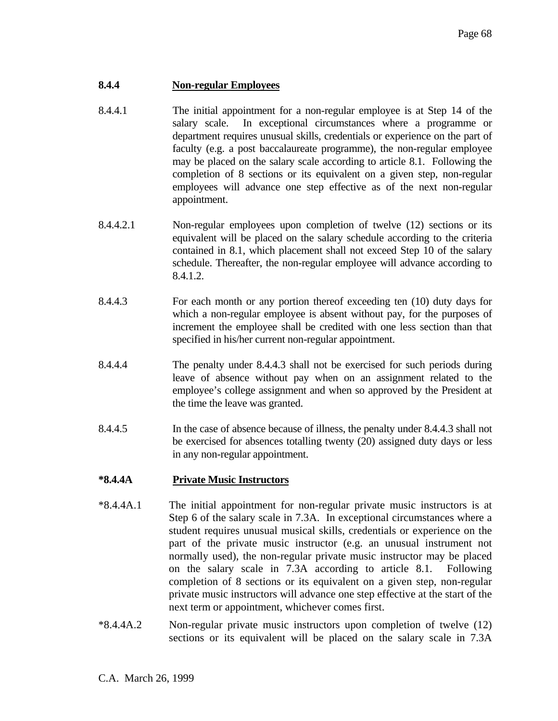### **8.4.4 Non-regular Employees**

- 8.4.4.1 The initial appointment for a non-regular employee is at Step 14 of the salary scale. In exceptional circumstances where a programme or department requires unusual skills, credentials or experience on the part of faculty (e.g. a post baccalaureate programme), the non-regular employee may be placed on the salary scale according to article 8.1. Following the completion of 8 sections or its equivalent on a given step, non-regular employees will advance one step effective as of the next non-regular appointment.
- 8.4.4.2.1 Non-regular employees upon completion of twelve (12) sections or its equivalent will be placed on the salary schedule according to the criteria contained in 8.1, which placement shall not exceed Step 10 of the salary schedule. Thereafter, the non-regular employee will advance according to 8.4.1.2.
- 8.4.4.3 For each month or any portion thereof exceeding ten (10) duty days for which a non-regular employee is absent without pay, for the purposes of increment the employee shall be credited with one less section than that specified in his/her current non-regular appointment.
- 8.4.4.4 The penalty under 8.4.4.3 shall not be exercised for such periods during leave of absence without pay when on an assignment related to the employee's college assignment and when so approved by the President at the time the leave was granted.
- 8.4.4.5 In the case of absence because of illness, the penalty under 8.4.4.3 shall not be exercised for absences totalling twenty (20) assigned duty days or less in any non-regular appointment.

# **\*8.4.4A Private Music Instructors**

- \*8.4.4A.1 The initial appointment for non-regular private music instructors is at Step 6 of the salary scale in 7.3A. In exceptional circumstances where a student requires unusual musical skills, credentials or experience on the part of the private music instructor (e.g. an unusual instrument not normally used), the non-regular private music instructor may be placed on the salary scale in 7.3A according to article 8.1. Following completion of 8 sections or its equivalent on a given step, non-regular private music instructors will advance one step effective at the start of the next term or appointment, whichever comes first.
- \*8.4.4A.2 Non-regular private music instructors upon completion of twelve (12) sections or its equivalent will be placed on the salary scale in 7.3A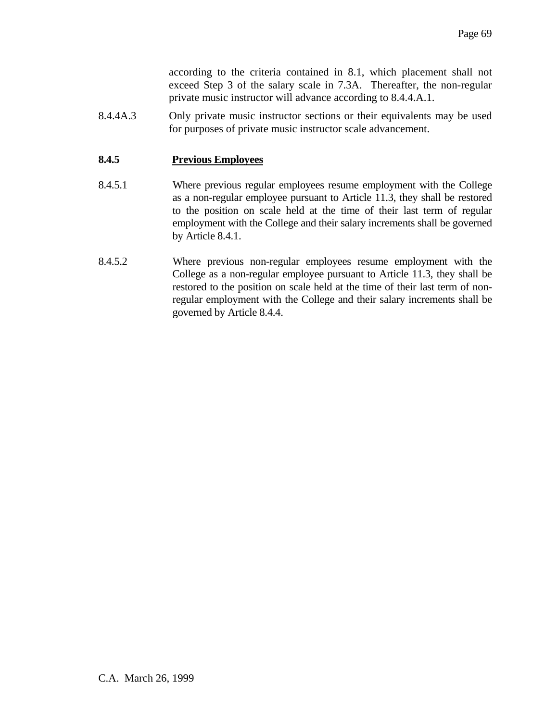according to the criteria contained in 8.1, which placement shall not exceed Step 3 of the salary scale in 7.3A. Thereafter, the non-regular private music instructor will advance according to 8.4.4.A.1.

8.4.4A.3 Only private music instructor sections or their equivalents may be used for purposes of private music instructor scale advancement.

# **8.4.5 Previous Employees**

- 8.4.5.1 Where previous regular employees resume employment with the College as a non-regular employee pursuant to Article 11.3, they shall be restored to the position on scale held at the time of their last term of regular employment with the College and their salary increments shall be governed by Article 8.4.1.
- 8.4.5.2 Where previous non-regular employees resume employment with the College as a non-regular employee pursuant to Article 11.3, they shall be restored to the position on scale held at the time of their last term of nonregular employment with the College and their salary increments shall be governed by Article 8.4.4.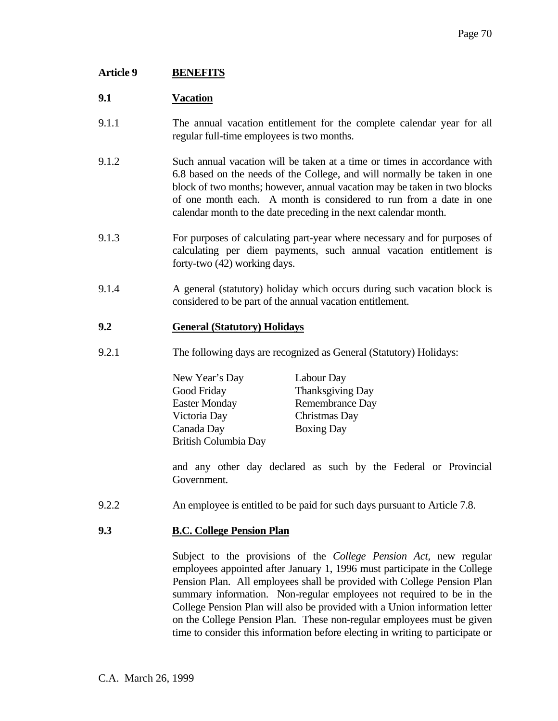# **Article 9 BENEFITS**

### **9.1 Vacation**

- 9.1.1 The annual vacation entitlement for the complete calendar year for all regular full-time employees is two months.
- 9.1.2 Such annual vacation will be taken at a time or times in accordance with 6.8 based on the needs of the College, and will normally be taken in one block of two months; however, annual vacation may be taken in two blocks of one month each. A month is considered to run from a date in one calendar month to the date preceding in the next calendar month.
- 9.1.3 For purposes of calculating part-year where necessary and for purposes of calculating per diem payments, such annual vacation entitlement is forty-two (42) working days.
- 9.1.4 A general (statutory) holiday which occurs during such vacation block is considered to be part of the annual vacation entitlement.

# **9.2 General (Statutory) Holidays**

9.2.1 The following days are recognized as General (Statutory) Holidays:

| New Year's Day       | Labour Day              |
|----------------------|-------------------------|
| Good Friday          | <b>Thanksgiving Day</b> |
| <b>Easter Monday</b> | Remembrance Day         |
| Victoria Day         | Christmas Day           |
| Canada Day           | <b>Boxing Day</b>       |
| British Columbia Day |                         |

 and any other day declared as such by the Federal or Provincial Government.

9.2.2 An employee is entitled to be paid for such days pursuant to Article 7.8.

### **9.3 B.C. College Pension Plan**

 Subject to the provisions of the *College Pension Act,* new regular employees appointed after January 1, 1996 must participate in the College Pension Plan. All employees shall be provided with College Pension Plan summary information. Non-regular employees not required to be in the College Pension Plan will also be provided with a Union information letter on the College Pension Plan. These non-regular employees must be given time to consider this information before electing in writing to participate or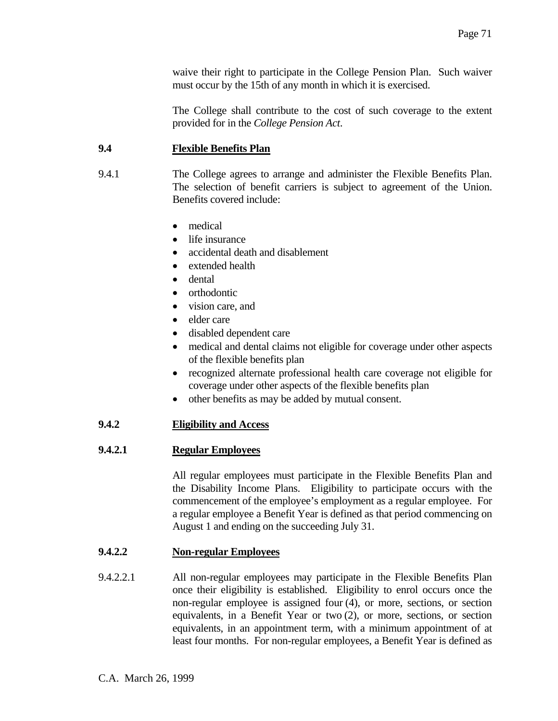waive their right to participate in the College Pension Plan. Such waiver must occur by the 15th of any month in which it is exercised.

 The College shall contribute to the cost of such coverage to the extent provided for in the *College Pension Act*.

# **9.4 Flexible Benefits Plan**

- 9.4.1 The College agrees to arrange and administer the Flexible Benefits Plan. The selection of benefit carriers is subject to agreement of the Union. Benefits covered include:
	- medical
	- life insurance
	- accidental death and disablement
	- extended health
	- dental
	- orthodontic
	- vision care, and
	- elder care
	- disabled dependent care
	- medical and dental claims not eligible for coverage under other aspects of the flexible benefits plan
	- recognized alternate professional health care coverage not eligible for coverage under other aspects of the flexible benefits plan
	- other benefits as may be added by mutual consent.

# **9.4.2 Eligibility and Access**

# **9.4.2.1 Regular Employees**

 All regular employees must participate in the Flexible Benefits Plan and the Disability Income Plans. Eligibility to participate occurs with the commencement of the employee's employment as a regular employee. For a regular employee a Benefit Year is defined as that period commencing on August 1 and ending on the succeeding July 31.

# **9.4.2.2 Non-regular Employees**

9.4.2.2.1 All non-regular employees may participate in the Flexible Benefits Plan once their eligibility is established. Eligibility to enrol occurs once the non-regular employee is assigned four (4), or more, sections, or section equivalents, in a Benefit Year or two (2), or more, sections, or section equivalents, in an appointment term, with a minimum appointment of at least four months. For non-regular employees, a Benefit Year is defined as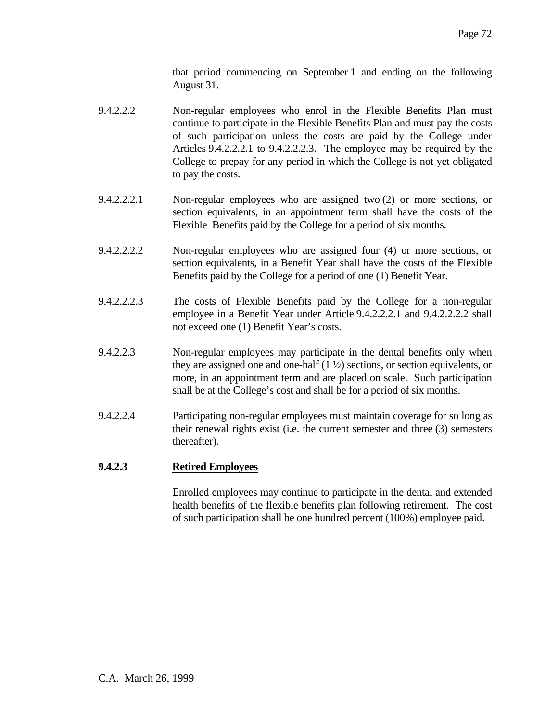that period commencing on September 1 and ending on the following August 31.

- 9.4.2.2.2 Non-regular employees who enrol in the Flexible Benefits Plan must continue to participate in the Flexible Benefits Plan and must pay the costs of such participation unless the costs are paid by the College under Articles 9.4.2.2.2.1 to 9.4.2.2.2.3. The employee may be required by the College to prepay for any period in which the College is not yet obligated to pay the costs.
- 9.4.2.2.2.1 Non-regular employees who are assigned two (2) or more sections, or section equivalents, in an appointment term shall have the costs of the Flexible Benefits paid by the College for a period of six months.
- 9.4.2.2.2.2 Non-regular employees who are assigned four (4) or more sections, or section equivalents, in a Benefit Year shall have the costs of the Flexible Benefits paid by the College for a period of one (1) Benefit Year.
- 9.4.2.2.2.3 The costs of Flexible Benefits paid by the College for a non-regular employee in a Benefit Year under Article 9.4.2.2.2.1 and 9.4.2.2.2.2 shall not exceed one (1) Benefit Year's costs.
- 9.4.2.2.3 Non-regular employees may participate in the dental benefits only when they are assigned one and one-half  $(1 \frac{1}{2})$  sections, or section equivalents, or more, in an appointment term and are placed on scale. Such participation shall be at the College's cost and shall be for a period of six months.
- 9.4.2.2.4 Participating non-regular employees must maintain coverage for so long as their renewal rights exist (i.e. the current semester and three (3) semesters thereafter).

### **9.4.2.3 Retired Employees**

 Enrolled employees may continue to participate in the dental and extended health benefits of the flexible benefits plan following retirement. The cost of such participation shall be one hundred percent (100%) employee paid.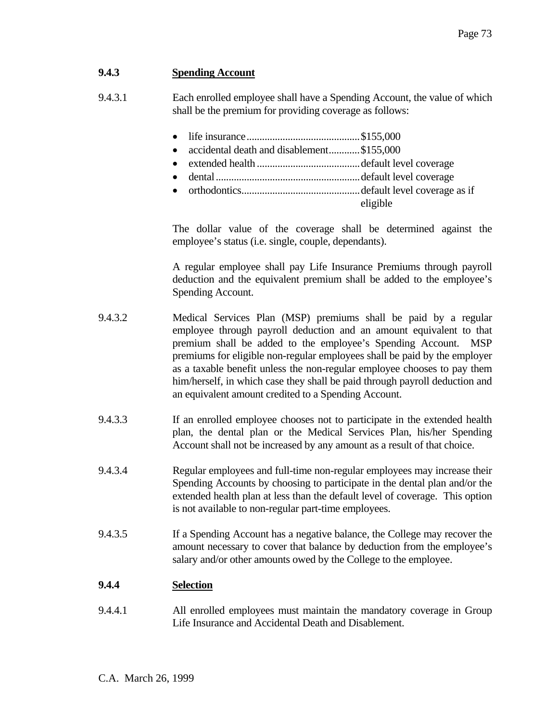# **9.4.3 Spending Account**

- 9.4.3.1 Each enrolled employee shall have a Spending Account, the value of which shall be the premium for providing coverage as follows:
	- life insurance............................................\$155,000
	- accidental death and disablement.............\$155,000
	- extended health ........................................default level coverage
	- dental........................................................default level coverage
- orthodontics..............................................default level coverage as if eligible and the eligible of the state of the state of the state of the state of the state of the state of the state of the state of the state of the state of the state of the state of the state of the state of the state o

 The dollar value of the coverage shall be determined against the employee's status (i.e. single, couple, dependants).

 A regular employee shall pay Life Insurance Premiums through payroll deduction and the equivalent premium shall be added to the employee's Spending Account.

- 9.4.3.2 Medical Services Plan (MSP) premiums shall be paid by a regular employee through payroll deduction and an amount equivalent to that premium shall be added to the employee's Spending Account. MSP premiums for eligible non-regular employees shall be paid by the employer as a taxable benefit unless the non-regular employee chooses to pay them him/herself, in which case they shall be paid through payroll deduction and an equivalent amount credited to a Spending Account.
- 9.4.3.3 If an enrolled employee chooses not to participate in the extended health plan, the dental plan or the Medical Services Plan, his/her Spending Account shall not be increased by any amount as a result of that choice.
- 9.4.3.4 Regular employees and full-time non-regular employees may increase their Spending Accounts by choosing to participate in the dental plan and/or the extended health plan at less than the default level of coverage. This option is not available to non-regular part-time employees.
- 9.4.3.5 If a Spending Account has a negative balance, the College may recover the amount necessary to cover that balance by deduction from the employee's salary and/or other amounts owed by the College to the employee.

# **9.4.4 Selection**

9.4.4.1 All enrolled employees must maintain the mandatory coverage in Group Life Insurance and Accidental Death and Disablement.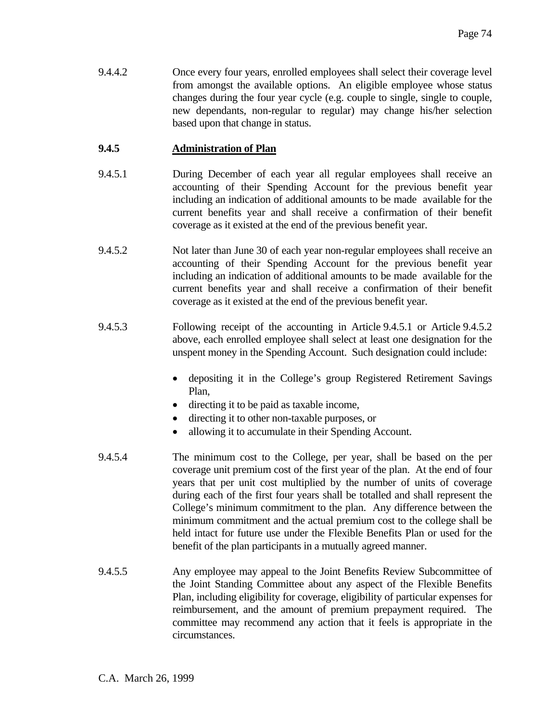9.4.4.2 Once every four years, enrolled employees shall select their coverage level from amongst the available options. An eligible employee whose status changes during the four year cycle (e.g. couple to single, single to couple, new dependants, non-regular to regular) may change his/her selection based upon that change in status.

## **9.4.5 Administration of Plan**

- 9.4.5.1 During December of each year all regular employees shall receive an accounting of their Spending Account for the previous benefit year including an indication of additional amounts to be made available for the current benefits year and shall receive a confirmation of their benefit coverage as it existed at the end of the previous benefit year.
- 9.4.5.2 Not later than June 30 of each year non-regular employees shall receive an accounting of their Spending Account for the previous benefit year including an indication of additional amounts to be made available for the current benefits year and shall receive a confirmation of their benefit coverage as it existed at the end of the previous benefit year.
- 9.4.5.3 Following receipt of the accounting in Article 9.4.5.1 or Article 9.4.5.2 above, each enrolled employee shall select at least one designation for the unspent money in the Spending Account. Such designation could include:
	- depositing it in the College's group Registered Retirement Savings Plan,
	- directing it to be paid as taxable income,
	- directing it to other non-taxable purposes, or
	- allowing it to accumulate in their Spending Account.
- 9.4.5.4 The minimum cost to the College, per year, shall be based on the per coverage unit premium cost of the first year of the plan. At the end of four years that per unit cost multiplied by the number of units of coverage during each of the first four years shall be totalled and shall represent the College's minimum commitment to the plan. Any difference between the minimum commitment and the actual premium cost to the college shall be held intact for future use under the Flexible Benefits Plan or used for the benefit of the plan participants in a mutually agreed manner.
- 9.4.5.5 Any employee may appeal to the Joint Benefits Review Subcommittee of the Joint Standing Committee about any aspect of the Flexible Benefits Plan, including eligibility for coverage, eligibility of particular expenses for reimbursement, and the amount of premium prepayment required. The committee may recommend any action that it feels is appropriate in the circumstances.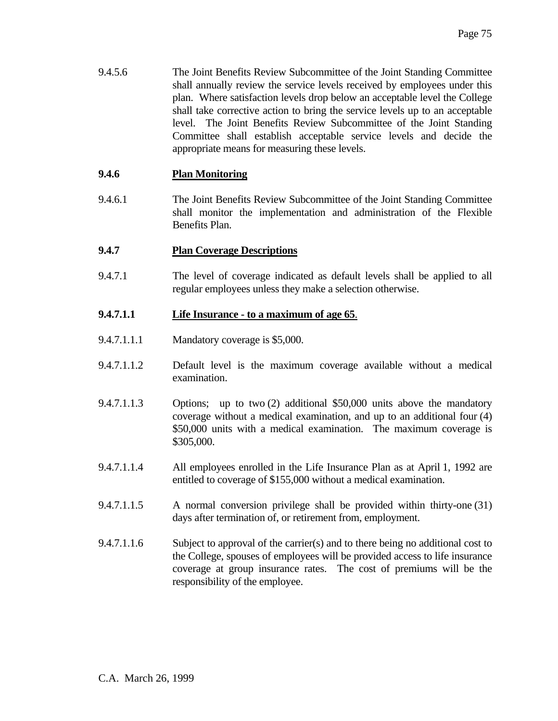9.4.5.6 The Joint Benefits Review Subcommittee of the Joint Standing Committee shall annually review the service levels received by employees under this plan. Where satisfaction levels drop below an acceptable level the College shall take corrective action to bring the service levels up to an acceptable level. The Joint Benefits Review Subcommittee of the Joint Standing Committee shall establish acceptable service levels and decide the appropriate means for measuring these levels.

## **9.4.6 Plan Monitoring**

9.4.6.1 The Joint Benefits Review Subcommittee of the Joint Standing Committee shall monitor the implementation and administration of the Flexible Benefits Plan.

#### **9.4.7 Plan Coverage Descriptions**

9.4.7.1 The level of coverage indicated as default levels shall be applied to all regular employees unless they make a selection otherwise.

#### **9.4.7.1.1 Life Insurance - to a maximum of age 65**.

- 9.4.7.1.1.1 Mandatory coverage is \$5,000.
- 9.4.7.1.1.2 Default level is the maximum coverage available without a medical examination.
- 9.4.7.1.1.3 Options; up to two (2) additional \$50,000 units above the mandatory coverage without a medical examination, and up to an additional four (4) \$50,000 units with a medical examination. The maximum coverage is \$305,000.
- 9.4.7.1.1.4 All employees enrolled in the Life Insurance Plan as at April 1, 1992 are entitled to coverage of \$155,000 without a medical examination.
- 9.4.7.1.1.5 A normal conversion privilege shall be provided within thirty-one (31) days after termination of, or retirement from, employment.
- 9.4.7.1.1.6 Subject to approval of the carrier(s) and to there being no additional cost to the College, spouses of employees will be provided access to life insurance coverage at group insurance rates. The cost of premiums will be the responsibility of the employee.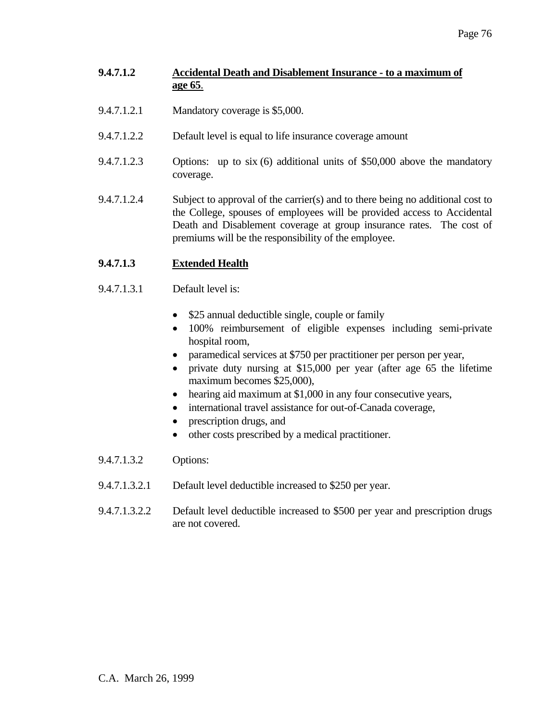# **9.4.7.1.2 Accidental Death and Disablement Insurance - to a maximum of age 65**.

- 9.4.7.1.2.1 Mandatory coverage is \$5,000.
- 9.4.7.1.2.2 Default level is equal to life insurance coverage amount
- 9.4.7.1.2.3 Options: up to six (6) additional units of \$50,000 above the mandatory coverage.
- 9.4.7.1.2.4 Subject to approval of the carrier(s) and to there being no additional cost to the College, spouses of employees will be provided access to Accidental Death and Disablement coverage at group insurance rates. The cost of premiums will be the responsibility of the employee.

# **9.4.7.1.3 Extended Health**

- 9.4.7.1.3.1 Default level is:
	- \$25 annual deductible single, couple or family
	- 100% reimbursement of eligible expenses including semi-private hospital room,
	- paramedical services at \$750 per practitioner per person per year,
	- private duty nursing at \$15,000 per year (after age 65 the lifetime maximum becomes \$25,000),
	- hearing aid maximum at \$1,000 in any four consecutive years,
	- international travel assistance for out-of-Canada coverage,
	- prescription drugs, and
	- other costs prescribed by a medical practitioner.
- 9.4.7.1.3.2 Options:
- 9.4.7.1.3.2.1 Default level deductible increased to \$250 per year.
- 9.4.7.1.3.2.2 Default level deductible increased to \$500 per year and prescription drugs are not covered.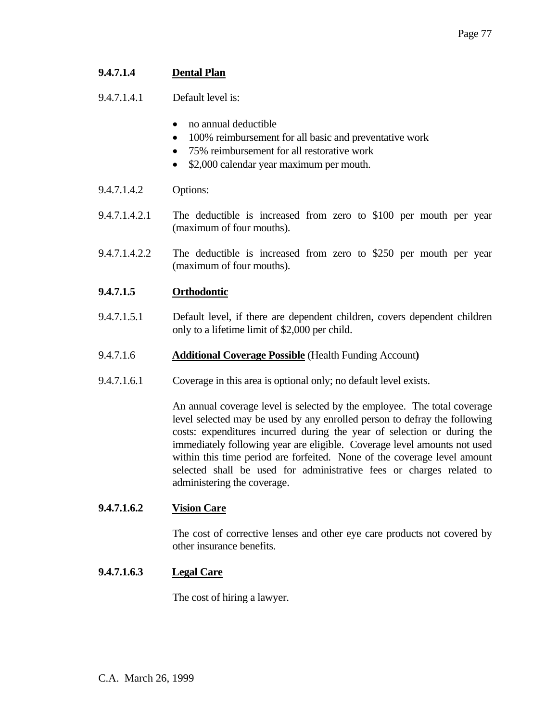# **9.4.7.1.4 Dental Plan**

9.4.7.1.4.1 Default level is:

- no annual deductible
- 100% reimbursement for all basic and preventative work
- 75% reimbursement for all restorative work
- \$2,000 calendar year maximum per mouth.
- 9.4.7.1.4.2 Options:
- 9.4.7.1.4.2.1 The deductible is increased from zero to \$100 per mouth per year (maximum of four mouths).
- 9.4.7.1.4.2.2 The deductible is increased from zero to \$250 per mouth per year (maximum of four mouths).

## **9.4.7.1.5 Orthodontic**

- 9.4.7.1.5.1 Default level, if there are dependent children, covers dependent children only to a lifetime limit of \$2,000 per child.
- 9.4.7.1.6 **Additional Coverage Possible** (Health Funding Account**)**
- 9.4.7.1.6.1 Coverage in this area is optional only; no default level exists.

 An annual coverage level is selected by the employee. The total coverage level selected may be used by any enrolled person to defray the following costs: expenditures incurred during the year of selection or during the immediately following year are eligible. Coverage level amounts not used within this time period are forfeited. None of the coverage level amount selected shall be used for administrative fees or charges related to administering the coverage.

#### **9.4.7.1.6.2 Vision Care**

 The cost of corrective lenses and other eye care products not covered by other insurance benefits.

#### **9.4.7.1.6.3 Legal Care**

The cost of hiring a lawyer.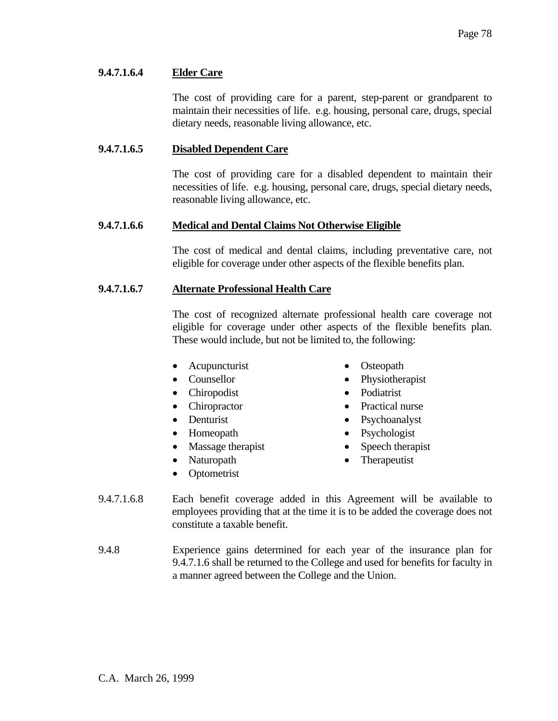## **9.4.7.1.6.4 Elder Care**

 The cost of providing care for a parent, step-parent or grandparent to maintain their necessities of life. e.g. housing, personal care, drugs, special dietary needs, reasonable living allowance, etc.

#### **9.4.7.1.6.5 Disabled Dependent Care**

 The cost of providing care for a disabled dependent to maintain their necessities of life. e.g. housing, personal care, drugs, special dietary needs, reasonable living allowance, etc.

## **9.4.7.1.6.6 Medical and Dental Claims Not Otherwise Eligible**

 The cost of medical and dental claims, including preventative care, not eligible for coverage under other aspects of the flexible benefits plan.

## **9.4.7.1.6.7 Alternate Professional Health Care**

 The cost of recognized alternate professional health care coverage not eligible for coverage under other aspects of the flexible benefits plan. These would include, but not be limited to, the following:

- Acupuncturist Osteopath
- 
- Chiropodist Podiatrist
- 
- 
- 
- Massage therapist Speech therapist
- 
- Optometrist
- 
- Counsellor Physiotherapist
	-
- Chiropractor Practical nurse
- Denturist Psychoanalyst
- Homeopath Psychologist
	-
- Naturopath Therapeutist
- 9.4.7.1.6.8 Each benefit coverage added in this Agreement will be available to employees providing that at the time it is to be added the coverage does not constitute a taxable benefit.
- 9.4.8 Experience gains determined for each year of the insurance plan for 9.4.7.1.6 shall be returned to the College and used for benefits for faculty in a manner agreed between the College and the Union.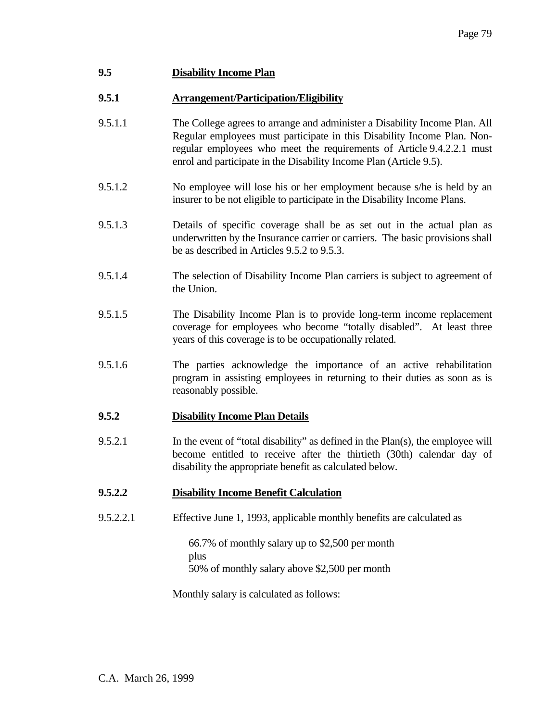# **9.5 Disability Income Plan**

## **9.5.1 Arrangement/Participation/Eligibility**

- 9.5.1.1 The College agrees to arrange and administer a Disability Income Plan. All Regular employees must participate in this Disability Income Plan. Nonregular employees who meet the requirements of Article 9.4.2.2.1 must enrol and participate in the Disability Income Plan (Article 9.5).
- 9.5.1.2 No employee will lose his or her employment because s/he is held by an insurer to be not eligible to participate in the Disability Income Plans.
- 9.5.1.3 Details of specific coverage shall be as set out in the actual plan as underwritten by the Insurance carrier or carriers. The basic provisions shall be as described in Articles 9.5.2 to 9.5.3.
- 9.5.1.4 The selection of Disability Income Plan carriers is subject to agreement of the Union.
- 9.5.1.5 The Disability Income Plan is to provide long-term income replacement coverage for employees who become "totally disabled". At least three years of this coverage is to be occupationally related.
- 9.5.1.6 The parties acknowledge the importance of an active rehabilitation program in assisting employees in returning to their duties as soon as is reasonably possible.

#### **9.5.2 Disability Income Plan Details**

9.5.2.1 In the event of "total disability" as defined in the Plan(s), the employee will become entitled to receive after the thirtieth (30th) calendar day of disability the appropriate benefit as calculated below.

# **9.5.2.2 Disability Income Benefit Calculation**

9.5.2.2.1 Effective June 1, 1993, applicable monthly benefits are calculated as

 66.7% of monthly salary up to \$2,500 per month plus 50% of monthly salary above \$2,500 per month

Monthly salary is calculated as follows: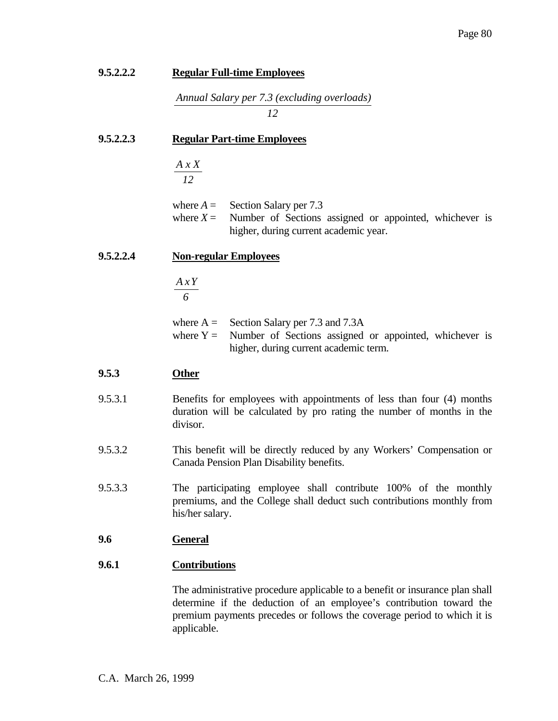| 9.5.2.2.2 | <b>Regular Full-time Employees</b>                                                                                                                                                                                                            |  |
|-----------|-----------------------------------------------------------------------------------------------------------------------------------------------------------------------------------------------------------------------------------------------|--|
|           | Annual Salary per 7.3 (excluding overloads)<br>12                                                                                                                                                                                             |  |
| 9.5.2.2.3 | <b>Regular Part-time Employees</b>                                                                                                                                                                                                            |  |
|           | A x X<br>12                                                                                                                                                                                                                                   |  |
|           | where $A =$<br>Section Salary per 7.3<br>Number of Sections assigned or appointed, whichever is<br>where $X =$<br>higher, during current academic year.                                                                                       |  |
| 9.5.2.2.4 | <b>Non-regular Employees</b>                                                                                                                                                                                                                  |  |
|           | A x Y<br>6                                                                                                                                                                                                                                    |  |
|           | where $A =$ Section Salary per 7.3 and 7.3A<br>where $Y =$ Number of Sections assigned or appointed, whichever is<br>higher, during current academic term.                                                                                    |  |
| 9.5.3     | <b>Other</b>                                                                                                                                                                                                                                  |  |
| 9.5.3.1   | Benefits for employees with appointments of less than four (4) months<br>duration will be calculated by pro rating the number of months in the<br>divisor.                                                                                    |  |
| 9.5.3.2   | This benefit will be directly reduced by any Workers' Compensation or<br>Canada Pension Plan Disability benefits.                                                                                                                             |  |
| 9.5.3.3   | The participating employee shall contribute 100% of the monthly<br>premiums, and the College shall deduct such contributions monthly from<br>his/her salary.                                                                                  |  |
| 9.6       | <b>General</b>                                                                                                                                                                                                                                |  |
| 9.6.1     | <b>Contributions</b>                                                                                                                                                                                                                          |  |
|           | The administrative procedure applicable to a benefit or insurance plan shall<br>determine if the deduction of an employee's contribution toward the<br>premium payments precedes or follows the coverage period to which it is<br>applicable. |  |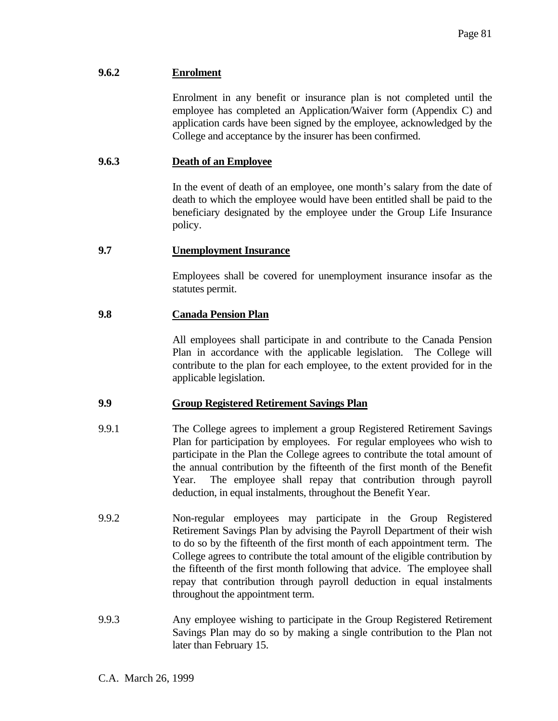# **9.6.2 Enrolment**

 Enrolment in any benefit or insurance plan is not completed until the employee has completed an Application/Waiver form (Appendix C) and application cards have been signed by the employee, acknowledged by the College and acceptance by the insurer has been confirmed.

## **9.6.3 Death of an Employee**

 In the event of death of an employee, one month's salary from the date of death to which the employee would have been entitled shall be paid to the beneficiary designated by the employee under the Group Life Insurance policy.

## **9.7 Unemployment Insurance**

 Employees shall be covered for unemployment insurance insofar as the statutes permit.

## **9.8 Canada Pension Plan**

 All employees shall participate in and contribute to the Canada Pension Plan in accordance with the applicable legislation. The College will contribute to the plan for each employee, to the extent provided for in the applicable legislation.

#### **9.9 Group Registered Retirement Savings Plan**

- 9.9.1 The College agrees to implement a group Registered Retirement Savings Plan for participation by employees. For regular employees who wish to participate in the Plan the College agrees to contribute the total amount of the annual contribution by the fifteenth of the first month of the Benefit Year. The employee shall repay that contribution through payroll deduction, in equal instalments, throughout the Benefit Year.
- 9.9.2 Non-regular employees may participate in the Group Registered Retirement Savings Plan by advising the Payroll Department of their wish to do so by the fifteenth of the first month of each appointment term. The College agrees to contribute the total amount of the eligible contribution by the fifteenth of the first month following that advice. The employee shall repay that contribution through payroll deduction in equal instalments throughout the appointment term.
- 9.9.3 Any employee wishing to participate in the Group Registered Retirement Savings Plan may do so by making a single contribution to the Plan not later than February 15.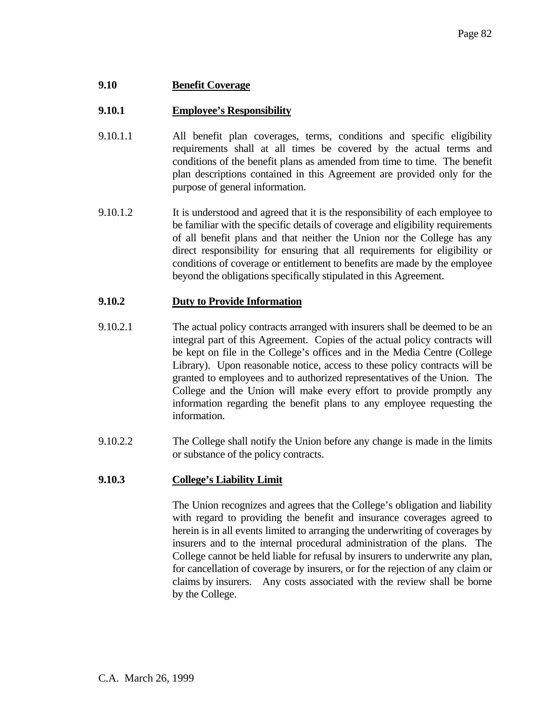## **9.10 Benefit Coverage**

## **9.10.1 Employee's Responsibility**

- 9.10.1.1 All benefit plan coverages, terms, conditions and specific eligibility requirements shall at all times be covered by the actual terms and conditions of the benefit plans as amended from time to time. The benefit plan descriptions contained in this Agreement are provided only for the purpose of general information.
- 9.10.1.2 It is understood and agreed that it is the responsibility of each employee to be familiar with the specific details of coverage and eligibility requirements of all benefit plans and that neither the Union nor the College has any direct responsibility for ensuring that all requirements for eligibility or conditions of coverage or entitlement to benefits are made by the employee beyond the obligations specifically stipulated in this Agreement.

#### **9.10.2 Duty to Provide Information**

- 9.10.2.1 The actual policy contracts arranged with insurers shall be deemed to be an integral part of this Agreement. Copies of the actual policy contracts will be kept on file in the College's offices and in the Media Centre (College Library). Upon reasonable notice, access to these policy contracts will be granted to employees and to authorized representatives of the Union. The College and the Union will make every effort to provide promptly any information regarding the benefit plans to any employee requesting the information.
- 9.10.2.2 The College shall notify the Union before any change is made in the limits or substance of the policy contracts.

#### **9.10.3 College's Liability Limit**

 The Union recognizes and agrees that the College's obligation and liability with regard to providing the benefit and insurance coverages agreed to herein is in all events limited to arranging the underwriting of coverages by insurers and to the internal procedural administration of the plans. The College cannot be held liable for refusal by insurers to underwrite any plan, for cancellation of coverage by insurers, or for the rejection of any claim or claims by insurers. Any costs associated with the review shall be borne by the College.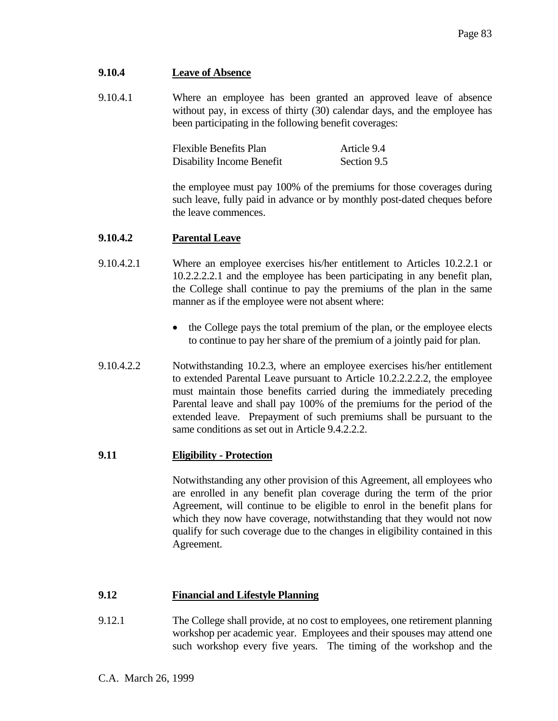# **9.10.4 Leave of Absence**

9.10.4.1 Where an employee has been granted an approved leave of absence without pay, in excess of thirty (30) calendar days, and the employee has been participating in the following benefit coverages:

| <b>Flexible Benefits Plan</b> | Article 9.4 |
|-------------------------------|-------------|
| Disability Income Benefit     | Section 9.5 |

 the employee must pay 100% of the premiums for those coverages during such leave, fully paid in advance or by monthly post-dated cheques before the leave commences.

## **9.10.4.2 Parental Leave**

- 9.10.4.2.1 Where an employee exercises his/her entitlement to Articles 10.2.2.1 or 10.2.2.2.2.1 and the employee has been participating in any benefit plan, the College shall continue to pay the premiums of the plan in the same manner as if the employee were not absent where:
	- the College pays the total premium of the plan, or the employee elects to continue to pay her share of the premium of a jointly paid for plan.
- 9.10.4.2.2 Notwithstanding 10.2.3, where an employee exercises his/her entitlement to extended Parental Leave pursuant to Article 10.2.2.2.2.2, the employee must maintain those benefits carried during the immediately preceding Parental leave and shall pay 100% of the premiums for the period of the extended leave. Prepayment of such premiums shall be pursuant to the same conditions as set out in Article 9.4.2.2.2.

# **9.11 Eligibility - Protection**

 Notwithstanding any other provision of this Agreement, all employees who are enrolled in any benefit plan coverage during the term of the prior Agreement, will continue to be eligible to enrol in the benefit plans for which they now have coverage, notwithstanding that they would not now qualify for such coverage due to the changes in eligibility contained in this Agreement.

# **9.12 Financial and Lifestyle Planning**

9.12.1 The College shall provide, at no cost to employees, one retirement planning workshop per academic year. Employees and their spouses may attend one such workshop every five years. The timing of the workshop and the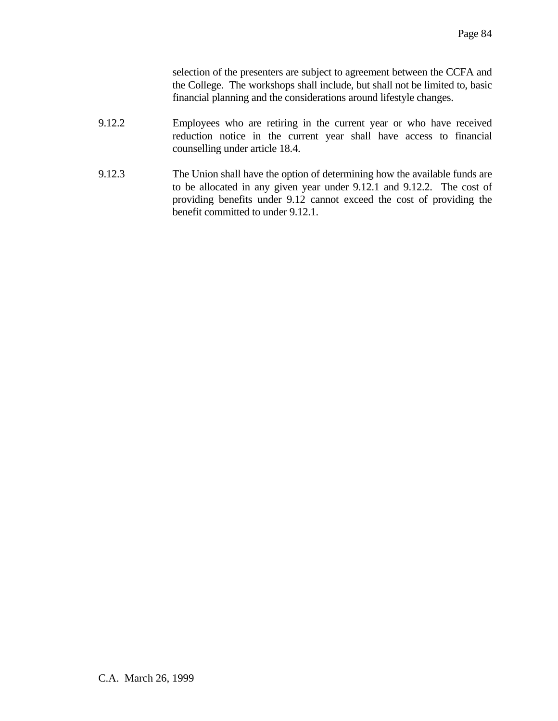selection of the presenters are subject to agreement between the CCFA and the College. The workshops shall include, but shall not be limited to, basic financial planning and the considerations around lifestyle changes.

- 9.12.2 Employees who are retiring in the current year or who have received reduction notice in the current year shall have access to financial counselling under article 18.4.
- 9.12.3 The Union shall have the option of determining how the available funds are to be allocated in any given year under 9.12.1 and 9.12.2. The cost of providing benefits under 9.12 cannot exceed the cost of providing the benefit committed to under 9.12.1.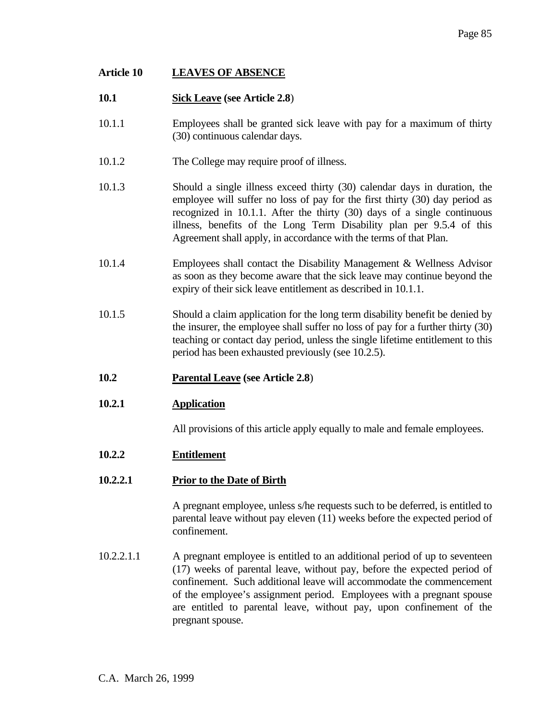# **Article 10 LEAVES OF ABSENCE**

# **10.1 Sick Leave (see Article 2.8**)

- 10.1.1 Employees shall be granted sick leave with pay for a maximum of thirty (30) continuous calendar days.
- 10.1.2 The College may require proof of illness.
- 10.1.3 Should a single illness exceed thirty (30) calendar days in duration, the employee will suffer no loss of pay for the first thirty (30) day period as recognized in 10.1.1. After the thirty (30) days of a single continuous illness, benefits of the Long Term Disability plan per 9.5.4 of this Agreement shall apply, in accordance with the terms of that Plan.
- 10.1.4 Employees shall contact the Disability Management & Wellness Advisor as soon as they become aware that the sick leave may continue beyond the expiry of their sick leave entitlement as described in 10.1.1.
- 10.1.5 Should a claim application for the long term disability benefit be denied by the insurer, the employee shall suffer no loss of pay for a further thirty (30) teaching or contact day period, unless the single lifetime entitlement to this period has been exhausted previously (see 10.2.5).
- **10.2 Parental Leave (see Article 2.8**)
- **10.2.1 Application**

All provisions of this article apply equally to male and female employees.

- **10.2.2 Entitlement**
- **10.2.2.1 Prior to the Date of Birth**

 A pregnant employee, unless s/he requests such to be deferred, is entitled to parental leave without pay eleven (11) weeks before the expected period of confinement.

10.2.2.1.1 A pregnant employee is entitled to an additional period of up to seventeen (17) weeks of parental leave, without pay, before the expected period of confinement. Such additional leave will accommodate the commencement of the employee's assignment period. Employees with a pregnant spouse are entitled to parental leave, without pay, upon confinement of the pregnant spouse.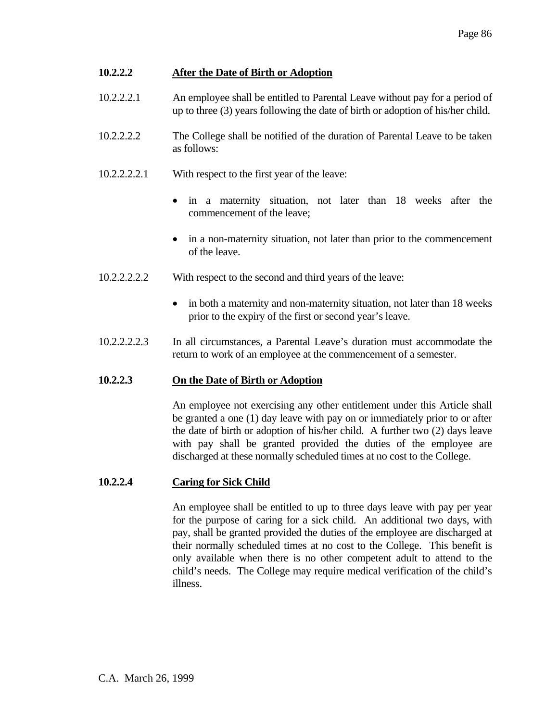# **10.2.2.2 After the Date of Birth or Adoption**

- 10.2.2.2.1 An employee shall be entitled to Parental Leave without pay for a period of up to three (3) years following the date of birth or adoption of his/her child.
- 10.2.2.2.2 The College shall be notified of the duration of Parental Leave to be taken as follows:
- 10.2.2.2.2.1 With respect to the first year of the leave:
	- in a maternity situation, not later than 18 weeks after the commencement of the leave;
	- in a non-maternity situation, not later than prior to the commencement of the leave.
- 10.2.2.2.2.2 With respect to the second and third years of the leave:
	- in both a maternity and non-maternity situation, not later than 18 weeks prior to the expiry of the first or second year's leave.
- 10.2.2.2.2.3 In all circumstances, a Parental Leave's duration must accommodate the return to work of an employee at the commencement of a semester.

# **10.2.2.3 On the Date of Birth or Adoption**

 An employee not exercising any other entitlement under this Article shall be granted a one (1) day leave with pay on or immediately prior to or after the date of birth or adoption of his/her child. A further two (2) days leave with pay shall be granted provided the duties of the employee are discharged at these normally scheduled times at no cost to the College.

# **10.2.2.4 Caring for Sick Child**

 An employee shall be entitled to up to three days leave with pay per year for the purpose of caring for a sick child. An additional two days, with pay, shall be granted provided the duties of the employee are discharged at their normally scheduled times at no cost to the College. This benefit is only available when there is no other competent adult to attend to the child's needs. The College may require medical verification of the child's illness.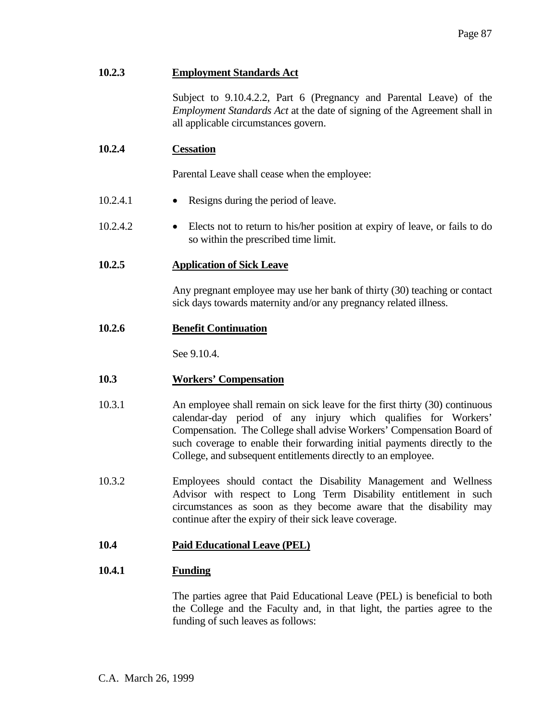# **10.2.3 Employment Standards Act**

 Subject to 9.10.4.2.2, Part 6 (Pregnancy and Parental Leave) of the *Employment Standards Act* at the date of signing of the Agreement shall in all applicable circumstances govern.

## **10.2.4 Cessation**

Parental Leave shall cease when the employee:

- 10.2.4.1 Resigns during the period of leave.
- 10.2.4.2 Elects not to return to his/her position at expiry of leave, or fails to do so within the prescribed time limit.
- **10.2.5 Application of Sick Leave**

 Any pregnant employee may use her bank of thirty (30) teaching or contact sick days towards maternity and/or any pregnancy related illness.

**10.2.6 Benefit Continuation**

See 9.10.4.

#### **10.3 Workers' Compensation**

- 10.3.1 An employee shall remain on sick leave for the first thirty (30) continuous calendar-day period of any injury which qualifies for Workers' Compensation. The College shall advise Workers' Compensation Board of such coverage to enable their forwarding initial payments directly to the College, and subsequent entitlements directly to an employee.
- 10.3.2 Employees should contact the Disability Management and Wellness Advisor with respect to Long Term Disability entitlement in such circumstances as soon as they become aware that the disability may continue after the expiry of their sick leave coverage.

# **10.4 Paid Educational Leave (PEL)**

#### **10.4.1 Funding**

 The parties agree that Paid Educational Leave (PEL) is beneficial to both the College and the Faculty and, in that light, the parties agree to the funding of such leaves as follows: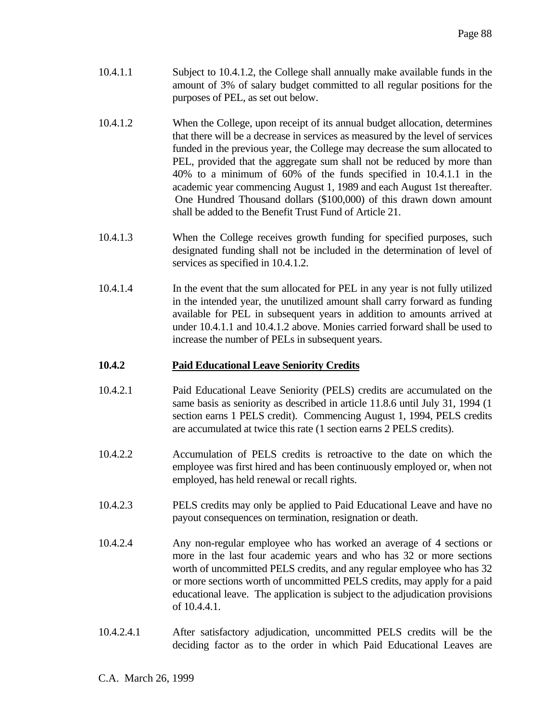- 10.4.1.1 Subject to 10.4.1.2, the College shall annually make available funds in the amount of 3% of salary budget committed to all regular positions for the purposes of PEL, as set out below.
- 10.4.1.2 When the College, upon receipt of its annual budget allocation, determines that there will be a decrease in services as measured by the level of services funded in the previous year, the College may decrease the sum allocated to PEL, provided that the aggregate sum shall not be reduced by more than 40% to a minimum of 60% of the funds specified in 10.4.1.1 in the academic year commencing August 1, 1989 and each August 1st thereafter. One Hundred Thousand dollars (\$100,000) of this drawn down amount shall be added to the Benefit Trust Fund of Article 21.
- 10.4.1.3 When the College receives growth funding for specified purposes, such designated funding shall not be included in the determination of level of services as specified in 10.4.1.2.
- 10.4.1.4 In the event that the sum allocated for PEL in any year is not fully utilized in the intended year, the unutilized amount shall carry forward as funding available for PEL in subsequent years in addition to amounts arrived at under 10.4.1.1 and 10.4.1.2 above. Monies carried forward shall be used to increase the number of PELs in subsequent years.

#### **10.4.2 Paid Educational Leave Seniority Credits**

- 10.4.2.1 Paid Educational Leave Seniority (PELS) credits are accumulated on the same basis as seniority as described in article 11.8.6 until July 31, 1994 (1 section earns 1 PELS credit). Commencing August 1, 1994, PELS credits are accumulated at twice this rate (1 section earns 2 PELS credits).
- 10.4.2.2 Accumulation of PELS credits is retroactive to the date on which the employee was first hired and has been continuously employed or, when not employed, has held renewal or recall rights.
- 10.4.2.3 PELS credits may only be applied to Paid Educational Leave and have no payout consequences on termination, resignation or death.
- 10.4.2.4 Any non-regular employee who has worked an average of 4 sections or more in the last four academic years and who has 32 or more sections worth of uncommitted PELS credits, and any regular employee who has 32 or more sections worth of uncommitted PELS credits, may apply for a paid educational leave. The application is subject to the adjudication provisions of 10.4.4.1.
- 10.4.2.4.1 After satisfactory adjudication, uncommitted PELS credits will be the deciding factor as to the order in which Paid Educational Leaves are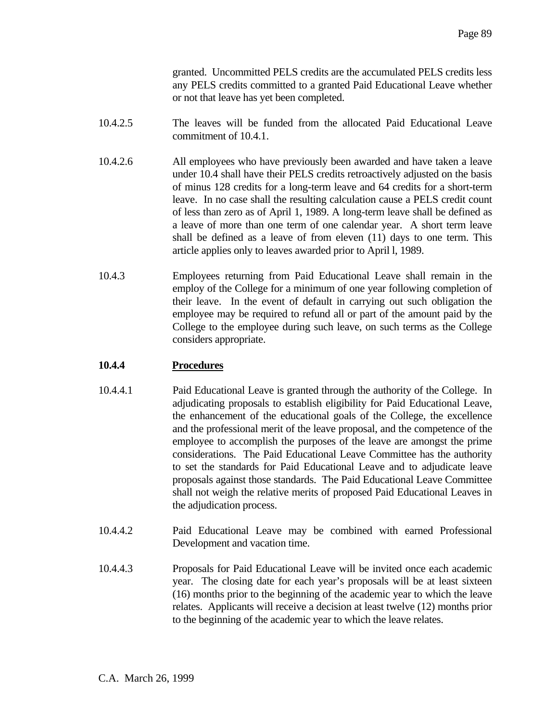granted. Uncommitted PELS credits are the accumulated PELS credits less any PELS credits committed to a granted Paid Educational Leave whether or not that leave has yet been completed.

- 10.4.2.5 The leaves will be funded from the allocated Paid Educational Leave commitment of 10.4.1.
- 10.4.2.6 All employees who have previously been awarded and have taken a leave under 10.4 shall have their PELS credits retroactively adjusted on the basis of minus 128 credits for a long-term leave and 64 credits for a short-term leave. In no case shall the resulting calculation cause a PELS credit count of less than zero as of April 1, 1989. A long-term leave shall be defined as a leave of more than one term of one calendar year. A short term leave shall be defined as a leave of from eleven (11) days to one term. This article applies only to leaves awarded prior to April l, 1989.
- 10.4.3 Employees returning from Paid Educational Leave shall remain in the employ of the College for a minimum of one year following completion of their leave. In the event of default in carrying out such obligation the employee may be required to refund all or part of the amount paid by the College to the employee during such leave, on such terms as the College considers appropriate.

# **10.4.4 Procedures**

- 10.4.4.1 Paid Educational Leave is granted through the authority of the College. In adjudicating proposals to establish eligibility for Paid Educational Leave, the enhancement of the educational goals of the College, the excellence and the professional merit of the leave proposal, and the competence of the employee to accomplish the purposes of the leave are amongst the prime considerations. The Paid Educational Leave Committee has the authority to set the standards for Paid Educational Leave and to adjudicate leave proposals against those standards. The Paid Educational Leave Committee shall not weigh the relative merits of proposed Paid Educational Leaves in the adjudication process.
- 10.4.4.2 Paid Educational Leave may be combined with earned Professional Development and vacation time.
- 10.4.4.3 Proposals for Paid Educational Leave will be invited once each academic year. The closing date for each year's proposals will be at least sixteen (16) months prior to the beginning of the academic year to which the leave relates. Applicants will receive a decision at least twelve (12) months prior to the beginning of the academic year to which the leave relates.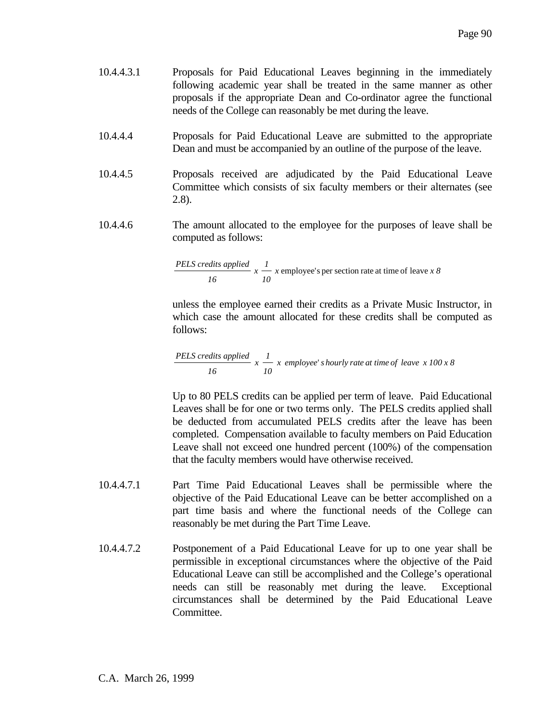- 10.4.4.3.1 Proposals for Paid Educational Leaves beginning in the immediately following academic year shall be treated in the same manner as other proposals if the appropriate Dean and Co-ordinator agree the functional needs of the College can reasonably be met during the leave.
- 10.4.4.4 Proposals for Paid Educational Leave are submitted to the appropriate Dean and must be accompanied by an outline of the purpose of the leave.
- 10.4.4.5 Proposals received are adjudicated by the Paid Educational Leave Committee which consists of six faculty members or their alternates (see 2.8).
- 10.4.4.6 The amount allocated to the employee for the purposes of leave shall be computed as follows:

PELS credits applied 
$$
x \frac{1}{10} x
$$
 employee's per section rate at time of leave  $x 8$ 

 unless the employee earned their credits as a Private Music Instructor, in which case the amount allocated for these credits shall be computed as follows:

PELS credits applied 
$$
x \frac{1}{10} x
$$
 employee's hourly rate at time of leave  $x 100 x 8$ 

 Up to 80 PELS credits can be applied per term of leave. Paid Educational Leaves shall be for one or two terms only. The PELS credits applied shall be deducted from accumulated PELS credits after the leave has been completed. Compensation available to faculty members on Paid Education Leave shall not exceed one hundred percent (100%) of the compensation that the faculty members would have otherwise received.

- 10.4.4.7.1 Part Time Paid Educational Leaves shall be permissible where the objective of the Paid Educational Leave can be better accomplished on a part time basis and where the functional needs of the College can reasonably be met during the Part Time Leave.
- 10.4.4.7.2 Postponement of a Paid Educational Leave for up to one year shall be permissible in exceptional circumstances where the objective of the Paid Educational Leave can still be accomplished and the College's operational needs can still be reasonably met during the leave. Exceptional circumstances shall be determined by the Paid Educational Leave Committee.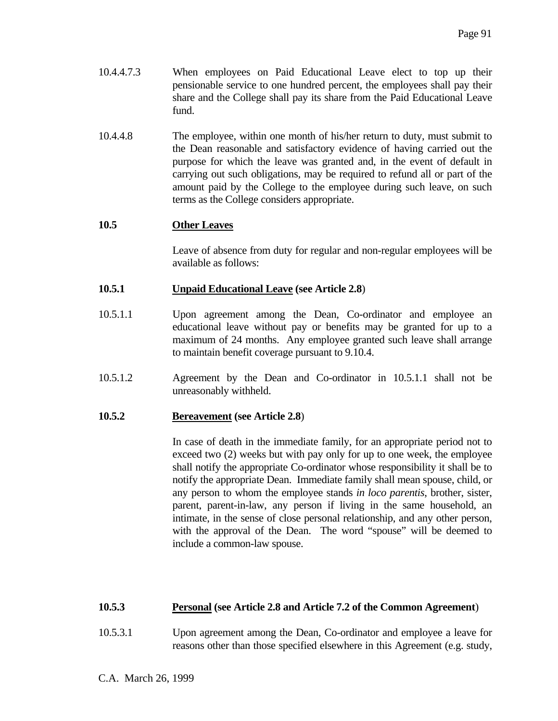- 10.4.4.7.3 When employees on Paid Educational Leave elect to top up their pensionable service to one hundred percent, the employees shall pay their share and the College shall pay its share from the Paid Educational Leave fund.
- 10.4.4.8 The employee, within one month of his/her return to duty, must submit to the Dean reasonable and satisfactory evidence of having carried out the purpose for which the leave was granted and, in the event of default in carrying out such obligations, may be required to refund all or part of the amount paid by the College to the employee during such leave, on such terms as the College considers appropriate.

# **10.5 Other Leaves**

 Leave of absence from duty for regular and non-regular employees will be available as follows:

## **10.5.1 Unpaid Educational Leave (see Article 2.8**)

- 10.5.1.1 Upon agreement among the Dean, Co-ordinator and employee an educational leave without pay or benefits may be granted for up to a maximum of 24 months. Any employee granted such leave shall arrange to maintain benefit coverage pursuant to 9.10.4.
- 10.5.1.2 Agreement by the Dean and Co-ordinator in 10.5.1.1 shall not be unreasonably withheld.

#### **10.5.2 Bereavement (see Article 2.8**)

 In case of death in the immediate family, for an appropriate period not to exceed two (2) weeks but with pay only for up to one week, the employee shall notify the appropriate Co-ordinator whose responsibility it shall be to notify the appropriate Dean. Immediate family shall mean spouse, child, or any person to whom the employee stands *in loco parentis*, brother, sister, parent, parent-in-law, any person if living in the same household, an intimate, in the sense of close personal relationship, and any other person, with the approval of the Dean. The word "spouse" will be deemed to include a common-law spouse.

# **10.5.3 Personal (see Article 2.8 and Article 7.2 of the Common Agreement**)

10.5.3.1 Upon agreement among the Dean, Co-ordinator and employee a leave for reasons other than those specified elsewhere in this Agreement (e.g. study,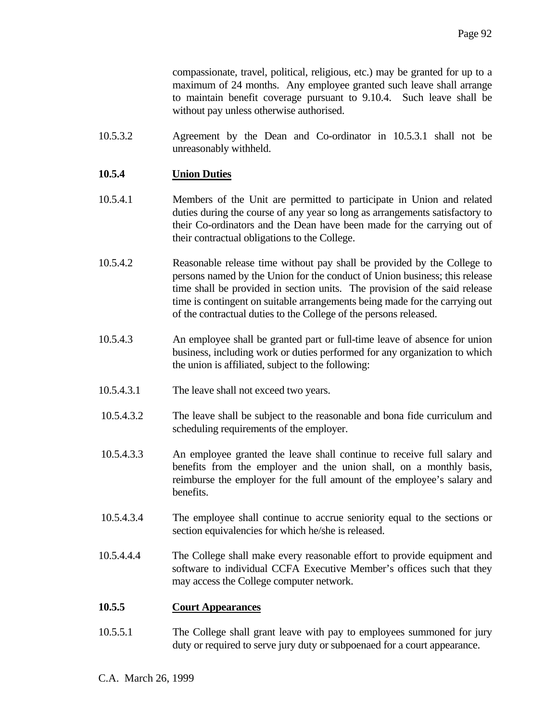compassionate, travel, political, religious, etc.) may be granted for up to a maximum of 24 months. Any employee granted such leave shall arrange to maintain benefit coverage pursuant to 9.10.4. Such leave shall be without pay unless otherwise authorised.

10.5.3.2 Agreement by the Dean and Co-ordinator in 10.5.3.1 shall not be unreasonably withheld.

## **10.5.4 Union Duties**

- 10.5.4.1 Members of the Unit are permitted to participate in Union and related duties during the course of any year so long as arrangements satisfactory to their Co-ordinators and the Dean have been made for the carrying out of their contractual obligations to the College.
- 10.5.4.2 Reasonable release time without pay shall be provided by the College to persons named by the Union for the conduct of Union business; this release time shall be provided in section units. The provision of the said release time is contingent on suitable arrangements being made for the carrying out of the contractual duties to the College of the persons released.
- 10.5.4.3 An employee shall be granted part or full-time leave of absence for union business, including work or duties performed for any organization to which the union is affiliated, subject to the following:
- 10.5.4.3.1 The leave shall not exceed two years.
- 10.5.4.3.2 The leave shall be subject to the reasonable and bona fide curriculum and scheduling requirements of the employer.
- 10.5.4.3.3 An employee granted the leave shall continue to receive full salary and benefits from the employer and the union shall, on a monthly basis, reimburse the employer for the full amount of the employee's salary and benefits.
- 10.5.4.3.4 The employee shall continue to accrue seniority equal to the sections or section equivalencies for which he/she is released.
- 10.5.4.4.4 The College shall make every reasonable effort to provide equipment and software to individual CCFA Executive Member's offices such that they may access the College computer network.

#### **10.5.5 Court Appearances**

10.5.5.1 The College shall grant leave with pay to employees summoned for jury duty or required to serve jury duty or subpoenaed for a court appearance.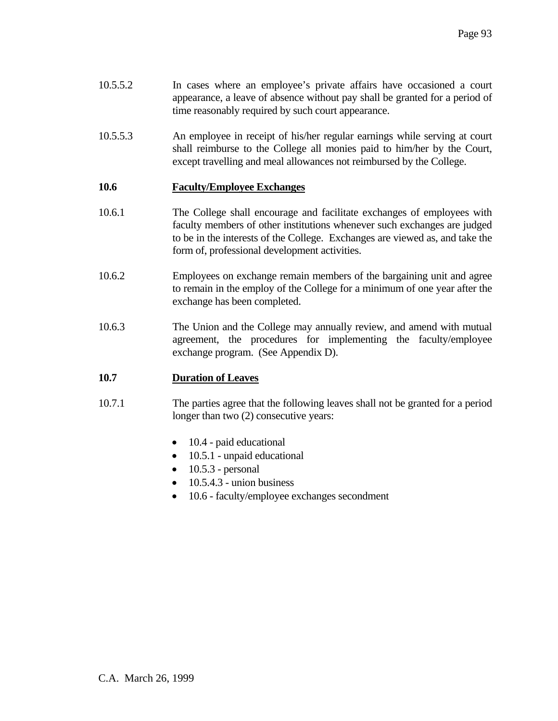- 10.5.5.2 In cases where an employee's private affairs have occasioned a court appearance, a leave of absence without pay shall be granted for a period of time reasonably required by such court appearance.
- 10.5.5.3 An employee in receipt of his/her regular earnings while serving at court shall reimburse to the College all monies paid to him/her by the Court, except travelling and meal allowances not reimbursed by the College.

## **10.6 Faculty/Employee Exchanges**

- 10.6.1 The College shall encourage and facilitate exchanges of employees with faculty members of other institutions whenever such exchanges are judged to be in the interests of the College. Exchanges are viewed as, and take the form of, professional development activities.
- 10.6.2 Employees on exchange remain members of the bargaining unit and agree to remain in the employ of the College for a minimum of one year after the exchange has been completed.
- 10.6.3 The Union and the College may annually review, and amend with mutual agreement, the procedures for implementing the faculty/employee exchange program. (See Appendix D).

#### **10.7 Duration of Leaves**

- 10.7.1 The parties agree that the following leaves shall not be granted for a period longer than two  $(2)$  consecutive years:
	- 10.4 paid educational
	- 10.5.1 unpaid educational
	- $\bullet$  10.5.3 personal
	- $\bullet$  10.5.4.3 union business
	- 10.6 faculty/employee exchanges secondment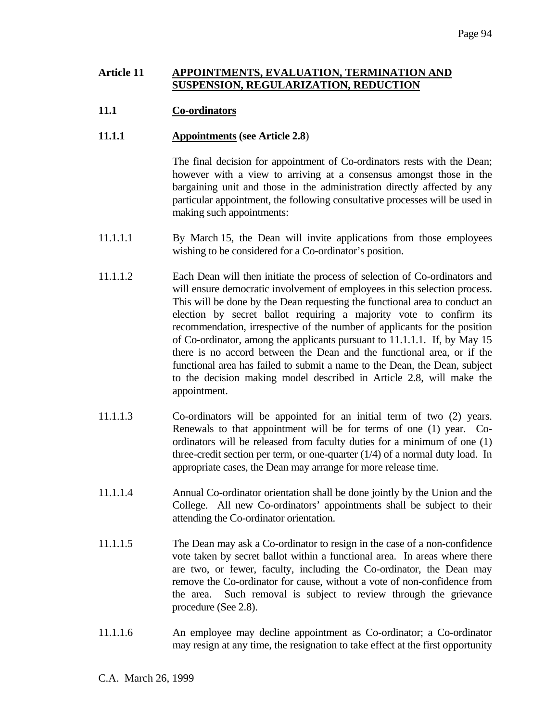#### **Article 11 APPOINTMENTS, EVALUATION, TERMINATION AND SUSPENSION, REGULARIZATION, REDUCTION**

## **11.1 Co-ordinators**

#### **11.1.1 Appointments (see Article 2.8**)

 The final decision for appointment of Co-ordinators rests with the Dean; however with a view to arriving at a consensus amongst those in the bargaining unit and those in the administration directly affected by any particular appointment, the following consultative processes will be used in making such appointments:

- 11.1.1.1 By March 15, the Dean will invite applications from those employees wishing to be considered for a Co-ordinator's position.
- 11.1.1.2 Each Dean will then initiate the process of selection of Co-ordinators and will ensure democratic involvement of employees in this selection process. This will be done by the Dean requesting the functional area to conduct an election by secret ballot requiring a majority vote to confirm its recommendation, irrespective of the number of applicants for the position of Co-ordinator, among the applicants pursuant to 11.1.1.1. If, by May 15 there is no accord between the Dean and the functional area, or if the functional area has failed to submit a name to the Dean, the Dean, subject to the decision making model described in Article 2.8, will make the appointment.
- 11.1.1.3 Co-ordinators will be appointed for an initial term of two (2) years. Renewals to that appointment will be for terms of one (1) year. Coordinators will be released from faculty duties for a minimum of one (1) three-credit section per term, or one-quarter (1/4) of a normal duty load. In appropriate cases, the Dean may arrange for more release time.
- 11.1.1.4 Annual Co-ordinator orientation shall be done jointly by the Union and the College. All new Co-ordinators' appointments shall be subject to their attending the Co-ordinator orientation.
- 11.1.1.5 The Dean may ask a Co-ordinator to resign in the case of a non-confidence vote taken by secret ballot within a functional area. In areas where there are two, or fewer, faculty, including the Co-ordinator, the Dean may remove the Co-ordinator for cause, without a vote of non-confidence from the area. Such removal is subject to review through the grievance procedure (See 2.8).
- 11.1.1.6 An employee may decline appointment as Co-ordinator; a Co-ordinator may resign at any time, the resignation to take effect at the first opportunity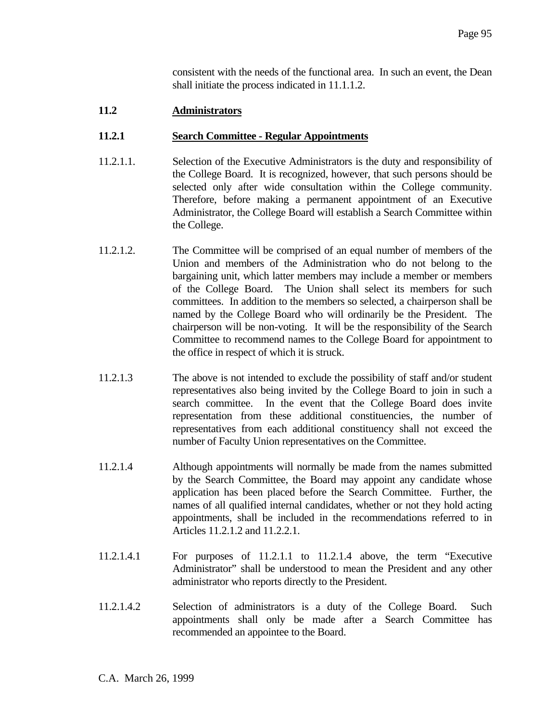consistent with the needs of the functional area. In such an event, the Dean shall initiate the process indicated in 11.1.1.2.

## **11.2 Administrators**

#### **11.2.1 Search Committee - Regular Appointments**

- 11.2.1.1. Selection of the Executive Administrators is the duty and responsibility of the College Board. It is recognized, however, that such persons should be selected only after wide consultation within the College community. Therefore, before making a permanent appointment of an Executive Administrator, the College Board will establish a Search Committee within the College.
- 11.2.1.2. The Committee will be comprised of an equal number of members of the Union and members of the Administration who do not belong to the bargaining unit, which latter members may include a member or members of the College Board. The Union shall select its members for such committees. In addition to the members so selected, a chairperson shall be named by the College Board who will ordinarily be the President. The chairperson will be non-voting. It will be the responsibility of the Search Committee to recommend names to the College Board for appointment to the office in respect of which it is struck.
- 11.2.1.3 The above is not intended to exclude the possibility of staff and/or student representatives also being invited by the College Board to join in such a search committee. In the event that the College Board does invite representation from these additional constituencies, the number of representatives from each additional constituency shall not exceed the number of Faculty Union representatives on the Committee.
- 11.2.1.4 Although appointments will normally be made from the names submitted by the Search Committee, the Board may appoint any candidate whose application has been placed before the Search Committee. Further, the names of all qualified internal candidates, whether or not they hold acting appointments, shall be included in the recommendations referred to in Articles 11.2.1.2 and 11.2.2.1.
- 11.2.1.4.1 For purposes of 11.2.1.1 to 11.2.1.4 above, the term "Executive Administrator" shall be understood to mean the President and any other administrator who reports directly to the President.
- 11.2.1.4.2 Selection of administrators is a duty of the College Board. Such appointments shall only be made after a Search Committee has recommended an appointee to the Board.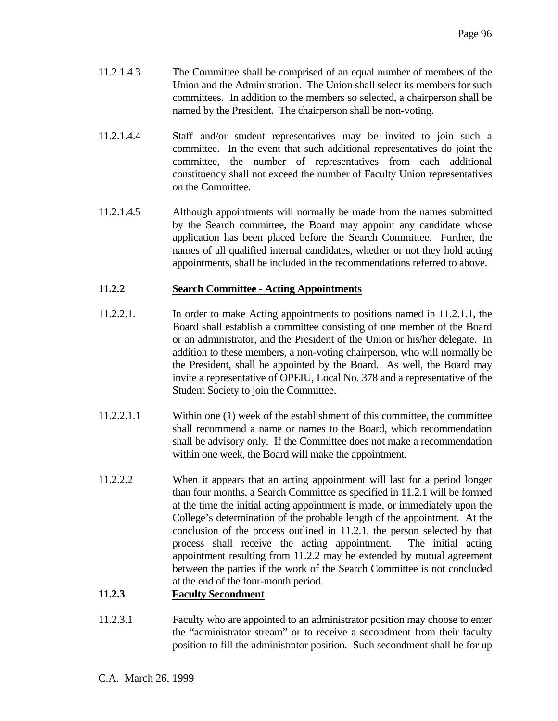- 11.2.1.4.3 The Committee shall be comprised of an equal number of members of the Union and the Administration. The Union shall select its members for such committees. In addition to the members so selected, a chairperson shall be named by the President. The chairperson shall be non-voting.
- 11.2.1.4.4 Staff and/or student representatives may be invited to join such a committee. In the event that such additional representatives do joint the committee, the number of representatives from each additional constituency shall not exceed the number of Faculty Union representatives on the Committee.
- 11.2.1.4.5 Although appointments will normally be made from the names submitted by the Search committee, the Board may appoint any candidate whose application has been placed before the Search Committee. Further, the names of all qualified internal candidates, whether or not they hold acting appointments, shall be included in the recommendations referred to above.

# **11.2.2 Search Committee - Acting Appointments**

- 11.2.2.1. In order to make Acting appointments to positions named in 11.2.1.1, the Board shall establish a committee consisting of one member of the Board or an administrator, and the President of the Union or his/her delegate. In addition to these members, a non-voting chairperson, who will normally be the President, shall be appointed by the Board. As well, the Board may invite a representative of OPEIU, Local No. 378 and a representative of the Student Society to join the Committee.
- 11.2.2.1.1 Within one (1) week of the establishment of this committee, the committee shall recommend a name or names to the Board, which recommendation shall be advisory only. If the Committee does not make a recommendation within one week, the Board will make the appointment.
- 11.2.2.2 When it appears that an acting appointment will last for a period longer than four months, a Search Committee as specified in 11.2.1 will be formed at the time the initial acting appointment is made, or immediately upon the College's determination of the probable length of the appointment. At the conclusion of the process outlined in 11.2.1, the person selected by that process shall receive the acting appointment. The initial acting appointment resulting from 11.2.2 may be extended by mutual agreement between the parties if the work of the Search Committee is not concluded at the end of the four-month period.

# **11.2.3 Faculty Secondment**

11.2.3.1 Faculty who are appointed to an administrator position may choose to enter the "administrator stream" or to receive a secondment from their faculty position to fill the administrator position. Such secondment shall be for up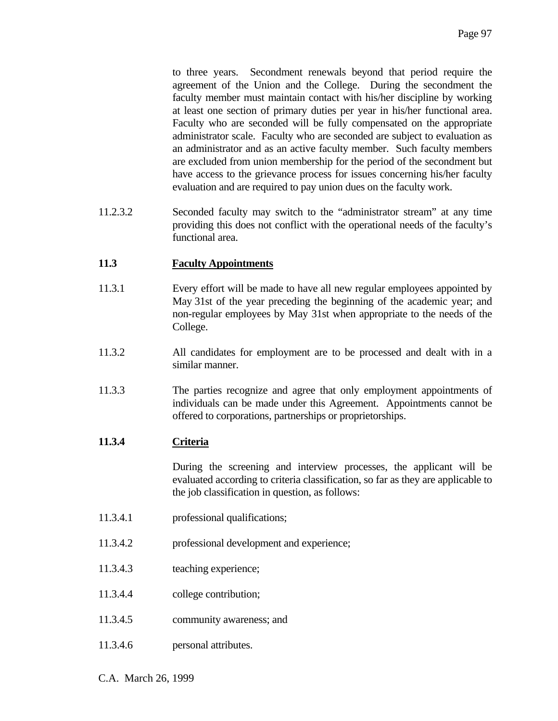to three years. Secondment renewals beyond that period require the agreement of the Union and the College. During the secondment the faculty member must maintain contact with his/her discipline by working at least one section of primary duties per year in his/her functional area. Faculty who are seconded will be fully compensated on the appropriate administrator scale. Faculty who are seconded are subject to evaluation as an administrator and as an active faculty member. Such faculty members are excluded from union membership for the period of the secondment but have access to the grievance process for issues concerning his/her faculty evaluation and are required to pay union dues on the faculty work.

11.2.3.2 Seconded faculty may switch to the "administrator stream" at any time providing this does not conflict with the operational needs of the faculty's functional area.

# **11.3 Faculty Appointments**

- 11.3.1 Every effort will be made to have all new regular employees appointed by May 31st of the year preceding the beginning of the academic year; and non-regular employees by May 31st when appropriate to the needs of the College.
- 11.3.2 All candidates for employment are to be processed and dealt with in a similar manner.
- 11.3.3 The parties recognize and agree that only employment appointments of individuals can be made under this Agreement. Appointments cannot be offered to corporations, partnerships or proprietorships.

#### **11.3.4 Criteria**

 During the screening and interview processes, the applicant will be evaluated according to criteria classification, so far as they are applicable to the job classification in question, as follows:

- 11.3.4.1 professional qualifications;
- 11.3.4.2 professional development and experience;
- 11.3.4.3 teaching experience;
- 11.3.4.4 college contribution;
- 11.3.4.5 community awareness; and
- 11.3.4.6 personal attributes.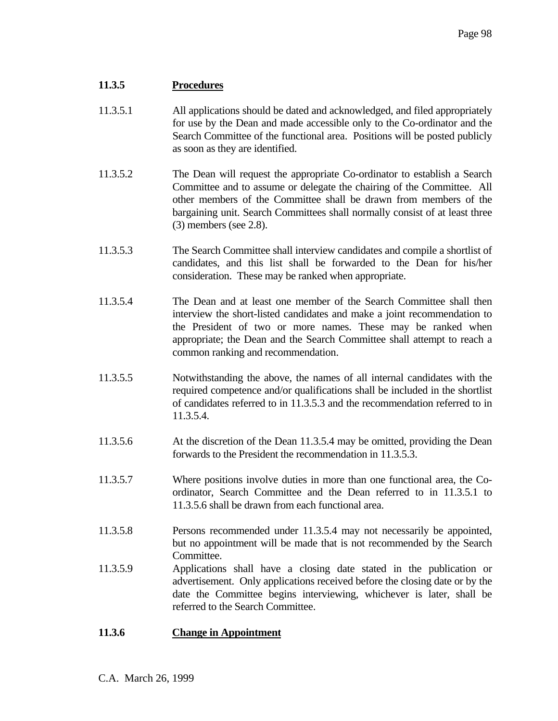# **11.3.5 Procedures**

- 11.3.5.1 All applications should be dated and acknowledged, and filed appropriately for use by the Dean and made accessible only to the Co-ordinator and the Search Committee of the functional area. Positions will be posted publicly as soon as they are identified.
- 11.3.5.2 The Dean will request the appropriate Co-ordinator to establish a Search Committee and to assume or delegate the chairing of the Committee. All other members of the Committee shall be drawn from members of the bargaining unit. Search Committees shall normally consist of at least three (3) members (see 2.8).
- 11.3.5.3 The Search Committee shall interview candidates and compile a shortlist of candidates, and this list shall be forwarded to the Dean for his/her consideration. These may be ranked when appropriate.
- 11.3.5.4 The Dean and at least one member of the Search Committee shall then interview the short-listed candidates and make a joint recommendation to the President of two or more names. These may be ranked when appropriate; the Dean and the Search Committee shall attempt to reach a common ranking and recommendation.
- 11.3.5.5 Notwithstanding the above, the names of all internal candidates with the required competence and/or qualifications shall be included in the shortlist of candidates referred to in 11.3.5.3 and the recommendation referred to in 11.3.5.4.
- 11.3.5.6 At the discretion of the Dean 11.3.5.4 may be omitted, providing the Dean forwards to the President the recommendation in 11.3.5.3.
- 11.3.5.7 Where positions involve duties in more than one functional area, the Coordinator, Search Committee and the Dean referred to in 11.3.5.1 to 11.3.5.6 shall be drawn from each functional area.
- 11.3.5.8 Persons recommended under 11.3.5.4 may not necessarily be appointed, but no appointment will be made that is not recommended by the Search Committee.
- 11.3.5.9 Applications shall have a closing date stated in the publication or advertisement. Only applications received before the closing date or by the date the Committee begins interviewing, whichever is later, shall be referred to the Search Committee.

# **11.3.6 Change in Appointment**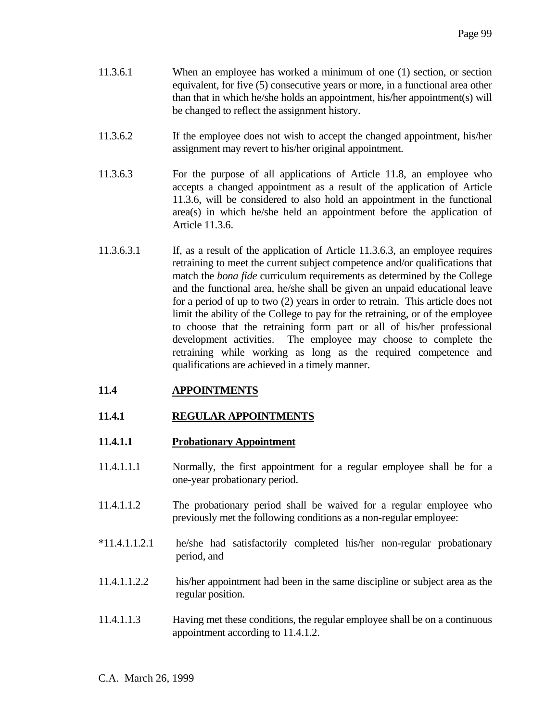- 11.3.6.1 When an employee has worked a minimum of one (1) section, or section equivalent, for five (5) consecutive years or more, in a functional area other than that in which he/she holds an appointment, his/her appointment(s) will be changed to reflect the assignment history.
- 11.3.6.2 If the employee does not wish to accept the changed appointment, his/her assignment may revert to his/her original appointment.
- 11.3.6.3 For the purpose of all applications of Article 11.8, an employee who accepts a changed appointment as a result of the application of Article 11.3.6, will be considered to also hold an appointment in the functional area(s) in which he/she held an appointment before the application of Article 11.3.6.
- 11.3.6.3.1 If, as a result of the application of Article 11.3.6.3, an employee requires retraining to meet the current subject competence and/or qualifications that match the *bona fide* curriculum requirements as determined by the College and the functional area, he/she shall be given an unpaid educational leave for a period of up to two (2) years in order to retrain. This article does not limit the ability of the College to pay for the retraining, or of the employee to choose that the retraining form part or all of his/her professional development activities. The employee may choose to complete the retraining while working as long as the required competence and qualifications are achieved in a timely manner.

# **11.4 APPOINTMENTS**

# **11.4.1 REGULAR APPOINTMENTS**

# **11.4.1.1 Probationary Appointment**

- 11.4.1.1.1 Normally, the first appointment for a regular employee shall be for a one-year probationary period.
- 11.4.1.1.2 The probationary period shall be waived for a regular employee who previously met the following conditions as a non-regular employee:
- \*11.4.1.1.2.1 he/she had satisfactorily completed his/her non-regular probationary period, and
- 11.4.1.1.2.2 his/her appointment had been in the same discipline or subject area as the regular position.
- 11.4.1.1.3 Having met these conditions, the regular employee shall be on a continuous appointment according to 11.4.1.2.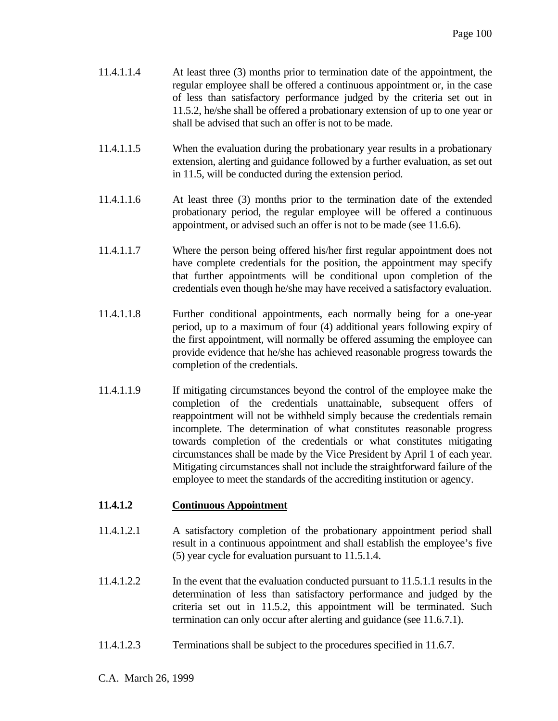- 11.4.1.1.4 At least three (3) months prior to termination date of the appointment, the regular employee shall be offered a continuous appointment or, in the case of less than satisfactory performance judged by the criteria set out in 11.5.2, he/she shall be offered a probationary extension of up to one year or shall be advised that such an offer is not to be made.
- 11.4.1.1.5 When the evaluation during the probationary year results in a probationary extension, alerting and guidance followed by a further evaluation, as set out in 11.5, will be conducted during the extension period.
- 11.4.1.1.6 At least three (3) months prior to the termination date of the extended probationary period, the regular employee will be offered a continuous appointment, or advised such an offer is not to be made (see 11.6.6).
- 11.4.1.1.7 Where the person being offered his/her first regular appointment does not have complete credentials for the position, the appointment may specify that further appointments will be conditional upon completion of the credentials even though he/she may have received a satisfactory evaluation.
- 11.4.1.1.8 Further conditional appointments, each normally being for a one-year period, up to a maximum of four (4) additional years following expiry of the first appointment, will normally be offered assuming the employee can provide evidence that he/she has achieved reasonable progress towards the completion of the credentials.
- 11.4.1.1.9 If mitigating circumstances beyond the control of the employee make the completion of the credentials unattainable, subsequent offers of reappointment will not be withheld simply because the credentials remain incomplete. The determination of what constitutes reasonable progress towards completion of the credentials or what constitutes mitigating circumstances shall be made by the Vice President by April 1 of each year. Mitigating circumstances shall not include the straightforward failure of the employee to meet the standards of the accrediting institution or agency.

# **11.4.1.2 Continuous Appointment**

- 11.4.1.2.1 A satisfactory completion of the probationary appointment period shall result in a continuous appointment and shall establish the employee's five (5) year cycle for evaluation pursuant to 11.5.1.4.
- 11.4.1.2.2 In the event that the evaluation conducted pursuant to 11.5.1.1 results in the determination of less than satisfactory performance and judged by the criteria set out in 11.5.2, this appointment will be terminated. Such termination can only occur after alerting and guidance (see 11.6.7.1).
- 11.4.1.2.3 Terminations shall be subject to the procedures specified in 11.6.7.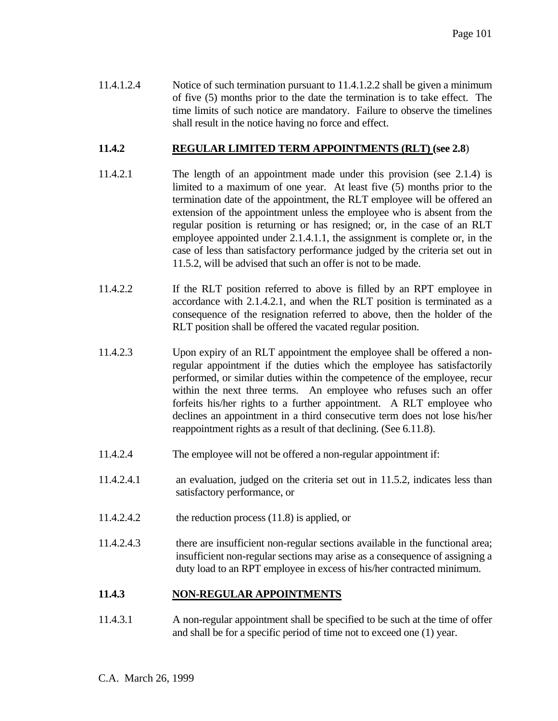11.4.1.2.4 Notice of such termination pursuant to 11.4.1.2.2 shall be given a minimum of five (5) months prior to the date the termination is to take effect. The time limits of such notice are mandatory. Failure to observe the timelines shall result in the notice having no force and effect.

## **11.4.2 REGULAR LIMITED TERM APPOINTMENTS (RLT) (see 2.8**)

- 11.4.2.1 The length of an appointment made under this provision (see 2.1.4) is limited to a maximum of one year. At least five (5) months prior to the termination date of the appointment, the RLT employee will be offered an extension of the appointment unless the employee who is absent from the regular position is returning or has resigned; or, in the case of an RLT employee appointed under 2.1.4.1.1, the assignment is complete or, in the case of less than satisfactory performance judged by the criteria set out in 11.5.2, will be advised that such an offer is not to be made.
- 11.4.2.2 If the RLT position referred to above is filled by an RPT employee in accordance with 2.1.4.2.1, and when the RLT position is terminated as a consequence of the resignation referred to above, then the holder of the RLT position shall be offered the vacated regular position.
- 11.4.2.3 Upon expiry of an RLT appointment the employee shall be offered a nonregular appointment if the duties which the employee has satisfactorily performed, or similar duties within the competence of the employee, recur within the next three terms. An employee who refuses such an offer forfeits his/her rights to a further appointment. A RLT employee who declines an appointment in a third consecutive term does not lose his/her reappointment rights as a result of that declining. (See 6.11.8).
- 11.4.2.4 The employee will not be offered a non-regular appointment if:
- 11.4.2.4.1 an evaluation, judged on the criteria set out in 11.5.2, indicates less than satisfactory performance, or
- 11.4.2.4.2 the reduction process (11.8) is applied, or
- 11.4.2.4.3 there are insufficient non-regular sections available in the functional area; insufficient non-regular sections may arise as a consequence of assigning a duty load to an RPT employee in excess of his/her contracted minimum.

# **11.4.3 NON-REGULAR APPOINTMENTS**

11.4.3.1 A non-regular appointment shall be specified to be such at the time of offer and shall be for a specific period of time not to exceed one (1) year.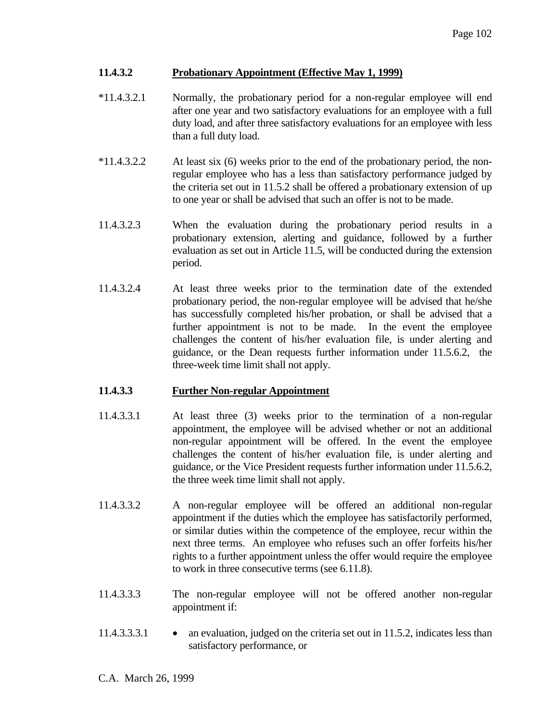## **11.4.3.2 Probationary Appointment (Effective May 1, 1999)**

- \*11.4.3.2.1 Normally, the probationary period for a non-regular employee will end after one year and two satisfactory evaluations for an employee with a full duty load, and after three satisfactory evaluations for an employee with less than a full duty load.
- \*11.4.3.2.2 At least six (6) weeks prior to the end of the probationary period, the nonregular employee who has a less than satisfactory performance judged by the criteria set out in 11.5.2 shall be offered a probationary extension of up to one year or shall be advised that such an offer is not to be made.
- 11.4.3.2.3 When the evaluation during the probationary period results in a probationary extension, alerting and guidance, followed by a further evaluation as set out in Article 11.5, will be conducted during the extension period.
- 11.4.3.2.4 At least three weeks prior to the termination date of the extended probationary period, the non-regular employee will be advised that he/she has successfully completed his/her probation, or shall be advised that a further appointment is not to be made. In the event the employee challenges the content of his/her evaluation file, is under alerting and guidance, or the Dean requests further information under 11.5.6.2, the three-week time limit shall not apply.

# **11.4.3.3 Further Non-regular Appointment**

- 11.4.3.3.1 At least three (3) weeks prior to the termination of a non-regular appointment, the employee will be advised whether or not an additional non-regular appointment will be offered. In the event the employee challenges the content of his/her evaluation file, is under alerting and guidance, or the Vice President requests further information under 11.5.6.2, the three week time limit shall not apply.
- 11.4.3.3.2 A non-regular employee will be offered an additional non-regular appointment if the duties which the employee has satisfactorily performed, or similar duties within the competence of the employee, recur within the next three terms. An employee who refuses such an offer forfeits his/her rights to a further appointment unless the offer would require the employee to work in three consecutive terms (see 6.11.8).
- 11.4.3.3.3 The non-regular employee will not be offered another non-regular appointment if:
- 11.4.3.3.3.1 an evaluation, judged on the criteria set out in 11.5.2, indicates less than satisfactory performance, or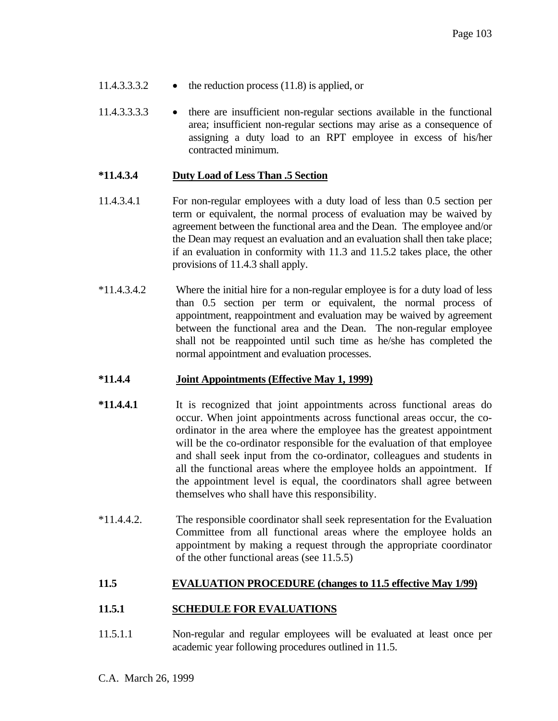- 11.4.3.3.3.2 the reduction process (11.8) is applied, or
- 11.4.3.3.3.3 there are insufficient non-regular sections available in the functional area; insufficient non-regular sections may arise as a consequence of assigning a duty load to an RPT employee in excess of his/her contracted minimum.

#### **\*11.4.3.4 Duty Load of Less Than .5 Section**

- 11.4.3.4.1 For non-regular employees with a duty load of less than 0.5 section per term or equivalent, the normal process of evaluation may be waived by agreement between the functional area and the Dean. The employee and/or the Dean may request an evaluation and an evaluation shall then take place; if an evaluation in conformity with 11.3 and 11.5.2 takes place, the other provisions of 11.4.3 shall apply.
- \*11.4.3.4.2 Where the initial hire for a non-regular employee is for a duty load of less than 0.5 section per term or equivalent, the normal process of appointment, reappointment and evaluation may be waived by agreement between the functional area and the Dean. The non-regular employee shall not be reappointed until such time as he/she has completed the normal appointment and evaluation processes.

#### **\*11.4.4 Joint Appointments (Effective May 1, 1999)**

- **\*11.4.4.1** It is recognized that joint appointments across functional areas do occur. When joint appointments across functional areas occur, the coordinator in the area where the employee has the greatest appointment will be the co-ordinator responsible for the evaluation of that employee and shall seek input from the co-ordinator, colleagues and students in all the functional areas where the employee holds an appointment. If the appointment level is equal, the coordinators shall agree between themselves who shall have this responsibility.
- \*11.4.4.2. The responsible coordinator shall seek representation for the Evaluation Committee from all functional areas where the employee holds an appointment by making a request through the appropriate coordinator of the other functional areas (see 11.5.5)

# **11.5 EVALUATION PROCEDURE (changes to 11.5 effective May 1/99)**

#### **11.5.1 SCHEDULE FOR EVALUATIONS**

11.5.1.1 Non-regular and regular employees will be evaluated at least once per academic year following procedures outlined in 11.5.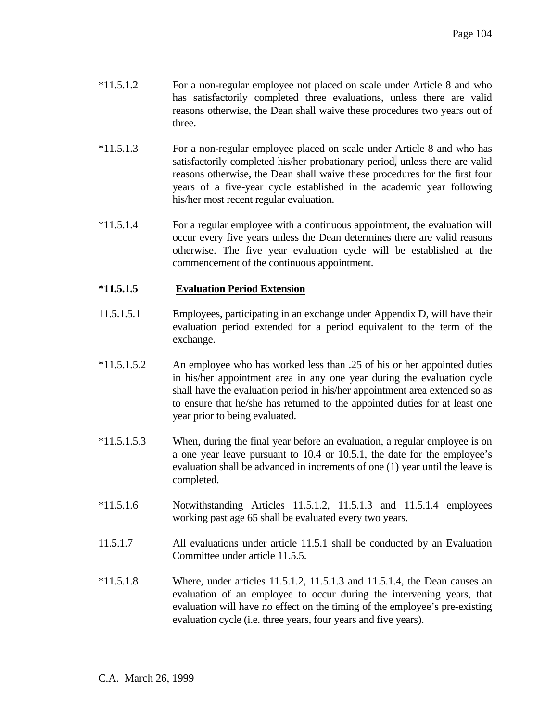- \*11.5.1.2 For a non-regular employee not placed on scale under Article 8 and who has satisfactorily completed three evaluations, unless there are valid reasons otherwise, the Dean shall waive these procedures two years out of three.
- \*11.5.1.3 For a non-regular employee placed on scale under Article 8 and who has satisfactorily completed his/her probationary period, unless there are valid reasons otherwise, the Dean shall waive these procedures for the first four years of a five-year cycle established in the academic year following his/her most recent regular evaluation.
- \*11.5.1.4 For a regular employee with a continuous appointment, the evaluation will occur every five years unless the Dean determines there are valid reasons otherwise. The five year evaluation cycle will be established at the commencement of the continuous appointment.

# **\*11.5.1.5 Evaluation Period Extension**

- 11.5.1.5.1 Employees, participating in an exchange under Appendix D, will have their evaluation period extended for a period equivalent to the term of the exchange.
- \*11.5.1.5.2 An employee who has worked less than .25 of his or her appointed duties in his/her appointment area in any one year during the evaluation cycle shall have the evaluation period in his/her appointment area extended so as to ensure that he/she has returned to the appointed duties for at least one year prior to being evaluated.
- \*11.5.1.5.3 When, during the final year before an evaluation, a regular employee is on a one year leave pursuant to 10.4 or 10.5.1, the date for the employee's evaluation shall be advanced in increments of one (1) year until the leave is completed.
- \*11.5.1.6 Notwithstanding Articles 11.5.1.2, 11.5.1.3 and 11.5.1.4 employees working past age 65 shall be evaluated every two years.
- 11.5.1.7 All evaluations under article 11.5.1 shall be conducted by an Evaluation Committee under article 11.5.5.
- $*11.5.1.8$  Where, under articles 11.5.1.2, 11.5.1.3 and 11.5.1.4, the Dean causes an evaluation of an employee to occur during the intervening years, that evaluation will have no effect on the timing of the employee's pre-existing evaluation cycle (i.e. three years, four years and five years).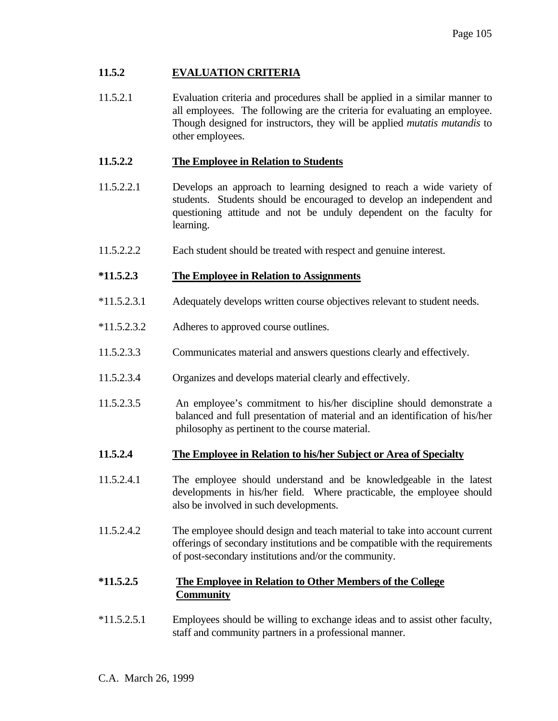# **11.5.2 EVALUATION CRITERIA**

11.5.2.1 Evaluation criteria and procedures shall be applied in a similar manner to all employees. The following are the criteria for evaluating an employee. Though designed for instructors, they will be applied *mutatis mutandis* to other employees.

## **11.5.2.2 The Employee in Relation to Students**

- 11.5.2.2.1 Develops an approach to learning designed to reach a wide variety of students. Students should be encouraged to develop an independent and questioning attitude and not be unduly dependent on the faculty for learning.
- 11.5.2.2.2 Each student should be treated with respect and genuine interest.

## **\*11.5.2.3 The Employee in Relation to Assignments**

- \*11.5.2.3.1 Adequately develops written course objectives relevant to student needs.
- \*11.5.2.3.2 Adheres to approved course outlines.
- 11.5.2.3.3 Communicates material and answers questions clearly and effectively.
- 11.5.2.3.4 Organizes and develops material clearly and effectively.
- 11.5.2.3.5 An employee's commitment to his/her discipline should demonstrate a balanced and full presentation of material and an identification of his/her philosophy as pertinent to the course material.
- **11.5.2.4 The Employee in Relation to his/her Subject or Area of Specialty**
- 11.5.2.4.1 The employee should understand and be knowledgeable in the latest developments in his/her field. Where practicable, the employee should also be involved in such developments.
- 11.5.2.4.2 The employee should design and teach material to take into account current offerings of secondary institutions and be compatible with the requirements of post-secondary institutions and/or the community.

# **\*11.5.2.5 The Employee in Relation to Other Members of the College Community**

\*11.5.2.5.1 Employees should be willing to exchange ideas and to assist other faculty, staff and community partners in a professional manner.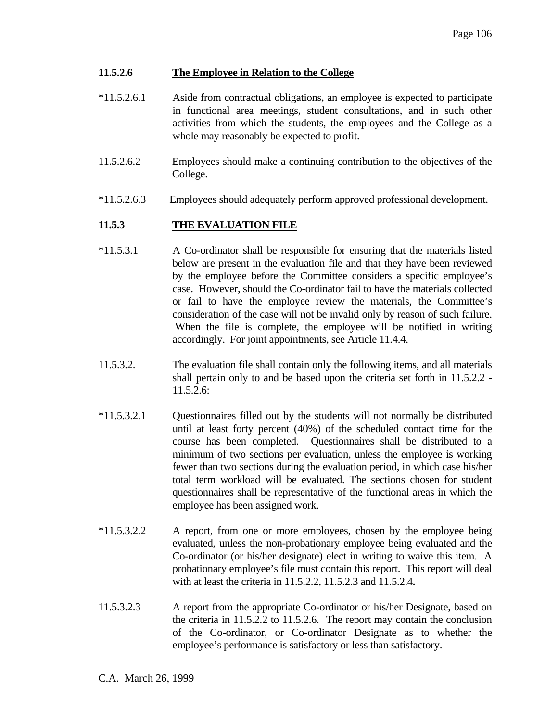## **11.5.2.6 The Employee in Relation to the College**

- \*11.5.2.6.1 Aside from contractual obligations, an employee is expected to participate in functional area meetings, student consultations, and in such other activities from which the students, the employees and the College as a whole may reasonably be expected to profit.
- 11.5.2.6.2 Employees should make a continuing contribution to the objectives of the College.
- \*11.5.2.6.3 Employees should adequately perform approved professional development.

# **11.5.3 THE EVALUATION FILE**

- \*11.5.3.1 A Co-ordinator shall be responsible for ensuring that the materials listed below are present in the evaluation file and that they have been reviewed by the employee before the Committee considers a specific employee's case. However, should the Co-ordinator fail to have the materials collected or fail to have the employee review the materials, the Committee's consideration of the case will not be invalid only by reason of such failure. When the file is complete, the employee will be notified in writing accordingly. For joint appointments, see Article 11.4.4.
- 11.5.3.2. The evaluation file shall contain only the following items, and all materials shall pertain only to and be based upon the criteria set forth in 11.5.2.2 - 11.5.2.6:
- \*11.5.3.2.1 Questionnaires filled out by the students will not normally be distributed until at least forty percent (40%) of the scheduled contact time for the course has been completed. Questionnaires shall be distributed to a minimum of two sections per evaluation, unless the employee is working fewer than two sections during the evaluation period, in which case his/her total term workload will be evaluated. The sections chosen for student questionnaires shall be representative of the functional areas in which the employee has been assigned work.
- \*11.5.3.2.2 A report, from one or more employees, chosen by the employee being evaluated, unless the non-probationary employee being evaluated and the Co-ordinator (or his/her designate) elect in writing to waive this item. A probationary employee's file must contain this report. This report will deal with at least the criteria in 11.5.2.2, 11.5.2.3 and 11.5.2.4**.**
- 11.5.3.2.3 A report from the appropriate Co-ordinator or his/her Designate, based on the criteria in 11.5.2.2 to 11.5.2.6. The report may contain the conclusion of the Co-ordinator, or Co-ordinator Designate as to whether the employee's performance is satisfactory or less than satisfactory.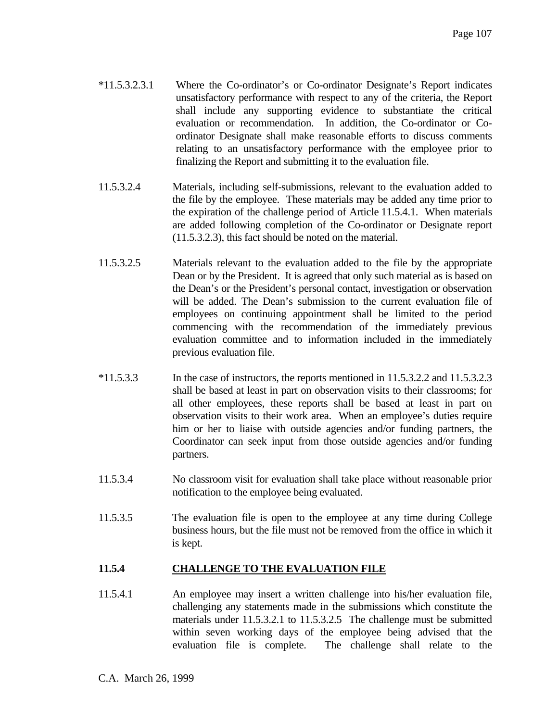- \*11.5.3.2.3.1 Where the Co-ordinator's or Co-ordinator Designate's Report indicates unsatisfactory performance with respect to any of the criteria, the Report shall include any supporting evidence to substantiate the critical evaluation or recommendation. In addition, the Co-ordinator or Coordinator Designate shall make reasonable efforts to discuss comments relating to an unsatisfactory performance with the employee prior to finalizing the Report and submitting it to the evaluation file.
- 11.5.3.2.4 Materials, including self-submissions, relevant to the evaluation added to the file by the employee. These materials may be added any time prior to the expiration of the challenge period of Article 11.5.4.1. When materials are added following completion of the Co-ordinator or Designate report (11.5.3.2.3), this fact should be noted on the material.
- 11.5.3.2.5 Materials relevant to the evaluation added to the file by the appropriate Dean or by the President. It is agreed that only such material as is based on the Dean's or the President's personal contact, investigation or observation will be added. The Dean's submission to the current evaluation file of employees on continuing appointment shall be limited to the period commencing with the recommendation of the immediately previous evaluation committee and to information included in the immediately previous evaluation file.
- \*11.5.3.3 In the case of instructors, the reports mentioned in 11.5.3.2.2 and 11.5.3.2.3 shall be based at least in part on observation visits to their classrooms; for all other employees, these reports shall be based at least in part on observation visits to their work area. When an employee's duties require him or her to liaise with outside agencies and/or funding partners, the Coordinator can seek input from those outside agencies and/or funding partners.
- 11.5.3.4 No classroom visit for evaluation shall take place without reasonable prior notification to the employee being evaluated.
- 11.5.3.5 The evaluation file is open to the employee at any time during College business hours, but the file must not be removed from the office in which it is kept.

# **11.5.4 CHALLENGE TO THE EVALUATION FILE**

11.5.4.1 An employee may insert a written challenge into his/her evaluation file, challenging any statements made in the submissions which constitute the materials under 11.5.3.2.1 to 11.5.3.2.5 The challenge must be submitted within seven working days of the employee being advised that the evaluation file is complete. The challenge shall relate to the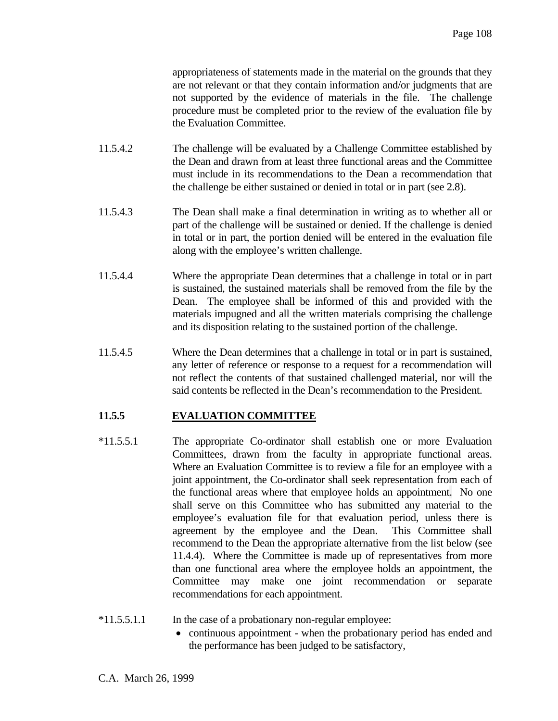appropriateness of statements made in the material on the grounds that they are not relevant or that they contain information and/or judgments that are not supported by the evidence of materials in the file. The challenge procedure must be completed prior to the review of the evaluation file by the Evaluation Committee.

- 11.5.4.2 The challenge will be evaluated by a Challenge Committee established by the Dean and drawn from at least three functional areas and the Committee must include in its recommendations to the Dean a recommendation that the challenge be either sustained or denied in total or in part (see 2.8).
- 11.5.4.3 The Dean shall make a final determination in writing as to whether all or part of the challenge will be sustained or denied. If the challenge is denied in total or in part, the portion denied will be entered in the evaluation file along with the employee's written challenge.
- 11.5.4.4 Where the appropriate Dean determines that a challenge in total or in part is sustained, the sustained materials shall be removed from the file by the Dean. The employee shall be informed of this and provided with the materials impugned and all the written materials comprising the challenge and its disposition relating to the sustained portion of the challenge.
- 11.5.4.5 Where the Dean determines that a challenge in total or in part is sustained, any letter of reference or response to a request for a recommendation will not reflect the contents of that sustained challenged material, nor will the said contents be reflected in the Dean's recommendation to the President.

# **11.5.5 EVALUATION COMMITTEE**

- \*11.5.5.1 The appropriate Co-ordinator shall establish one or more Evaluation Committees, drawn from the faculty in appropriate functional areas. Where an Evaluation Committee is to review a file for an employee with a joint appointment, the Co-ordinator shall seek representation from each of the functional areas where that employee holds an appointment. No one shall serve on this Committee who has submitted any material to the employee's evaluation file for that evaluation period, unless there is agreement by the employee and the Dean. This Committee shall recommend to the Dean the appropriate alternative from the list below (see 11.4.4). Where the Committee is made up of representatives from more than one functional area where the employee holds an appointment, the Committee may make one joint recommendation or separate recommendations for each appointment.
- \*11.5.5.1.1 In the case of a probationary non-regular employee:
	- continuous appointment when the probationary period has ended and the performance has been judged to be satisfactory,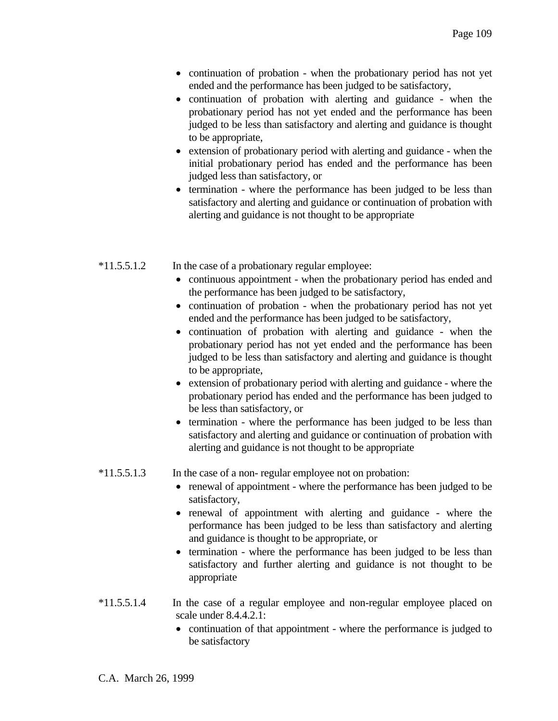- continuation of probation when the probationary period has not yet ended and the performance has been judged to be satisfactory,
- continuation of probation with alerting and guidance when the probationary period has not yet ended and the performance has been judged to be less than satisfactory and alerting and guidance is thought to be appropriate,
- extension of probationary period with alerting and guidance when the initial probationary period has ended and the performance has been judged less than satisfactory, or
- termination where the performance has been judged to be less than satisfactory and alerting and guidance or continuation of probation with alerting and guidance is not thought to be appropriate
- \*11.5.5.1.2 In the case of a probationary regular employee:
	- continuous appointment when the probationary period has ended and the performance has been judged to be satisfactory,
	- continuation of probation when the probationary period has not yet ended and the performance has been judged to be satisfactory,
	- continuation of probation with alerting and guidance when the probationary period has not yet ended and the performance has been judged to be less than satisfactory and alerting and guidance is thought to be appropriate,
	- extension of probationary period with alerting and guidance where the probationary period has ended and the performance has been judged to be less than satisfactory, or
	- termination where the performance has been judged to be less than satisfactory and alerting and guidance or continuation of probation with alerting and guidance is not thought to be appropriate

# \*11.5.5.1.3 In the case of a non- regular employee not on probation:

- renewal of appointment where the performance has been judged to be satisfactory,
- renewal of appointment with alerting and guidance where the performance has been judged to be less than satisfactory and alerting and guidance is thought to be appropriate, or
- termination where the performance has been judged to be less than satisfactory and further alerting and guidance is not thought to be appropriate
- \*11.5.5.1.4 In the case of a regular employee and non-regular employee placed on scale under 8.4.4.2.1:
	- continuation of that appointment where the performance is judged to be satisfactory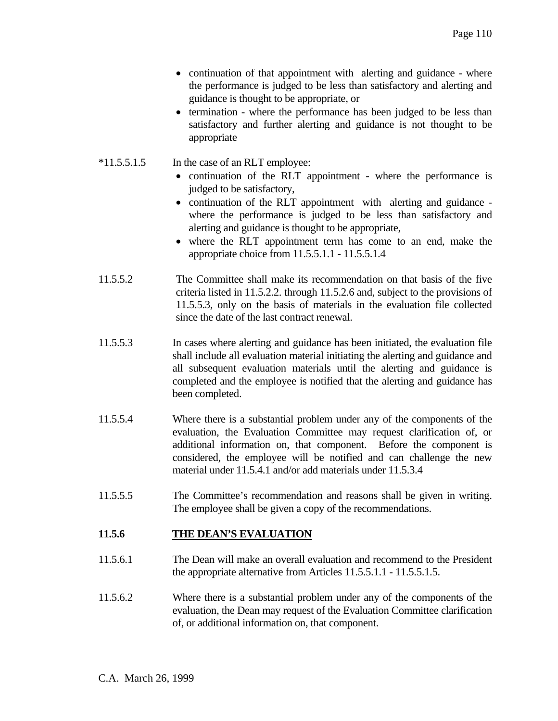- continuation of that appointment with alerting and guidance where the performance is judged to be less than satisfactory and alerting and guidance is thought to be appropriate, or
- termination where the performance has been judged to be less than satisfactory and further alerting and guidance is not thought to be appropriate
- \*11.5.5.1.5 In the case of an RLT employee:
	- continuation of the RLT appointment where the performance is judged to be satisfactory,
	- continuation of the RLT appointment with alerting and guidance where the performance is judged to be less than satisfactory and alerting and guidance is thought to be appropriate,
	- where the RLT appointment term has come to an end, make the appropriate choice from 11.5.5.1.1 - 11.5.5.1.4
- 11.5.5.2 The Committee shall make its recommendation on that basis of the five criteria listed in 11.5.2.2. through 11.5.2.6 and, subject to the provisions of 11.5.5.3, only on the basis of materials in the evaluation file collected since the date of the last contract renewal.
- 11.5.5.3 In cases where alerting and guidance has been initiated, the evaluation file shall include all evaluation material initiating the alerting and guidance and all subsequent evaluation materials until the alerting and guidance is completed and the employee is notified that the alerting and guidance has been completed.
- 11.5.5.4 Where there is a substantial problem under any of the components of the evaluation, the Evaluation Committee may request clarification of, or additional information on, that component. Before the component is considered, the employee will be notified and can challenge the new material under 11.5.4.1 and/or add materials under 11.5.3.4
- 11.5.5.5 The Committee's recommendation and reasons shall be given in writing. The employee shall be given a copy of the recommendations.

# **11.5.6 THE DEAN'S EVALUATION**

- 11.5.6.1 The Dean will make an overall evaluation and recommend to the President the appropriate alternative from Articles 11.5.5.1.1 - 11.5.5.1.5.
- 11.5.6.2 Where there is a substantial problem under any of the components of the evaluation, the Dean may request of the Evaluation Committee clarification of, or additional information on, that component.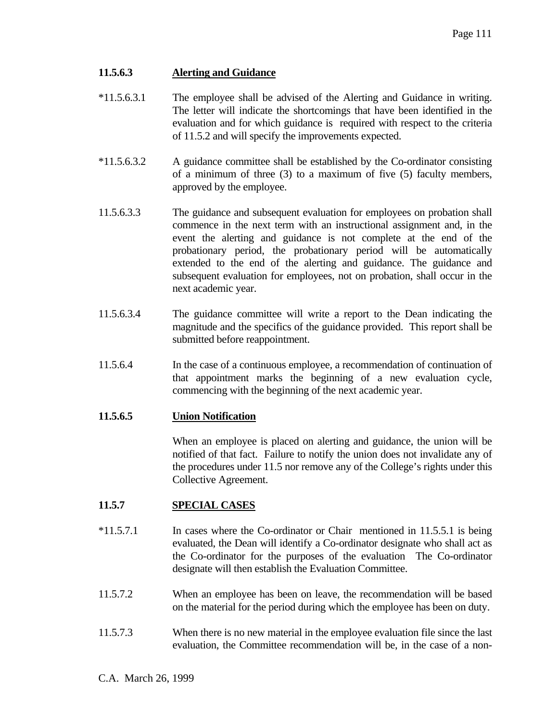### **11.5.6.3 Alerting and Guidance**

- \*11.5.6.3.1 The employee shall be advised of the Alerting and Guidance in writing. The letter will indicate the shortcomings that have been identified in the evaluation and for which guidance is required with respect to the criteria of 11.5.2 and will specify the improvements expected.
- \*11.5.6.3.2 A guidance committee shall be established by the Co-ordinator consisting of a minimum of three (3) to a maximum of five (5) faculty members, approved by the employee.
- 11.5.6.3.3 The guidance and subsequent evaluation for employees on probation shall commence in the next term with an instructional assignment and, in the event the alerting and guidance is not complete at the end of the probationary period, the probationary period will be automatically extended to the end of the alerting and guidance. The guidance and subsequent evaluation for employees, not on probation, shall occur in the next academic year.
- 11.5.6.3.4 The guidance committee will write a report to the Dean indicating the magnitude and the specifics of the guidance provided. This report shall be submitted before reappointment.
- 11.5.6.4 In the case of a continuous employee, a recommendation of continuation of that appointment marks the beginning of a new evaluation cycle, commencing with the beginning of the next academic year.

#### **11.5.6.5 Union Notification**

 When an employee is placed on alerting and guidance, the union will be notified of that fact. Failure to notify the union does not invalidate any of the procedures under 11.5 nor remove any of the College's rights under this Collective Agreement.

# **11.5.7 SPECIAL CASES**

- \*11.5.7.1 In cases where the Co-ordinator or Chair mentioned in 11.5.5.1 is being evaluated, the Dean will identify a Co-ordinator designate who shall act as the Co-ordinator for the purposes of the evaluation The Co-ordinator designate will then establish the Evaluation Committee.
- 11.5.7.2 When an employee has been on leave, the recommendation will be based on the material for the period during which the employee has been on duty.
- 11.5.7.3 When there is no new material in the employee evaluation file since the last evaluation, the Committee recommendation will be, in the case of a non-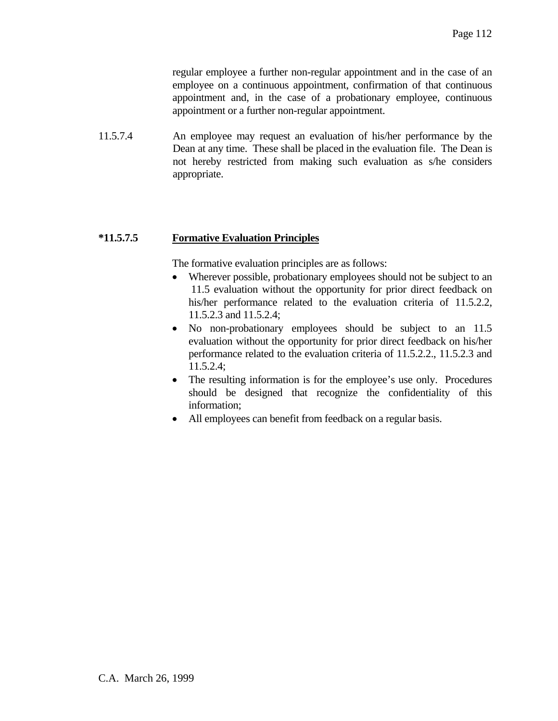regular employee a further non-regular appointment and in the case of an employee on a continuous appointment, confirmation of that continuous appointment and, in the case of a probationary employee, continuous appointment or a further non-regular appointment.

11.5.7.4 An employee may request an evaluation of his/her performance by the Dean at any time. These shall be placed in the evaluation file. The Dean is not hereby restricted from making such evaluation as s/he considers appropriate.

# **\*11.5.7.5 Formative Evaluation Principles**

The formative evaluation principles are as follows:

- Wherever possible, probationary employees should not be subject to an 11.5 evaluation without the opportunity for prior direct feedback on his/her performance related to the evaluation criteria of 11.5.2.2, 11.5.2.3 and 11.5.2.4;
- No non-probationary employees should be subject to an 11.5 evaluation without the opportunity for prior direct feedback on his/her performance related to the evaluation criteria of 11.5.2.2., 11.5.2.3 and 11.5.2.4;
- The resulting information is for the employee's use only. Procedures should be designed that recognize the confidentiality of this information;
- All employees can benefit from feedback on a regular basis.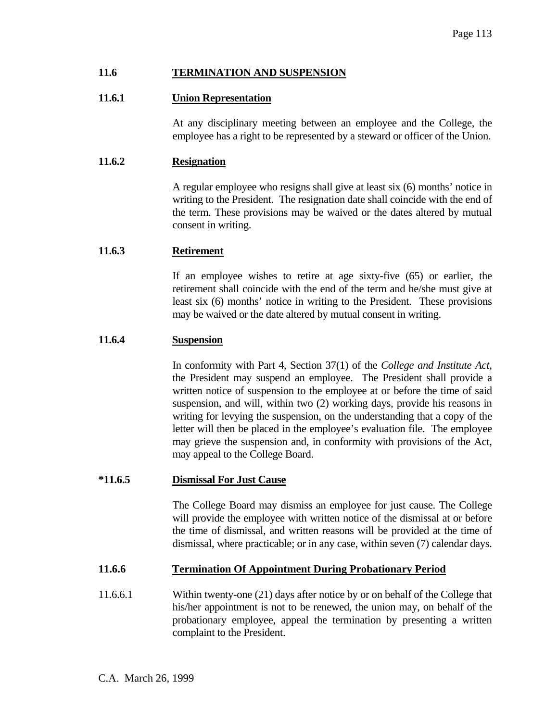#### **11.6 TERMINATION AND SUSPENSION**

### **11.6.1 Union Representation**

 At any disciplinary meeting between an employee and the College, the employee has a right to be represented by a steward or officer of the Union.

#### **11.6.2 Resignation**

 A regular employee who resigns shall give at least six (6) months' notice in writing to the President. The resignation date shall coincide with the end of the term. These provisions may be waived or the dates altered by mutual consent in writing.

#### **11.6.3 Retirement**

 If an employee wishes to retire at age sixty-five (65) or earlier, the retirement shall coincide with the end of the term and he/she must give at least six (6) months' notice in writing to the President. These provisions may be waived or the date altered by mutual consent in writing.

### **11.6.4 Suspension**

 In conformity with Part 4, Section 37(1) of the *College and Institute Act*, the President may suspend an employee. The President shall provide a written notice of suspension to the employee at or before the time of said suspension, and will, within two (2) working days, provide his reasons in writing for levying the suspension, on the understanding that a copy of the letter will then be placed in the employee's evaluation file. The employee may grieve the suspension and, in conformity with provisions of the Act, may appeal to the College Board.

#### **\*11.6.5 Dismissal For Just Cause**

 The College Board may dismiss an employee for just cause. The College will provide the employee with written notice of the dismissal at or before the time of dismissal, and written reasons will be provided at the time of dismissal, where practicable; or in any case, within seven (7) calendar days.

#### **11.6.6 Termination Of Appointment During Probationary Period**

11.6.6.1 Within twenty-one (21) days after notice by or on behalf of the College that his/her appointment is not to be renewed, the union may, on behalf of the probationary employee, appeal the termination by presenting a written complaint to the President.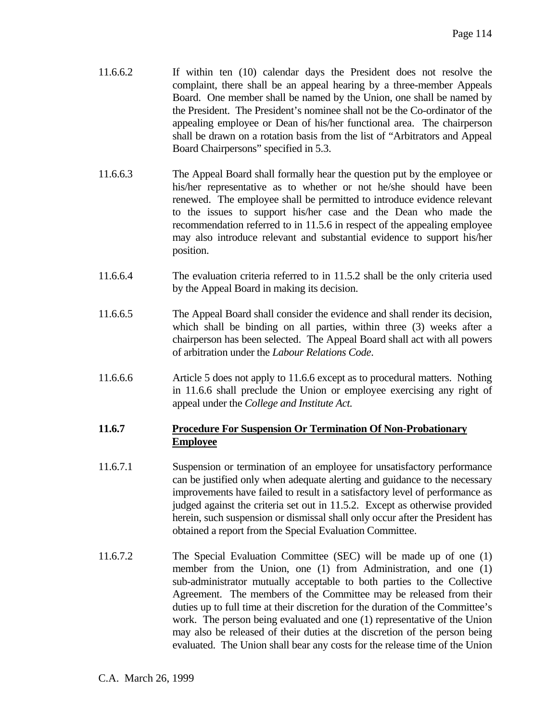- 11.6.6.2 If within ten (10) calendar days the President does not resolve the complaint, there shall be an appeal hearing by a three-member Appeals Board. One member shall be named by the Union, one shall be named by the President. The President's nominee shall not be the Co-ordinator of the appealing employee or Dean of his/her functional area. The chairperson shall be drawn on a rotation basis from the list of "Arbitrators and Appeal Board Chairpersons" specified in 5.3.
- 11.6.6.3 The Appeal Board shall formally hear the question put by the employee or his/her representative as to whether or not he/she should have been renewed. The employee shall be permitted to introduce evidence relevant to the issues to support his/her case and the Dean who made the recommendation referred to in 11.5.6 in respect of the appealing employee may also introduce relevant and substantial evidence to support his/her position.
- 11.6.6.4 The evaluation criteria referred to in 11.5.2 shall be the only criteria used by the Appeal Board in making its decision.
- 11.6.6.5 The Appeal Board shall consider the evidence and shall render its decision, which shall be binding on all parties, within three (3) weeks after a chairperson has been selected. The Appeal Board shall act with all powers of arbitration under the *Labour Relations Code*.
- 11.6.6.6 Article 5 does not apply to 11.6.6 except as to procedural matters. Nothing in 11.6.6 shall preclude the Union or employee exercising any right of appeal under the *College and Institute Act.*

# **11.6.7 Procedure For Suspension Or Termination Of Non-Probationary Employee**

- 11.6.7.1 Suspension or termination of an employee for unsatisfactory performance can be justified only when adequate alerting and guidance to the necessary improvements have failed to result in a satisfactory level of performance as judged against the criteria set out in 11.5.2. Except as otherwise provided herein, such suspension or dismissal shall only occur after the President has obtained a report from the Special Evaluation Committee.
- 11.6.7.2 The Special Evaluation Committee (SEC) will be made up of one (1) member from the Union, one (1) from Administration, and one (1) sub-administrator mutually acceptable to both parties to the Collective Agreement. The members of the Committee may be released from their duties up to full time at their discretion for the duration of the Committee's work. The person being evaluated and one (1) representative of the Union may also be released of their duties at the discretion of the person being evaluated. The Union shall bear any costs for the release time of the Union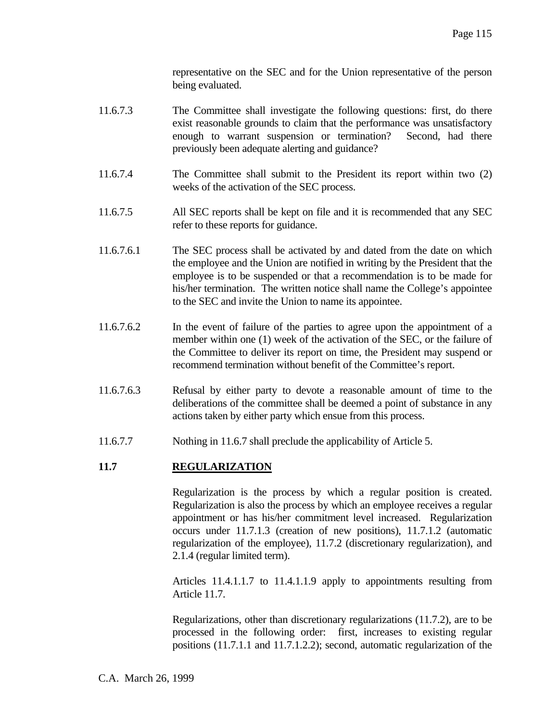representative on the SEC and for the Union representative of the person being evaluated.

- 11.6.7.3 The Committee shall investigate the following questions: first, do there exist reasonable grounds to claim that the performance was unsatisfactory enough to warrant suspension or termination? Second, had there previously been adequate alerting and guidance?
- 11.6.7.4 The Committee shall submit to the President its report within two (2) weeks of the activation of the SEC process.
- 11.6.7.5 All SEC reports shall be kept on file and it is recommended that any SEC refer to these reports for guidance.
- 11.6.7.6.1 The SEC process shall be activated by and dated from the date on which the employee and the Union are notified in writing by the President that the employee is to be suspended or that a recommendation is to be made for his/her termination. The written notice shall name the College's appointee to the SEC and invite the Union to name its appointee.
- 11.6.7.6.2 In the event of failure of the parties to agree upon the appointment of a member within one (1) week of the activation of the SEC, or the failure of the Committee to deliver its report on time, the President may suspend or recommend termination without benefit of the Committee's report.
- 11.6.7.6.3 Refusal by either party to devote a reasonable amount of time to the deliberations of the committee shall be deemed a point of substance in any actions taken by either party which ensue from this process.
- 11.6.7.7 Nothing in 11.6.7 shall preclude the applicability of Article 5.

#### **11.7 REGULARIZATION**

 Regularization is the process by which a regular position is created. Regularization is also the process by which an employee receives a regular appointment or has his/her commitment level increased. Regularization occurs under 11.7.1.3 (creation of new positions), 11.7.1.2 (automatic regularization of the employee), 11.7.2 (discretionary regularization), and 2.1.4 (regular limited term).

 Articles 11.4.1.1.7 to 11.4.1.1.9 apply to appointments resulting from Article 11.7.

 Regularizations, other than discretionary regularizations (11.7.2), are to be processed in the following order: first, increases to existing regular positions (11.7.1.1 and 11.7.1.2.2); second, automatic regularization of the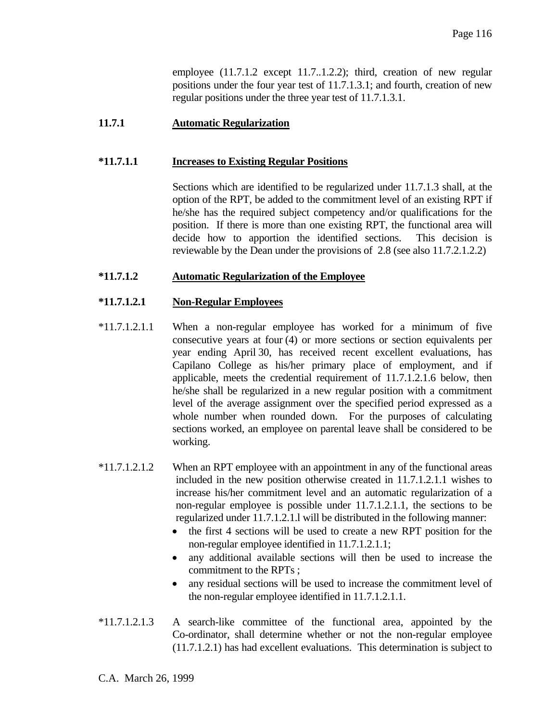employee  $(11.7.1.2 \text{ except } 11.7.1.2.2)$ ; third, creation of new regular positions under the four year test of 11.7.1.3.1; and fourth, creation of new regular positions under the three year test of 11.7.1.3.1.

### **11.7.1 Automatic Regularization**

#### **\*11.7.1.1 Increases to Existing Regular Positions**

 Sections which are identified to be regularized under 11.7.1.3 shall, at the option of the RPT, be added to the commitment level of an existing RPT if he/she has the required subject competency and/or qualifications for the position. If there is more than one existing RPT, the functional area will decide how to apportion the identified sections. This decision is reviewable by the Dean under the provisions of 2.8 (see also 11.7.2.1.2.2)

#### **\*11.7.1.2 Automatic Regularization of the Employee**

#### **\*11.7.1.2.1 Non-Regular Employees**

- \*11.7.1.2.1.1 When a non-regular employee has worked for a minimum of five consecutive years at four (4) or more sections or section equivalents per year ending April 30, has received recent excellent evaluations, has Capilano College as his/her primary place of employment, and if applicable, meets the credential requirement of 11.7.1.2.1.6 below, then he/she shall be regularized in a new regular position with a commitment level of the average assignment over the specified period expressed as a whole number when rounded down. For the purposes of calculating sections worked, an employee on parental leave shall be considered to be working.
- \*11.7.1.2.1.2 When an RPT employee with an appointment in any of the functional areas included in the new position otherwise created in 11.7.1.2.1.1 wishes to increase his/her commitment level and an automatic regularization of a non-regular employee is possible under 11.7.1.2.1.1, the sections to be regularized under 11.7.1.2.1.l will be distributed in the following manner:
	- the first 4 sections will be used to create a new RPT position for the non-regular employee identified in 11.7.1.2.1.1;
	- any additional available sections will then be used to increase the commitment to the RPTs ;
	- any residual sections will be used to increase the commitment level of the non-regular employee identified in 11.7.1.2.1.1.
- \*11.7.1.2.1.3 A search-like committee of the functional area, appointed by the Co-ordinator, shall determine whether or not the non-regular employee (11.7.1.2.1) has had excellent evaluations. This determination is subject to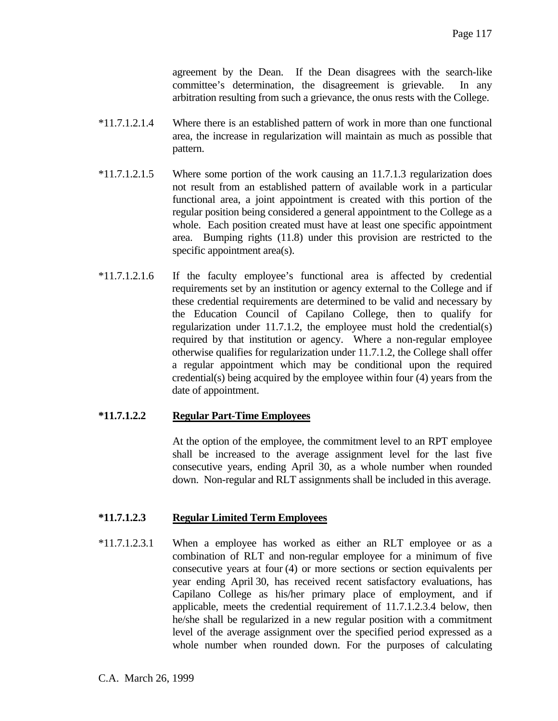agreement by the Dean. If the Dean disagrees with the search-like committee's determination, the disagreement is grievable. In any arbitration resulting from such a grievance, the onus rests with the College.

- \*11.7.1.2.1.4 Where there is an established pattern of work in more than one functional area, the increase in regularization will maintain as much as possible that pattern.
- \*11.7.1.2.1.5 Where some portion of the work causing an 11.7.1.3 regularization does not result from an established pattern of available work in a particular functional area, a joint appointment is created with this portion of the regular position being considered a general appointment to the College as a whole. Each position created must have at least one specific appointment area. Bumping rights (11.8) under this provision are restricted to the specific appointment area(s).
- \*11.7.1.2.1.6 If the faculty employee's functional area is affected by credential requirements set by an institution or agency external to the College and if these credential requirements are determined to be valid and necessary by the Education Council of Capilano College, then to qualify for regularization under 11.7.1.2, the employee must hold the credential(s) required by that institution or agency. Where a non-regular employee otherwise qualifies for regularization under 11.7.1.2, the College shall offer a regular appointment which may be conditional upon the required credential(s) being acquired by the employee within four (4) years from the date of appointment.

# **\*11.7.1.2.2 Regular Part-Time Employees**

 At the option of the employee, the commitment level to an RPT employee shall be increased to the average assignment level for the last five consecutive years, ending April 30, as a whole number when rounded down. Non-regular and RLT assignments shall be included in this average.

# **\*11.7.1.2.3 Regular Limited Term Employees**

\*11.7.1.2.3.1 When a employee has worked as either an RLT employee or as a combination of RLT and non-regular employee for a minimum of five consecutive years at four (4) or more sections or section equivalents per year ending April 30, has received recent satisfactory evaluations, has Capilano College as his/her primary place of employment, and if applicable, meets the credential requirement of 11.7.1.2.3.4 below, then he/she shall be regularized in a new regular position with a commitment level of the average assignment over the specified period expressed as a whole number when rounded down. For the purposes of calculating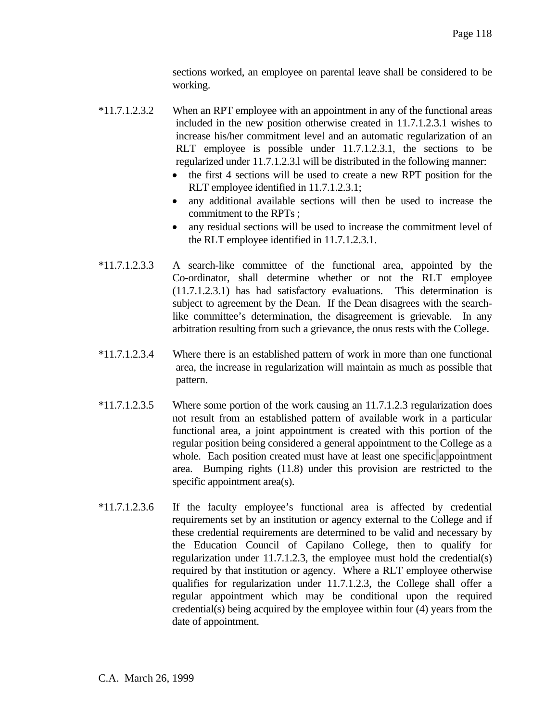sections worked, an employee on parental leave shall be considered to be working.

- \*11.7.1.2.3.2 When an RPT employee with an appointment in any of the functional areas included in the new position otherwise created in 11.7.1.2.3.1 wishes to increase his/her commitment level and an automatic regularization of an RLT employee is possible under 11.7.1.2.3.1, the sections to be regularized under 11.7.1.2.3.l will be distributed in the following manner:
	- the first 4 sections will be used to create a new RPT position for the RLT employee identified in 11.7.1.2.3.1;
	- any additional available sections will then be used to increase the commitment to the RPTs ;
	- any residual sections will be used to increase the commitment level of the RLT employee identified in 11.7.1.2.3.1.
- \*11.7.1.2.3.3 A search-like committee of the functional area, appointed by the Co-ordinator, shall determine whether or not the RLT employee (11.7.1.2.3.1) has had satisfactory evaluations. This determination is subject to agreement by the Dean. If the Dean disagrees with the searchlike committee's determination, the disagreement is grievable. In any arbitration resulting from such a grievance, the onus rests with the College.
- \*11.7.1.2.3.4 Where there is an established pattern of work in more than one functional area, the increase in regularization will maintain as much as possible that pattern.
- \*11.7.1.2.3.5 Where some portion of the work causing an 11.7.1.2.3 regularization does not result from an established pattern of available work in a particular functional area, a joint appointment is created with this portion of the regular position being considered a general appointment to the College as a whole. Each position created must have at least one specific appointment area. Bumping rights (11.8) under this provision are restricted to the specific appointment area(s).
- \*11.7.1.2.3.6 If the faculty employee's functional area is affected by credential requirements set by an institution or agency external to the College and if these credential requirements are determined to be valid and necessary by the Education Council of Capilano College, then to qualify for regularization under 11.7.1.2.3, the employee must hold the credential(s) required by that institution or agency. Where a RLT employee otherwise qualifies for regularization under 11.7.1.2.3, the College shall offer a regular appointment which may be conditional upon the required credential(s) being acquired by the employee within four (4) years from the date of appointment.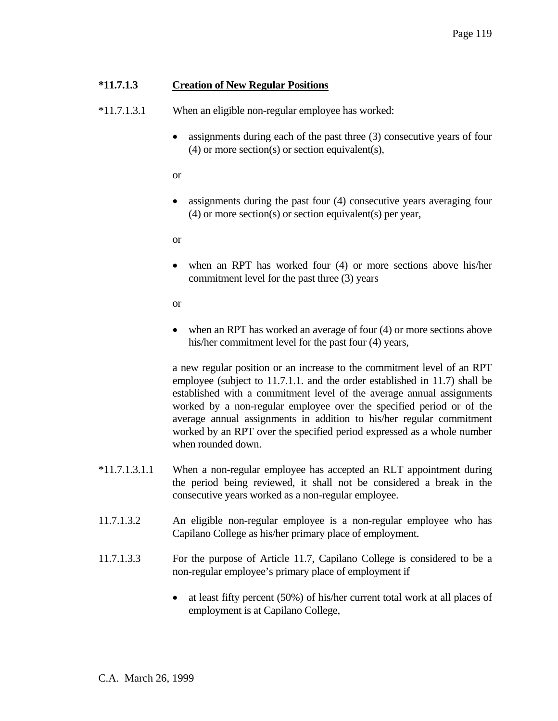### **\*11.7.1.3 Creation of New Regular Positions**

\*11.7.1.3.1 When an eligible non-regular employee has worked:

• assignments during each of the past three (3) consecutive years of four (4) or more section(s) or section equivalent(s),

or

• assignments during the past four (4) consecutive years averaging four (4) or more section(s) or section equivalent(s) per year,

or

• when an RPT has worked four (4) or more sections above his/her commitment level for the past three (3) years

or

• when an RPT has worked an average of four (4) or more sections above his/her commitment level for the past four (4) years,

 a new regular position or an increase to the commitment level of an RPT employee (subject to 11.7.1.1. and the order established in 11.7) shall be established with a commitment level of the average annual assignments worked by a non-regular employee over the specified period or of the average annual assignments in addition to his/her regular commitment worked by an RPT over the specified period expressed as a whole number when rounded down.

- \*11.7.1.3.1.1 When a non-regular employee has accepted an RLT appointment during the period being reviewed, it shall not be considered a break in the consecutive years worked as a non-regular employee.
- 11.7.1.3.2 An eligible non-regular employee is a non-regular employee who has Capilano College as his/her primary place of employment.
- 11.7.1.3.3 For the purpose of Article 11.7, Capilano College is considered to be a non-regular employee's primary place of employment if
	- at least fifty percent (50%) of his/her current total work at all places of employment is at Capilano College,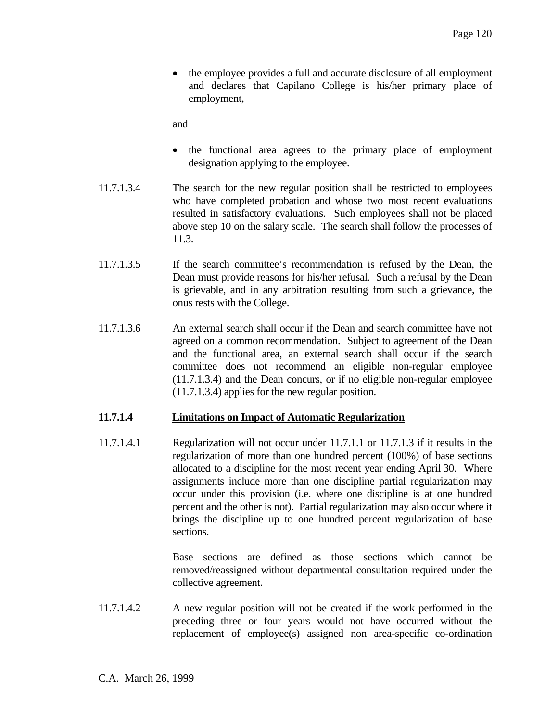• the employee provides a full and accurate disclosure of all employment and declares that Capilano College is his/her primary place of employment,

and

- the functional area agrees to the primary place of employment designation applying to the employee.
- 11.7.1.3.4 The search for the new regular position shall be restricted to employees who have completed probation and whose two most recent evaluations resulted in satisfactory evaluations. Such employees shall not be placed above step 10 on the salary scale. The search shall follow the processes of 11.3.
- 11.7.1.3.5 If the search committee's recommendation is refused by the Dean, the Dean must provide reasons for his/her refusal. Such a refusal by the Dean is grievable, and in any arbitration resulting from such a grievance, the onus rests with the College.
- 11.7.1.3.6 An external search shall occur if the Dean and search committee have not agreed on a common recommendation. Subject to agreement of the Dean and the functional area, an external search shall occur if the search committee does not recommend an eligible non-regular employee (11.7.1.3.4) and the Dean concurs, or if no eligible non-regular employee (11.7.1.3.4) applies for the new regular position.

#### **11.7.1.4 Limitations on Impact of Automatic Regularization**

11.7.1.4.1 Regularization will not occur under 11.7.1.1 or 11.7.1.3 if it results in the regularization of more than one hundred percent (100%) of base sections allocated to a discipline for the most recent year ending April 30. Where assignments include more than one discipline partial regularization may occur under this provision (i.e. where one discipline is at one hundred percent and the other is not). Partial regularization may also occur where it brings the discipline up to one hundred percent regularization of base sections.

> Base sections are defined as those sections which cannot be removed/reassigned without departmental consultation required under the collective agreement.

11.7.1.4.2 A new regular position will not be created if the work performed in the preceding three or four years would not have occurred without the replacement of employee(s) assigned non area-specific co-ordination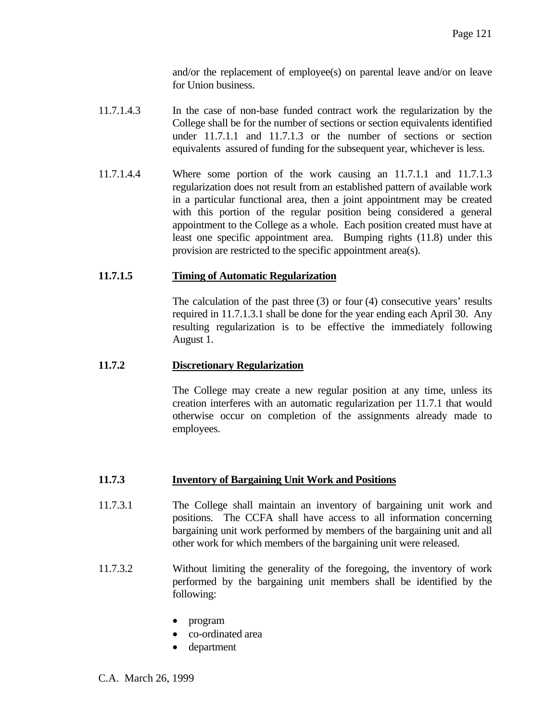and/or the replacement of employee(s) on parental leave and/or on leave for Union business.

- 11.7.1.4.3 In the case of non-base funded contract work the regularization by the College shall be for the number of sections or section equivalents identified under 11.7.1.1 and 11.7.1.3 or the number of sections or section equivalents assured of funding for the subsequent year, whichever is less.
- 11.7.1.4.4 Where some portion of the work causing an 11.7.1.1 and 11.7.1.3 regularization does not result from an established pattern of available work in a particular functional area, then a joint appointment may be created with this portion of the regular position being considered a general appointment to the College as a whole. Each position created must have at least one specific appointment area. Bumping rights (11.8) under this provision are restricted to the specific appointment area(s).

### **11.7.1.5 Timing of Automatic Regularization**

 The calculation of the past three (3) or four (4) consecutive years' results required in 11.7.1.3.1 shall be done for the year ending each April 30. Any resulting regularization is to be effective the immediately following August 1.

### **11.7.2 Discretionary Regularization**

 The College may create a new regular position at any time, unless its creation interferes with an automatic regularization per 11.7.1 that would otherwise occur on completion of the assignments already made to employees.

#### **11.7.3 Inventory of Bargaining Unit Work and Positions**

- 11.7.3.1 The College shall maintain an inventory of bargaining unit work and positions. The CCFA shall have access to all information concerning bargaining unit work performed by members of the bargaining unit and all other work for which members of the bargaining unit were released.
- 11.7.3.2 Without limiting the generality of the foregoing, the inventory of work performed by the bargaining unit members shall be identified by the following:
	- program
	- co-ordinated area
	- department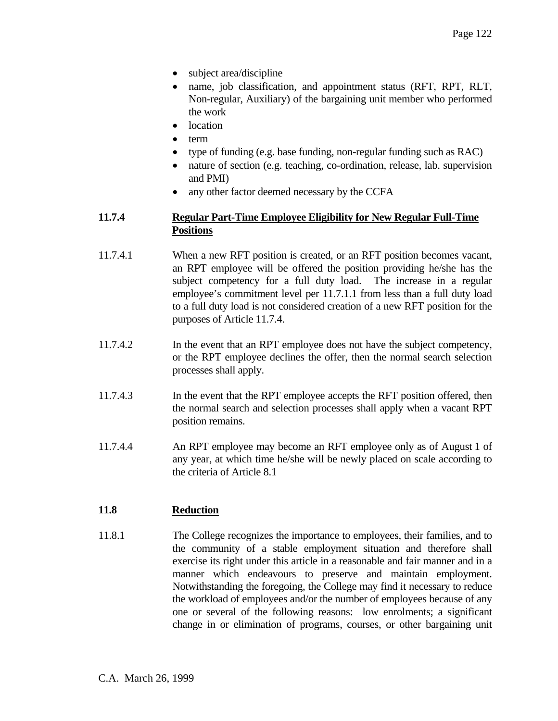- subject area/discipline
- name, job classification, and appointment status (RFT, RPT, RLT, Non-regular, Auxiliary) of the bargaining unit member who performed the work
- location
- term
- type of funding (e.g. base funding, non-regular funding such as RAC)
- nature of section (e.g. teaching, co-ordination, release, lab. supervision and PMI)
- any other factor deemed necessary by the CCFA

### **11.7.4 Regular Part-Time Employee Eligibility for New Regular Full-Time Positions**

- 11.7.4.1 When a new RFT position is created, or an RFT position becomes vacant, an RPT employee will be offered the position providing he/she has the subject competency for a full duty load. The increase in a regular employee's commitment level per 11.7.1.1 from less than a full duty load to a full duty load is not considered creation of a new RFT position for the purposes of Article 11.7.4.
- 11.7.4.2 In the event that an RPT employee does not have the subject competency, or the RPT employee declines the offer, then the normal search selection processes shall apply.
- 11.7.4.3 In the event that the RPT employee accepts the RFT position offered, then the normal search and selection processes shall apply when a vacant RPT position remains.
- 11.7.4.4 An RPT employee may become an RFT employee only as of August 1 of any year, at which time he/she will be newly placed on scale according to the criteria of Article 8.1

# **11.8 Reduction**

11.8.1 The College recognizes the importance to employees, their families, and to the community of a stable employment situation and therefore shall exercise its right under this article in a reasonable and fair manner and in a manner which endeavours to preserve and maintain employment. Notwithstanding the foregoing, the College may find it necessary to reduce the workload of employees and/or the number of employees because of any one or several of the following reasons: low enrolments; a significant change in or elimination of programs, courses, or other bargaining unit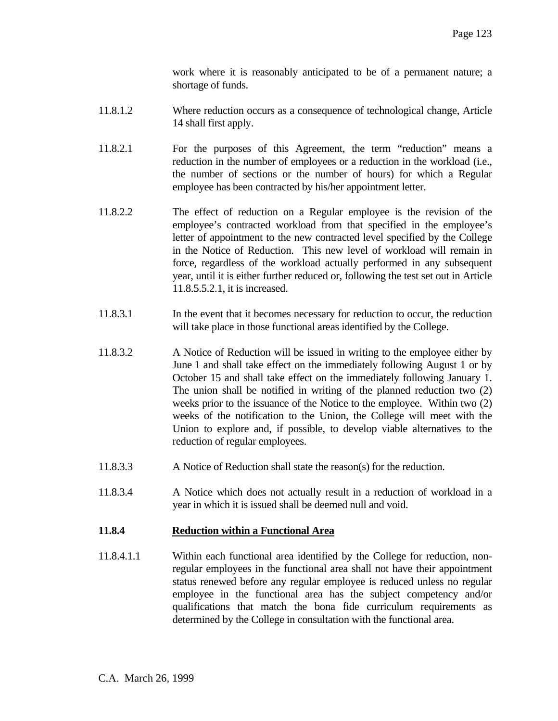work where it is reasonably anticipated to be of a permanent nature; a shortage of funds.

- 11.8.1.2 Where reduction occurs as a consequence of technological change, Article 14 shall first apply.
- 11.8.2.1 For the purposes of this Agreement, the term "reduction" means a reduction in the number of employees or a reduction in the workload (i.e., the number of sections or the number of hours) for which a Regular employee has been contracted by his/her appointment letter.
- 11.8.2.2 The effect of reduction on a Regular employee is the revision of the employee's contracted workload from that specified in the employee's letter of appointment to the new contracted level specified by the College in the Notice of Reduction. This new level of workload will remain in force, regardless of the workload actually performed in any subsequent year, until it is either further reduced or, following the test set out in Article 11.8.5.5.2.1, it is increased.
- 11.8.3.1 In the event that it becomes necessary for reduction to occur, the reduction will take place in those functional areas identified by the College.
- 11.8.3.2 A Notice of Reduction will be issued in writing to the employee either by June 1 and shall take effect on the immediately following August 1 or by October 15 and shall take effect on the immediately following January 1. The union shall be notified in writing of the planned reduction two (2) weeks prior to the issuance of the Notice to the employee. Within two (2) weeks of the notification to the Union, the College will meet with the Union to explore and, if possible, to develop viable alternatives to the reduction of regular employees.
- 11.8.3.3 A Notice of Reduction shall state the reason(s) for the reduction.
- 11.8.3.4 A Notice which does not actually result in a reduction of workload in a year in which it is issued shall be deemed null and void.

#### **11.8.4 Reduction within a Functional Area**

11.8.4.1.1 Within each functional area identified by the College for reduction, nonregular employees in the functional area shall not have their appointment status renewed before any regular employee is reduced unless no regular employee in the functional area has the subject competency and/or qualifications that match the bona fide curriculum requirements as determined by the College in consultation with the functional area.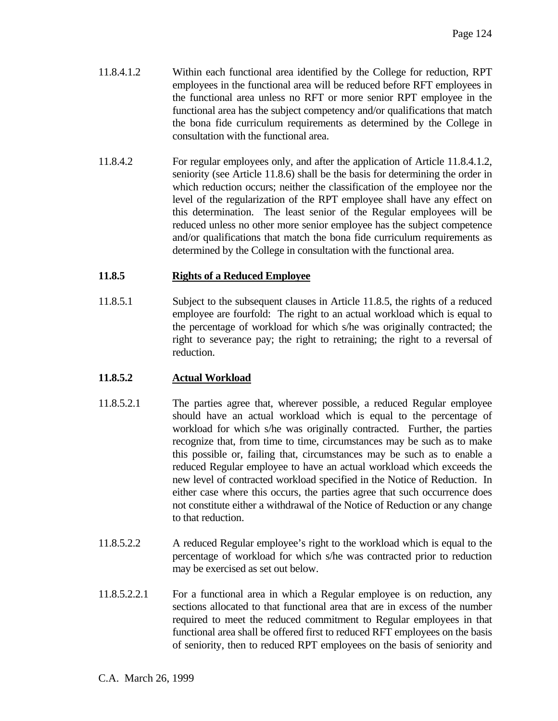- 11.8.4.1.2 Within each functional area identified by the College for reduction, RPT employees in the functional area will be reduced before RFT employees in the functional area unless no RFT or more senior RPT employee in the functional area has the subject competency and/or qualifications that match the bona fide curriculum requirements as determined by the College in consultation with the functional area.
- 11.8.4.2 For regular employees only, and after the application of Article 11.8.4.1.2, seniority (see Article 11.8.6) shall be the basis for determining the order in which reduction occurs; neither the classification of the employee nor the level of the regularization of the RPT employee shall have any effect on this determination. The least senior of the Regular employees will be reduced unless no other more senior employee has the subject competence and/or qualifications that match the bona fide curriculum requirements as determined by the College in consultation with the functional area.

# **11.8.5 Rights of a Reduced Employee**

11.8.5.1 Subject to the subsequent clauses in Article 11.8.5, the rights of a reduced employee are fourfold: The right to an actual workload which is equal to the percentage of workload for which s/he was originally contracted; the right to severance pay; the right to retraining; the right to a reversal of reduction.

# **11.8.5.2 Actual Workload**

- 11.8.5.2.1 The parties agree that, wherever possible, a reduced Regular employee should have an actual workload which is equal to the percentage of workload for which s/he was originally contracted. Further, the parties recognize that, from time to time, circumstances may be such as to make this possible or, failing that, circumstances may be such as to enable a reduced Regular employee to have an actual workload which exceeds the new level of contracted workload specified in the Notice of Reduction. In either case where this occurs, the parties agree that such occurrence does not constitute either a withdrawal of the Notice of Reduction or any change to that reduction.
- 11.8.5.2.2 A reduced Regular employee's right to the workload which is equal to the percentage of workload for which s/he was contracted prior to reduction may be exercised as set out below.
- 11.8.5.2.2.1 For a functional area in which a Regular employee is on reduction, any sections allocated to that functional area that are in excess of the number required to meet the reduced commitment to Regular employees in that functional area shall be offered first to reduced RFT employees on the basis of seniority, then to reduced RPT employees on the basis of seniority and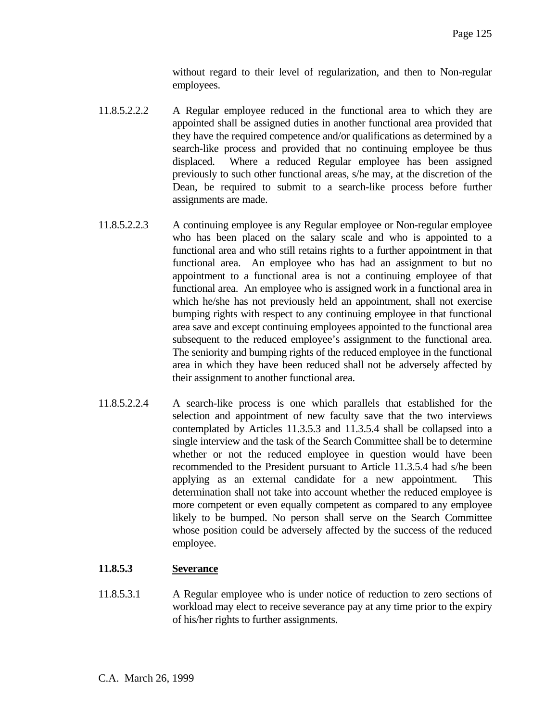without regard to their level of regularization, and then to Non-regular employees.

- 11.8.5.2.2.2 A Regular employee reduced in the functional area to which they are appointed shall be assigned duties in another functional area provided that they have the required competence and/or qualifications as determined by a search-like process and provided that no continuing employee be thus displaced. Where a reduced Regular employee has been assigned previously to such other functional areas, s/he may, at the discretion of the Dean, be required to submit to a search-like process before further assignments are made.
- 11.8.5.2.2.3 A continuing employee is any Regular employee or Non-regular employee who has been placed on the salary scale and who is appointed to a functional area and who still retains rights to a further appointment in that functional area. An employee who has had an assignment to but no appointment to a functional area is not a continuing employee of that functional area. An employee who is assigned work in a functional area in which he/she has not previously held an appointment, shall not exercise bumping rights with respect to any continuing employee in that functional area save and except continuing employees appointed to the functional area subsequent to the reduced employee's assignment to the functional area. The seniority and bumping rights of the reduced employee in the functional area in which they have been reduced shall not be adversely affected by their assignment to another functional area.
- 11.8.5.2.2.4 A search-like process is one which parallels that established for the selection and appointment of new faculty save that the two interviews contemplated by Articles 11.3.5.3 and 11.3.5.4 shall be collapsed into a single interview and the task of the Search Committee shall be to determine whether or not the reduced employee in question would have been recommended to the President pursuant to Article 11.3.5.4 had s/he been applying as an external candidate for a new appointment. This determination shall not take into account whether the reduced employee is more competent or even equally competent as compared to any employee likely to be bumped. No person shall serve on the Search Committee whose position could be adversely affected by the success of the reduced employee.

# **11.8.5.3 Severance**

11.8.5.3.1 A Regular employee who is under notice of reduction to zero sections of workload may elect to receive severance pay at any time prior to the expiry of his/her rights to further assignments.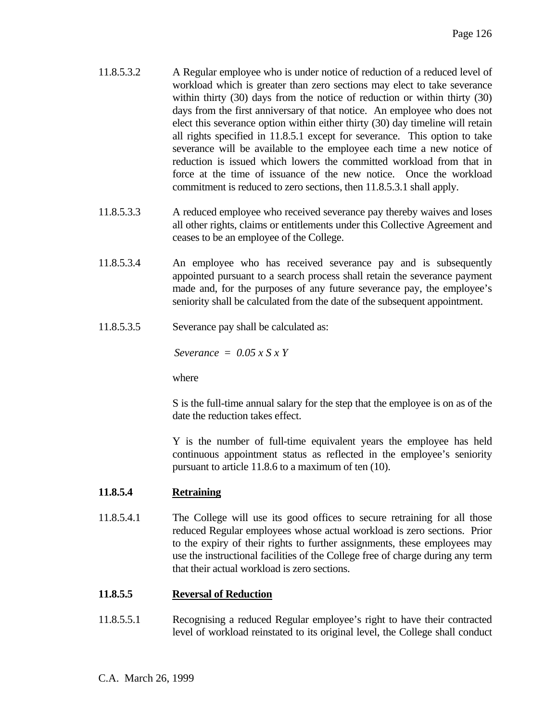- 11.8.5.3.2 A Regular employee who is under notice of reduction of a reduced level of workload which is greater than zero sections may elect to take severance within thirty (30) days from the notice of reduction or within thirty (30) days from the first anniversary of that notice. An employee who does not elect this severance option within either thirty (30) day timeline will retain all rights specified in 11.8.5.1 except for severance. This option to take severance will be available to the employee each time a new notice of reduction is issued which lowers the committed workload from that in force at the time of issuance of the new notice. Once the workload commitment is reduced to zero sections, then 11.8.5.3.1 shall apply.
- 11.8.5.3.3 A reduced employee who received severance pay thereby waives and loses all other rights, claims or entitlements under this Collective Agreement and ceases to be an employee of the College.
- 11.8.5.3.4 An employee who has received severance pay and is subsequently appointed pursuant to a search process shall retain the severance payment made and, for the purposes of any future severance pay, the employee's seniority shall be calculated from the date of the subsequent appointment.
- 11.8.5.3.5 Severance pay shall be calculated as:

*Severance = 0.05 x S x Y*

where

 S is the full-time annual salary for the step that the employee is on as of the date the reduction takes effect.

 Y is the number of full-time equivalent years the employee has held continuous appointment status as reflected in the employee's seniority pursuant to article 11.8.6 to a maximum of ten (10).

#### **11.8.5.4 Retraining**

11.8.5.4.1 The College will use its good offices to secure retraining for all those reduced Regular employees whose actual workload is zero sections. Prior to the expiry of their rights to further assignments, these employees may use the instructional facilities of the College free of charge during any term that their actual workload is zero sections.

# **11.8.5.5 Reversal of Reduction**

11.8.5.5.1 Recognising a reduced Regular employee's right to have their contracted level of workload reinstated to its original level, the College shall conduct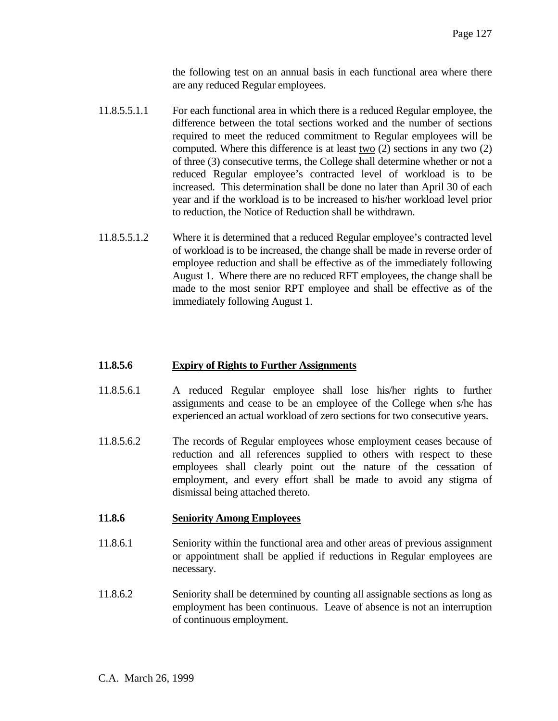the following test on an annual basis in each functional area where there are any reduced Regular employees.

- 11.8.5.5.1.1 For each functional area in which there is a reduced Regular employee, the difference between the total sections worked and the number of sections required to meet the reduced commitment to Regular employees will be computed. Where this difference is at least two (2) sections in any two (2) of three (3) consecutive terms, the College shall determine whether or not a reduced Regular employee's contracted level of workload is to be increased. This determination shall be done no later than April 30 of each year and if the workload is to be increased to his/her workload level prior to reduction, the Notice of Reduction shall be withdrawn.
- 11.8.5.5.1.2 Where it is determined that a reduced Regular employee's contracted level of workload is to be increased, the change shall be made in reverse order of employee reduction and shall be effective as of the immediately following August 1. Where there are no reduced RFT employees, the change shall be made to the most senior RPT employee and shall be effective as of the immediately following August 1.

# **11.8.5.6 Expiry of Rights to Further Assignments**

- 11.8.5.6.1 A reduced Regular employee shall lose his/her rights to further assignments and cease to be an employee of the College when s/he has experienced an actual workload of zero sections for two consecutive years.
- 11.8.5.6.2 The records of Regular employees whose employment ceases because of reduction and all references supplied to others with respect to these employees shall clearly point out the nature of the cessation of employment, and every effort shall be made to avoid any stigma of dismissal being attached thereto.

#### **11.8.6 Seniority Among Employees**

- 11.8.6.1 Seniority within the functional area and other areas of previous assignment or appointment shall be applied if reductions in Regular employees are necessary.
- 11.8.6.2 Seniority shall be determined by counting all assignable sections as long as employment has been continuous. Leave of absence is not an interruption of continuous employment.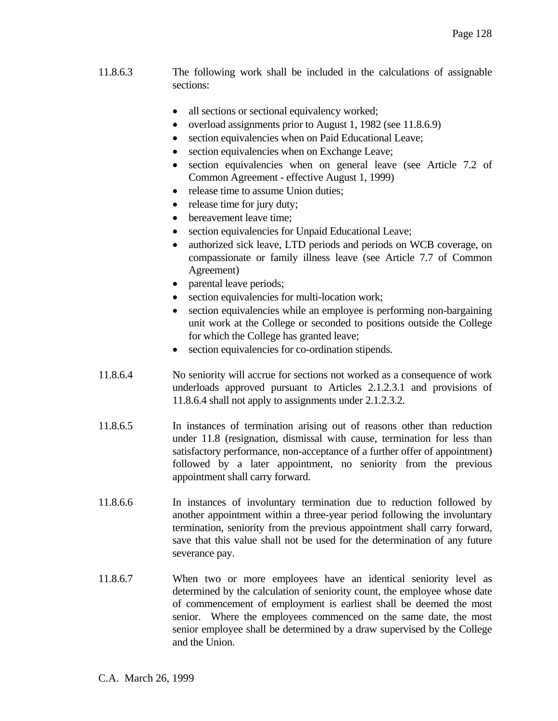- 11.8.6.3 The following work shall be included in the calculations of assignable sections:
	- all sections or sectional equivalency worked;
	- overload assignments prior to August 1, 1982 (see 11.8.6.9)
	- section equivalencies when on Paid Educational Leave;
	- section equivalencies when on Exchange Leave;
	- section equivalencies when on general leave (see Article 7.2 of Common Agreement - effective August 1, 1999)
	- release time to assume Union duties;
	- release time for jury duty;
	- bereavement leave time;
	- section equivalencies for Unpaid Educational Leave;
	- authorized sick leave, LTD periods and periods on WCB coverage, on compassionate or family illness leave (see Article 7.7 of Common Agreement)
	- parental leave periods;
	- section equivalencies for multi-location work;
	- section equivalencies while an employee is performing non-bargaining unit work at the College or seconded to positions outside the College for which the College has granted leave;
	- section equivalencies for co-ordination stipends.
- 11.8.6.4 No seniority will accrue for sections not worked as a consequence of work underloads approved pursuant to Articles 2.1.2.3.1 and provisions of 11.8.6.4 shall not apply to assignments under 2.1.2.3.2.
- 11.8.6.5 In instances of termination arising out of reasons other than reduction under 11.8 (resignation, dismissal with cause, termination for less than satisfactory performance, non-acceptance of a further offer of appointment) followed by a later appointment, no seniority from the previous appointment shall carry forward.
- 11.8.6.6 In instances of involuntary termination due to reduction followed by another appointment within a three-year period following the involuntary termination, seniority from the previous appointment shall carry forward, save that this value shall not be used for the determination of any future severance pay.
- 11.8.6.7 When two or more employees have an identical seniority level as determined by the calculation of seniority count, the employee whose date of commencement of employment is earliest shall be deemed the most senior. Where the employees commenced on the same date, the most senior employee shall be determined by a draw supervised by the College and the Union.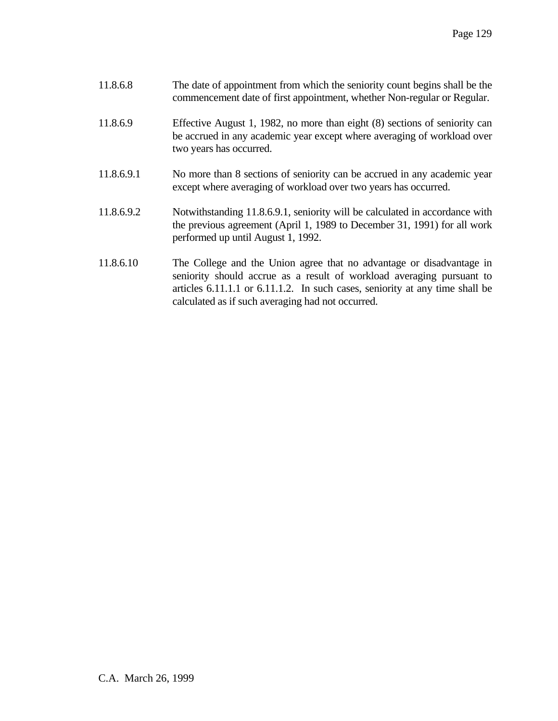| 11.8.6.8 | The date of appointment from which the seniority count begins shall be the |
|----------|----------------------------------------------------------------------------|
|          | commencement date of first appointment, whether Non-regular or Regular.    |

- 11.8.6.9 Effective August 1, 1982, no more than eight (8) sections of seniority can be accrued in any academic year except where averaging of workload over two years has occurred.
- 11.8.6.9.1 No more than 8 sections of seniority can be accrued in any academic year except where averaging of workload over two years has occurred.
- 11.8.6.9.2 Notwithstanding 11.8.6.9.1, seniority will be calculated in accordance with the previous agreement (April 1, 1989 to December 31, 1991) for all work performed up until August 1, 1992.
- 11.8.6.10 The College and the Union agree that no advantage or disadvantage in seniority should accrue as a result of workload averaging pursuant to articles 6.11.1.1 or 6.11.1.2. In such cases, seniority at any time shall be calculated as if such averaging had not occurred.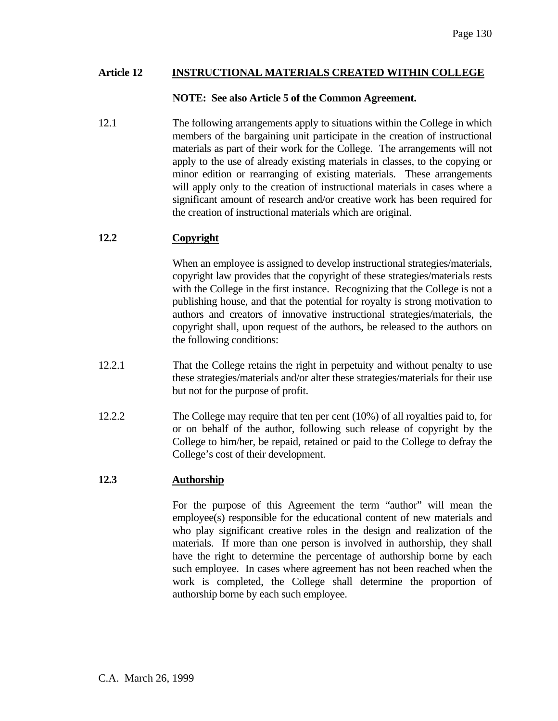### **Article 12 INSTRUCTIONAL MATERIALS CREATED WITHIN COLLEGE**

### **NOTE: See also Article 5 of the Common Agreement.**

12.1 The following arrangements apply to situations within the College in which members of the bargaining unit participate in the creation of instructional materials as part of their work for the College. The arrangements will not apply to the use of already existing materials in classes, to the copying or minor edition or rearranging of existing materials. These arrangements will apply only to the creation of instructional materials in cases where a significant amount of research and/or creative work has been required for the creation of instructional materials which are original.

# **12.2 Copyright**

 When an employee is assigned to develop instructional strategies/materials, copyright law provides that the copyright of these strategies/materials rests with the College in the first instance. Recognizing that the College is not a publishing house, and that the potential for royalty is strong motivation to authors and creators of innovative instructional strategies/materials, the copyright shall, upon request of the authors, be released to the authors on the following conditions:

- 12.2.1 That the College retains the right in perpetuity and without penalty to use these strategies/materials and/or alter these strategies/materials for their use but not for the purpose of profit.
- 12.2.2 The College may require that ten per cent (10%) of all royalties paid to, for or on behalf of the author, following such release of copyright by the College to him/her, be repaid, retained or paid to the College to defray the College's cost of their development.

# **12.3 Authorship**

 For the purpose of this Agreement the term "author" will mean the employee(s) responsible for the educational content of new materials and who play significant creative roles in the design and realization of the materials. If more than one person is involved in authorship, they shall have the right to determine the percentage of authorship borne by each such employee. In cases where agreement has not been reached when the work is completed, the College shall determine the proportion of authorship borne by each such employee.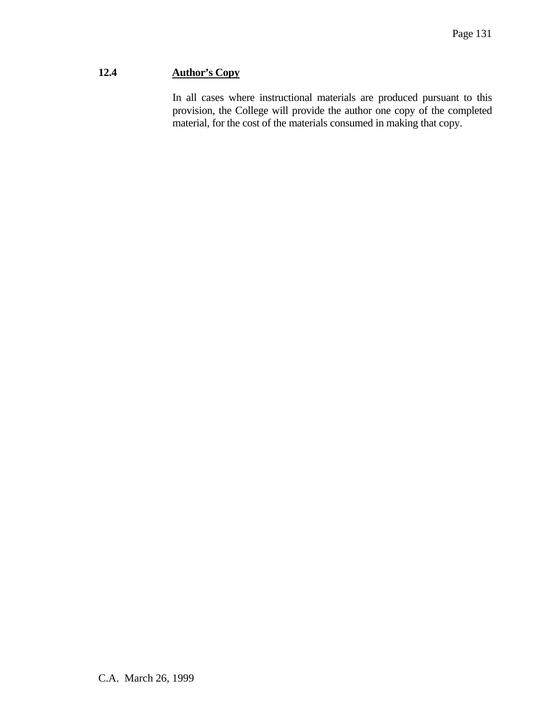# **12.4 Author's Copy**

 In all cases where instructional materials are produced pursuant to this provision, the College will provide the author one copy of the completed material, for the cost of the materials consumed in making that copy.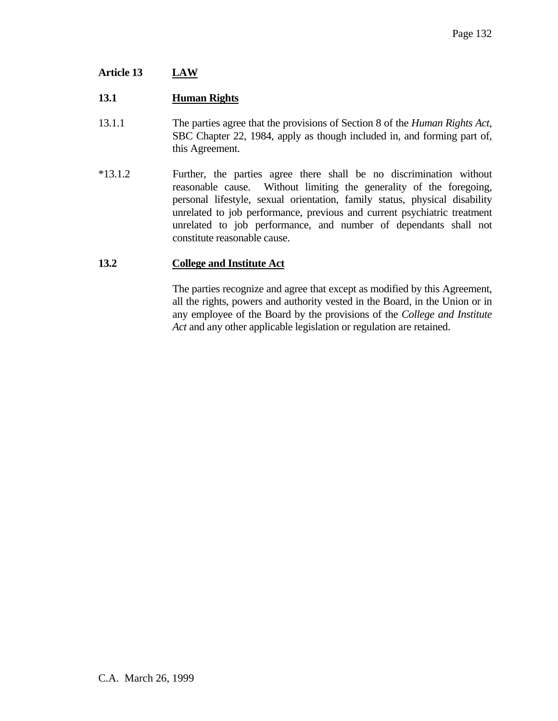# **Article 13 LAW**

### **13.1 Human Rights**

- 13.1.1 The parties agree that the provisions of Section 8 of the *Human Rights Act*, SBC Chapter 22, 1984, apply as though included in, and forming part of, this Agreement.
- \*13.1.2 Further, the parties agree there shall be no discrimination without reasonable cause. Without limiting the generality of the foregoing, personal lifestyle, sexual orientation, family status, physical disability unrelated to job performance, previous and current psychiatric treatment unrelated to job performance, and number of dependants shall not constitute reasonable cause.

### **13.2 College and Institute Act**

 The parties recognize and agree that except as modified by this Agreement, all the rights, powers and authority vested in the Board, in the Union or in any employee of the Board by the provisions of the *College and Institute Act* and any other applicable legislation or regulation are retained.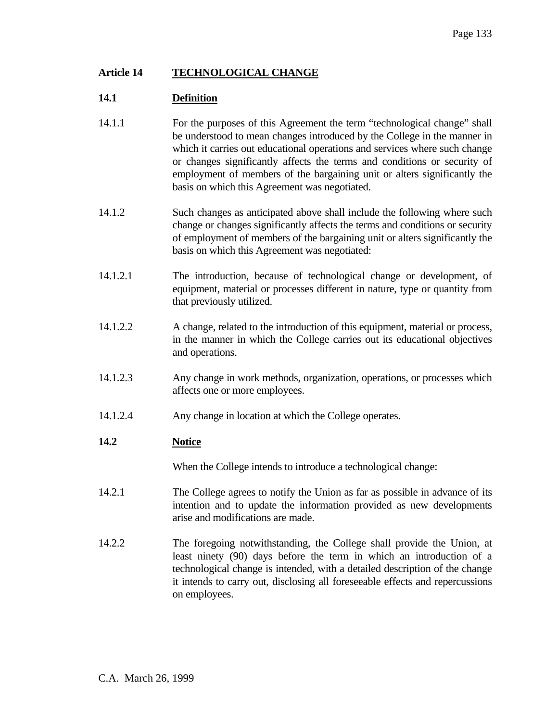### **Article 14 TECHNOLOGICAL CHANGE**

### **14.1 Definition**

- 14.1.1 For the purposes of this Agreement the term "technological change" shall be understood to mean changes introduced by the College in the manner in which it carries out educational operations and services where such change or changes significantly affects the terms and conditions or security of employment of members of the bargaining unit or alters significantly the basis on which this Agreement was negotiated.
- 14.1.2 Such changes as anticipated above shall include the following where such change or changes significantly affects the terms and conditions or security of employment of members of the bargaining unit or alters significantly the basis on which this Agreement was negotiated:
- 14.1.2.1 The introduction, because of technological change or development, of equipment, material or processes different in nature, type or quantity from that previously utilized.
- 14.1.2.2 A change, related to the introduction of this equipment, material or process, in the manner in which the College carries out its educational objectives and operations.
- 14.1.2.3 Any change in work methods, organization, operations, or processes which affects one or more employees.
- 14.1.2.4 Any change in location at which the College operates.

#### **14.2 Notice**

When the College intends to introduce a technological change:

- 14.2.1 The College agrees to notify the Union as far as possible in advance of its intention and to update the information provided as new developments arise and modifications are made.
- 14.2.2 The foregoing notwithstanding, the College shall provide the Union, at least ninety (90) days before the term in which an introduction of a technological change is intended, with a detailed description of the change it intends to carry out, disclosing all foreseeable effects and repercussions on employees.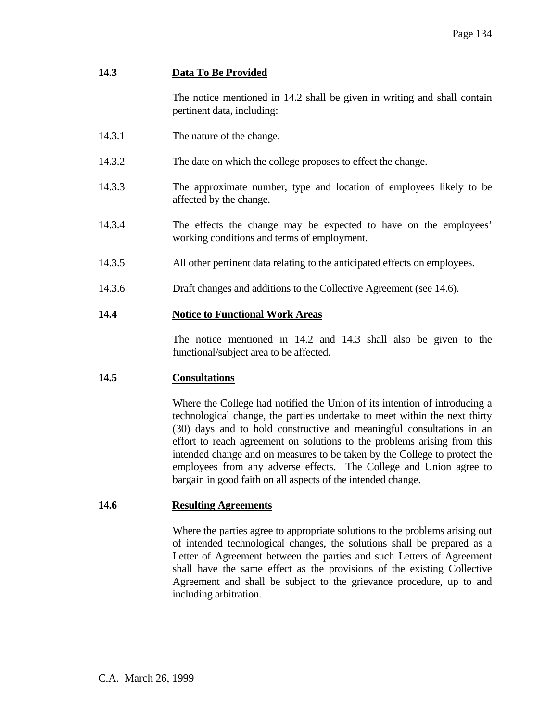# **14.3 Data To Be Provided**

 The notice mentioned in 14.2 shall be given in writing and shall contain pertinent data, including:

- 14.3.1 The nature of the change.
- 14.3.2 The date on which the college proposes to effect the change.
- 14.3.3 The approximate number, type and location of employees likely to be affected by the change.
- 14.3.4 The effects the change may be expected to have on the employees' working conditions and terms of employment.
- 14.3.5 All other pertinent data relating to the anticipated effects on employees.
- 14.3.6 Draft changes and additions to the Collective Agreement (see 14.6).

# **14.4 Notice to Functional Work Areas**

 The notice mentioned in 14.2 and 14.3 shall also be given to the functional/subject area to be affected.

# **14.5 Consultations**

 Where the College had notified the Union of its intention of introducing a technological change, the parties undertake to meet within the next thirty (30) days and to hold constructive and meaningful consultations in an effort to reach agreement on solutions to the problems arising from this intended change and on measures to be taken by the College to protect the employees from any adverse effects. The College and Union agree to bargain in good faith on all aspects of the intended change.

# **14.6 Resulting Agreements**

 Where the parties agree to appropriate solutions to the problems arising out of intended technological changes, the solutions shall be prepared as a Letter of Agreement between the parties and such Letters of Agreement shall have the same effect as the provisions of the existing Collective Agreement and shall be subject to the grievance procedure, up to and including arbitration.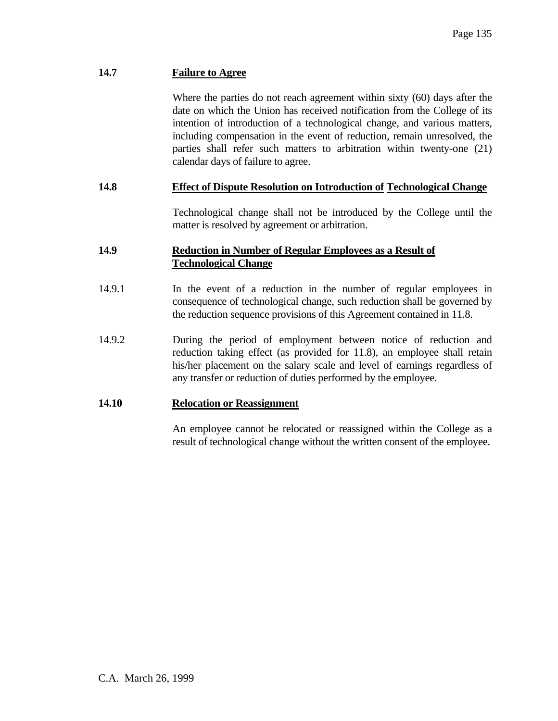### **14.7 Failure to Agree**

 Where the parties do not reach agreement within sixty (60) days after the date on which the Union has received notification from the College of its intention of introduction of a technological change, and various matters, including compensation in the event of reduction, remain unresolved, the parties shall refer such matters to arbitration within twenty-one (21) calendar days of failure to agree.

### **14.8 Effect of Dispute Resolution on Introduction of Technological Change**

 Technological change shall not be introduced by the College until the matter is resolved by agreement or arbitration.

### **14.9 Reduction in Number of Regular Employees as a Result of Technological Change**

- 14.9.1 In the event of a reduction in the number of regular employees in consequence of technological change, such reduction shall be governed by the reduction sequence provisions of this Agreement contained in 11.8.
- 14.9.2 During the period of employment between notice of reduction and reduction taking effect (as provided for 11.8), an employee shall retain his/her placement on the salary scale and level of earnings regardless of any transfer or reduction of duties performed by the employee.

#### **14.10 Relocation or Reassignment**

 An employee cannot be relocated or reassigned within the College as a result of technological change without the written consent of the employee.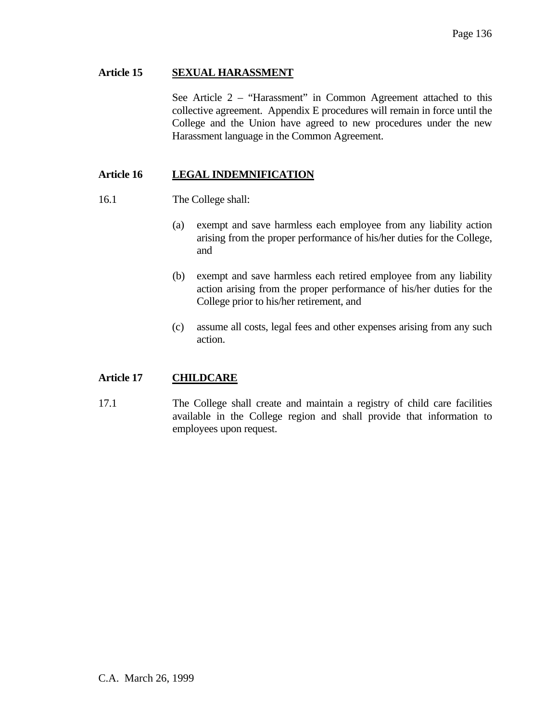### **Article 15 SEXUAL HARASSMENT**

 See Article 2 – "Harassment" in Common Agreement attached to this collective agreement. Appendix E procedures will remain in force until the College and the Union have agreed to new procedures under the new Harassment language in the Common Agreement.

# **Article 16 LEGAL INDEMNIFICATION**

- 16.1 The College shall:
	- (a) exempt and save harmless each employee from any liability action arising from the proper performance of his/her duties for the College, and
	- (b) exempt and save harmless each retired employee from any liability action arising from the proper performance of his/her duties for the College prior to his/her retirement, and
	- (c) assume all costs, legal fees and other expenses arising from any such action.

# **Article 17 CHILDCARE**

17.1 The College shall create and maintain a registry of child care facilities available in the College region and shall provide that information to employees upon request.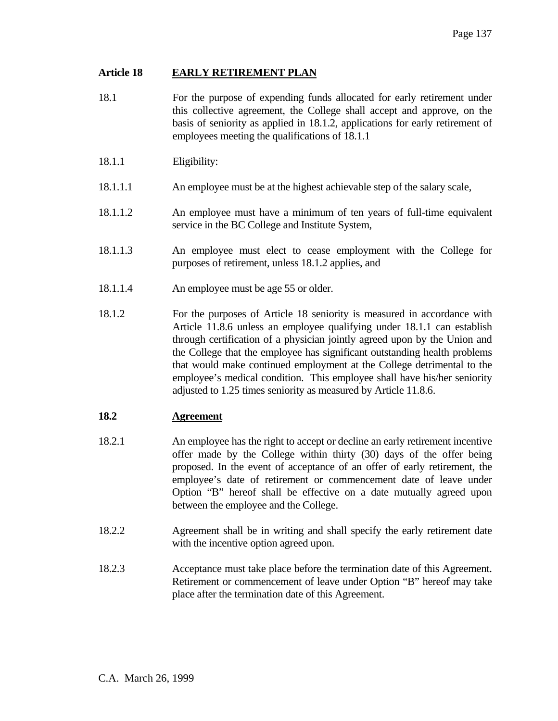### **Article 18 EARLY RETIREMENT PLAN**

- 18.1 For the purpose of expending funds allocated for early retirement under this collective agreement, the College shall accept and approve, on the basis of seniority as applied in 18.1.2, applications for early retirement of employees meeting the qualifications of 18.1.1
- 18.1.1 Eligibility:
- 18.1.1.1 An employee must be at the highest achievable step of the salary scale,
- 18.1.1.2 An employee must have a minimum of ten years of full-time equivalent service in the BC College and Institute System,
- 18.1.1.3 An employee must elect to cease employment with the College for purposes of retirement, unless 18.1.2 applies, and
- 18.1.1.4 An employee must be age 55 or older.
- 18.1.2 For the purposes of Article 18 seniority is measured in accordance with Article 11.8.6 unless an employee qualifying under 18.1.1 can establish through certification of a physician jointly agreed upon by the Union and the College that the employee has significant outstanding health problems that would make continued employment at the College detrimental to the employee's medical condition. This employee shall have his/her seniority adjusted to 1.25 times seniority as measured by Article 11.8.6.

# **18.2 Agreement**

- 18.2.1 An employee has the right to accept or decline an early retirement incentive offer made by the College within thirty (30) days of the offer being proposed. In the event of acceptance of an offer of early retirement, the employee's date of retirement or commencement date of leave under Option "B" hereof shall be effective on a date mutually agreed upon between the employee and the College.
- 18.2.2 Agreement shall be in writing and shall specify the early retirement date with the incentive option agreed upon.
- 18.2.3 Acceptance must take place before the termination date of this Agreement. Retirement or commencement of leave under Option "B" hereof may take place after the termination date of this Agreement.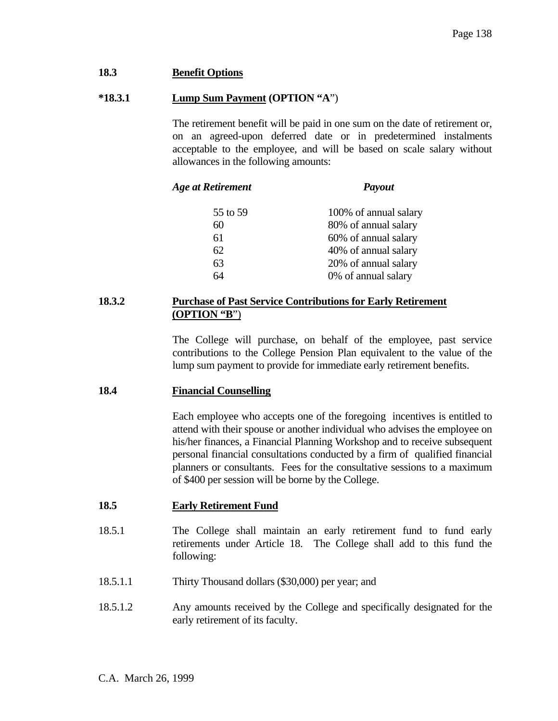### **18.3 Benefit Options**

#### **\*18.3.1 Lump Sum Payment (OPTION "A**")

 The retirement benefit will be paid in one sum on the date of retirement or, on an agreed-upon deferred date or in predetermined instalments acceptable to the employee, and will be based on scale salary without allowances in the following amounts:

#### *Age at Retirement Payout*

 55 to 59 100% of annual salary 60 80% of annual salary 61 60% of annual salary 62 40% of annual salary 63 20% of annual salary 64 0% of annual salary

### **18.3.2 Purchase of Past Service Contributions for Early Retirement (OPTION "B**")

 The College will purchase, on behalf of the employee, past service contributions to the College Pension Plan equivalent to the value of the lump sum payment to provide for immediate early retirement benefits.

#### **18.4 Financial Counselling**

 Each employee who accepts one of the foregoing incentives is entitled to attend with their spouse or another individual who advises the employee on his/her finances, a Financial Planning Workshop and to receive subsequent personal financial consultations conducted by a firm of qualified financial planners or consultants. Fees for the consultative sessions to a maximum of \$400 per session will be borne by the College.

#### **18.5 Early Retirement Fund**

- 18.5.1 The College shall maintain an early retirement fund to fund early retirements under Article 18. The College shall add to this fund the following:
- 18.5.1.1 Thirty Thousand dollars (\$30,000) per year; and
- 18.5.1.2 Any amounts received by the College and specifically designated for the early retirement of its faculty.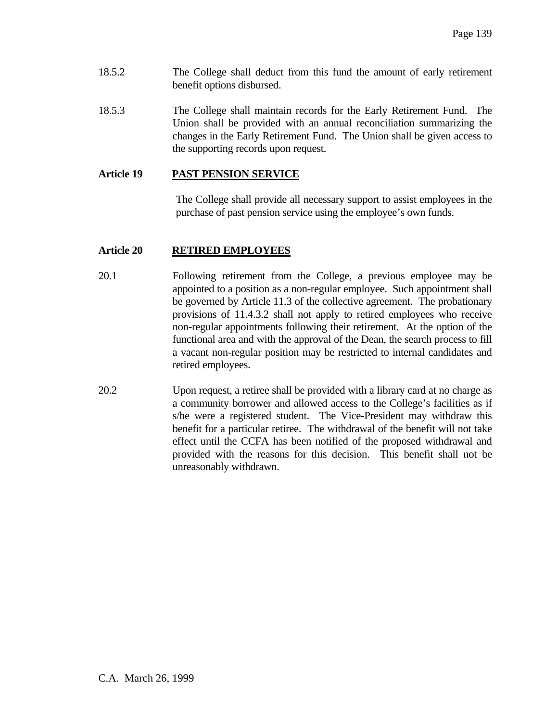- 18.5.2 The College shall deduct from this fund the amount of early retirement benefit options disbursed.
- 18.5.3 The College shall maintain records for the Early Retirement Fund. The Union shall be provided with an annual reconciliation summarizing the changes in the Early Retirement Fund. The Union shall be given access to the supporting records upon request.

### **Article 19 PAST PENSION SERVICE**

The College shall provide all necessary support to assist employees in the purchase of past pension service using the employee's own funds.

### **Article 20 RETIRED EMPLOYEES**

- 20.1 Following retirement from the College, a previous employee may be appointed to a position as a non-regular employee. Such appointment shall be governed by Article 11.3 of the collective agreement. The probationary provisions of 11.4.3.2 shall not apply to retired employees who receive non-regular appointments following their retirement. At the option of the functional area and with the approval of the Dean, the search process to fill a vacant non-regular position may be restricted to internal candidates and retired employees.
- 20.2 Upon request, a retiree shall be provided with a library card at no charge as a community borrower and allowed access to the College's facilities as if s/he were a registered student. The Vice-President may withdraw this benefit for a particular retiree. The withdrawal of the benefit will not take effect until the CCFA has been notified of the proposed withdrawal and provided with the reasons for this decision. This benefit shall not be unreasonably withdrawn.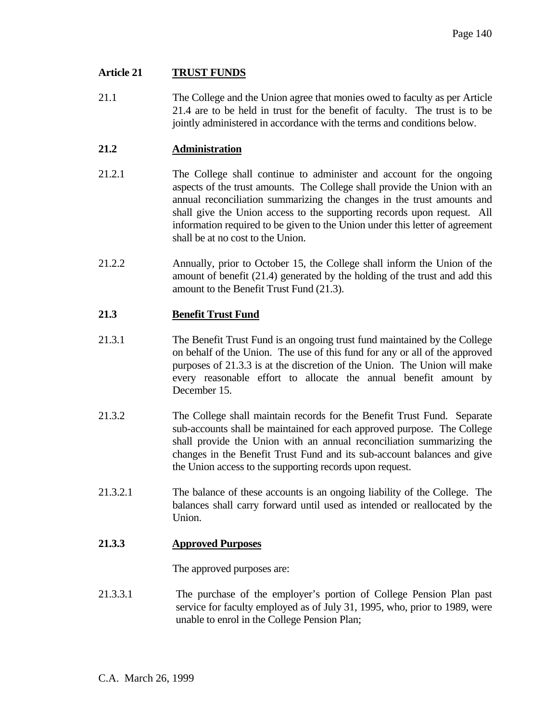### **Article 21 TRUST FUNDS**

21.1 The College and the Union agree that monies owed to faculty as per Article 21.4 are to be held in trust for the benefit of faculty. The trust is to be jointly administered in accordance with the terms and conditions below.

### **21.2 Administration**

- 21.2.1 The College shall continue to administer and account for the ongoing aspects of the trust amounts. The College shall provide the Union with an annual reconciliation summarizing the changes in the trust amounts and shall give the Union access to the supporting records upon request. All information required to be given to the Union under this letter of agreement shall be at no cost to the Union.
- 21.2.2 Annually, prior to October 15, the College shall inform the Union of the amount of benefit (21.4) generated by the holding of the trust and add this amount to the Benefit Trust Fund (21.3).

# **21.3 Benefit Trust Fund**

- 21.3.1 The Benefit Trust Fund is an ongoing trust fund maintained by the College on behalf of the Union. The use of this fund for any or all of the approved purposes of 21.3.3 is at the discretion of the Union. The Union will make every reasonable effort to allocate the annual benefit amount by December 15.
- 21.3.2 The College shall maintain records for the Benefit Trust Fund. Separate sub-accounts shall be maintained for each approved purpose. The College shall provide the Union with an annual reconciliation summarizing the changes in the Benefit Trust Fund and its sub-account balances and give the Union access to the supporting records upon request.
- 21.3.2.1 The balance of these accounts is an ongoing liability of the College. The balances shall carry forward until used as intended or reallocated by the Union.

# **21.3.3 Approved Purposes**

The approved purposes are:

21.3.3.1 The purchase of the employer's portion of College Pension Plan past service for faculty employed as of July 31, 1995, who, prior to 1989, were unable to enrol in the College Pension Plan;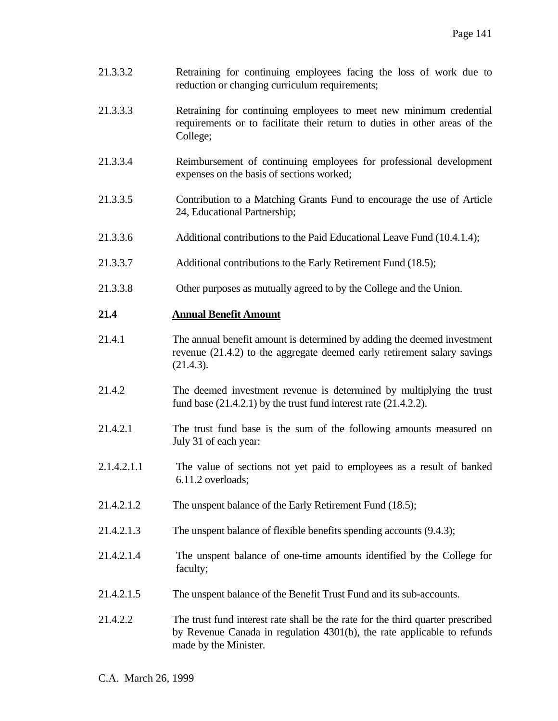- 21.3.3.2 Retraining for continuing employees facing the loss of work due to reduction or changing curriculum requirements;
- 21.3.3.3 Retraining for continuing employees to meet new minimum credential requirements or to facilitate their return to duties in other areas of the College;
- 21.3.3.4 Reimbursement of continuing employees for professional development expenses on the basis of sections worked;
- 21.3.3.5 Contribution to a Matching Grants Fund to encourage the use of Article 24, Educational Partnership;
- 21.3.3.6 Additional contributions to the Paid Educational Leave Fund (10.4.1.4);
- 21.3.3.7 Additional contributions to the Early Retirement Fund (18.5);
- 21.3.3.8 Other purposes as mutually agreed to by the College and the Union.

#### **21.4 Annual Benefit Amount**

- 21.4.1 The annual benefit amount is determined by adding the deemed investment revenue (21.4.2) to the aggregate deemed early retirement salary savings (21.4.3).
- 21.4.2 The deemed investment revenue is determined by multiplying the trust fund base (21.4.2.1) by the trust fund interest rate (21.4.2.2).
- 21.4.2.1 The trust fund base is the sum of the following amounts measured on July 31 of each year:
- 2.1.4.2.1.1 The value of sections not yet paid to employees as a result of banked 6.11.2 overloads;
- 21.4.2.1.2 The unspent balance of the Early Retirement Fund (18.5);
- 21.4.2.1.3 The unspent balance of flexible benefits spending accounts (9.4.3);
- 21.4.2.1.4 The unspent balance of one-time amounts identified by the College for faculty;
- 21.4.2.1.5 The unspent balance of the Benefit Trust Fund and its sub-accounts.
- 21.4.2.2 The trust fund interest rate shall be the rate for the third quarter prescribed by Revenue Canada in regulation 4301(b), the rate applicable to refunds made by the Minister.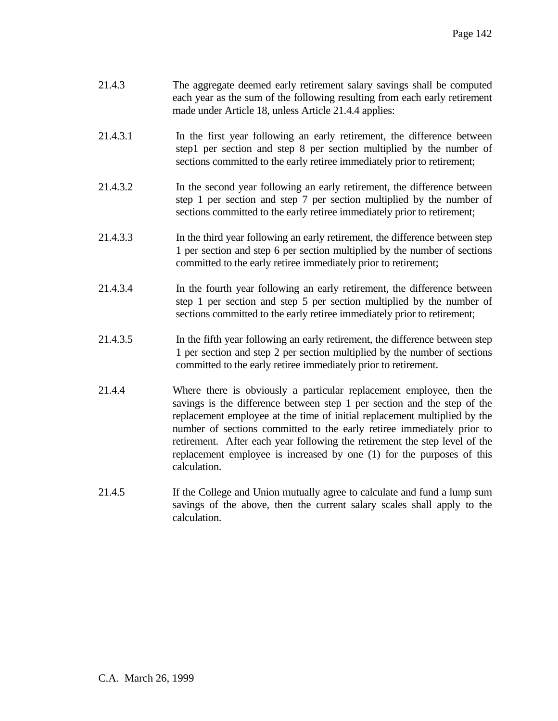| 21.4.3 | The aggregate deemed early retirement salary savings shall be computed     |
|--------|----------------------------------------------------------------------------|
|        | each year as the sum of the following resulting from each early retirement |
|        | made under Article 18, unless Article 21.4.4 applies:                      |

- 21.4.3.1 In the first year following an early retirement, the difference between step1 per section and step 8 per section multiplied by the number of sections committed to the early retiree immediately prior to retirement;
- 21.4.3.2 In the second year following an early retirement, the difference between step 1 per section and step 7 per section multiplied by the number of sections committed to the early retiree immediately prior to retirement;
- 21.4.3.3 In the third year following an early retirement, the difference between step 1 per section and step 6 per section multiplied by the number of sections committed to the early retiree immediately prior to retirement;
- 21.4.3.4 In the fourth year following an early retirement, the difference between step 1 per section and step 5 per section multiplied by the number of sections committed to the early retiree immediately prior to retirement;
- 21.4.3.5 In the fifth year following an early retirement, the difference between step 1 per section and step 2 per section multiplied by the number of sections committed to the early retiree immediately prior to retirement.
- 21.4.4 Where there is obviously a particular replacement employee, then the savings is the difference between step 1 per section and the step of the replacement employee at the time of initial replacement multiplied by the number of sections committed to the early retiree immediately prior to retirement. After each year following the retirement the step level of the replacement employee is increased by one (1) for the purposes of this calculation.
- 21.4.5 If the College and Union mutually agree to calculate and fund a lump sum savings of the above, then the current salary scales shall apply to the calculation.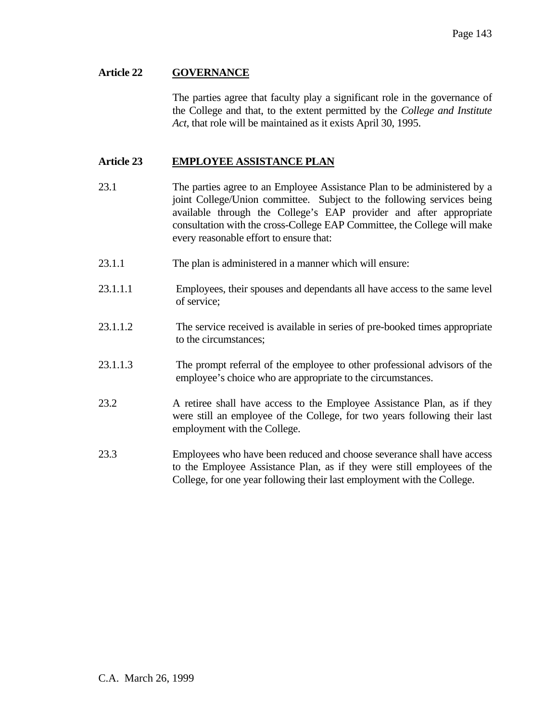#### **Article 22 GOVERNANCE**

 The parties agree that faculty play a significant role in the governance of the College and that, to the extent permitted by the *College and Institute Act*, that role will be maintained as it exists April 30, 1995.

#### **Article 23 EMPLOYEE ASSISTANCE PLAN**

- 23.1 The parties agree to an Employee Assistance Plan to be administered by a joint College/Union committee. Subject to the following services being available through the College's EAP provider and after appropriate consultation with the cross-College EAP Committee, the College will make every reasonable effort to ensure that:
- 23.1.1 The plan is administered in a manner which will ensure:
- 23.1.1.1 Employees, their spouses and dependants all have access to the same level of service;
- 23.1.1.2 The service received is available in series of pre-booked times appropriate to the circumstances;
- 23.1.1.3 The prompt referral of the employee to other professional advisors of the employee's choice who are appropriate to the circumstances.
- 23.2 A retiree shall have access to the Employee Assistance Plan, as if they were still an employee of the College, for two years following their last employment with the College.
- 23.3 Employees who have been reduced and choose severance shall have access to the Employee Assistance Plan, as if they were still employees of the College, for one year following their last employment with the College.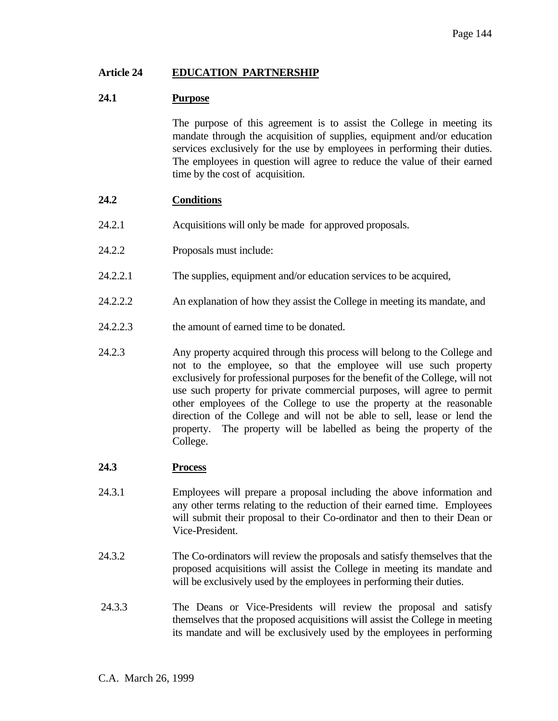### **Article 24 EDUCATION PARTNERSHIP**

### **24.1 Purpose**

 The purpose of this agreement is to assist the College in meeting its mandate through the acquisition of supplies, equipment and/or education services exclusively for the use by employees in performing their duties. The employees in question will agree to reduce the value of their earned time by the cost of acquisition.

### **24.2 Conditions**

- 24.2.1 Acquisitions will only be made for approved proposals.
- 24.2.2 Proposals must include:
- 24.2.2.1 The supplies, equipment and/or education services to be acquired,
- 24.2.2.2 An explanation of how they assist the College in meeting its mandate, and
- 24.2.2.3 the amount of earned time to be donated.
- 24.2.3 Any property acquired through this process will belong to the College and not to the employee, so that the employee will use such property exclusively for professional purposes for the benefit of the College, will not use such property for private commercial purposes, will agree to permit other employees of the College to use the property at the reasonable direction of the College and will not be able to sell, lease or lend the property. The property will be labelled as being the property of the College.

#### **24.3 Process**

- 24.3.1 Employees will prepare a proposal including the above information and any other terms relating to the reduction of their earned time. Employees will submit their proposal to their Co-ordinator and then to their Dean or Vice-President.
- 24.3.2 The Co-ordinators will review the proposals and satisfy themselves that the proposed acquisitions will assist the College in meeting its mandate and will be exclusively used by the employees in performing their duties.
- 24.3.3 The Deans or Vice-Presidents will review the proposal and satisfy themselves that the proposed acquisitions will assist the College in meeting its mandate and will be exclusively used by the employees in performing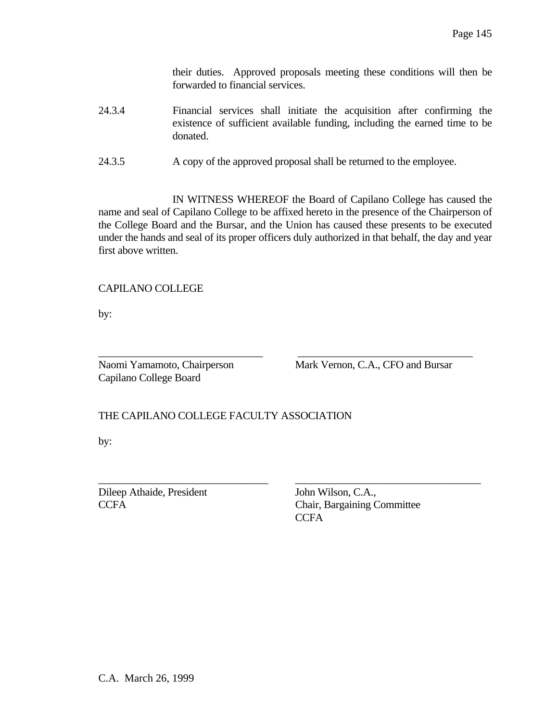their duties. Approved proposals meeting these conditions will then be forwarded to financial services.

- 24.3.4 Financial services shall initiate the acquisition after confirming the existence of sufficient available funding, including the earned time to be donated.
- 24.3.5 A copy of the approved proposal shall be returned to the employee.

 IN WITNESS WHEREOF the Board of Capilano College has caused the name and seal of Capilano College to be affixed hereto in the presence of the Chairperson of the College Board and the Bursar, and the Union has caused these presents to be executed under the hands and seal of its proper officers duly authorized in that behalf, the day and year first above written.

\_\_\_\_\_\_\_\_\_\_\_\_\_\_\_\_\_\_\_\_\_\_\_\_\_\_\_\_\_\_\_ \_\_\_\_\_\_\_\_\_\_\_\_\_\_\_\_\_\_\_\_\_\_\_\_\_\_\_\_\_\_\_\_\_

\_\_\_\_\_\_\_\_\_\_\_\_\_\_\_\_\_\_\_\_\_\_\_\_\_\_\_\_\_\_\_\_ \_\_\_\_\_\_\_\_\_\_\_\_\_\_\_\_\_\_\_\_\_\_\_\_\_\_\_\_\_\_\_\_\_\_\_

# CAPILANO COLLEGE

by:

Capilano College Board

Naomi Yamamoto, Chairperson Mark Vernon, C.A., CFO and Bursar

# THE CAPILANO COLLEGE FACULTY ASSOCIATION

by:

Dileep Athaide, President John Wilson, C.A.,

CCFA Chair, Bargaining Committee **CCFA**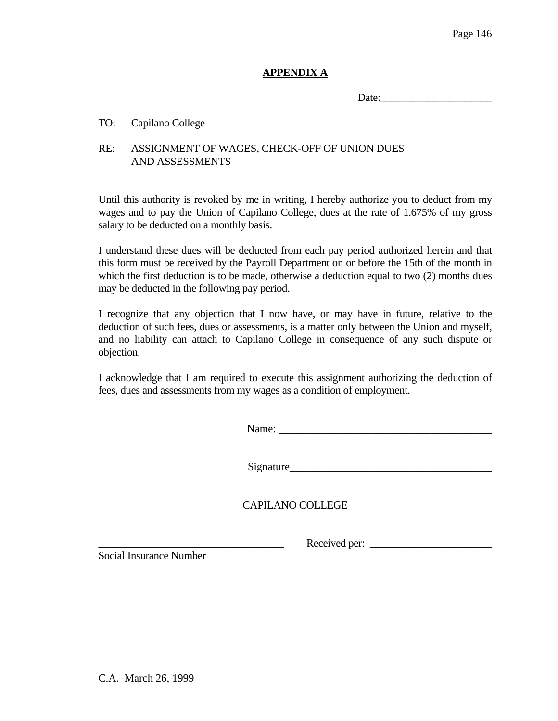# **APPENDIX A**

Date:

### TO: Capilano College

# RE: ASSIGNMENT OF WAGES, CHECK-OFF OF UNION DUES AND ASSESSMENTS

Until this authority is revoked by me in writing, I hereby authorize you to deduct from my wages and to pay the Union of Capilano College, dues at the rate of 1.675% of my gross salary to be deducted on a monthly basis.

I understand these dues will be deducted from each pay period authorized herein and that this form must be received by the Payroll Department on or before the 15th of the month in which the first deduction is to be made, otherwise a deduction equal to two  $(2)$  months dues may be deducted in the following pay period.

I recognize that any objection that I now have, or may have in future, relative to the deduction of such fees, dues or assessments, is a matter only between the Union and myself, and no liability can attach to Capilano College in consequence of any such dispute or objection.

I acknowledge that I am required to execute this assignment authorizing the deduction of fees, dues and assessments from my wages as a condition of employment.

Name: \_\_\_\_\_\_\_\_\_\_\_\_\_\_\_\_\_\_\_\_\_\_\_\_\_\_\_\_\_\_\_\_\_\_\_\_\_\_\_

Signature\_\_\_\_\_\_\_\_\_\_\_\_\_\_\_\_\_\_\_\_\_\_\_\_\_\_\_\_\_\_\_\_\_\_\_\_\_

CAPILANO COLLEGE

Social Insurance Number

\_\_\_\_\_\_\_\_\_\_\_\_\_\_\_\_\_\_\_\_\_\_\_\_\_\_\_\_\_\_\_\_\_\_\_ Received per: \_\_\_\_\_\_\_\_\_\_\_\_\_\_\_\_\_\_\_\_\_\_\_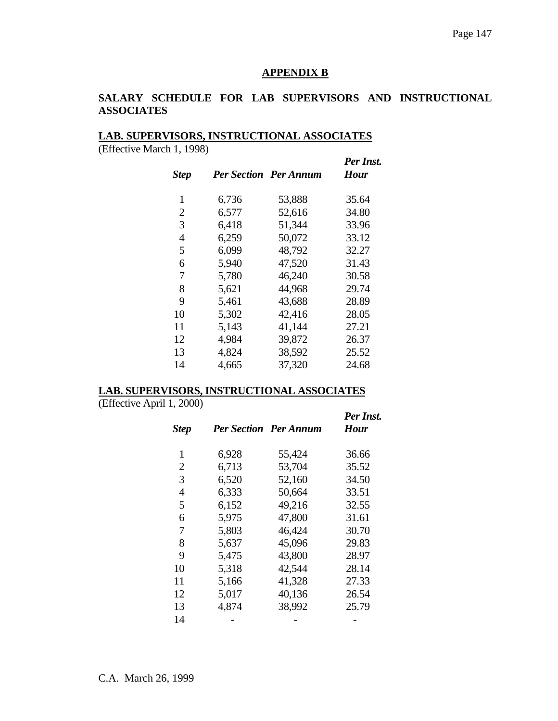#### **APPENDIX B**

# **SALARY SCHEDULE FOR LAB SUPERVISORS AND INSTRUCTIONAL ASSOCIATES**

# **LAB. SUPERVISORS, INSTRUCTIONAL ASSOCIATES**

(Effective March 1, 1998)

| $L$ . The curve is not in $1, 1770$ | <b>Step</b> |       | <b>Per Section Per Annum</b> | Per Inst.<br><b>Hour</b> |
|-------------------------------------|-------------|-------|------------------------------|--------------------------|
|                                     | 1           | 6,736 | 53,888                       | 35.64                    |
|                                     | 2           | 6,577 | 52,616                       | 34.80                    |
|                                     | 3           | 6,418 | 51,344                       | 33.96                    |
|                                     | 4           | 6,259 | 50,072                       | 33.12                    |
|                                     | 5           | 6,099 | 48,792                       | 32.27                    |
|                                     | 6           | 5,940 | 47,520                       | 31.43                    |
|                                     | 7           | 5,780 | 46,240                       | 30.58                    |
|                                     | 8           | 5,621 | 44,968                       | 29.74                    |
|                                     | 9           | 5,461 | 43,688                       | 28.89                    |
|                                     | 10          | 5,302 | 42,416                       | 28.05                    |
|                                     | 11          | 5,143 | 41,144                       | 27.21                    |
|                                     | 12          | 4,984 | 39,872                       | 26.37                    |
|                                     | 13          | 4,824 | 38,592                       | 25.52                    |
|                                     | 14          | 4,665 | 37,320                       | 24.68                    |
|                                     |             |       |                              |                          |

#### **LAB. SUPERVISORS, INSTRUCTIONAL ASSOCIATES**

(Effective April 1, 2000)

| <b>Step</b>    |       | <b>Per Section Per Annum</b> | Per Inst.<br><b>Hour</b> |
|----------------|-------|------------------------------|--------------------------|
| 1              | 6,928 | 55,424                       | 36.66                    |
| $\overline{2}$ | 6,713 | 53,704                       | 35.52                    |
| 3              | 6,520 | 52,160                       | 34.50                    |
| $\overline{4}$ | 6,333 | 50,664                       | 33.51                    |
| 5              | 6,152 | 49,216                       | 32.55                    |
| 6              | 5,975 | 47,800                       | 31.61                    |
| 7              | 5,803 | 46,424                       | 30.70                    |
| 8              | 5,637 | 45,096                       | 29.83                    |
| 9              | 5,475 | 43,800                       | 28.97                    |
| 10             | 5,318 | 42,544                       | 28.14                    |
| 11             | 5,166 | 41,328                       | 27.33                    |
| 12             | 5,017 | 40,136                       | 26.54                    |
| 13             | 4,874 | 38,992                       | 25.79                    |
| 14             |       |                              |                          |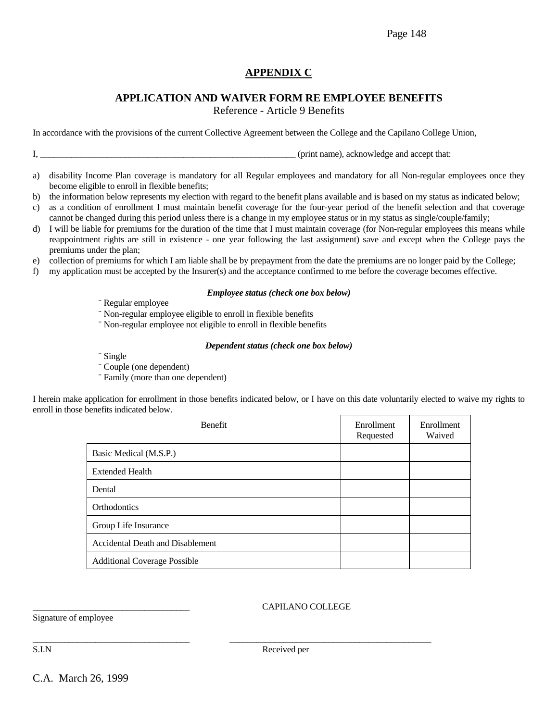Page 148

# **APPENDIX C**

# **APPLICATION AND WAIVER FORM RE EMPLOYEE BENEFITS**

Reference - Article 9 Benefits

In accordance with the provisions of the current Collective Agreement between the College and the Capilano College Union,

I, \_\_\_\_\_\_\_\_\_\_\_\_\_\_\_\_\_\_\_\_\_\_\_\_\_\_\_\_\_\_\_\_\_\_\_\_\_\_\_\_\_\_\_\_\_\_\_\_\_\_\_\_\_\_\_\_\_ (print name), acknowledge and accept that:

- a) disability Income Plan coverage is mandatory for all Regular employees and mandatory for all Non-regular employees once they become eligible to enroll in flexible benefits;
- b) the information below represents my election with regard to the benefit plans available and is based on my status as indicated below;
- c) as a condition of enrollment I must maintain benefit coverage for the four-year period of the benefit selection and that coverage cannot be changed during this period unless there is a change in my employee status or in my status as single/couple/family;
- d) I will be liable for premiums for the duration of the time that I must maintain coverage (for Non-regular employees this means while reappointment rights are still in existence - one year following the last assignment) save and except when the College pays the premiums under the plan;
- e) collection of premiums for which I am liable shall be by prepayment from the date the premiums are no longer paid by the College;
- f) my application must be accepted by the Insurer(s) and the acceptance confirmed to me before the coverage becomes effective.

#### *Employee status (check one box below)*

- ¨ Regular employee
- ¨ Non-regular employee eligible to enroll in flexible benefits
- ¨ Non-regular employee not eligible to enroll in flexible benefits

#### *Dependent status (check one box below)*

- ¨ Single
- ¨ Couple (one dependent)
- ¨ Family (more than one dependent)

I herein make application for enrollment in those benefits indicated below, or I have on this date voluntarily elected to waive my rights to enroll in those benefits indicated below.

| <b>Benefit</b>                      | Enrollment<br>Requested | Enrollment<br>Waived |
|-------------------------------------|-------------------------|----------------------|
| Basic Medical (M.S.P.)              |                         |                      |
| <b>Extended Health</b>              |                         |                      |
| Dental                              |                         |                      |
| <b>Orthodontics</b>                 |                         |                      |
| Group Life Insurance                |                         |                      |
| Accidental Death and Disablement    |                         |                      |
| <b>Additional Coverage Possible</b> |                         |                      |

#### \_\_\_\_\_\_\_\_\_\_\_\_\_\_\_\_\_\_\_\_\_\_\_\_\_\_\_\_\_\_\_\_\_\_\_ CAPILANO COLLEGE

Signature of employee

S.I.N Received per

\_\_\_\_\_\_\_\_\_\_\_\_\_\_\_\_\_\_\_\_\_\_\_\_\_\_\_\_\_\_\_\_\_\_\_ \_\_\_\_\_\_\_\_\_\_\_\_\_\_\_\_\_\_\_\_\_\_\_\_\_\_\_\_\_\_\_\_\_\_\_\_\_\_\_\_\_\_\_\_\_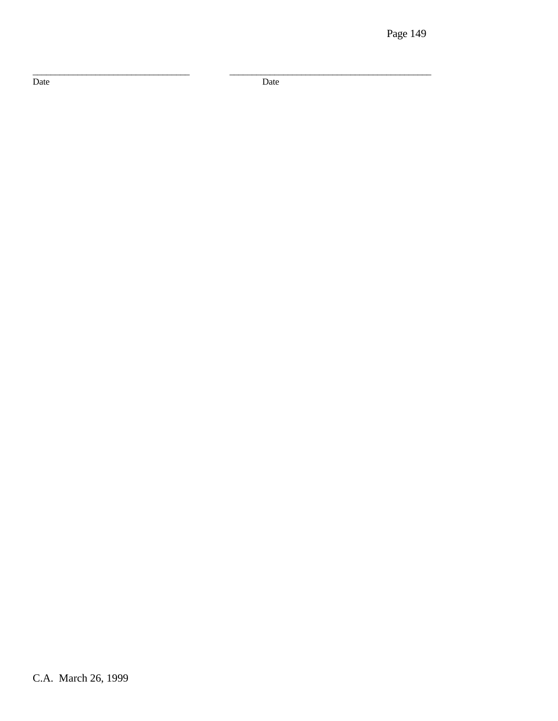Date

Date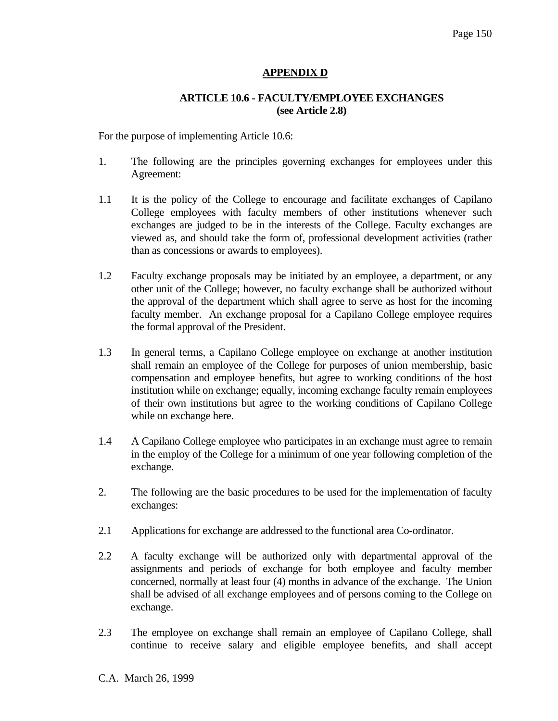# **APPENDIX D**

#### **ARTICLE 10.6 - FACULTY/EMPLOYEE EXCHANGES (see Article 2.8)**

For the purpose of implementing Article 10.6:

- 1. The following are the principles governing exchanges for employees under this Agreement:
- 1.1 It is the policy of the College to encourage and facilitate exchanges of Capilano College employees with faculty members of other institutions whenever such exchanges are judged to be in the interests of the College. Faculty exchanges are viewed as, and should take the form of, professional development activities (rather than as concessions or awards to employees).
- 1.2 Faculty exchange proposals may be initiated by an employee, a department, or any other unit of the College; however, no faculty exchange shall be authorized without the approval of the department which shall agree to serve as host for the incoming faculty member. An exchange proposal for a Capilano College employee requires the formal approval of the President.
- 1.3 In general terms, a Capilano College employee on exchange at another institution shall remain an employee of the College for purposes of union membership, basic compensation and employee benefits, but agree to working conditions of the host institution while on exchange; equally, incoming exchange faculty remain employees of their own institutions but agree to the working conditions of Capilano College while on exchange here.
- 1.4 A Capilano College employee who participates in an exchange must agree to remain in the employ of the College for a minimum of one year following completion of the exchange.
- 2. The following are the basic procedures to be used for the implementation of faculty exchanges:
- 2.1 Applications for exchange are addressed to the functional area Co-ordinator.
- 2.2 A faculty exchange will be authorized only with departmental approval of the assignments and periods of exchange for both employee and faculty member concerned, normally at least four (4) months in advance of the exchange. The Union shall be advised of all exchange employees and of persons coming to the College on exchange.
- 2.3 The employee on exchange shall remain an employee of Capilano College, shall continue to receive salary and eligible employee benefits, and shall accept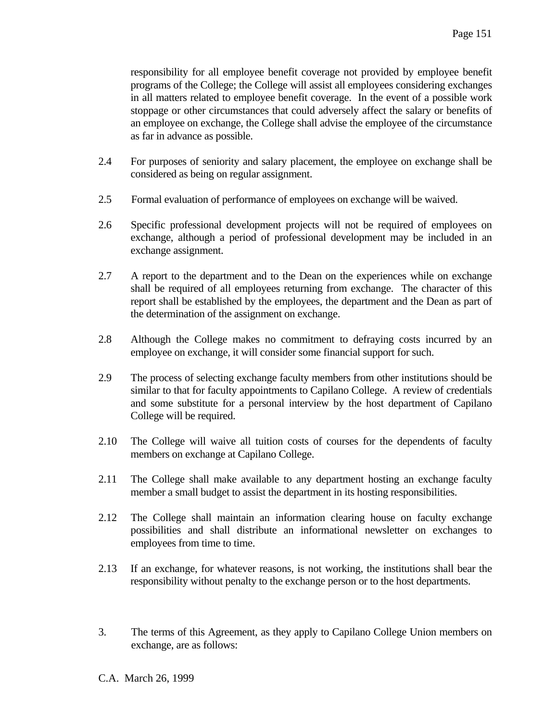responsibility for all employee benefit coverage not provided by employee benefit programs of the College; the College will assist all employees considering exchanges in all matters related to employee benefit coverage. In the event of a possible work stoppage or other circumstances that could adversely affect the salary or benefits of an employee on exchange, the College shall advise the employee of the circumstance as far in advance as possible.

- 2.4 For purposes of seniority and salary placement, the employee on exchange shall be considered as being on regular assignment.
- 2.5 Formal evaluation of performance of employees on exchange will be waived.
- 2.6 Specific professional development projects will not be required of employees on exchange, although a period of professional development may be included in an exchange assignment.
- 2.7 A report to the department and to the Dean on the experiences while on exchange shall be required of all employees returning from exchange. The character of this report shall be established by the employees, the department and the Dean as part of the determination of the assignment on exchange.
- 2.8 Although the College makes no commitment to defraying costs incurred by an employee on exchange, it will consider some financial support for such.
- 2.9 The process of selecting exchange faculty members from other institutions should be similar to that for faculty appointments to Capilano College. A review of credentials and some substitute for a personal interview by the host department of Capilano College will be required.
- 2.10 The College will waive all tuition costs of courses for the dependents of faculty members on exchange at Capilano College.
- 2.11 The College shall make available to any department hosting an exchange faculty member a small budget to assist the department in its hosting responsibilities.
- 2.12 The College shall maintain an information clearing house on faculty exchange possibilities and shall distribute an informational newsletter on exchanges to employees from time to time.
- 2.13 If an exchange, for whatever reasons, is not working, the institutions shall bear the responsibility without penalty to the exchange person or to the host departments.
- 3. The terms of this Agreement, as they apply to Capilano College Union members on exchange, are as follows: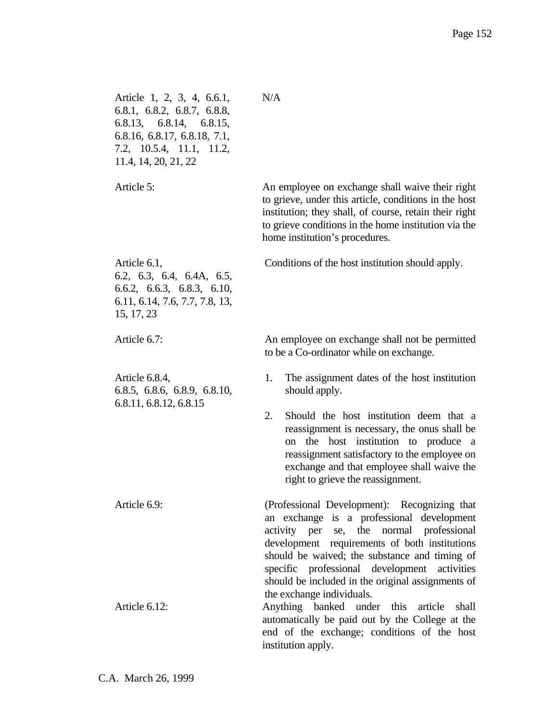| Article 1, 2, 3, 4, 6.6.1,<br>6.8.1, 6.8.2, 6.8.7, 6.8.8,<br>6.8.13, 6.8.14, 6.8.15,<br>6.8.16, 6.8.17, 6.8.18, 7.1,<br>7.2, 10.5.4, 11.1, 11.2,<br>11.4, 14, 20, 21, 22 | N/A                                                                                                                                                                                                                                                                                                                                                |
|--------------------------------------------------------------------------------------------------------------------------------------------------------------------------|----------------------------------------------------------------------------------------------------------------------------------------------------------------------------------------------------------------------------------------------------------------------------------------------------------------------------------------------------|
| Article 5:                                                                                                                                                               | An employee on exchange shall waive their right<br>to grieve, under this article, conditions in the host<br>institution; they shall, of course, retain their right<br>to grieve conditions in the home institution via the<br>home institution's procedures.                                                                                       |
| Article 6.1,<br>6.2, 6.3, 6.4, 6.4A, 6.5,<br>6.6.2, 6.6.3, 6.8.3, 6.10,<br>6.11, 6.14, 7.6, 7.7, 7.8, 13,<br>15, 17, 23                                                  | Conditions of the host institution should apply.                                                                                                                                                                                                                                                                                                   |
| Article 6.7:                                                                                                                                                             | An employee on exchange shall not be permitted<br>to be a Co-ordinator while on exchange.                                                                                                                                                                                                                                                          |
| Article 6.8.4,<br>6.8.5, 6.8.6, 6.8.9, 6.8.10,<br>6.8.11, 6.8.12, 6.8.15                                                                                                 | 1.<br>The assignment dates of the host institution<br>should apply.<br>2.<br>Should the host institution deem that a<br>reassignment is necessary, the onus shall be<br>the host institution to produce a<br>on<br>reassignment satisfactory to the employee on<br>exchange and that employee shall waive the<br>right to grieve the reassignment. |
| Article 6.9:                                                                                                                                                             | (Professional Development): Recognizing that<br>an exchange is a professional development<br>the normal professional<br>activity per se,<br>development requirements of both institutions<br>should be waived; the substance and timing of<br>specific professional development activities<br>should be included in the original assignments of    |
| Article 6.12:                                                                                                                                                            | the exchange individuals.<br>Anything banked under this article<br>shall<br>automatically be paid out by the College at the<br>end of the exchange; conditions of the host<br>institution apply.                                                                                                                                                   |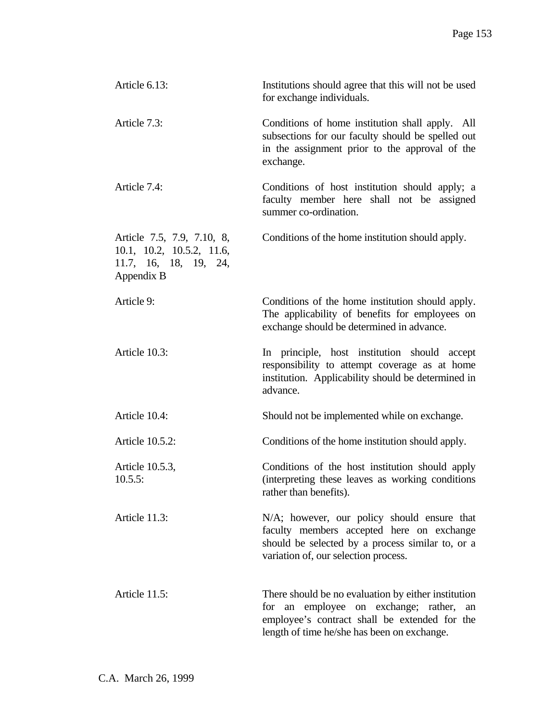| Article 6.13:                                                                                  | Institutions should agree that this will not be used<br>for exchange individuals.                                                                                                                 |
|------------------------------------------------------------------------------------------------|---------------------------------------------------------------------------------------------------------------------------------------------------------------------------------------------------|
| Article 7.3:                                                                                   | Conditions of home institution shall apply. All<br>subsections for our faculty should be spelled out<br>in the assignment prior to the approval of the<br>exchange.                               |
| Article 7.4:                                                                                   | Conditions of host institution should apply; a<br>faculty member here shall not be assigned<br>summer co-ordination.                                                                              |
| Article 7.5, 7.9, 7.10, 8,<br>10.1, 10.2, 10.5.2, 11.6,<br>11.7, 16, 18, 19, 24,<br>Appendix B | Conditions of the home institution should apply.                                                                                                                                                  |
| Article 9:                                                                                     | Conditions of the home institution should apply.<br>The applicability of benefits for employees on<br>exchange should be determined in advance.                                                   |
| Article 10.3:                                                                                  | In principle, host institution should accept<br>responsibility to attempt coverage as at home<br>institution. Applicability should be determined in<br>advance.                                   |
| Article 10.4:                                                                                  | Should not be implemented while on exchange.                                                                                                                                                      |
| Article 10.5.2:                                                                                | Conditions of the home institution should apply.                                                                                                                                                  |
| Article 10.5.3,<br>$10.5.5$ :                                                                  | Conditions of the host institution should apply<br>(interpreting these leaves as working conditions)<br>rather than benefits).                                                                    |
| Article 11.3:                                                                                  | N/A; however, our policy should ensure that<br>faculty members accepted here on exchange<br>should be selected by a process similar to, or a<br>variation of, our selection process.              |
| Article 11.5:                                                                                  | There should be no evaluation by either institution<br>for an employee on exchange; rather,<br>an<br>employee's contract shall be extended for the<br>length of time he/she has been on exchange. |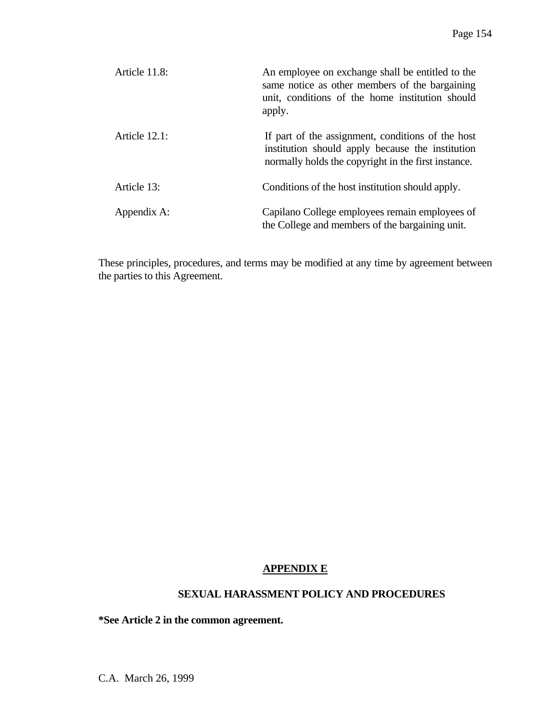| Article 11.8:    | An employee on exchange shall be entitled to the<br>same notice as other members of the bargaining<br>unit, conditions of the home institution should<br>apply. |
|------------------|-----------------------------------------------------------------------------------------------------------------------------------------------------------------|
| Article $12.1$ : | If part of the assignment, conditions of the host<br>institution should apply because the institution<br>normally holds the copyright in the first instance.    |
| Article 13:      | Conditions of the host institution should apply.                                                                                                                |
| Appendix A:      | Capilano College employees remain employees of<br>the College and members of the bargaining unit.                                                               |

These principles, procedures, and terms may be modified at any time by agreement between the parties to this Agreement.

# **APPENDIX E**

#### **SEXUAL HARASSMENT POLICY AND PROCEDURES**

**\*See Article 2 in the common agreement.** 

C.A. March 26, 1999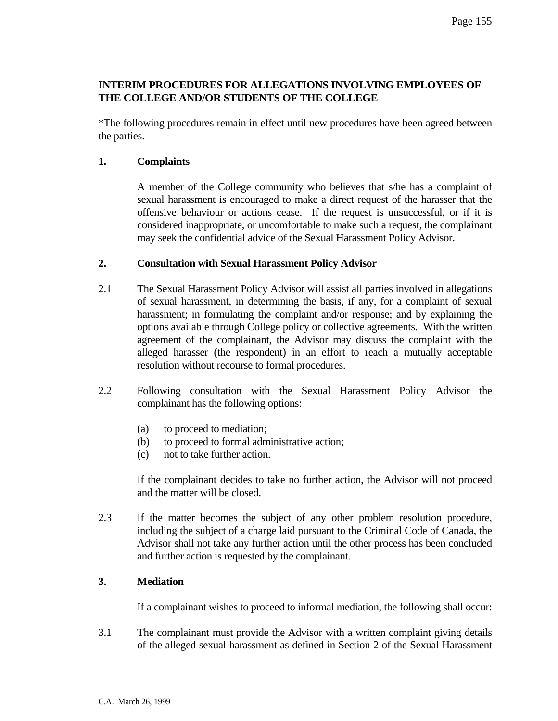# **INTERIM PROCEDURES FOR ALLEGATIONS INVOLVING EMPLOYEES OF THE COLLEGE AND/OR STUDENTS OF THE COLLEGE**

\*The following procedures remain in effect until new procedures have been agreed between the parties.

# **1. Complaints**

 A member of the College community who believes that s/he has a complaint of sexual harassment is encouraged to make a direct request of the harasser that the offensive behaviour or actions cease. If the request is unsuccessful, or if it is considered inappropriate, or uncomfortable to make such a request, the complainant may seek the confidential advice of the Sexual Harassment Policy Advisor.

# **2. Consultation with Sexual Harassment Policy Advisor**

- 2.1 The Sexual Harassment Policy Advisor will assist all parties involved in allegations of sexual harassment, in determining the basis, if any, for a complaint of sexual harassment; in formulating the complaint and/or response; and by explaining the options available through College policy or collective agreements. With the written agreement of the complainant, the Advisor may discuss the complaint with the alleged harasser (the respondent) in an effort to reach a mutually acceptable resolution without recourse to formal procedures.
- 2.2 Following consultation with the Sexual Harassment Policy Advisor the complainant has the following options:
	- (a) to proceed to mediation;
	- (b) to proceed to formal administrative action;
	- (c) not to take further action.

 If the complainant decides to take no further action, the Advisor will not proceed and the matter will be closed.

2.3 If the matter becomes the subject of any other problem resolution procedure, including the subject of a charge laid pursuant to the Criminal Code of Canada, the Advisor shall not take any further action until the other process has been concluded and further action is requested by the complainant.

# **3. Mediation**

If a complainant wishes to proceed to informal mediation, the following shall occur:

3.1 The complainant must provide the Advisor with a written complaint giving details of the alleged sexual harassment as defined in Section 2 of the Sexual Harassment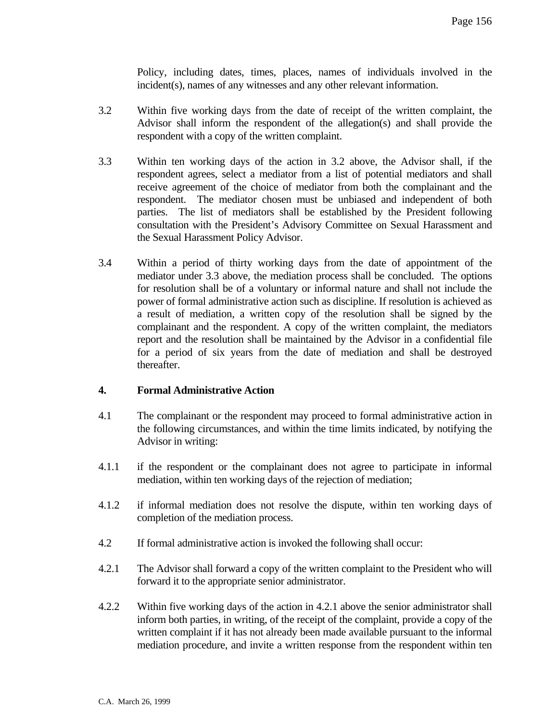Policy, including dates, times, places, names of individuals involved in the incident(s), names of any witnesses and any other relevant information.

- 3.2 Within five working days from the date of receipt of the written complaint, the Advisor shall inform the respondent of the allegation(s) and shall provide the respondent with a copy of the written complaint.
- 3.3 Within ten working days of the action in 3.2 above, the Advisor shall, if the respondent agrees, select a mediator from a list of potential mediators and shall receive agreement of the choice of mediator from both the complainant and the respondent. The mediator chosen must be unbiased and independent of both parties. The list of mediators shall be established by the President following consultation with the President's Advisory Committee on Sexual Harassment and the Sexual Harassment Policy Advisor.
- 3.4 Within a period of thirty working days from the date of appointment of the mediator under 3.3 above, the mediation process shall be concluded. The options for resolution shall be of a voluntary or informal nature and shall not include the power of formal administrative action such as discipline. If resolution is achieved as a result of mediation, a written copy of the resolution shall be signed by the complainant and the respondent. A copy of the written complaint, the mediators report and the resolution shall be maintained by the Advisor in a confidential file for a period of six years from the date of mediation and shall be destroyed thereafter.

#### **4. Formal Administrative Action**

- 4.1 The complainant or the respondent may proceed to formal administrative action in the following circumstances, and within the time limits indicated, by notifying the Advisor in writing:
- 4.1.1 if the respondent or the complainant does not agree to participate in informal mediation, within ten working days of the rejection of mediation;
- 4.1.2 if informal mediation does not resolve the dispute, within ten working days of completion of the mediation process.
- 4.2 If formal administrative action is invoked the following shall occur:
- 4.2.1 The Advisor shall forward a copy of the written complaint to the President who will forward it to the appropriate senior administrator.
- 4.2.2 Within five working days of the action in 4.2.1 above the senior administrator shall inform both parties, in writing, of the receipt of the complaint, provide a copy of the written complaint if it has not already been made available pursuant to the informal mediation procedure, and invite a written response from the respondent within ten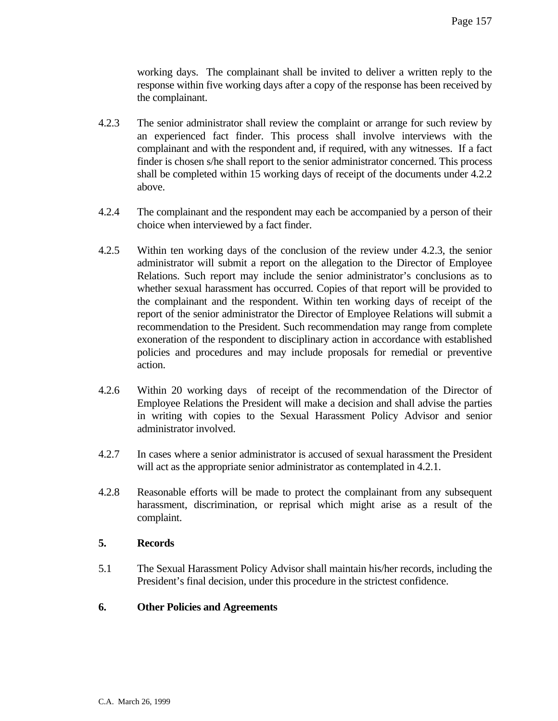working days. The complainant shall be invited to deliver a written reply to the response within five working days after a copy of the response has been received by the complainant.

- 4.2.3 The senior administrator shall review the complaint or arrange for such review by an experienced fact finder. This process shall involve interviews with the complainant and with the respondent and, if required, with any witnesses. If a fact finder is chosen s/he shall report to the senior administrator concerned. This process shall be completed within 15 working days of receipt of the documents under 4.2.2 above.
- 4.2.4 The complainant and the respondent may each be accompanied by a person of their choice when interviewed by a fact finder.
- 4.2.5 Within ten working days of the conclusion of the review under 4.2.3, the senior administrator will submit a report on the allegation to the Director of Employee Relations. Such report may include the senior administrator's conclusions as to whether sexual harassment has occurred. Copies of that report will be provided to the complainant and the respondent. Within ten working days of receipt of the report of the senior administrator the Director of Employee Relations will submit a recommendation to the President. Such recommendation may range from complete exoneration of the respondent to disciplinary action in accordance with established policies and procedures and may include proposals for remedial or preventive action.
- 4.2.6 Within 20 working days of receipt of the recommendation of the Director of Employee Relations the President will make a decision and shall advise the parties in writing with copies to the Sexual Harassment Policy Advisor and senior administrator involved.
- 4.2.7 In cases where a senior administrator is accused of sexual harassment the President will act as the appropriate senior administrator as contemplated in 4.2.1.
- 4.2.8 Reasonable efforts will be made to protect the complainant from any subsequent harassment, discrimination, or reprisal which might arise as a result of the complaint.

#### **5. Records**

5.1 The Sexual Harassment Policy Advisor shall maintain his/her records, including the President's final decision, under this procedure in the strictest confidence.

#### **6. Other Policies and Agreements**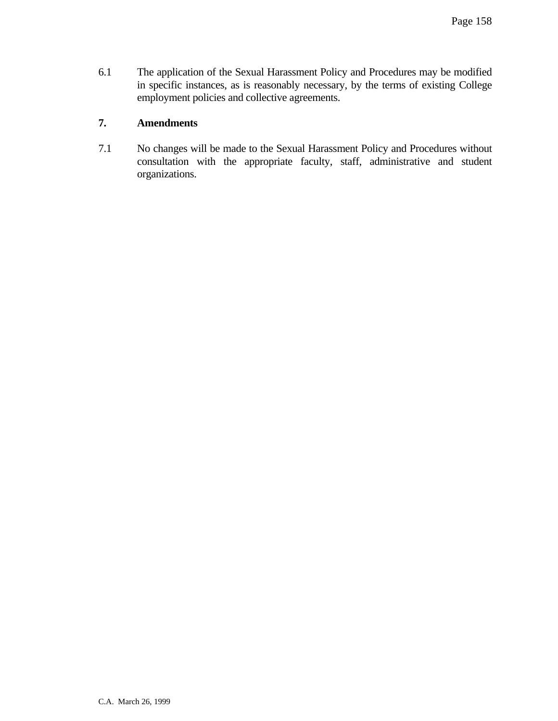6.1 The application of the Sexual Harassment Policy and Procedures may be modified in specific instances, as is reasonably necessary, by the terms of existing College employment policies and collective agreements.

# **7. Amendments**

7.1 No changes will be made to the Sexual Harassment Policy and Procedures without consultation with the appropriate faculty, staff, administrative and student organizations.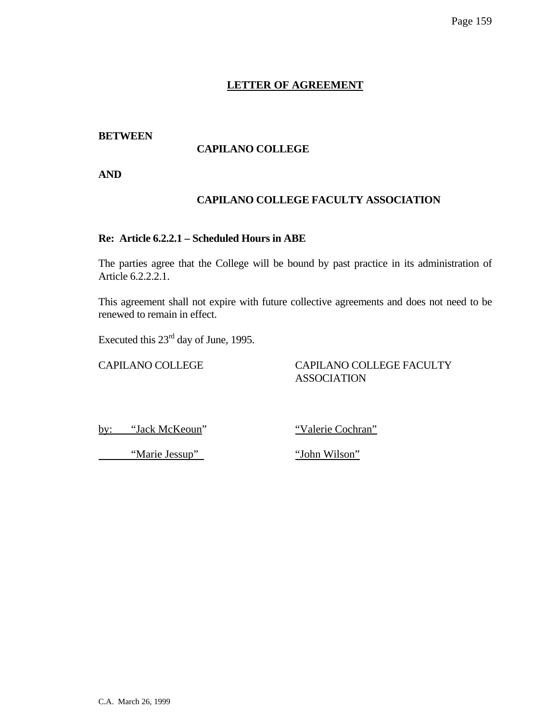# **LETTER OF AGREEMENT**

# **BETWEEN**

# **CAPILANO COLLEGE**

**AND** 

# **CAPILANO COLLEGE FACULTY ASSOCIATION**

# **Re: Article 6.2.2.1 – Scheduled Hours in ABE**

The parties agree that the College will be bound by past practice in its administration of Article 6.2.2.2.1.

This agreement shall not expire with future collective agreements and does not need to be renewed to remain in effect.

Executed this 23rd day of June, 1995.

# CAPILANO COLLEGE CAPILANO COLLEGE FACULTY ASSOCIATION

by: "Jack McKeoun" "Valerie Cochran"

"Marie Jessup" 
"John Wilson"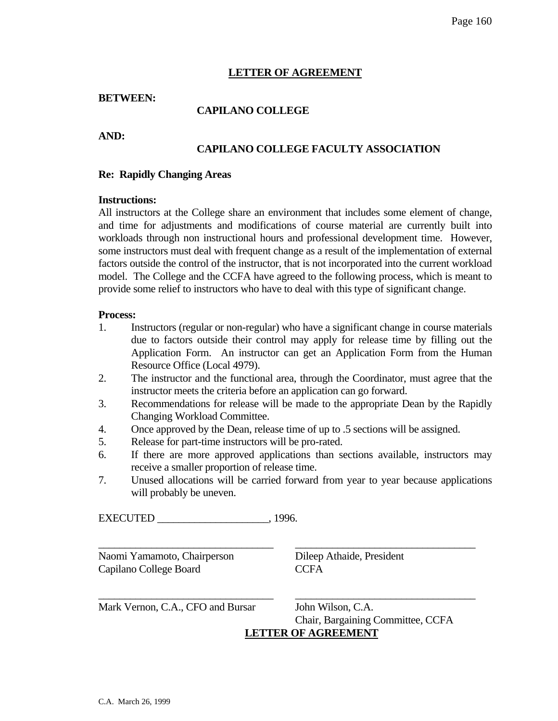# **LETTER OF AGREEMENT**

#### **BETWEEN:**

# **CAPILANO COLLEGE**

**AND:** 

# **CAPILANO COLLEGE FACULTY ASSOCIATION**

#### **Re: Rapidly Changing Areas**

#### **Instructions:**

All instructors at the College share an environment that includes some element of change, and time for adjustments and modifications of course material are currently built into workloads through non instructional hours and professional development time. However, some instructors must deal with frequent change as a result of the implementation of external factors outside the control of the instructor, that is not incorporated into the current workload model. The College and the CCFA have agreed to the following process, which is meant to provide some relief to instructors who have to deal with this type of significant change.

#### **Process:**

- 1. Instructors (regular or non-regular) who have a significant change in course materials due to factors outside their control may apply for release time by filling out the Application Form. An instructor can get an Application Form from the Human Resource Office (Local 4979).
- 2. The instructor and the functional area, through the Coordinator, must agree that the instructor meets the criteria before an application can go forward.
- 3. Recommendations for release will be made to the appropriate Dean by the Rapidly Changing Workload Committee.
- 4. Once approved by the Dean, release time of up to .5 sections will be assigned.
- 5. Release for part-time instructors will be pro-rated.
- 6. If there are more approved applications than sections available, instructors may receive a smaller proportion of release time.
- 7. Unused allocations will be carried forward from year to year because applications will probably be uneven.

 $\overline{\phantom{a}}$  , and the contribution of the contribution of the contribution of the contribution of the contribution of the contribution of the contribution of the contribution of the contribution of the contribution of the

 $\overline{\phantom{a}}$  , and the contribution of the contribution of the contribution of the contribution of the contribution of the contribution of the contribution of the contribution of the contribution of the contribution of the

EXECUTED 1996.

Naomi Yamamoto, Chairperson Dileep Athaide, President Capilano College Board CCFA

Mark Vernon, C.A., CFO and Bursar John Wilson, C.A.

 Chair, Bargaining Committee, CCFA **LETTER OF AGREEMENT**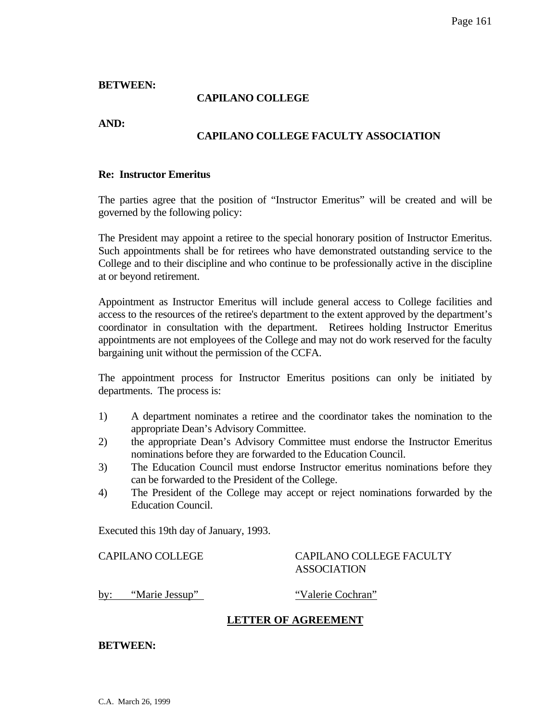#### **BETWEEN:**

#### **CAPILANO COLLEGE**

**AND:** 

# **CAPILANO COLLEGE FACULTY ASSOCIATION**

#### **Re: Instructor Emeritus**

The parties agree that the position of "Instructor Emeritus" will be created and will be governed by the following policy:

The President may appoint a retiree to the special honorary position of Instructor Emeritus. Such appointments shall be for retirees who have demonstrated outstanding service to the College and to their discipline and who continue to be professionally active in the discipline at or beyond retirement.

Appointment as Instructor Emeritus will include general access to College facilities and access to the resources of the retiree's department to the extent approved by the department's coordinator in consultation with the department. Retirees holding Instructor Emeritus appointments are not employees of the College and may not do work reserved for the faculty bargaining unit without the permission of the CCFA.

The appointment process for Instructor Emeritus positions can only be initiated by departments. The process is:

- 1) A department nominates a retiree and the coordinator takes the nomination to the appropriate Dean's Advisory Committee.
- 2) the appropriate Dean's Advisory Committee must endorse the Instructor Emeritus nominations before they are forwarded to the Education Council.
- 3) The Education Council must endorse Instructor emeritus nominations before they can be forwarded to the President of the College.
- 4) The President of the College may accept or reject nominations forwarded by the Education Council.

Executed this 19th day of January, 1993.

#### CAPILANO COLLEGE CAPILANO COLLEGE FACULTY ASSOCIATION

by: "Marie Jessup" "Valerie Cochran"

# **LETTER OF AGREEMENT**

**BETWEEN:**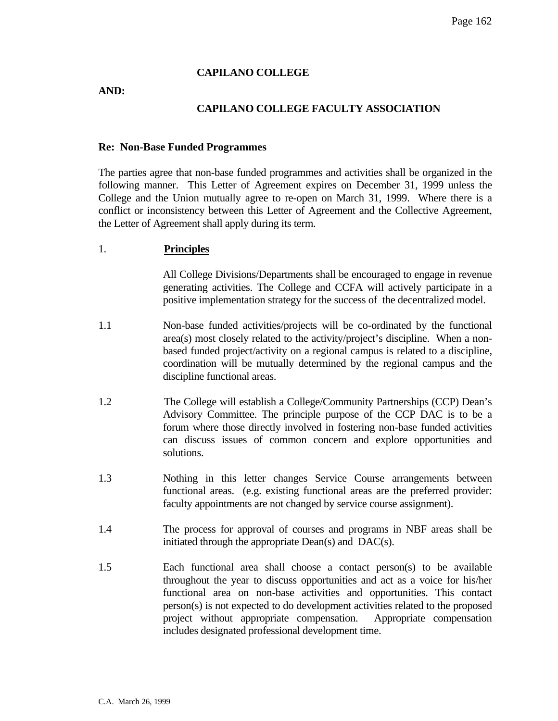# **CAPILANO COLLEGE**

#### **AND:**

# **CAPILANO COLLEGE FACULTY ASSOCIATION**

#### **Re: Non-Base Funded Programmes**

The parties agree that non-base funded programmes and activities shall be organized in the following manner. This Letter of Agreement expires on December 31, 1999 unless the College and the Union mutually agree to re-open on March 31, 1999. Where there is a conflict or inconsistency between this Letter of Agreement and the Collective Agreement, the Letter of Agreement shall apply during its term.

#### 1. **Principles**

All College Divisions/Departments shall be encouraged to engage in revenue generating activities. The College and CCFA will actively participate in a positive implementation strategy for the success of the decentralized model.

- 1.1 Non-base funded activities/projects will be co-ordinated by the functional area(s) most closely related to the activity/project's discipline. When a nonbased funded project/activity on a regional campus is related to a discipline, coordination will be mutually determined by the regional campus and the discipline functional areas.
- 1.2 The College will establish a College/Community Partnerships (CCP) Dean's Advisory Committee. The principle purpose of the CCP DAC is to be a forum where those directly involved in fostering non-base funded activities can discuss issues of common concern and explore opportunities and solutions.
- 1.3 Nothing in this letter changes Service Course arrangements between functional areas. (e.g. existing functional areas are the preferred provider: faculty appointments are not changed by service course assignment).
- 1.4 The process for approval of courses and programs in NBF areas shall be initiated through the appropriate Dean(s) and DAC(s).
- 1.5 Each functional area shall choose a contact person(s) to be available throughout the year to discuss opportunities and act as a voice for his/her functional area on non-base activities and opportunities. This contact person(s) is not expected to do development activities related to the proposed project without appropriate compensation. Appropriate compensation includes designated professional development time.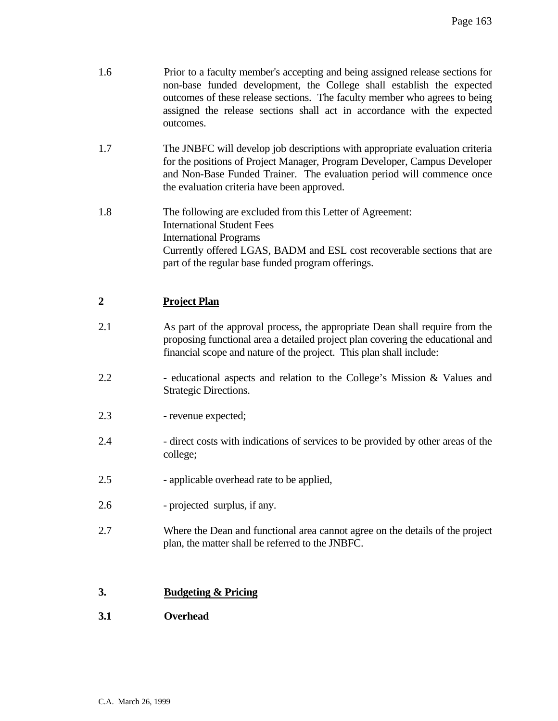| 1.6            | Prior to a faculty member's accepting and being assigned release sections for<br>non-base funded development, the College shall establish the expected<br>outcomes of these release sections. The faculty member who agrees to being<br>assigned the release sections shall act in accordance with the expected<br>outcomes. |
|----------------|------------------------------------------------------------------------------------------------------------------------------------------------------------------------------------------------------------------------------------------------------------------------------------------------------------------------------|
| 1.7            | The JNBFC will develop job descriptions with appropriate evaluation criteria<br>for the positions of Project Manager, Program Developer, Campus Developer<br>and Non-Base Funded Trainer. The evaluation period will commence once<br>the evaluation criteria have been approved.                                            |
| 1.8            | The following are excluded from this Letter of Agreement:<br><b>International Student Fees</b><br><b>International Programs</b><br>Currently offered LGAS, BADM and ESL cost recoverable sections that are<br>part of the regular base funded program offerings.                                                             |
| $\overline{2}$ | <b>Project Plan</b>                                                                                                                                                                                                                                                                                                          |
| 2.1            | As part of the approval process, the appropriate Dean shall require from the<br>proposing functional area a detailed project plan covering the educational and<br>financial scope and nature of the project. This plan shall include:                                                                                        |
| 2.2            | - educational aspects and relation to the College's Mission & Values and<br><b>Strategic Directions.</b>                                                                                                                                                                                                                     |
| 2.3            | - revenue expected;                                                                                                                                                                                                                                                                                                          |
| 2.4            | - direct costs with indications of services to be provided by other areas of the<br>college;                                                                                                                                                                                                                                 |
| 2.5            | - applicable overhead rate to be applied,                                                                                                                                                                                                                                                                                    |
| 2.6            | - projected surplus, if any.                                                                                                                                                                                                                                                                                                 |
| 2.7            | Where the Dean and functional area cannot agree on the details of the project<br>plan, the matter shall be referred to the JNBFC.                                                                                                                                                                                            |
|                |                                                                                                                                                                                                                                                                                                                              |

# **3. Budgeting & Pricing**

**3.1 Overhead**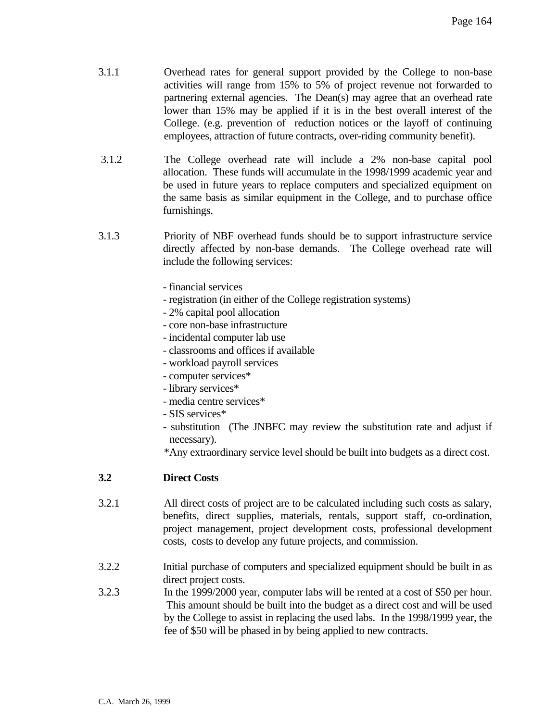- 3.1.1 Overhead rates for general support provided by the College to non-base activities will range from 15% to 5% of project revenue not forwarded to partnering external agencies. The Dean(s) may agree that an overhead rate lower than 15% may be applied if it is in the best overall interest of the College. (e.g. prevention of reduction notices or the layoff of continuing employees, attraction of future contracts, over-riding community benefit).
- 3.1.2 The College overhead rate will include a 2% non-base capital pool allocation. These funds will accumulate in the 1998/1999 academic year and be used in future years to replace computers and specialized equipment on the same basis as similar equipment in the College, and to purchase office furnishings.
- 3.1.3 Priority of NBF overhead funds should be to support infrastructure service directly affected by non-base demands. The College overhead rate will include the following services:
	- financial services
	- registration (in either of the College registration systems)
	- 2% capital pool allocation
	- core non-base infrastructure
	- incidental computer lab use
	- classrooms and offices if available
	- workload payroll services
	- computer services\*
	- library services\*
	- media centre services\*
	- SIS services\*
	- substitution (The JNBFC may review the substitution rate and adjust if necessary).
	- \*Any extraordinary service level should be built into budgets as a direct cost.

# **3.2 Direct Costs**

- 3.2.1 All direct costs of project are to be calculated including such costs as salary, benefits, direct supplies, materials, rentals, support staff, co-ordination, project management, project development costs, professional development costs, costs to develop any future projects, and commission.
- 3.2.2 Initial purchase of computers and specialized equipment should be built in as direct project costs.
- 3.2.3 In the 1999/2000 year, computer labs will be rented at a cost of \$50 per hour. This amount should be built into the budget as a direct cost and will be used by the College to assist in replacing the used labs. In the 1998/1999 year, the fee of \$50 will be phased in by being applied to new contracts.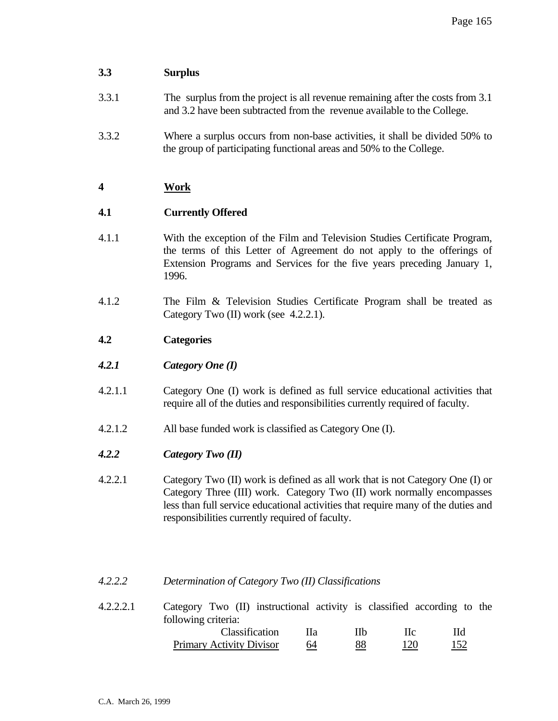# **3.3 Surplus**

- 3.3.1 The surplus from the project is all revenue remaining after the costs from 3.1 and 3.2 have been subtracted from the revenue available to the College.
- 3.3.2 Where a surplus occurs from non-base activities, it shall be divided 50% to the group of participating functional areas and 50% to the College.

# **4 Work**

# **4.1 Currently Offered**

- 4.1.1 With the exception of the Film and Television Studies Certificate Program, the terms of this Letter of Agreement do not apply to the offerings of Extension Programs and Services for the five years preceding January 1, 1996.
- 4.1.2 The Film & Television Studies Certificate Program shall be treated as Category Two (II) work (see 4.2.2.1).

# **4.2 Categories**

- *4.2.1 Category One (I)*
- 4.2.1.1 Category One (I) work is defined as full service educational activities that require all of the duties and responsibilities currently required of faculty.
- 4.2.1.2 All base funded work is classified as Category One (I).
- *4.2.2 Category Two (II)*
- 4.2.2.1 Category Two (II) work is defined as all work that is not Category One (I) or Category Three (III) work. Category Two (II) work normally encompasses less than full service educational activities that require many of the duties and responsibilities currently required of faculty.

# *4.2.2.2 Determination of Category Two (II) Classifications*

4.2.2.2.1 Category Two (II) instructional activity is classified according to the following criteria: Classification IIa IIb IIc IId Primary Activity Divisor 64 88 120 152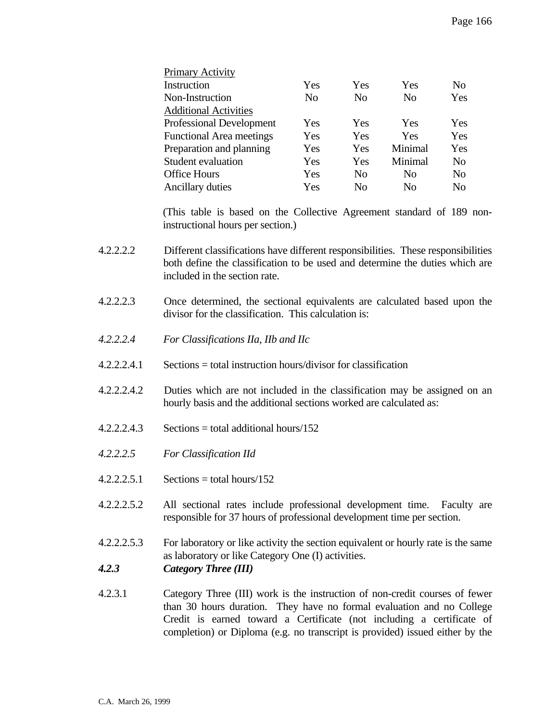| Primary Activity                |     |                |                |                |
|---------------------------------|-----|----------------|----------------|----------------|
| Instruction                     | Yes | Yes            | Yes            | N <sub>0</sub> |
| Non-Instruction                 | No  | N <sub>0</sub> | N <sub>0</sub> | Yes            |
| <b>Additional Activities</b>    |     |                |                |                |
| <b>Professional Development</b> | Yes | Yes            | Yes            | Yes            |
| <b>Functional Area meetings</b> | Yes | Yes            | Yes            | Yes            |
| Preparation and planning        | Yes | Yes            | Minimal        | Yes            |
| Student evaluation              | Yes | Yes            | Minimal        | N <sub>0</sub> |
| <b>Office Hours</b>             | Yes | N <sub>0</sub> | N <sub>0</sub> | No             |
| Ancillary duties                | Yes | No             | No             | No             |

(This table is based on the Collective Agreement standard of 189 noninstructional hours per section.)

- 4.2.2.2.2 Different classifications have different responsibilities. These responsibilities both define the classification to be used and determine the duties which are included in the section rate.
- 4.2.2.2.3 Once determined, the sectional equivalents are calculated based upon the divisor for the classification. This calculation is:
- *4.2.2.2.4 For Classifications IIa, IIb and IIc*
- 4.2.2.2.4.1 Sections = total instruction hours/divisor for classification
- 4.2.2.2.4.2 Duties which are not included in the classification may be assigned on an hourly basis and the additional sections worked are calculated as:
- $4.2.2.2.4.3$  Sections = total additional hours/152
- *4.2.2.2.5 For Classification IId*
- $4.2.2.2.5.1$  Sections = total hours/152
- 4.2.2.2.5.2 All sectional rates include professional development time. Faculty are responsible for 37 hours of professional development time per section.
- 4.2.2.2.5.3 For laboratory or like activity the section equivalent or hourly rate is the same as laboratory or like Category One (I) activities.
- *4.2.3 Category Three (III)*
- 4.2.3.1 Category Three (III) work is the instruction of non-credit courses of fewer than 30 hours duration. They have no formal evaluation and no College Credit is earned toward a Certificate (not including a certificate of completion) or Diploma (e.g. no transcript is provided) issued either by the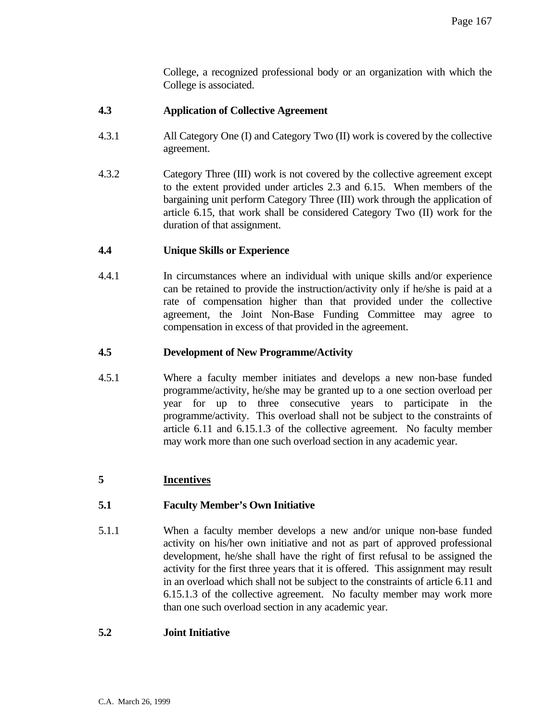College, a recognized professional body or an organization with which the College is associated.

# **4.3 Application of Collective Agreement**

- 4.3.1 All Category One (I) and Category Two (II) work is covered by the collective agreement.
- 4.3.2 Category Three (III) work is not covered by the collective agreement except to the extent provided under articles 2.3 and 6.15. When members of the bargaining unit perform Category Three (III) work through the application of article 6.15, that work shall be considered Category Two (II) work for the duration of that assignment.

# **4.4 Unique Skills or Experience**

4.4.1 In circumstances where an individual with unique skills and/or experience can be retained to provide the instruction/activity only if he/she is paid at a rate of compensation higher than that provided under the collective agreement, the Joint Non-Base Funding Committee may agree to compensation in excess of that provided in the agreement.

# **4.5 Development of New Programme/Activity**

4.5.1 Where a faculty member initiates and develops a new non-base funded programme/activity, he/she may be granted up to a one section overload per year for up to three consecutive years to participate in the programme/activity. This overload shall not be subject to the constraints of article 6.11 and 6.15.1.3 of the collective agreement. No faculty member may work more than one such overload section in any academic year.

# **5 Incentives**

# **5.1 Faculty Member's Own Initiative**

5.1.1 When a faculty member develops a new and/or unique non-base funded activity on his/her own initiative and not as part of approved professional development, he/she shall have the right of first refusal to be assigned the activity for the first three years that it is offered. This assignment may result in an overload which shall not be subject to the constraints of article 6.11 and 6.15.1.3 of the collective agreement. No faculty member may work more than one such overload section in any academic year.

#### **5.2 Joint Initiative**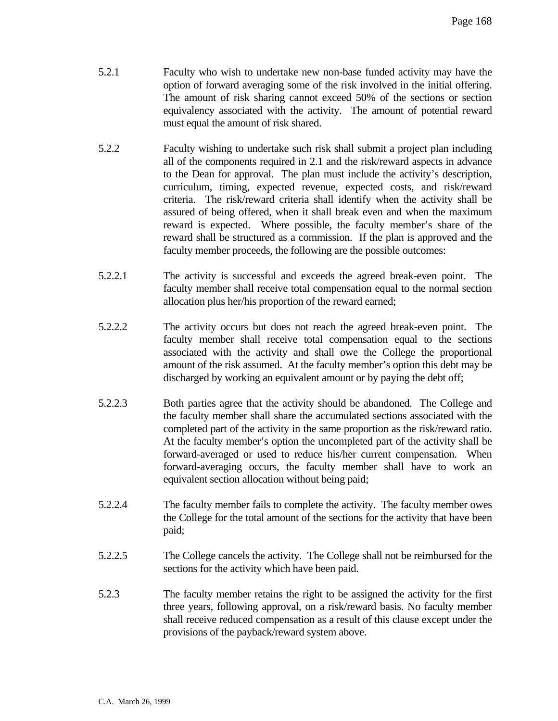- 5.2.1 Faculty who wish to undertake new non-base funded activity may have the option of forward averaging some of the risk involved in the initial offering. The amount of risk sharing cannot exceed 50% of the sections or section equivalency associated with the activity. The amount of potential reward must equal the amount of risk shared.
- 5.2.2 Faculty wishing to undertake such risk shall submit a project plan including all of the components required in 2.1 and the risk/reward aspects in advance to the Dean for approval. The plan must include the activity's description, curriculum, timing, expected revenue, expected costs, and risk/reward criteria. The risk/reward criteria shall identify when the activity shall be assured of being offered, when it shall break even and when the maximum reward is expected. Where possible, the faculty member's share of the reward shall be structured as a commission. If the plan is approved and the faculty member proceeds, the following are the possible outcomes:
- 5.2.2.1 The activity is successful and exceeds the agreed break-even point. The faculty member shall receive total compensation equal to the normal section allocation plus her/his proportion of the reward earned;
- 5.2.2.2 The activity occurs but does not reach the agreed break-even point. The faculty member shall receive total compensation equal to the sections associated with the activity and shall owe the College the proportional amount of the risk assumed. At the faculty member's option this debt may be discharged by working an equivalent amount or by paying the debt off;
- 5.2.2.3 Both parties agree that the activity should be abandoned. The College and the faculty member shall share the accumulated sections associated with the completed part of the activity in the same proportion as the risk/reward ratio. At the faculty member's option the uncompleted part of the activity shall be forward-averaged or used to reduce his/her current compensation. When forward-averaging occurs, the faculty member shall have to work an equivalent section allocation without being paid;
- 5.2.2.4 The faculty member fails to complete the activity. The faculty member owes the College for the total amount of the sections for the activity that have been paid;
- 5.2.2.5 The College cancels the activity. The College shall not be reimbursed for the sections for the activity which have been paid.
- 5.2.3 The faculty member retains the right to be assigned the activity for the first three years, following approval, on a risk/reward basis. No faculty member shall receive reduced compensation as a result of this clause except under the provisions of the payback/reward system above.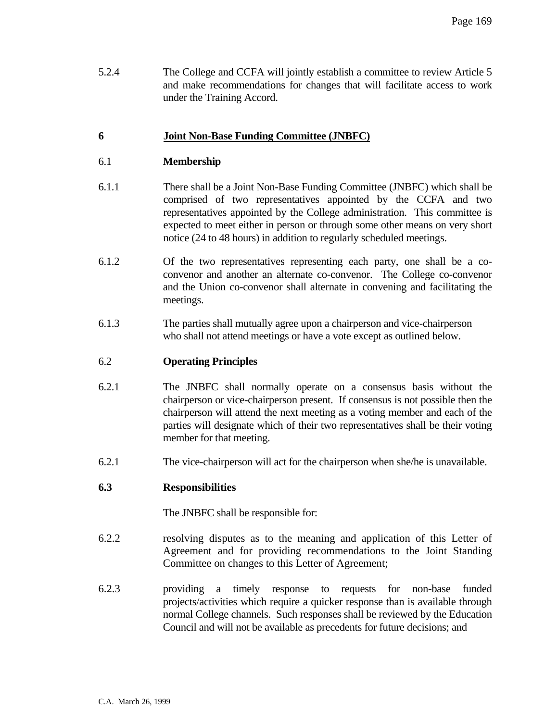5.2.4 The College and CCFA will jointly establish a committee to review Article 5 and make recommendations for changes that will facilitate access to work under the Training Accord.

# **6 Joint Non-Base Funding Committee (JNBFC)**

# 6.1 **Membership**

- 6.1.1 There shall be a Joint Non-Base Funding Committee (JNBFC) which shall be comprised of two representatives appointed by the CCFA and two representatives appointed by the College administration. This committee is expected to meet either in person or through some other means on very short notice (24 to 48 hours) in addition to regularly scheduled meetings.
- 6.1.2 Of the two representatives representing each party, one shall be a coconvenor and another an alternate co-convenor. The College co-convenor and the Union co-convenor shall alternate in convening and facilitating the meetings.
- 6.1.3 The parties shall mutually agree upon a chairperson and vice-chairperson who shall not attend meetings or have a vote except as outlined below.

### 6.2 **Operating Principles**

- 6.2.1 The JNBFC shall normally operate on a consensus basis without the chairperson or vice-chairperson present. If consensus is not possible then the chairperson will attend the next meeting as a voting member and each of the parties will designate which of their two representatives shall be their voting member for that meeting.
- 6.2.1 The vice-chairperson will act for the chairperson when she/he is unavailable.

#### **6.3 Responsibilities**

The JNBFC shall be responsible for:

- 6.2.2 resolving disputes as to the meaning and application of this Letter of Agreement and for providing recommendations to the Joint Standing Committee on changes to this Letter of Agreement;
- 6.2.3 providing a timely response to requests for non-base funded projects/activities which require a quicker response than is available through normal College channels. Such responses shall be reviewed by the Education Council and will not be available as precedents for future decisions; and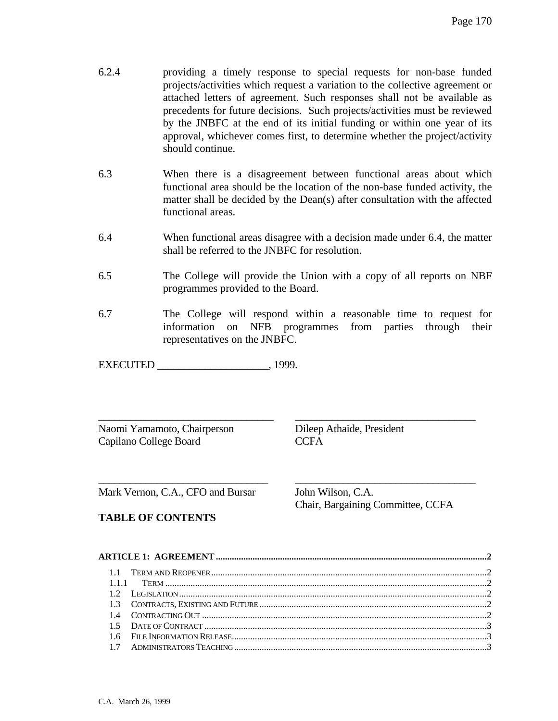- 6.2.4 providing a timely response to special requests for non-base funded projects/activities which request a variation to the collective agreement or attached letters of agreement. Such responses shall not be available as precedents for future decisions. Such projects/activities must be reviewed by the JNBFC at the end of its initial funding or within one year of its approval, whichever comes first, to determine whether the project/activity should continue.
- 6.3 When there is a disagreement between functional areas about which functional area should be the location of the non-base funded activity, the matter shall be decided by the Dean(s) after consultation with the affected functional areas.
- 6.4 When functional areas disagree with a decision made under 6.4, the matter shall be referred to the JNBFC for resolution.
- 6.5 The College will provide the Union with a copy of all reports on NBF programmes provided to the Board.
- 6.7 The College will respond within a reasonable time to request for information on NFB programmes from parties through their representatives on the JNBFC.

\_\_\_\_\_\_\_\_\_\_\_\_\_\_\_\_\_\_\_\_\_\_\_\_\_\_\_\_\_\_\_\_\_ \_\_\_\_\_\_\_\_\_\_\_\_\_\_\_\_\_\_\_\_\_\_\_\_\_\_\_\_\_\_\_\_\_\_

\_\_\_\_\_\_\_\_\_\_\_\_\_\_\_\_\_\_\_\_\_\_\_\_\_\_\_\_\_\_\_\_ \_\_\_\_\_\_\_\_\_\_\_\_\_\_\_\_\_\_\_\_\_\_\_\_\_\_\_\_\_\_\_\_\_\_

EXECUTED \_\_\_\_\_\_\_\_\_\_\_\_\_\_\_\_\_\_\_\_\_, 1999.

Naomi Yamamoto, Chairperson Dileep Athaide, President Capilano College Board CCFA

Mark Vernon, C.A., CFO and Bursar John Wilson, C.A.

# **TABLE OF CONTENTS**

Chair, Bargaining Committee, CCFA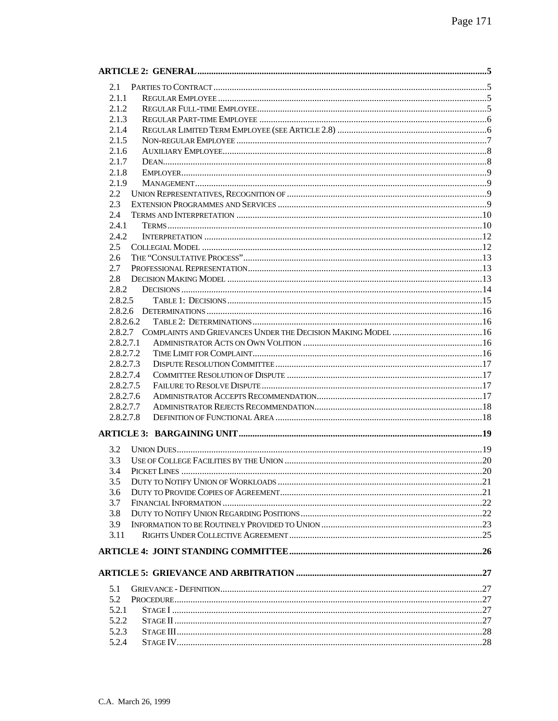| 2.1                                                                   |  |
|-----------------------------------------------------------------------|--|
| 2.1.1                                                                 |  |
| 2.1.2                                                                 |  |
| 2.1.3                                                                 |  |
| 2.1.4                                                                 |  |
| 2.1.5                                                                 |  |
| 2.1.6                                                                 |  |
| 2.1.7                                                                 |  |
| 2.1.8                                                                 |  |
| 2.1.9                                                                 |  |
| 2.2                                                                   |  |
| 2.3                                                                   |  |
| 2.4                                                                   |  |
| 2.4.1                                                                 |  |
| 2.4.2                                                                 |  |
|                                                                       |  |
| 2.5                                                                   |  |
| 2.6                                                                   |  |
| 2.7                                                                   |  |
| 2.8                                                                   |  |
| 2.8.2                                                                 |  |
| 2.8.2.5                                                               |  |
| 2.8.2.6                                                               |  |
| 2.8.2.6.2                                                             |  |
| 2.8.2.7 COMPLAINTS AND GRIEVANCES UNDER THE DECISION MAKING MODEL  16 |  |
| 2.8.2.7.1                                                             |  |
| 2.8.2.7.2                                                             |  |
| 2.8.2.7.3                                                             |  |
| 2.8.2.7.4                                                             |  |
| 2.8.2.7.5                                                             |  |
| 2.8.2.7.6                                                             |  |
| 2.8.2.7.7                                                             |  |
| 2.8.2.7.8                                                             |  |
|                                                                       |  |
| 3.2                                                                   |  |
| 3.3                                                                   |  |
| 3.4                                                                   |  |
| 3.5                                                                   |  |
| 3.6                                                                   |  |
| 3.7                                                                   |  |
| 3.8                                                                   |  |
| 3.9                                                                   |  |
| 3.11                                                                  |  |
|                                                                       |  |
|                                                                       |  |
|                                                                       |  |
| 5.1                                                                   |  |
| 5.2                                                                   |  |
| 5.2.1                                                                 |  |
| 5.2.2                                                                 |  |
| 5.2.3                                                                 |  |
| 5.2.4                                                                 |  |
|                                                                       |  |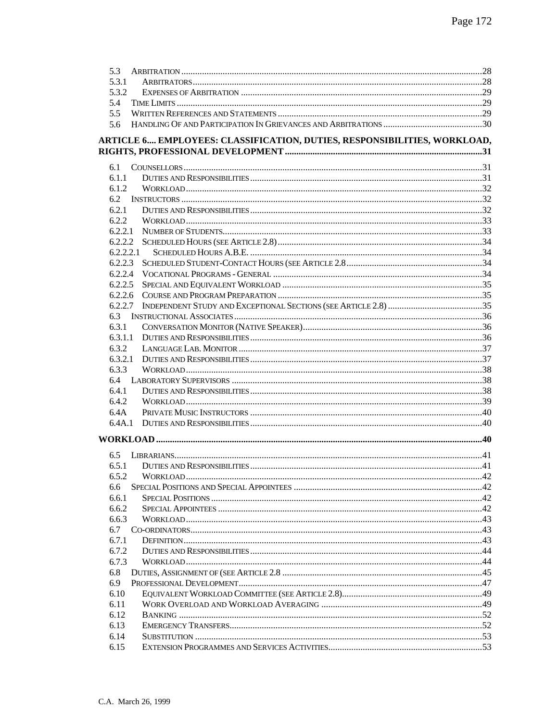| 5.3                                                                      |  |
|--------------------------------------------------------------------------|--|
| 5.3.1                                                                    |  |
| 5.3.2                                                                    |  |
| 5.4                                                                      |  |
| 5.5                                                                      |  |
| 5.6                                                                      |  |
| ARTICLE 6 EMPLOYEES: CLASSIFICATION, DUTIES, RESPONSIBILITIES, WORKLOAD, |  |
|                                                                          |  |
|                                                                          |  |
| 6.1                                                                      |  |
| 6.1.1                                                                    |  |
| 6.1.2                                                                    |  |
| 6.2                                                                      |  |
| 6.2.1                                                                    |  |
| 6.2.2                                                                    |  |
| 6.2.2.1                                                                  |  |
| 6.2.2.2                                                                  |  |
| 6.2.2.2.1                                                                |  |
| 6.2.2.3                                                                  |  |
|                                                                          |  |
| 6.2.2.5                                                                  |  |
|                                                                          |  |
| 6.2.2.7                                                                  |  |
| 6.3                                                                      |  |
| 6.3.1                                                                    |  |
| 6.3.1.1                                                                  |  |
| 6.3.2                                                                    |  |
| 6.3.3                                                                    |  |
| 6.4                                                                      |  |
| 6.4.1                                                                    |  |
| 6.4.2                                                                    |  |
| 6.4A                                                                     |  |
| 6.4A.1                                                                   |  |
|                                                                          |  |
|                                                                          |  |
| 6.5                                                                      |  |
| 6.5.1                                                                    |  |
| 6.5.2                                                                    |  |
| 6.6                                                                      |  |
| 6.6.1                                                                    |  |
| 6.6.2                                                                    |  |
| 6.6.3                                                                    |  |
| 6.7                                                                      |  |
| 6.7.1                                                                    |  |
| 6.7.2                                                                    |  |
| 6.7.3                                                                    |  |
| 6.8                                                                      |  |
| 6.9                                                                      |  |
| 6.10                                                                     |  |
| 6.11                                                                     |  |
| 6.12                                                                     |  |
| 6.13                                                                     |  |
| 6.14                                                                     |  |
| 6.15                                                                     |  |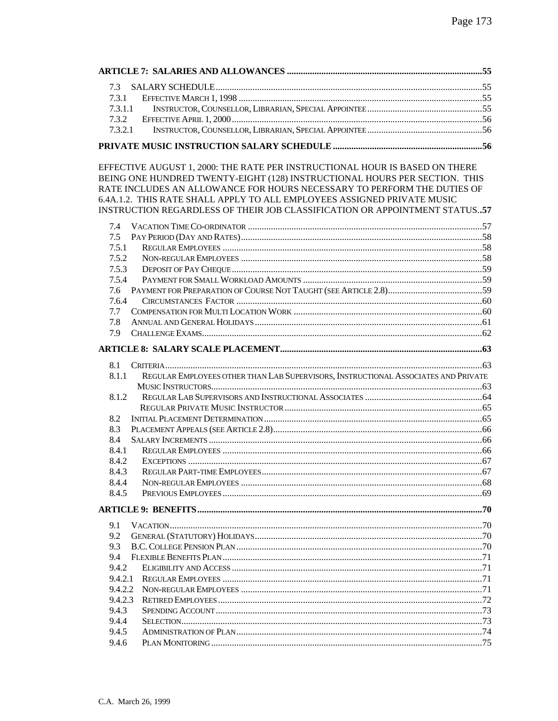EFFECTIVE AUGUST 1, 2000: THE RATE PER INSTRUCTIONAL HOUR IS BASED ON THERE BEING ONE HUNDRED TWENTY-EIGHT (128) INSTRUCTIONAL HOURS PER SECTION. THIS RATE INCLUDES AN ALLOWANCE FOR HOURS NECESSARY TO PERFORM THE DUTIES OF 6.4A.1.2. THIS RATE SHALL APPLY TO ALL EMPLOYEES ASSIGNED PRIVATE MUSIC INSTRUCTION REGARDLESS OF THEIR JOB CLASSIFICATION OR APPOINTMENT STATUS..57

| 7.5.1   |                                                                                    |
|---------|------------------------------------------------------------------------------------|
| 7.5.2   |                                                                                    |
| 7.5.3   |                                                                                    |
| 7.5.4   |                                                                                    |
|         |                                                                                    |
| 7.6.4   |                                                                                    |
|         |                                                                                    |
|         |                                                                                    |
|         |                                                                                    |
|         |                                                                                    |
|         |                                                                                    |
|         |                                                                                    |
| 8.1.1   |                                                                                    |
|         |                                                                                    |
| 8.1.2   |                                                                                    |
|         |                                                                                    |
|         |                                                                                    |
|         |                                                                                    |
|         |                                                                                    |
| 8.4.1   |                                                                                    |
| 8.4.2   |                                                                                    |
| 8.4.3   |                                                                                    |
| 8.4.4   |                                                                                    |
| 8.4.5   |                                                                                    |
|         |                                                                                    |
|         |                                                                                    |
|         |                                                                                    |
|         |                                                                                    |
|         |                                                                                    |
| 9.4.2   |                                                                                    |
| 9.4.2.1 |                                                                                    |
| 9.4.2.2 |                                                                                    |
| 9.4.2.3 |                                                                                    |
| 9.4.3   |                                                                                    |
| 9.4.4   |                                                                                    |
| 9.4.5   |                                                                                    |
| 9.4.6   |                                                                                    |
|         | REGULAR EMPLOYEES OTHER THAN LAB SUPERVISORS, INSTRUCTIONAL ASSOCIATES AND PRIVATE |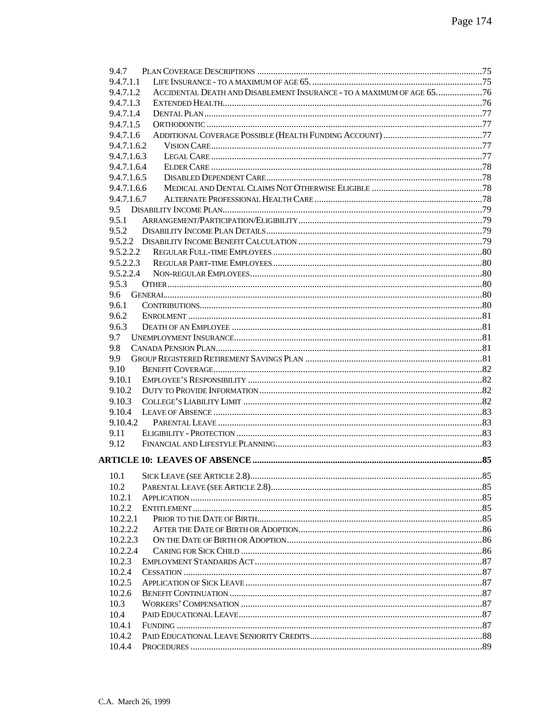| 9.4.7     |                                                                       |     |
|-----------|-----------------------------------------------------------------------|-----|
| 9.4.7.1.1 |                                                                       |     |
| 9.4.7.1.2 | ACCIDENTAL DEATH AND DISABLEMENT INSURANCE - TO A MAXIMUM OF AGE 6576 |     |
| 9.4.7.1.3 |                                                                       |     |
| 9.4.7.1.4 |                                                                       |     |
| 9.4.7.1.5 |                                                                       |     |
| 9.4.7.1.6 |                                                                       |     |
|           | 9.4.7.1.6.2                                                           |     |
|           | 9.4.7.1.6.3                                                           |     |
|           | 9.4.7.1.6.4                                                           |     |
|           | 9.4.7.1.6.5                                                           |     |
|           | 9.4.7.1.6.6                                                           |     |
|           | 9.4.7.1.6.7                                                           |     |
|           |                                                                       |     |
| 9.5.1     |                                                                       |     |
| 9.5.2     |                                                                       |     |
|           |                                                                       |     |
|           | 9.5.2.2.2                                                             |     |
| 9.5.2.2.3 |                                                                       |     |
| 9.5.2.2.4 |                                                                       |     |
| 9.5.3     |                                                                       |     |
| 9.6       |                                                                       |     |
| 9.6.1     |                                                                       |     |
| 9.6.2     |                                                                       |     |
| 9.6.3     |                                                                       |     |
| 9.7       |                                                                       |     |
| 9.8       |                                                                       |     |
| 9.9       |                                                                       |     |
| 9.10      |                                                                       |     |
| 9.10.1    |                                                                       |     |
| 9.10.2    |                                                                       |     |
| 9.10.3    |                                                                       |     |
| 9.10.4    |                                                                       |     |
| 9.10.4.2  |                                                                       |     |
| 9.11      |                                                                       |     |
| 9.12      |                                                                       |     |
|           |                                                                       |     |
|           |                                                                       |     |
|           |                                                                       | .85 |
| 10.2      |                                                                       |     |
| 10.2.1    |                                                                       |     |
| 10.2.2    |                                                                       |     |
| 10.2.2.1  |                                                                       |     |
| 10.2.2.2  |                                                                       |     |
| 10.2.2.3  |                                                                       |     |
| 10.2.2.4  |                                                                       |     |
| 10.2.3    |                                                                       |     |
| 10.2.4    |                                                                       |     |
| 10.2.5    |                                                                       |     |
| 10.2.6    |                                                                       |     |
| 10.3      |                                                                       |     |
| 10.4      |                                                                       |     |
| 10.4.1    |                                                                       |     |
| 10.4.2    |                                                                       |     |
| 10.4.4    |                                                                       |     |
|           |                                                                       |     |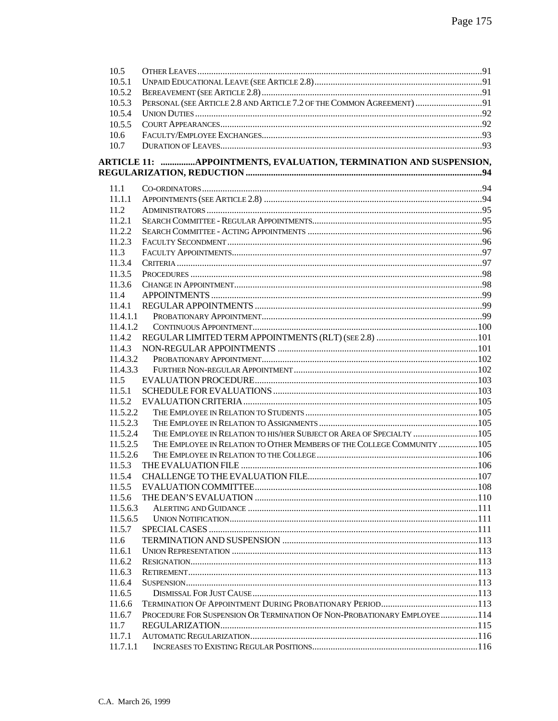| 10.5           |                                                                         |  |
|----------------|-------------------------------------------------------------------------|--|
| 10.5.1         |                                                                         |  |
| 10.5.2         |                                                                         |  |
| 10.5.3         | PERSONAL (SEE ARTICLE 2.8 AND ARTICLE 7.2 OF THE COMMON AGREEMENT) 91   |  |
| 10.5.4         |                                                                         |  |
| 10.5.5         |                                                                         |  |
| 10.6           |                                                                         |  |
| 10.7           |                                                                         |  |
|                |                                                                         |  |
|                | ARTICLE 11: APPOINTMENTS, EVALUATION, TERMINATION AND SUSPENSION,       |  |
| 11.1           |                                                                         |  |
| 11.1.1         |                                                                         |  |
| 11.2           |                                                                         |  |
| 11.2.1         |                                                                         |  |
| 11.2.2         |                                                                         |  |
| 11.2.3         |                                                                         |  |
| 11.3           |                                                                         |  |
| 11.3.4         |                                                                         |  |
| 11.3.5         |                                                                         |  |
| 11.3.6         |                                                                         |  |
| 11.4           |                                                                         |  |
| 11.4.1         |                                                                         |  |
| 11.4.1.1       |                                                                         |  |
| 11.4.1.2       |                                                                         |  |
| 11.4.2         |                                                                         |  |
| 11.4.3         |                                                                         |  |
| 11.4.3.2       |                                                                         |  |
| 11.4.3.3       |                                                                         |  |
| 11.5           |                                                                         |  |
| 11.5.1         |                                                                         |  |
|                |                                                                         |  |
| 11.5.2         |                                                                         |  |
| 11.5.2.2       |                                                                         |  |
| 11.5.2.3       |                                                                         |  |
| 11.5.2.4       | THE EMPLOYEE IN RELATION TO HIS/HER SUBJECT OR AREA OF SPECIALTY  105   |  |
| 11.5.2.5       | THE EMPLOYEE IN RELATION TO OTHER MEMBERS OF THE COLLEGE COMMUNITY  105 |  |
| 11.5.2.6       |                                                                         |  |
| 11.5.3         |                                                                         |  |
|                |                                                                         |  |
| 11.5.5         |                                                                         |  |
| 11.5.6         |                                                                         |  |
| 11.5.6.3       |                                                                         |  |
| 11.5.6.5       |                                                                         |  |
| 11.5.7         |                                                                         |  |
| 11.6           |                                                                         |  |
| 11.6.1         |                                                                         |  |
| 11.6.2         |                                                                         |  |
| 11.6.3         |                                                                         |  |
| 11.6.4         |                                                                         |  |
| 11.6.5         |                                                                         |  |
|                |                                                                         |  |
| 11.6.6         |                                                                         |  |
|                |                                                                         |  |
| 11.6.7         | PROCEDURE FOR SUSPENSION OR TERMINATION OF NON-PROBATIONARY EMPLOYEE114 |  |
| 11.7<br>11.7.1 |                                                                         |  |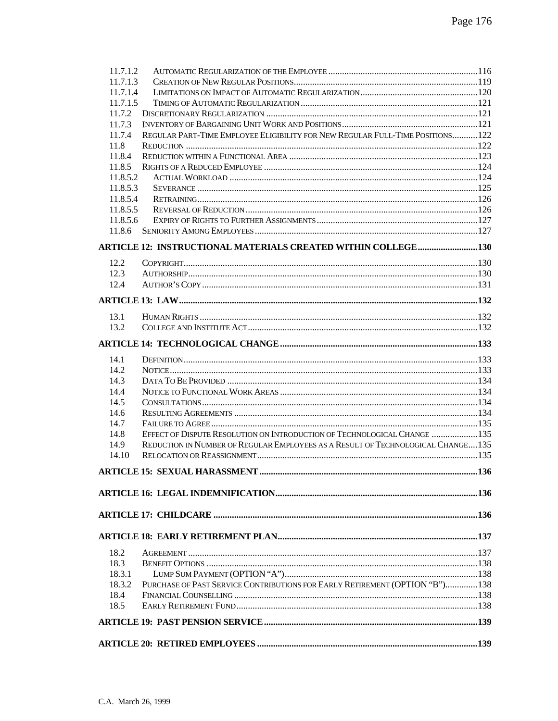| 18.5                 |                                                                                 |  |
|----------------------|---------------------------------------------------------------------------------|--|
| 18.4                 |                                                                                 |  |
| 18.3.2               | PURCHASE OF PAST SERVICE CONTRIBUTIONS FOR EARLY RETIREMENT (OPTION "B")138     |  |
| 18.3.1               |                                                                                 |  |
| 18.3                 |                                                                                 |  |
| 18.2                 |                                                                                 |  |
|                      |                                                                                 |  |
|                      |                                                                                 |  |
|                      |                                                                                 |  |
|                      |                                                                                 |  |
|                      |                                                                                 |  |
| 14.10                |                                                                                 |  |
| 14.9                 | REDUCTION IN NUMBER OF REGULAR EMPLOYEES AS A RESULT OF TECHNOLOGICAL CHANGE135 |  |
| 14.8                 | EFFECT OF DISPUTE RESOLUTION ON INTRODUCTION OF TECHNOLOGICAL CHANGE  135       |  |
| 14.7                 |                                                                                 |  |
| 14.6                 |                                                                                 |  |
| 14.5                 |                                                                                 |  |
| 14.4                 |                                                                                 |  |
| 14.3                 |                                                                                 |  |
| 14.2                 |                                                                                 |  |
| 14.1                 |                                                                                 |  |
|                      |                                                                                 |  |
| 13.2                 |                                                                                 |  |
| 13.1                 |                                                                                 |  |
|                      |                                                                                 |  |
|                      |                                                                                 |  |
| 12.4                 |                                                                                 |  |
| 12.3                 |                                                                                 |  |
| 12.2                 |                                                                                 |  |
|                      |                                                                                 |  |
|                      |                                                                                 |  |
| 11.8.6               |                                                                                 |  |
| 11.8.5.6             |                                                                                 |  |
| 11.8.5.5             |                                                                                 |  |
| 11.8.5.4             |                                                                                 |  |
| 11.8.5.3             |                                                                                 |  |
| 11.8.5.2             |                                                                                 |  |
| 11.8.5               |                                                                                 |  |
| 11.8.4               |                                                                                 |  |
| 11.8                 |                                                                                 |  |
| 11.7.4               | REGULAR PART-TIME EMPLOYEE ELIGIBILITY FOR NEW REGULAR FULL-TIME POSITIONS122   |  |
| 11.7.3               |                                                                                 |  |
| 11.7.2               |                                                                                 |  |
| 11.7.1.5             |                                                                                 |  |
| 11.7.1.3<br>11.7.1.4 |                                                                                 |  |
| 11.7.1.2             |                                                                                 |  |
|                      |                                                                                 |  |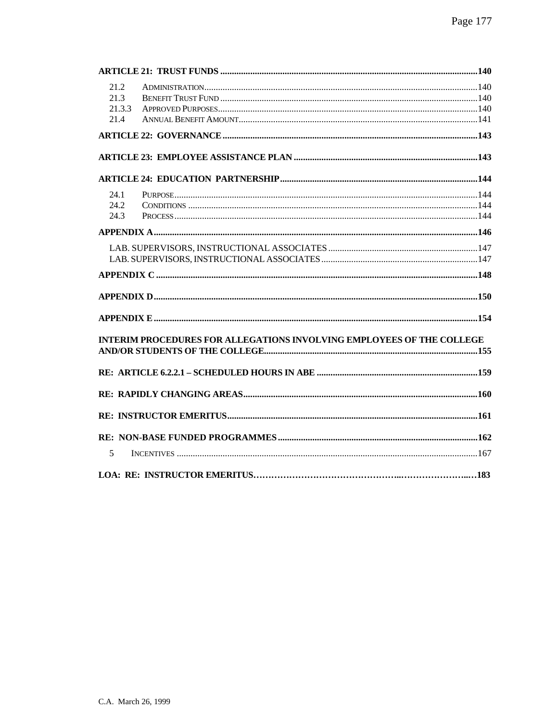| 21.2   |                                                                       |       |
|--------|-----------------------------------------------------------------------|-------|
| 21.3   |                                                                       |       |
| 21.3.3 |                                                                       |       |
| 21.4   |                                                                       |       |
|        |                                                                       |       |
|        |                                                                       |       |
|        |                                                                       |       |
| 24.1   |                                                                       |       |
| 24.2   |                                                                       |       |
| 24.3   |                                                                       |       |
|        |                                                                       |       |
|        |                                                                       |       |
|        |                                                                       |       |
|        |                                                                       |       |
|        |                                                                       |       |
|        |                                                                       |       |
|        | INTERIM PROCEDURES FOR ALLEGATIONS INVOLVING EMPLOYEES OF THE COLLEGE |       |
|        |                                                                       |       |
|        |                                                                       |       |
|        |                                                                       |       |
|        |                                                                       |       |
|        |                                                                       |       |
| 5      |                                                                       |       |
|        |                                                                       | . 183 |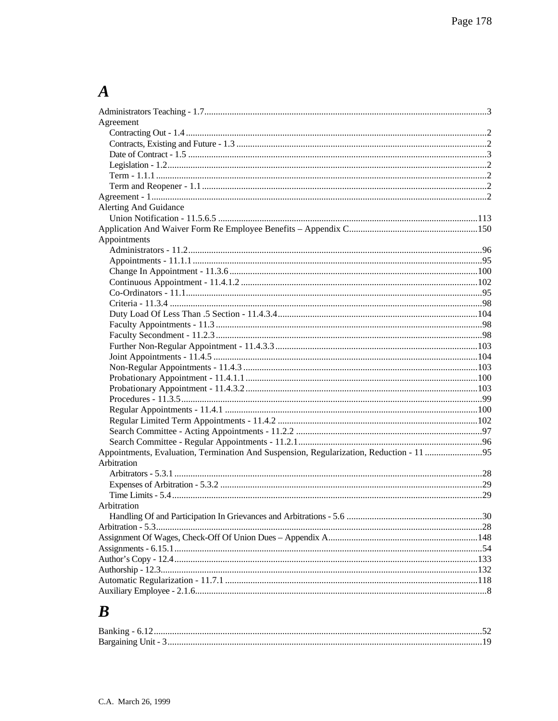# $\boldsymbol{A}$

| Agreement                                                                               |  |
|-----------------------------------------------------------------------------------------|--|
|                                                                                         |  |
|                                                                                         |  |
|                                                                                         |  |
|                                                                                         |  |
|                                                                                         |  |
|                                                                                         |  |
|                                                                                         |  |
| <b>Alerting And Guidance</b>                                                            |  |
|                                                                                         |  |
|                                                                                         |  |
| Appointments                                                                            |  |
|                                                                                         |  |
|                                                                                         |  |
|                                                                                         |  |
|                                                                                         |  |
|                                                                                         |  |
|                                                                                         |  |
|                                                                                         |  |
|                                                                                         |  |
|                                                                                         |  |
|                                                                                         |  |
|                                                                                         |  |
|                                                                                         |  |
|                                                                                         |  |
|                                                                                         |  |
|                                                                                         |  |
|                                                                                         |  |
|                                                                                         |  |
|                                                                                         |  |
|                                                                                         |  |
| Appointments, Evaluation, Termination And Suspension, Regularization, Reduction - 11 95 |  |
| Arbitration                                                                             |  |
|                                                                                         |  |
|                                                                                         |  |
|                                                                                         |  |
| Arbitration                                                                             |  |
|                                                                                         |  |
|                                                                                         |  |
|                                                                                         |  |
|                                                                                         |  |
|                                                                                         |  |
|                                                                                         |  |
|                                                                                         |  |
|                                                                                         |  |
|                                                                                         |  |

# $\boldsymbol{B}$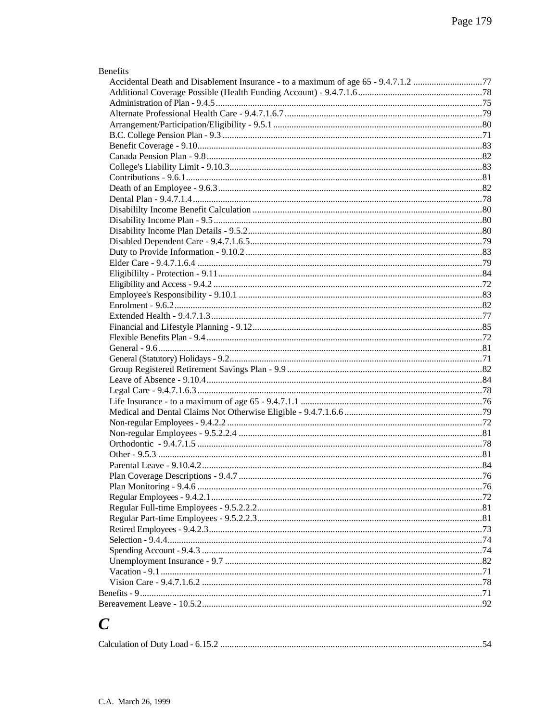| <b>Benefits</b> |  |
|-----------------|--|
|                 |  |
|                 |  |
|                 |  |
|                 |  |
|                 |  |
|                 |  |
|                 |  |
|                 |  |
|                 |  |
|                 |  |
|                 |  |
|                 |  |
|                 |  |
|                 |  |
|                 |  |
|                 |  |
|                 |  |
|                 |  |
|                 |  |
|                 |  |
|                 |  |
|                 |  |
|                 |  |
|                 |  |
|                 |  |
|                 |  |
|                 |  |
|                 |  |
|                 |  |
|                 |  |
|                 |  |
|                 |  |
|                 |  |
|                 |  |
|                 |  |
|                 |  |
|                 |  |
|                 |  |
|                 |  |
|                 |  |
|                 |  |
|                 |  |
|                 |  |
|                 |  |
|                 |  |
|                 |  |
|                 |  |
|                 |  |
|                 |  |
|                 |  |
|                 |  |

# $\boldsymbol{C}$

|--|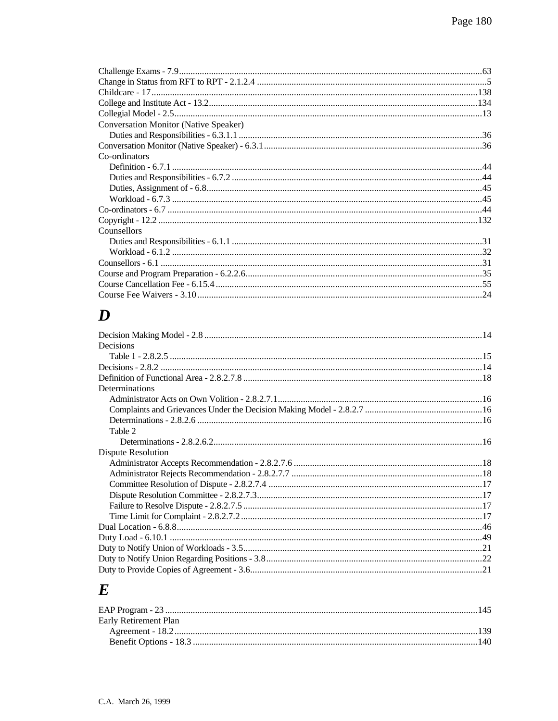| <b>Conversation Monitor (Native Speaker)</b> |  |
|----------------------------------------------|--|
|                                              |  |
|                                              |  |
| Co-ordinators                                |  |
|                                              |  |
|                                              |  |
|                                              |  |
|                                              |  |
|                                              |  |
|                                              |  |
| Counsellors                                  |  |
|                                              |  |
|                                              |  |
|                                              |  |
|                                              |  |
|                                              |  |
|                                              |  |

# $\boldsymbol{D}$

| Decisions          |  |
|--------------------|--|
|                    |  |
|                    |  |
|                    |  |
| Determinations     |  |
|                    |  |
|                    |  |
|                    |  |
| Table 2            |  |
|                    |  |
| Dispute Resolution |  |
|                    |  |
|                    |  |
|                    |  |
|                    |  |
|                    |  |
|                    |  |
|                    |  |
|                    |  |
|                    |  |
|                    |  |
|                    |  |

# $\boldsymbol{E}$

| Early Retirement Plan |  |
|-----------------------|--|
|                       |  |
|                       |  |
|                       |  |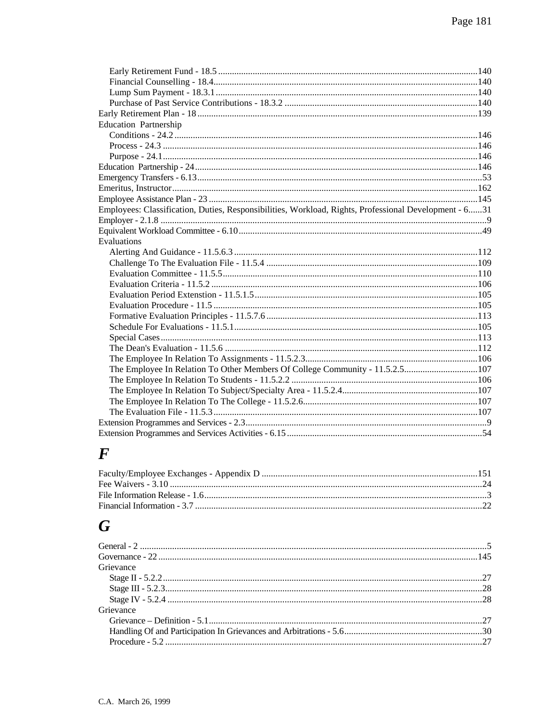| <b>Education Partnership</b>                                                                          |  |
|-------------------------------------------------------------------------------------------------------|--|
|                                                                                                       |  |
|                                                                                                       |  |
|                                                                                                       |  |
|                                                                                                       |  |
|                                                                                                       |  |
|                                                                                                       |  |
|                                                                                                       |  |
| Employees: Classification, Duties, Responsibilities, Workload, Rights, Professional Development - 631 |  |
|                                                                                                       |  |
|                                                                                                       |  |
| Evaluations                                                                                           |  |
|                                                                                                       |  |
|                                                                                                       |  |
|                                                                                                       |  |
|                                                                                                       |  |
|                                                                                                       |  |
|                                                                                                       |  |
|                                                                                                       |  |
|                                                                                                       |  |
|                                                                                                       |  |
|                                                                                                       |  |
|                                                                                                       |  |
| The Employee In Relation To Other Members Of College Community - 11.5.2.5107                          |  |
|                                                                                                       |  |
|                                                                                                       |  |
|                                                                                                       |  |
|                                                                                                       |  |
|                                                                                                       |  |
|                                                                                                       |  |

### $\boldsymbol{F}$

## $\boldsymbol{G}$

| Grievance |  |
|-----------|--|
|           |  |
|           |  |
|           |  |
| Grievance |  |
|           |  |
|           |  |
|           |  |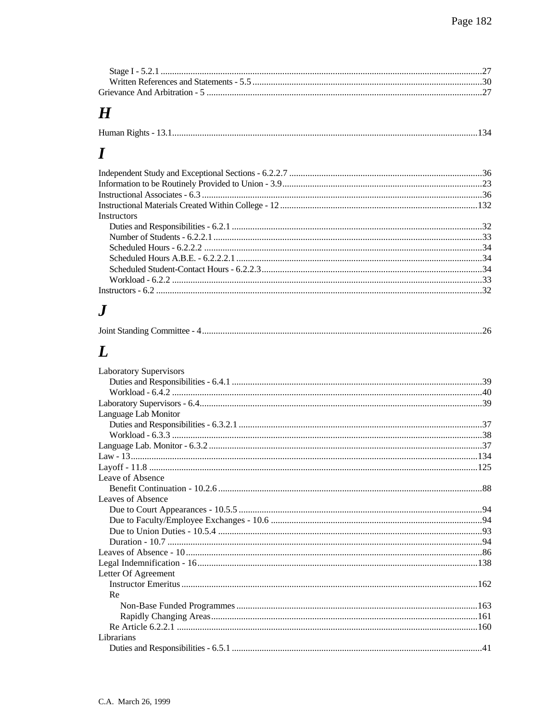## $\boldsymbol{H}$

# $\boldsymbol{I}$

| <b>Instructors</b> |  |
|--------------------|--|
|                    |  |
|                    |  |
|                    |  |
|                    |  |
|                    |  |
|                    |  |
|                    |  |

#### $\boldsymbol{J}$

| Joint Standing Committee - 4 |  |  |
|------------------------------|--|--|
|------------------------------|--|--|

# $\boldsymbol{L}$

| <b>Laboratory Supervisors</b> |  |
|-------------------------------|--|
|                               |  |
|                               |  |
|                               |  |
| Language Lab Monitor          |  |
|                               |  |
|                               |  |
|                               |  |
|                               |  |
|                               |  |
| Leave of Absence              |  |
|                               |  |
| Leaves of Absence             |  |
|                               |  |
|                               |  |
|                               |  |
|                               |  |
|                               |  |
|                               |  |
| Letter Of Agreement           |  |
|                               |  |
| Re                            |  |
|                               |  |
|                               |  |
|                               |  |
| Librarians                    |  |
|                               |  |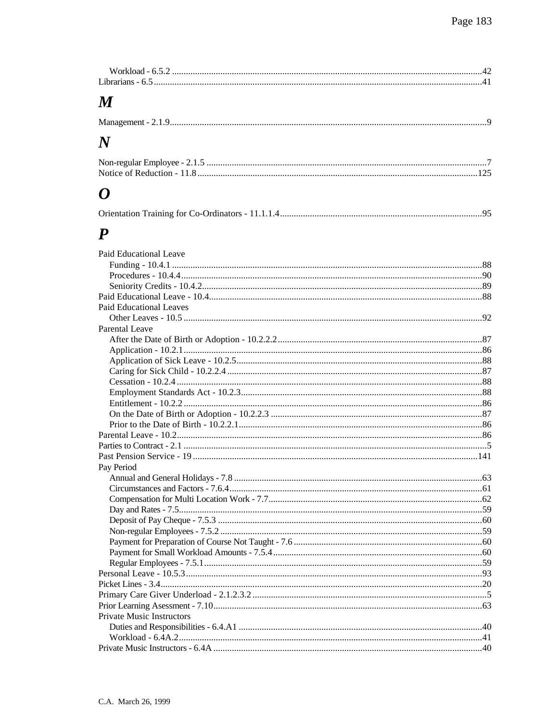| Workload - 6.5  |  |
|-----------------|--|
| Librarians - 6. |  |

## $\pmb{M}$

| Management - |
|--------------|
|--------------|

## $\boldsymbol{N}$

### $\boldsymbol{o}$

|--|--|--|

#### $\boldsymbol{P}$

| Paid Educational Leave         |  |
|--------------------------------|--|
|                                |  |
|                                |  |
|                                |  |
|                                |  |
| <b>Paid Educational Leaves</b> |  |
|                                |  |
| <b>Parental Leave</b>          |  |
|                                |  |
|                                |  |
|                                |  |
|                                |  |
|                                |  |
|                                |  |
|                                |  |
|                                |  |
|                                |  |
|                                |  |
|                                |  |
|                                |  |
| Pay Period                     |  |
|                                |  |
|                                |  |
|                                |  |
|                                |  |
|                                |  |
|                                |  |
|                                |  |
|                                |  |
|                                |  |
|                                |  |
|                                |  |
|                                |  |
|                                |  |
| Private Music Instructors      |  |
|                                |  |
|                                |  |
|                                |  |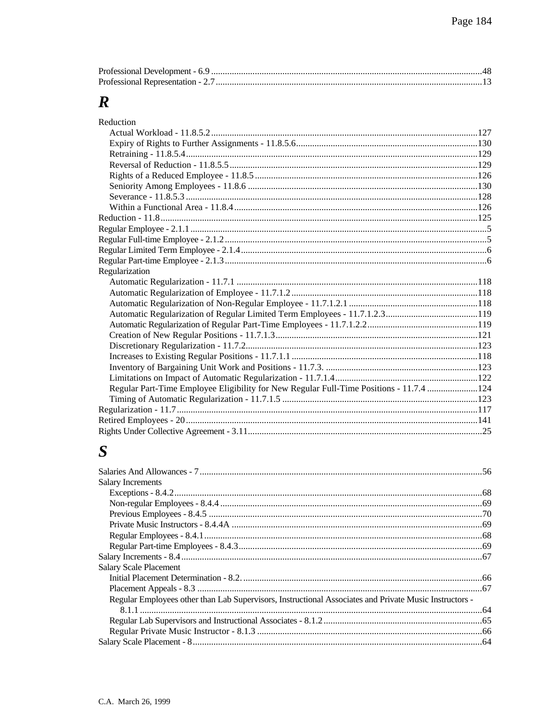## $\boldsymbol{R}$

| Reduction                                                                               |  |
|-----------------------------------------------------------------------------------------|--|
|                                                                                         |  |
|                                                                                         |  |
|                                                                                         |  |
|                                                                                         |  |
|                                                                                         |  |
|                                                                                         |  |
|                                                                                         |  |
|                                                                                         |  |
|                                                                                         |  |
|                                                                                         |  |
|                                                                                         |  |
|                                                                                         |  |
|                                                                                         |  |
| Regularization                                                                          |  |
|                                                                                         |  |
|                                                                                         |  |
|                                                                                         |  |
|                                                                                         |  |
|                                                                                         |  |
|                                                                                         |  |
|                                                                                         |  |
|                                                                                         |  |
|                                                                                         |  |
|                                                                                         |  |
| Regular Part-Time Employee Eligibility for New Regular Full-Time Positions - 11.7.4 124 |  |
|                                                                                         |  |
|                                                                                         |  |
|                                                                                         |  |
|                                                                                         |  |

## $\boldsymbol{S}$

| <b>Salary Increments</b>                                                                               |  |
|--------------------------------------------------------------------------------------------------------|--|
|                                                                                                        |  |
|                                                                                                        |  |
|                                                                                                        |  |
|                                                                                                        |  |
|                                                                                                        |  |
|                                                                                                        |  |
|                                                                                                        |  |
| <b>Salary Scale Placement</b>                                                                          |  |
|                                                                                                        |  |
|                                                                                                        |  |
| Regular Employees other than Lab Supervisors, Instructional Associates and Private Music Instructors - |  |
|                                                                                                        |  |
|                                                                                                        |  |
|                                                                                                        |  |
|                                                                                                        |  |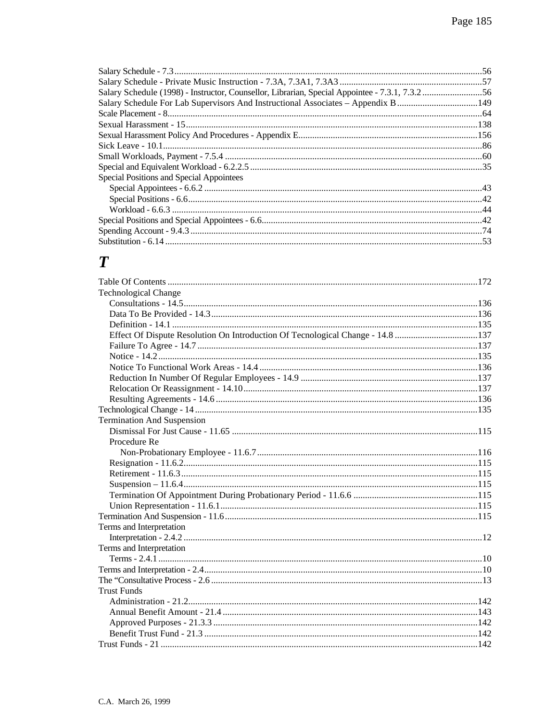| Salary Schedule (1998) - Instructor, Counsellor, Librarian, Special Appointee - 7.3.1, 7.3.256 |  |
|------------------------------------------------------------------------------------------------|--|
| Salary Schedule For Lab Supervisors And Instructional Associates – Appendix B 149              |  |
|                                                                                                |  |
|                                                                                                |  |
|                                                                                                |  |
|                                                                                                |  |
|                                                                                                |  |
|                                                                                                |  |
| Special Positions and Special Appointees                                                       |  |
|                                                                                                |  |
|                                                                                                |  |
|                                                                                                |  |
|                                                                                                |  |
|                                                                                                |  |
|                                                                                                |  |

#### $\boldsymbol{T}$

| <b>Technological Change</b>                                                    |  |
|--------------------------------------------------------------------------------|--|
|                                                                                |  |
|                                                                                |  |
|                                                                                |  |
| Effect Of Dispute Resolution On Introduction Of Tecnological Change - 14.8 137 |  |
|                                                                                |  |
|                                                                                |  |
|                                                                                |  |
|                                                                                |  |
|                                                                                |  |
|                                                                                |  |
|                                                                                |  |
| <b>Termination And Suspension</b>                                              |  |
|                                                                                |  |
| Procedure Re                                                                   |  |
|                                                                                |  |
|                                                                                |  |
|                                                                                |  |
|                                                                                |  |
|                                                                                |  |
|                                                                                |  |
|                                                                                |  |
| Terms and Interpretation                                                       |  |
|                                                                                |  |
| Terms and Interpretation                                                       |  |
|                                                                                |  |
|                                                                                |  |
|                                                                                |  |
| <b>Trust Funds</b>                                                             |  |
|                                                                                |  |
|                                                                                |  |
|                                                                                |  |
|                                                                                |  |
|                                                                                |  |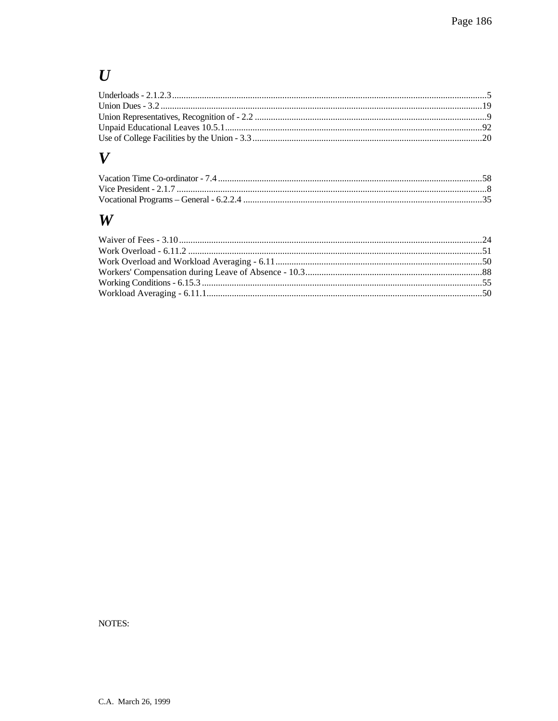## $\boldsymbol{U}$

#### $\boldsymbol{V}$

#### $\boldsymbol{W}$

NOTES: